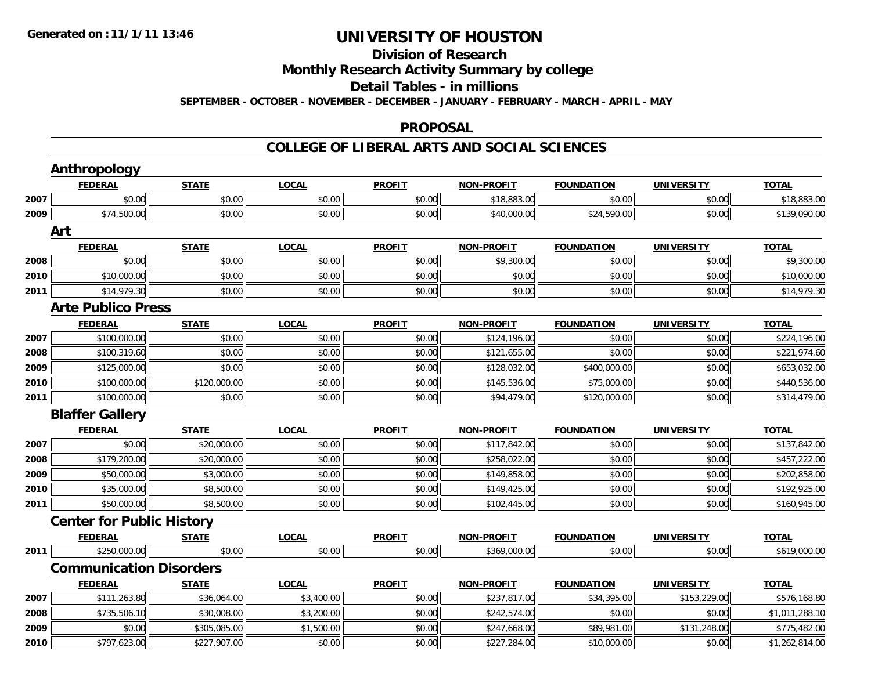### **Division of ResearchMonthly Research Activity Summary by college Detail Tables - in millions SEPTEMBER - OCTOBER - NOVEMBER - DECEMBER - JANUARY - FEBRUARY - MARCH - APRIL - MAY**

#### **PROPOSAL**

#### **COLLEGE OF LIBERAL ARTS AND SOCIAL SCIENCES**

|      | <b>Anthropology</b>              |              |              |               |                   |                   |                   |                |
|------|----------------------------------|--------------|--------------|---------------|-------------------|-------------------|-------------------|----------------|
|      | <b>FEDERAL</b>                   | <b>STATE</b> | <b>LOCAL</b> | <b>PROFIT</b> | <b>NON-PROFIT</b> | <b>FOUNDATION</b> | <b>UNIVERSITY</b> | <b>TOTAL</b>   |
| 2007 | \$0.00                           | \$0.00       | \$0.00       | \$0.00        | \$18,883.00       | \$0.00            | \$0.00            | \$18,883.00    |
| 2009 | \$74,500.00                      | \$0.00       | \$0.00       | \$0.00        | \$40,000.00       | \$24,590.00       | \$0.00            | \$139,090.00   |
|      | Art                              |              |              |               |                   |                   |                   |                |
|      | <b>FEDERAL</b>                   | <b>STATE</b> | <b>LOCAL</b> | <b>PROFIT</b> | <b>NON-PROFIT</b> | <b>FOUNDATION</b> | <b>UNIVERSITY</b> | <b>TOTAL</b>   |
| 2008 | \$0.00                           | \$0.00       | \$0.00       | \$0.00        | \$9,300.00        | \$0.00            | \$0.00            | \$9,300.00     |
| 2010 | \$10,000.00                      | \$0.00       | \$0.00       | \$0.00        | \$0.00            | \$0.00            | \$0.00            | \$10,000.00    |
| 2011 | \$14,979.30                      | \$0.00       | \$0.00       | \$0.00        | \$0.00            | \$0.00            | \$0.00            | \$14,979.30    |
|      | <b>Arte Publico Press</b>        |              |              |               |                   |                   |                   |                |
|      | <b>FEDERAL</b>                   | <b>STATE</b> | <b>LOCAL</b> | <b>PROFIT</b> | <b>NON-PROFIT</b> | <b>FOUNDATION</b> | <b>UNIVERSITY</b> | <b>TOTAL</b>   |
| 2007 | \$100,000.00                     | \$0.00       | \$0.00       | \$0.00        | \$124,196.00      | \$0.00            | \$0.00            | \$224,196.00   |
| 2008 | \$100,319.60                     | \$0.00       | \$0.00       | \$0.00        | \$121,655.00      | \$0.00            | \$0.00            | \$221,974.60   |
| 2009 | \$125,000.00                     | \$0.00       | \$0.00       | \$0.00        | \$128,032.00      | \$400,000.00      | \$0.00            | \$653,032.00   |
| 2010 | \$100,000.00                     | \$120,000.00 | \$0.00       | \$0.00        | \$145,536.00      | \$75,000.00       | \$0.00            | \$440,536.00   |
| 2011 | \$100,000.00                     | \$0.00       | \$0.00       | \$0.00        | \$94,479.00       | \$120,000.00      | \$0.00            | \$314,479.00   |
|      | <b>Blaffer Gallery</b>           |              |              |               |                   |                   |                   |                |
|      | <b>FEDERAL</b>                   | <b>STATE</b> | <b>LOCAL</b> | <b>PROFIT</b> | <b>NON-PROFIT</b> | <b>FOUNDATION</b> | <b>UNIVERSITY</b> | <b>TOTAL</b>   |
| 2007 | \$0.00                           | \$20,000.00  | \$0.00       | \$0.00        | \$117,842.00      | \$0.00            | \$0.00            | \$137,842.00   |
| 2008 | \$179,200.00                     | \$20,000.00  | \$0.00       | \$0.00        | \$258,022.00      | \$0.00            | \$0.00            | \$457,222.00   |
| 2009 | \$50,000.00                      | \$3,000.00   | \$0.00       | \$0.00        | \$149,858.00      | \$0.00            | \$0.00            | \$202,858.00   |
| 2010 | \$35,000.00                      | \$8,500.00   | \$0.00       | \$0.00        | \$149,425.00      | \$0.00            | \$0.00            | \$192,925.00   |
| 2011 | \$50,000.00                      | \$8,500.00   | \$0.00       | \$0.00        | \$102,445.00      | \$0.00            | \$0.00            | \$160,945.00   |
|      | <b>Center for Public History</b> |              |              |               |                   |                   |                   |                |
|      | <b>FEDERAL</b>                   | <b>STATE</b> | <b>LOCAL</b> | <b>PROFIT</b> | <b>NON-PROFIT</b> | <b>FOUNDATION</b> | <b>UNIVERSITY</b> | <b>TOTAL</b>   |
| 2011 | \$250,000.00                     | \$0.00       | \$0.00       | \$0.00        | \$369,000.00      | \$0.00            | \$0.00            | \$619,000.00   |
|      | <b>Communication Disorders</b>   |              |              |               |                   |                   |                   |                |
|      | <b>FEDERAL</b>                   | <b>STATE</b> | <b>LOCAL</b> | <b>PROFIT</b> | <b>NON-PROFIT</b> | <b>FOUNDATION</b> | <b>UNIVERSITY</b> | <b>TOTAL</b>   |
| 2007 | \$111,263.80                     | \$36,064.00  | \$3,400.00   | \$0.00        | \$237,817.00      | \$34,395.00       | \$153,229.00      | \$576,168.80   |
| 2008 | \$735,506.10                     | \$30,008.00  | \$3,200.00   | \$0.00        | \$242,574.00      | \$0.00            | \$0.00            | \$1,011,288.10 |
| 2009 | \$0.00                           | \$305,085.00 | \$1,500.00   | \$0.00        | \$247,668.00      | \$89,981.00       | \$131,248.00      | \$775,482.00   |
| 2010 | \$797,623.00                     | \$227,907.00 | \$0.00       | \$0.00        | \$227,284.00      | \$10,000.00       | \$0.00            | \$1,262,814.00 |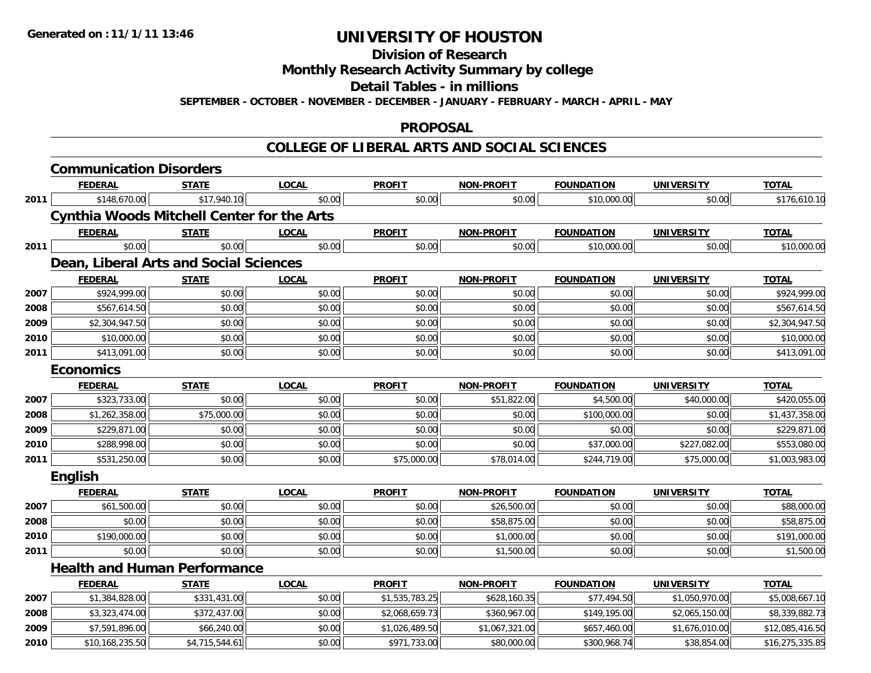### **Division of ResearchMonthly Research Activity Summary by college Detail Tables - in millionsSEPTEMBER - OCTOBER - NOVEMBER - DECEMBER - JANUARY - FEBRUARY - MARCH - APRIL - MAY**

#### **PROPOSAL**

#### **COLLEGE OF LIBERAL ARTS AND SOCIAL SCIENCES**

|      | <b>Communication Disorders</b>                    |                |              |                |                   |                   |                   |                 |  |  |  |  |  |
|------|---------------------------------------------------|----------------|--------------|----------------|-------------------|-------------------|-------------------|-----------------|--|--|--|--|--|
|      | <b>FEDERAL</b>                                    | <b>STATE</b>   | <b>LOCAL</b> | <b>PROFIT</b>  | <b>NON-PROFIT</b> | <b>FOUNDATION</b> | <b>UNIVERSITY</b> | <b>TOTAL</b>    |  |  |  |  |  |
| 2011 | \$148,670.00                                      | \$17,940.10    | \$0.00       | \$0.00         | \$0.00            | \$10,000.00       | \$0.00            | \$176,610.10    |  |  |  |  |  |
|      | <b>Cynthia Woods Mitchell Center for the Arts</b> |                |              |                |                   |                   |                   |                 |  |  |  |  |  |
|      | <b>FEDERAL</b>                                    | <b>STATE</b>   | <b>LOCAL</b> | <b>PROFIT</b>  | <b>NON-PROFIT</b> | <b>FOUNDATION</b> | <b>UNIVERSITY</b> | <b>TOTAL</b>    |  |  |  |  |  |
| 2011 | \$0.00                                            | \$0.00         | \$0.00       | \$0.00         | \$0.00            | \$10,000.00       | \$0.00            | \$10,000.00     |  |  |  |  |  |
|      | <b>Dean, Liberal Arts and Social Sciences</b>     |                |              |                |                   |                   |                   |                 |  |  |  |  |  |
|      | <b>FEDERAL</b>                                    | <b>STATE</b>   | <b>LOCAL</b> | <b>PROFIT</b>  | <b>NON-PROFIT</b> | <b>FOUNDATION</b> | <b>UNIVERSITY</b> | <b>TOTAL</b>    |  |  |  |  |  |
| 2007 | \$924,999.00                                      | \$0.00         | \$0.00       | \$0.00         | \$0.00            | \$0.00            | \$0.00            | \$924,999.00    |  |  |  |  |  |
| 2008 | \$567,614.50                                      | \$0.00         | \$0.00       | \$0.00         | \$0.00            | \$0.00            | \$0.00            | \$567,614.50    |  |  |  |  |  |
| 2009 | \$2,304,947.50                                    | \$0.00         | \$0.00       | \$0.00         | \$0.00            | \$0.00            | \$0.00            | \$2,304,947.50  |  |  |  |  |  |
| 2010 | \$10,000.00                                       | \$0.00         | \$0.00       | \$0.00         | \$0.00            | \$0.00            | \$0.00            | \$10,000.00     |  |  |  |  |  |
| 2011 | \$413,091.00                                      | \$0.00         | \$0.00       | \$0.00         | \$0.00            | \$0.00            | \$0.00            |                 |  |  |  |  |  |
|      | \$413,091.00<br><b>Economics</b>                  |                |              |                |                   |                   |                   |                 |  |  |  |  |  |
|      | <b>FEDERAL</b>                                    | <b>STATE</b>   | <b>LOCAL</b> | <b>PROFIT</b>  | <b>NON-PROFIT</b> | <b>FOUNDATION</b> | <b>UNIVERSITY</b> | <b>TOTAL</b>    |  |  |  |  |  |
| 2007 | \$323,733.00                                      | \$0.00         | \$0.00       | \$0.00         | \$51,822.00       | \$4,500.00        | \$40,000.00       | \$420,055.00    |  |  |  |  |  |
| 2008 | \$1,262,358.00                                    | \$75,000.00    | \$0.00       | \$0.00         | \$0.00            | \$100,000.00      | \$0.00            | \$1,437,358.00  |  |  |  |  |  |
| 2009 | \$229,871.00                                      | \$0.00         | \$0.00       | \$0.00         | \$0.00            | \$0.00            | \$0.00            | \$229,871.00    |  |  |  |  |  |
| 2010 | \$288,998.00                                      | \$0.00         | \$0.00       | \$0.00         | \$0.00            | \$37,000.00       | \$227,082.00      | \$553,080.00    |  |  |  |  |  |
| 2011 | \$531,250.00                                      | \$0.00         | \$0.00       | \$75,000.00    | \$78,014.00       | \$244,719.00      | \$75,000.00       | \$1,003,983.00  |  |  |  |  |  |
|      | <b>English</b>                                    |                |              |                |                   |                   |                   |                 |  |  |  |  |  |
|      | <b>FEDERAL</b>                                    | <b>STATE</b>   | <b>LOCAL</b> | <b>PROFIT</b>  | <b>NON-PROFIT</b> | <b>FOUNDATION</b> | <b>UNIVERSITY</b> | <b>TOTAL</b>    |  |  |  |  |  |
| 2007 | \$61,500.00                                       | \$0.00         | \$0.00       | \$0.00         | \$26,500.00       | \$0.00            | \$0.00            | \$88,000.00     |  |  |  |  |  |
| 2008 | \$0.00                                            | \$0.00         | \$0.00       | \$0.00         | \$58,875.00       | \$0.00            | \$0.00            | \$58,875.00     |  |  |  |  |  |
| 2010 | \$190,000.00                                      | \$0.00         | \$0.00       | \$0.00         | \$1,000.00        | \$0.00            | \$0.00            | \$191,000.00    |  |  |  |  |  |
| 2011 | \$0.00                                            | \$0.00         | \$0.00       | \$0.00         | \$1,500.00        | \$0.00            | \$0.00            | \$1,500.00      |  |  |  |  |  |
|      | <b>Health and Human Performance</b>               |                |              |                |                   |                   |                   |                 |  |  |  |  |  |
|      | <b>FEDERAL</b>                                    | <b>STATE</b>   | <b>LOCAL</b> | <b>PROFIT</b>  | <b>NON-PROFIT</b> | <b>FOUNDATION</b> | <b>UNIVERSITY</b> | <b>TOTAL</b>    |  |  |  |  |  |
| 2007 | \$1,384,828.00                                    | \$331,431.00   | \$0.00       | \$1,535,783.25 | \$628,160.35      | \$77,494.50       | \$1,050,970.00    | \$5,008,667.10  |  |  |  |  |  |
| 2008 | \$3,323,474.00                                    | \$372,437.00   | \$0.00       | \$2,068,659.73 | \$360,967.00      | \$149,195.00      | \$2,065,150.00    | \$8,339,882.73  |  |  |  |  |  |
| 2009 | \$7,591,896.00                                    | \$66,240.00    | \$0.00       | \$1,026,489.50 | \$1,067,321.00    | \$657,460.00      | \$1,676,010.00    | \$12,085,416.50 |  |  |  |  |  |
| 2010 | \$10,168,235.50                                   | \$4,715,544.61 | \$0.00       | \$971,733.00   | \$80,000.00       | \$300,968.74      | \$38,854.00       | \$16,275,335.85 |  |  |  |  |  |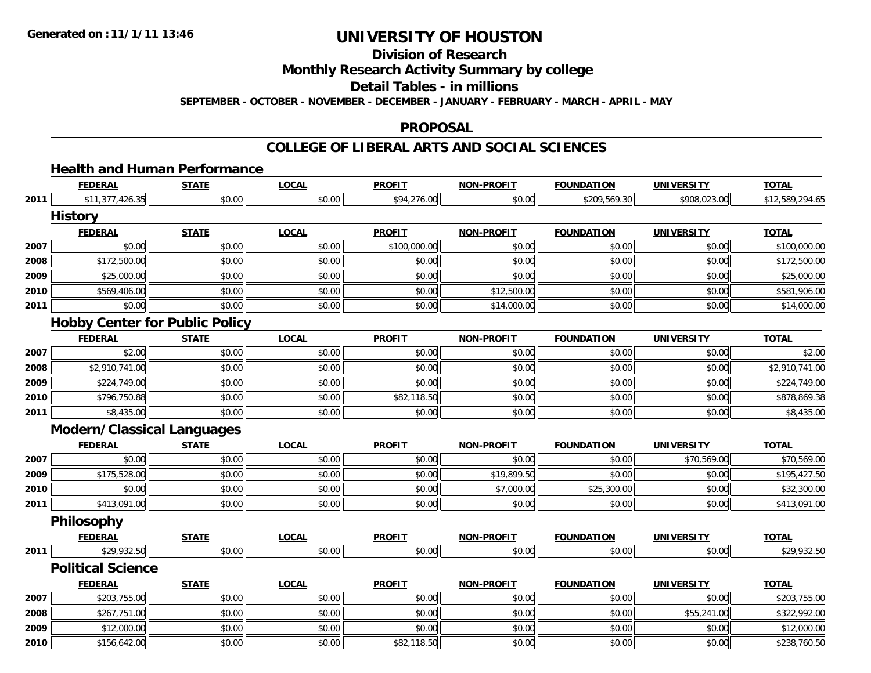### **Division of ResearchMonthly Research Activity Summary by college Detail Tables - in millions SEPTEMBER - OCTOBER - NOVEMBER - DECEMBER - JANUARY - FEBRUARY - MARCH - APRIL - MAY**

#### **PROPOSAL**

#### **COLLEGE OF LIBERAL ARTS AND SOCIAL SCIENCES**

# **Health and Human Performance**

|      | <b>FEDERAL</b>                        | <b>STATE</b> | <b>LOCAL</b> | <b>PROFIT</b> | <b>NON-PROFIT</b> | <b>FOUNDATION</b> | <b>UNIVERSITY</b> | <b>TOTAL</b>    |
|------|---------------------------------------|--------------|--------------|---------------|-------------------|-------------------|-------------------|-----------------|
| 2011 | \$11,377,426.35                       | \$0.00       | \$0.00       | \$94,276.00   | \$0.00            | \$209,569.30      | \$908,023.00      | \$12,589,294.65 |
|      | <b>History</b>                        |              |              |               |                   |                   |                   |                 |
|      | <b>FEDERAL</b>                        | <b>STATE</b> | <b>LOCAL</b> | <b>PROFIT</b> | <b>NON-PROFIT</b> | <b>FOUNDATION</b> | <b>UNIVERSITY</b> | <b>TOTAL</b>    |
| 2007 | \$0.00                                | \$0.00       | \$0.00       | \$100,000.00  | \$0.00            | \$0.00            | \$0.00            | \$100,000.00    |
| 2008 | \$172,500.00                          | \$0.00       | \$0.00       | \$0.00        | \$0.00            | \$0.00            | \$0.00            | \$172,500.00    |
| 2009 | \$25,000.00                           | \$0.00       | \$0.00       | \$0.00        | \$0.00            | \$0.00            | \$0.00            | \$25,000.00     |
| 2010 | \$569,406.00                          | \$0.00       | \$0.00       | \$0.00        | \$12,500.00       | \$0.00            | \$0.00            | \$581,906.00    |
| 2011 | \$0.00                                | \$0.00       | \$0.00       | \$0.00        | \$14,000.00       | \$0.00            | \$0.00            | \$14,000.00     |
|      | <b>Hobby Center for Public Policy</b> |              |              |               |                   |                   |                   |                 |
|      | <b>FEDERAL</b>                        | <b>STATE</b> | <b>LOCAL</b> | <b>PROFIT</b> | <b>NON-PROFIT</b> | <b>FOUNDATION</b> | <b>UNIVERSITY</b> | <b>TOTAL</b>    |
| 2007 | \$2.00                                | \$0.00       | \$0.00       | \$0.00        | \$0.00            | \$0.00            | \$0.00            | \$2.00          |
| 2008 | \$2,910,741.00                        | \$0.00       | \$0.00       | \$0.00        | \$0.00            | \$0.00            | \$0.00            | \$2,910,741.00  |
| 2009 | \$224,749.00                          | \$0.00       | \$0.00       | \$0.00        | \$0.00            | \$0.00            | \$0.00            | \$224,749.00    |
| 2010 | \$796,750.88                          | \$0.00       | \$0.00       | \$82,118.50   | \$0.00            | \$0.00            | \$0.00            | \$878,869.38    |
| 2011 | \$8,435.00                            | \$0.00       | \$0.00       | \$0.00        | \$0.00            | \$0.00            | \$0.00            | \$8,435.00      |
|      | <b>Modern/Classical Languages</b>     |              |              |               |                   |                   |                   |                 |
|      | <b>FEDERAL</b>                        | <b>STATE</b> | <b>LOCAL</b> | <b>PROFIT</b> | <b>NON-PROFIT</b> | <b>FOUNDATION</b> | <b>UNIVERSITY</b> | <b>TOTAL</b>    |
| 2007 | \$0.00                                | \$0.00       | \$0.00       | \$0.00        | \$0.00            | \$0.00            | \$70,569.00       | \$70,569.00     |
| 2009 | \$175,528.00                          | \$0.00       | \$0.00       | \$0.00        | \$19,899.50       | \$0.00            | \$0.00            | \$195,427.50    |
| 2010 | \$0.00                                | \$0.00       | \$0.00       | \$0.00        | \$7,000.00        | \$25,300.00       | \$0.00            | \$32,300.00     |
| 2011 | \$413,091.00                          | \$0.00       | \$0.00       | \$0.00        | \$0.00            | \$0.00            | \$0.00            | \$413,091.00    |
|      | <b>Philosophy</b>                     |              |              |               |                   |                   |                   |                 |
|      | <b>FEDERAL</b>                        | <b>STATE</b> | <b>LOCAL</b> | <b>PROFIT</b> | <b>NON-PROFIT</b> | <b>FOUNDATION</b> | <b>UNIVERSITY</b> | <b>TOTAL</b>    |
| 2011 | \$29,932.50                           | \$0.00       | \$0.00       | \$0.00        | \$0.00            | \$0.00            | \$0.00            | \$29,932.50     |
|      | <b>Political Science</b>              |              |              |               |                   |                   |                   |                 |
|      | <b>FEDERAL</b>                        | <b>STATE</b> | <b>LOCAL</b> | <b>PROFIT</b> | <b>NON-PROFIT</b> | <b>FOUNDATION</b> | <b>UNIVERSITY</b> | <b>TOTAL</b>    |
| 2007 | \$203,755.00                          | \$0.00       | \$0.00       | \$0.00        | \$0.00            | \$0.00            | \$0.00            | \$203,755.00    |
| 2008 | \$267,751.00                          | \$0.00       | \$0.00       | \$0.00        | \$0.00            | \$0.00            | \$55,241.00       | \$322,992.00    |
| 2009 | \$12,000.00                           | \$0.00       | \$0.00       | \$0.00        | \$0.00            | \$0.00            | \$0.00            | \$12,000.00     |
| 2010 | \$156,642.00                          | \$0.00       | \$0.00       | \$82,118.50   | \$0.00            | \$0.00            | \$0.00            | \$238,760.50    |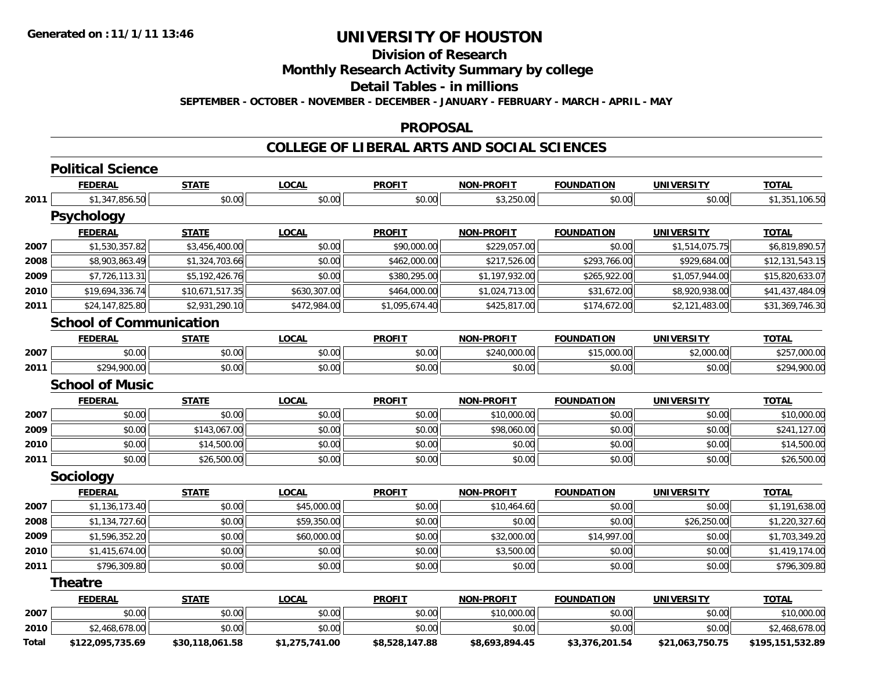### **Division of Research Monthly Research Activity Summary by college Detail Tables - in millions SEPTEMBER - OCTOBER - NOVEMBER - DECEMBER - JANUARY - FEBRUARY - MARCH - APRIL - MAY**

#### **PROPOSAL**

#### **COLLEGE OF LIBERAL ARTS AND SOCIAL SCIENCES**

|       | <b>Political Science</b>       |                 |                |                |                   |                   |                   |                  |  |  |  |  |
|-------|--------------------------------|-----------------|----------------|----------------|-------------------|-------------------|-------------------|------------------|--|--|--|--|
|       | <b>FEDERAL</b>                 | <b>STATE</b>    | <b>LOCAL</b>   | <b>PROFIT</b>  | <b>NON-PROFIT</b> | <b>FOUNDATION</b> | <b>UNIVERSITY</b> | <b>TOTAL</b>     |  |  |  |  |
| 2011  | \$1,347,856.50                 | \$0.00          | \$0.00         | \$0.00         | \$3,250.00        | \$0.00            | \$0.00            | \$1,351,106.50   |  |  |  |  |
|       | <b>Psychology</b>              |                 |                |                |                   |                   |                   |                  |  |  |  |  |
|       | <b>FEDERAL</b>                 | <b>STATE</b>    | <b>LOCAL</b>   | <b>PROFIT</b>  | <b>NON-PROFIT</b> | <b>FOUNDATION</b> | <b>UNIVERSITY</b> | <b>TOTAL</b>     |  |  |  |  |
| 2007  | \$1,530,357.82                 | \$3,456,400.00  | \$0.00         | \$90,000.00    | \$229,057.00      | \$0.00            | \$1,514,075.75    | \$6,819,890.57   |  |  |  |  |
| 2008  | \$8,903,863.49                 | \$1,324,703.66  | \$0.00         | \$462,000.00   | \$217,526.00      | \$293,766.00      | \$929,684.00      | \$12,131,543.15  |  |  |  |  |
| 2009  | \$7,726,113.31                 | \$5,192,426.76  | \$0.00         | \$380,295.00   | \$1,197,932.00    | \$265,922.00      | \$1,057,944.00    | \$15,820,633.07  |  |  |  |  |
| 2010  | \$19,694,336.74                | \$10,671,517.35 | \$630,307.00   | \$464,000.00   | \$1,024,713.00    | \$31,672.00       | \$8,920,938.00    | \$41,437,484.09  |  |  |  |  |
| 2011  | \$24,147,825.80                | \$2,931,290.10  | \$472,984.00   | \$1,095,674.40 | \$425,817.00      | \$174,672.00      | \$2,121,483.00    | \$31,369,746.30  |  |  |  |  |
|       | <b>School of Communication</b> |                 |                |                |                   |                   |                   |                  |  |  |  |  |
|       | <b>FEDERAL</b>                 | <b>STATE</b>    | <b>LOCAL</b>   | <b>PROFIT</b>  | <b>NON-PROFIT</b> | <b>FOUNDATION</b> | <b>UNIVERSITY</b> | <b>TOTAL</b>     |  |  |  |  |
| 2007  | \$0.00                         | \$0.00          | \$0.00         | \$0.00         | \$240,000.00      | \$15,000.00       | \$2,000.00        | \$257,000.00     |  |  |  |  |
| 2011  | \$294,900.00                   | \$0.00          | \$0.00         | \$0.00         | \$0.00            | \$0.00            | \$0.00            | \$294,900.00     |  |  |  |  |
|       | <b>School of Music</b>         |                 |                |                |                   |                   |                   |                  |  |  |  |  |
|       | <b>FEDERAL</b>                 | <b>STATE</b>    | <b>LOCAL</b>   | <b>PROFIT</b>  | <b>NON-PROFIT</b> | <b>FOUNDATION</b> | <b>UNIVERSITY</b> | <b>TOTAL</b>     |  |  |  |  |
| 2007  | \$0.00                         | \$0.00          | \$0.00         | \$0.00         | \$10,000.00       | \$0.00            | \$0.00            | \$10,000.00      |  |  |  |  |
| 2009  | \$0.00                         | \$143,067.00    | \$0.00         | \$0.00         | \$98,060.00       | \$0.00            | \$0.00            | \$241,127.00     |  |  |  |  |
| 2010  | \$0.00                         | \$14,500.00     | \$0.00         | \$0.00         | \$0.00            | \$0.00            | \$0.00            | \$14,500.00      |  |  |  |  |
| 2011  | \$0.00                         | \$26,500.00     | \$0.00         | \$0.00         | \$0.00            | \$0.00            | \$0.00            | \$26,500.00      |  |  |  |  |
|       | <b>Sociology</b>               |                 |                |                |                   |                   |                   |                  |  |  |  |  |
|       | <b>FEDERAL</b>                 | <b>STATE</b>    | <b>LOCAL</b>   | <b>PROFIT</b>  | <b>NON-PROFIT</b> | <b>FOUNDATION</b> | <b>UNIVERSITY</b> | <b>TOTAL</b>     |  |  |  |  |
| 2007  | \$1,136,173.40                 | \$0.00          | \$45,000.00    | \$0.00         | \$10,464.60       | \$0.00            | \$0.00            | \$1,191,638.00   |  |  |  |  |
| 2008  | \$1,134,727.60                 | \$0.00          | \$59,350.00    | \$0.00         | \$0.00            | \$0.00            | \$26,250.00       | \$1,220,327.60   |  |  |  |  |
| 2009  | \$1,596,352.20                 | \$0.00          | \$60,000.00    | \$0.00         | \$32,000.00       | \$14,997.00       | \$0.00            | \$1,703,349.20   |  |  |  |  |
| 2010  | \$1,415,674.00                 | \$0.00          | \$0.00         | \$0.00         | \$3,500.00        | \$0.00            | \$0.00            | \$1,419,174.00   |  |  |  |  |
| 2011  | \$796,309.80                   | \$0.00          | \$0.00         | \$0.00         | \$0.00            | \$0.00            | \$0.00            | \$796,309.80     |  |  |  |  |
|       | <b>Theatre</b>                 |                 |                |                |                   |                   |                   |                  |  |  |  |  |
|       | <b>FEDERAL</b>                 | <b>STATE</b>    | <b>LOCAL</b>   | <b>PROFIT</b>  | <b>NON-PROFIT</b> | <b>FOUNDATION</b> | <b>UNIVERSITY</b> | <b>TOTAL</b>     |  |  |  |  |
| 2007  | \$0.00                         | \$0.00          | \$0.00         | \$0.00         | \$10,000.00       | \$0.00            | \$0.00            | \$10,000.00      |  |  |  |  |
| 2010  | \$2,468,678.00                 | \$0.00          | \$0.00         | \$0.00         | \$0.00            | \$0.00            | \$0.00            | \$2,468,678.00   |  |  |  |  |
| Total | \$122,095,735.69               | \$30,118,061.58 | \$1,275,741.00 | \$8,528,147.88 | \$8,693,894.45    | \$3,376,201.54    | \$21,063,750.75   | \$195,151,532.89 |  |  |  |  |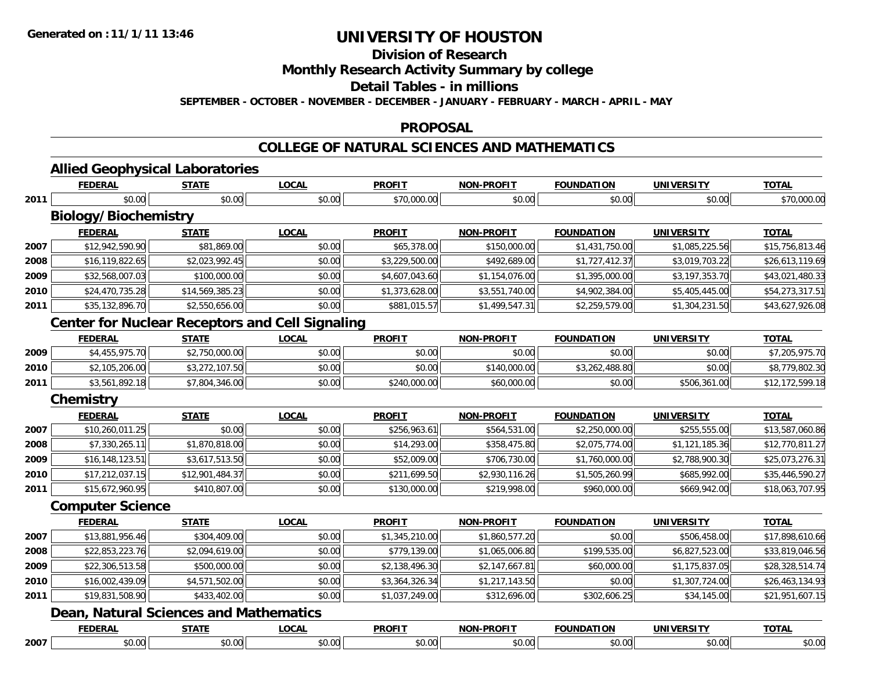### **Division of ResearchMonthly Research Activity Summary by college Detail Tables - in millions SEPTEMBER - OCTOBER - NOVEMBER - DECEMBER - JANUARY - FEBRUARY - MARCH - APRIL - MAY**

#### **PROPOSAL**

#### **COLLEGE OF NATURAL SCIENCES AND MATHEMATICS**

|      | <b>FEDERAL</b>                                         | <b>STATE</b>    | <b>LOCAL</b> | <b>PROFIT</b>  | <b>NON-PROFIT</b> | <b>FOUNDATION</b> | <b>UNIVERSITY</b> | <b>TOTAL</b>    |
|------|--------------------------------------------------------|-----------------|--------------|----------------|-------------------|-------------------|-------------------|-----------------|
| 2011 | \$0.00                                                 | \$0.00          | \$0.00       | \$70,000.00    | \$0.00            | \$0.00            | \$0.00            | \$70,000.00     |
|      | <b>Biology/Biochemistry</b>                            |                 |              |                |                   |                   |                   |                 |
|      | <b>FEDERAL</b>                                         | <b>STATE</b>    | <b>LOCAL</b> | <b>PROFIT</b>  | <b>NON-PROFIT</b> | <b>FOUNDATION</b> | <b>UNIVERSITY</b> | <b>TOTAL</b>    |
| 2007 | \$12,942,590.90                                        | \$81,869.00     | \$0.00       | \$65,378.00    | \$150,000.00      | \$1,431,750.00    | \$1,085,225.56    | \$15,756,813.46 |
| 2008 | \$16,119,822.65                                        | \$2,023,992.45  | \$0.00       | \$3,229,500.00 | \$492,689.00      | \$1,727,412.37    | \$3,019,703.22    | \$26,613,119.69 |
| 2009 | \$32,568,007.03                                        | \$100,000.00    | \$0.00       | \$4,607,043.60 | \$1,154,076.00    | \$1,395,000.00    | \$3,197,353.70    | \$43,021,480.33 |
| 2010 | \$24,470,735.28                                        | \$14,569,385.23 | \$0.00       | \$1,373,628.00 | \$3,551,740.00    | \$4,902,384.00    | \$5,405,445.00    | \$54,273,317.51 |
| 2011 | \$35,132,896.70                                        | \$2,550,656.00  | \$0.00       | \$881,015.57   | \$1,499,547.31    | \$2,259,579.00    | \$1,304,231.50    | \$43,627,926.08 |
|      | <b>Center for Nuclear Receptors and Cell Signaling</b> |                 |              |                |                   |                   |                   |                 |
|      | <b>FEDERAL</b>                                         | <b>STATE</b>    | <b>LOCAL</b> | <b>PROFIT</b>  | <b>NON-PROFIT</b> | <b>FOUNDATION</b> | <b>UNIVERSITY</b> | <b>TOTAL</b>    |
| 2009 | \$4,455,975.70                                         | \$2,750,000.00  | \$0.00       | \$0.00         | \$0.00            | \$0.00            | \$0.00            | \$7,205,975.70  |
| 2010 | \$2,105,206.00                                         | \$3,272,107.50  | \$0.00       | \$0.00         | \$140,000.00      | \$3,262,488.80    | \$0.00            | \$8,779,802.30  |
| 2011 | \$3,561,892.18                                         | \$7,804,346.00  | \$0.00       | \$240,000.00   | \$60,000.00       | \$0.00            | \$506,361.00      | \$12,172,599.18 |
|      | <b>Chemistry</b>                                       |                 |              |                |                   |                   |                   |                 |
|      | <b>FEDERAL</b>                                         | <b>STATE</b>    | <b>LOCAL</b> | <b>PROFIT</b>  | <b>NON-PROFIT</b> | <b>FOUNDATION</b> | <b>UNIVERSITY</b> | <b>TOTAL</b>    |
| 2007 | \$10,260,011.25                                        | \$0.00          | \$0.00       | \$256,963.61   | \$564,531.00      | \$2,250,000.00    | \$255,555.00      | \$13,587,060.86 |
| 2008 | \$7,330,265.11                                         | \$1,870,818.00  | \$0.00       | \$14,293.00    | \$358,475.80      | \$2,075,774.00    | \$1,121,185.36    | \$12,770,811.27 |
| 2009 | \$16,148,123.51                                        | \$3,617,513.50  | \$0.00       | \$52,009.00    | \$706,730.00      | \$1,760,000.00    | \$2,788,900.30    | \$25,073,276.31 |
| 2010 | \$17,212,037.15                                        | \$12,901,484.37 | \$0.00       | \$211,699.50   | \$2,930,116.26    | \$1,505,260.99    | \$685,992.00      | \$35,446,590.27 |
| 2011 | \$15,672,960.95                                        | \$410,807.00    | \$0.00       | \$130,000.00   | \$219,998.00      | \$960,000.00      | \$669,942.00      | \$18,063,707.95 |
|      | <b>Computer Science</b>                                |                 |              |                |                   |                   |                   |                 |
|      | <b>FEDERAL</b>                                         | <b>STATE</b>    | <b>LOCAL</b> | <b>PROFIT</b>  | <b>NON-PROFIT</b> | <b>FOUNDATION</b> | <b>UNIVERSITY</b> | <b>TOTAL</b>    |
| 2007 | \$13,881,956.46                                        | \$304,409.00    | \$0.00       | \$1,345,210.00 | \$1,860,577.20    | \$0.00            | \$506,458.00      | \$17,898,610.66 |
| 2008 | \$22,853,223.76                                        | \$2,094,619.00  | \$0.00       | \$779,139.00   | \$1,065,006.80    | \$199,535.00      | \$6,827,523.00    | \$33,819,046.56 |
| 2009 | \$22,306,513.58                                        | \$500,000.00    | \$0.00       | \$2,138,496.30 | \$2,147,667.81    | \$60,000.00       | \$1,175,837.05    | \$28,328,514.74 |
| 2010 | \$16,002,439.09                                        | \$4,571,502.00  | \$0.00       | \$3,364,326.34 | \$1,217,143.50    | \$0.00            | \$1,307,724.00    | \$26,463,134.93 |
| 2011 | \$19,831,508.90                                        | \$433,402.00    | \$0.00       | \$1,037,249.00 | \$312,696.00      | \$302,606.25      | \$34,145.00       | \$21,951,607.15 |
|      | <b>Dean, Natural Sciences and Mathematics</b>          |                 |              |                |                   |                   |                   |                 |
|      | <b>FEDERAL</b>                                         | <b>STATE</b>    | <b>LOCAL</b> | <b>PROFIT</b>  | <b>NON-PROFIT</b> | <b>FOUNDATION</b> | <b>UNIVERSITY</b> | <b>TOTAL</b>    |
| 2007 | \$0.00                                                 | \$0.00          | \$0.00       | \$0.00         | \$0.00            | \$0.00            | \$0.00            | \$0.00          |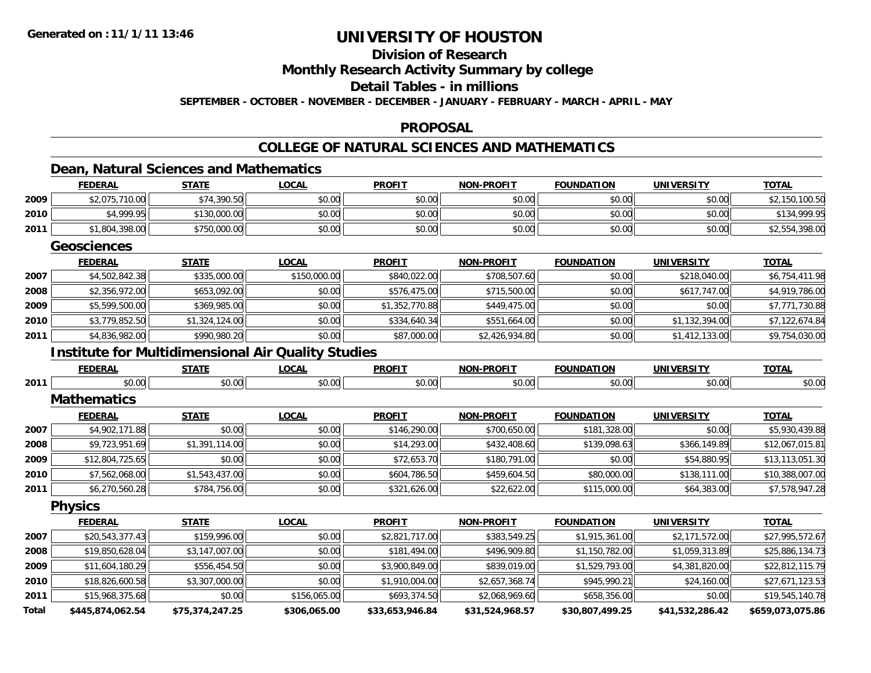### **Division of ResearchMonthly Research Activity Summary by college Detail Tables - in millionsSEPTEMBER - OCTOBER - NOVEMBER - DECEMBER - JANUARY - FEBRUARY - MARCH - APRIL - MAY**

#### **PROPOSAL**

### **COLLEGE OF NATURAL SCIENCES AND MATHEMATICS**

### **Dean, Natural Sciences and Mathematics**

|              | <b>FEDERAL</b>                                            | <b>STATE</b>    | <b>LOCAL</b> | <b>PROFIT</b>   | <b>NON-PROFIT</b> | <b>FOUNDATION</b> | <b>UNIVERSITY</b> | <b>TOTAL</b>     |
|--------------|-----------------------------------------------------------|-----------------|--------------|-----------------|-------------------|-------------------|-------------------|------------------|
| 2009         | \$2,075,710.00                                            | \$74,390.50     | \$0.00       | \$0.00          | \$0.00            | \$0.00            | \$0.00            | \$2,150,100.50   |
| 2010         | \$4,999.95                                                | \$130,000.00    | \$0.00       | \$0.00          | \$0.00            | \$0.00            | \$0.00            | \$134,999.95     |
| 2011         | \$1,804,398.00                                            | \$750,000.00    | \$0.00       | \$0.00          | \$0.00            | \$0.00            | \$0.00            | \$2,554,398.00   |
|              | <b>Geosciences</b>                                        |                 |              |                 |                   |                   |                   |                  |
|              | <b>FEDERAL</b>                                            | <b>STATE</b>    | <b>LOCAL</b> | <b>PROFIT</b>   | <b>NON-PROFIT</b> | <b>FOUNDATION</b> | <b>UNIVERSITY</b> | <b>TOTAL</b>     |
| 2007         | \$4,502,842.38                                            | \$335,000.00    | \$150,000.00 | \$840,022.00    | \$708,507.60      | \$0.00            | \$218,040.00      | \$6,754,411.98   |
| 2008         | \$2,356,972.00                                            | \$653,092.00    | \$0.00       | \$576,475.00    | \$715,500.00      | \$0.00            | \$617,747.00      | \$4,919,786.00   |
| 2009         | \$5,599,500.00                                            | \$369,985.00    | \$0.00       | \$1,352,770.88  | \$449,475.00      | \$0.00            | \$0.00            | \$7,771,730.88   |
| 2010         | \$3,779,852.50                                            | \$1,324,124.00  | \$0.00       | \$334,640.34    | \$551,664.00      | \$0.00            | \$1,132,394.00    | \$7,122,674.84   |
| 2011         | \$4,836,982.00                                            | \$990,980.20    | \$0.00       | \$87,000.00     | \$2,426,934.80    | \$0.00            | \$1,412,133.00    | \$9,754,030.00   |
|              | <b>Institute for Multidimensional Air Quality Studies</b> |                 |              |                 |                   |                   |                   |                  |
|              | <b>FEDERAL</b>                                            | <b>STATE</b>    | <b>LOCAL</b> | <b>PROFIT</b>   | <b>NON-PROFIT</b> | <b>FOUNDATION</b> | <b>UNIVERSITY</b> | <b>TOTAL</b>     |
| 2011         | \$0.00                                                    | \$0.00          | \$0.00       | \$0.00          | \$0.00            | \$0.00            | \$0.00            | \$0.00           |
|              | <b>Mathematics</b>                                        |                 |              |                 |                   |                   |                   |                  |
|              | <b>FEDERAL</b>                                            | <b>STATE</b>    | <b>LOCAL</b> | <b>PROFIT</b>   | <b>NON-PROFIT</b> | <b>FOUNDATION</b> | <b>UNIVERSITY</b> | <b>TOTAL</b>     |
| 2007         | \$4,902,171.88                                            | \$0.00          | \$0.00       | \$146,290.00    | \$700,650.00      | \$181,328.00      | \$0.00            | \$5,930,439.88   |
| 2008         | \$9,723,951.69                                            | \$1,391,114.00  | \$0.00       | \$14,293.00     | \$432,408.60      | \$139,098.63      | \$366,149.89      | \$12,067,015.81  |
| 2009         | \$12,804,725.65                                           | \$0.00          | \$0.00       | \$72,653.70     | \$180,791.00      | \$0.00            | \$54,880.95       | \$13,113,051.30  |
| 2010         | \$7,562,068.00                                            | \$1,543,437.00  | \$0.00       | \$604,786.50    | \$459,604.50      | \$80,000.00       | \$138,111.00      | \$10,388,007.00  |
| 2011         | \$6,270,560.28                                            | \$784,756.00    | \$0.00       | \$321,626.00    | \$22,622.00       | \$115,000.00      | \$64,383.00       | \$7,578,947.28   |
|              | <b>Physics</b>                                            |                 |              |                 |                   |                   |                   |                  |
|              | <b>FEDERAL</b>                                            | <b>STATE</b>    | <b>LOCAL</b> | <b>PROFIT</b>   | <b>NON-PROFIT</b> | <b>FOUNDATION</b> | <b>UNIVERSITY</b> | <b>TOTAL</b>     |
| 2007         | \$20,543,377.43                                           | \$159,996.00    | \$0.00       | \$2,821,717.00  | \$383,549.25      | \$1,915,361.00    | \$2,171,572.00    | \$27,995,572.67  |
| 2008         | \$19,850,628.04                                           | \$3,147,007.00  | \$0.00       | \$181,494.00    | \$496,909.80      | \$1,150,782.00    | \$1,059,313.89    | \$25,886,134.73  |
| 2009         | \$11,604,180.29                                           | \$556,454.50    | \$0.00       | \$3,900,849.00  | \$839,019.00      | \$1,529,793.00    | \$4,381,820.00    | \$22,812,115.79  |
| 2010         | \$18,826,600.58                                           | \$3,307,000.00  | \$0.00       | \$1,910,004.00  | \$2,657,368.74    | \$945,990.21      | \$24,160.00       | \$27,671,123.53  |
| 2011         | \$15,968,375.68                                           | \$0.00          | \$156,065.00 | \$693,374.50    | \$2,068,969.60    | \$658,356.00      | \$0.00            | \$19,545,140.78  |
| <b>Total</b> | \$445,874,062.54                                          | \$75,374,247.25 | \$306,065.00 | \$33,653,946.84 | \$31,524,968.57   | \$30,807,499.25   | \$41,532,286.42   | \$659,073,075.86 |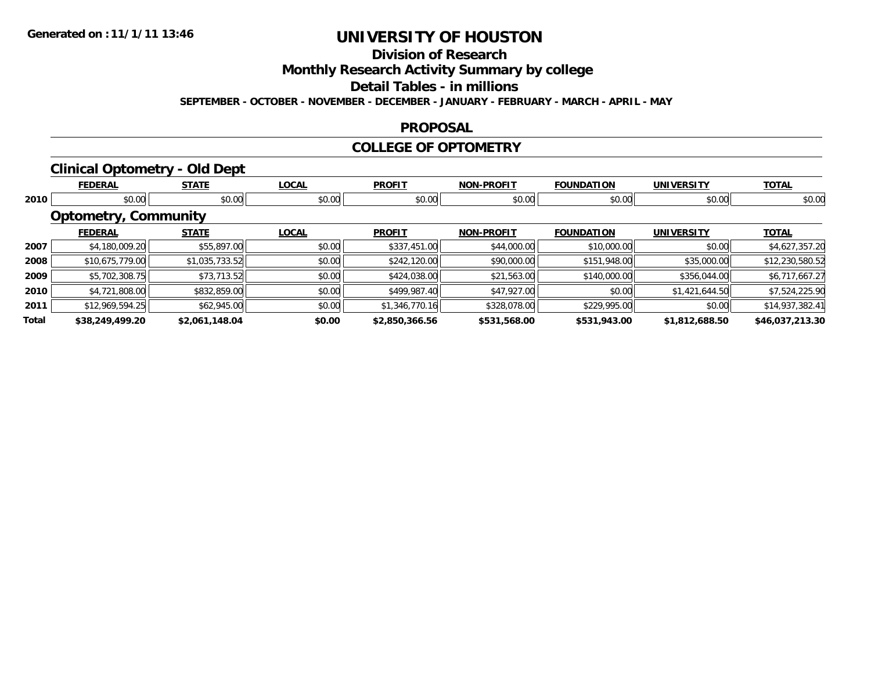### **Division of ResearchMonthly Research Activity Summary by college Detail Tables - in millions SEPTEMBER - OCTOBER - NOVEMBER - DECEMBER - JANUARY - FEBRUARY - MARCH - APRIL - MAY**

#### **PROPOSAL**

#### **COLLEGE OF OPTOMETRY**

## **Clinical Optometry - Old Dept**

|       | <b>FEDERAL</b>              | <b>STATE</b>   | <b>LOCAL</b> | <b>PROFIT</b>  | <b>NON-PROFIT</b> | <b>FOUNDATION</b> | <b>UNIVERSITY</b> | <b>TOTAL</b>    |
|-------|-----------------------------|----------------|--------------|----------------|-------------------|-------------------|-------------------|-----------------|
| 2010  | \$0.00                      | \$0.00         | \$0.00       | \$0.00         | \$0.00            | \$0.00            | \$0.00            | \$0.00          |
|       | <b>Optometry, Community</b> |                |              |                |                   |                   |                   |                 |
|       | <b>FEDERAL</b>              | <b>STATE</b>   | <b>LOCAL</b> | <b>PROFIT</b>  | <b>NON-PROFIT</b> | <b>FOUNDATION</b> | <b>UNIVERSITY</b> | <b>TOTAL</b>    |
| 2007  | \$4,180,009.20              | \$55,897.00    | \$0.00       | \$337,451.00   | \$44,000.00       | \$10,000.00       | \$0.00            | \$4,627,357.20  |
| 2008  | \$10,675,779.00             | \$1,035,733.52 | \$0.00       | \$242,120.00   | \$90,000.00       | \$151,948.00      | \$35,000.00       | \$12,230,580.52 |
| 2009  | \$5,702,308.75              | \$73,713.52    | \$0.00       | \$424,038.00   | \$21,563.00       | \$140,000.00      | \$356,044.00      | \$6,717,667.27  |
| 2010  | \$4,721,808.00              | \$832,859.00   | \$0.00       | \$499,987.40   | \$47,927.00       | \$0.00            | \$1,421,644.50    | \$7,524,225.90  |
| 2011  | \$12,969,594.25             | \$62,945.00    | \$0.00       | \$1,346,770.16 | \$328,078.00      | \$229,995.00      | \$0.00            | \$14,937,382.41 |
| Total | \$38,249,499.20             | \$2,061,148.04 | \$0.00       | \$2,850,366.56 | \$531,568.00      | \$531,943.00      | \$1,812,688.50    | \$46,037,213.30 |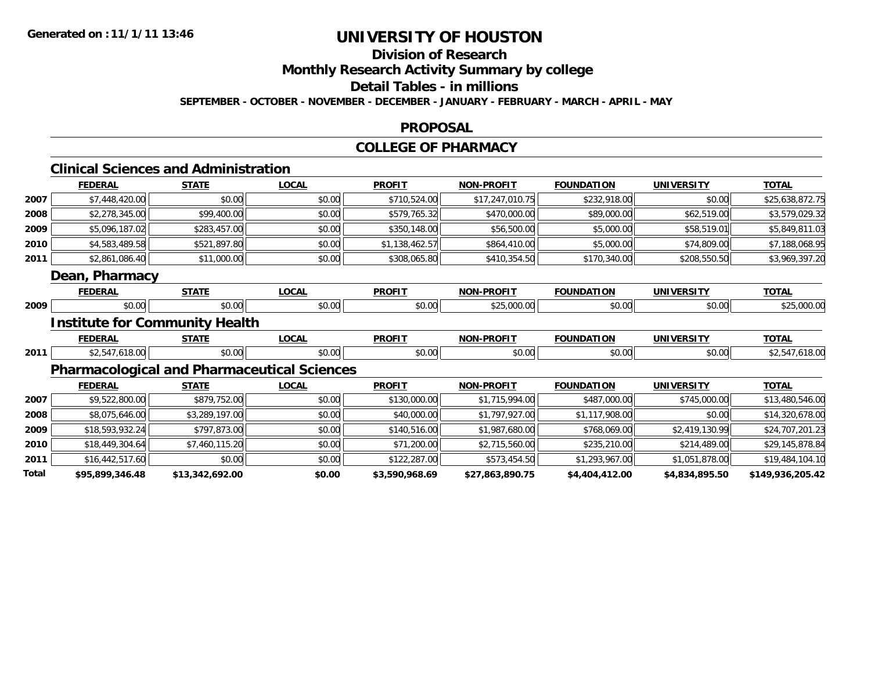### **Division of ResearchMonthly Research Activity Summary by college Detail Tables - in millionsSEPTEMBER - OCTOBER - NOVEMBER - DECEMBER - JANUARY - FEBRUARY - MARCH - APRIL - MAY**

#### **PROPOSAL**

#### **COLLEGE OF PHARMACY**

#### **Clinical Sciences and AdministrationFEDERAL STATE LOCAL PROFIT NON-PROFIT FOUNDATION UNIVERSITY TOTAL 2007** \$7,448,420.00 \$0.00 \$0.00 \$710,524.00 \$17,247,010.75 \$232,918.00 \$0.00 \$25,638,872.75 **20088** \$2,278,345.00 \$99,400.00 \$99,400.00 \$0.00 \$579,765.32 \$579,765.32 \$470,000.00 \$89,000.00 \$62,519.00 \$3,579,029.32 **20099** \$5,096,187.02 \$283,457.00 \$283,457.00 \$0.00 \$350,148.00 \$550,148.00 \$56,500.00 \$5,000.00 \$58,519.01 \$5,849,811.03 **2010** $\textsf{\textbf{0}}$  \$4,583,489.58| \$521,897.80| \$0.00| \$0.00| \$1,138,462.57| \$864,410.00| \$5,000.00| \$74,809.00| \$7,188,068.95| **2011** $\textbf{1} \quad \text{ $3,861,086.40[} \quad \text{ $$31,000.00[} \quad \text{ $$308.00] \quad \text{ $$308,065.80[} \quad \text{ $$410,354.50[} \quad \text{ $$370,340.00[} \quad \text{ $$208,550.50[} \quad \text{ $$3,969,397.20] }$ **Dean, Pharmacy FEDERAL STATE LOCAL PROFIT NON-PROFIT FOUNDATION UNIVERSITY TOTAL 20099** \$0.00 \$0.00 \$0.00 \$0.00 \$25,000.00 \$0.00 \$25,000.00 **Institute for Community Health FEDERAL STATE LOCAL PROFIT NON-PROFIT FOUNDATION UNIVERSITY TOTAL 2011** $\textbf{1} \hspace{14mm} \text{$2,547,618.00$} \hspace{14mm} \text{$30.00$} \hspace{14mm} \text{$30.00$} \hspace{14mm} \text{$48.00$} \hspace{14mm} \text{$50.00$} \hspace{14mm} \text{$50.00$} \hspace{14mm} \text{$50.00$} \hspace{14mm} \text{$50.00$} \hspace{14mm} \text{$50.00$} \hspace{14mm} \text{$50.00$} \hspace{14mm} \text{$50.00$ **Pharmacological and Pharmaceutical Sciences FEDERAL STATE LOCAL PROFIT NON-PROFIT FOUNDATION UNIVERSITY TOTAL 2007** \$9,522,800.00 \$879,752.00 \$0.00 \$130,000.00 \$1,715,994.00 \$487,000.00 \$745,000.00 \$13,480,546.00 **20088** \$8,075,646.00 \$3,289,197.00 \$0.00 \$0.00 \$0.00 \$40,000.00 \$1,797,927.00 \$1,117,908.00 \$0.00 \$14,320,678.00 **2009** \$18,593,932.24 \$797,873.00 \$0.00 \$140,516.00 \$1,987,680.00 \$768,069.00 \$2,419,130.99 \$24,707,201.23 **2010** $\textsf{\textbf{0}} \parallel \textsf{\textbf{18}}, 304.64 || \textsf{\textbf{27}}, 460, 115.20 || \textsf{\textbf{37}}, 300.00 || \textsf{\textbf{37}}, 300.00 || \textsf{\textbf{45}}, 271, 200.00 || \textsf{\textbf{52}}, 715, 560.00 || \textsf{\textbf{525}}, 210.00 || \textsf{\textbf{527}}, 489.00 || \textsf{\textbf{527}}, 145, 878.84 || \textsf{\textbf{525}}, 210.00 || \textsf{\text$ **2011** \$16,442,517.60 \$0.00 \$0.00 \$122,287.00 \$573,454.50 \$1,293,967.00 \$1,051,878.00 \$19,484,104.10 **Total\$95,899,346.48 \$13,342,692.00 \$0.00 \$3,590,968.69 \$27,863,890.75 \$4,404,412.00 \$4,834,895.50 \$149,936,205.42**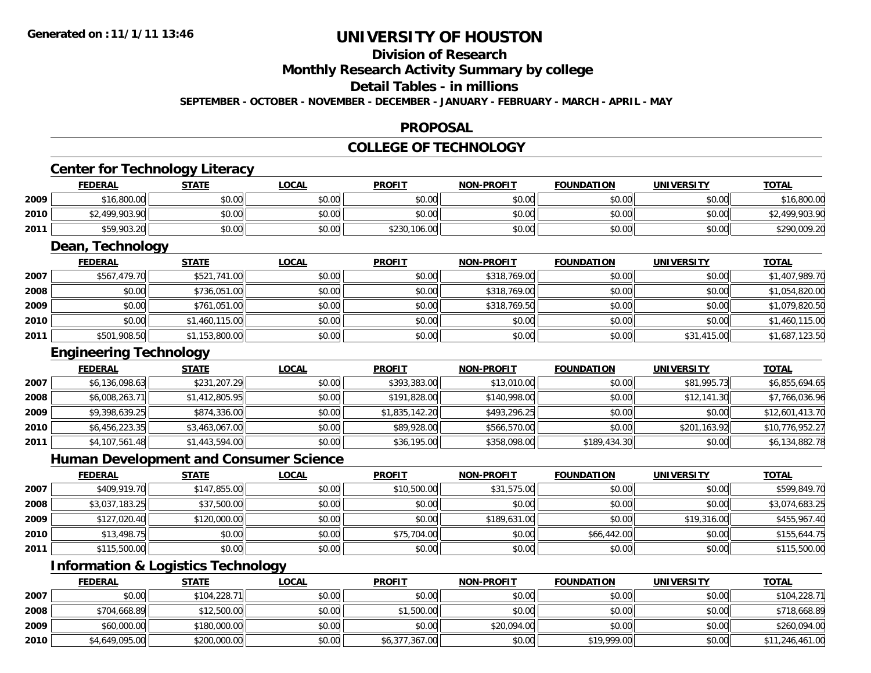### **Division of ResearchMonthly Research Activity Summary by college Detail Tables - in millionsSEPTEMBER - OCTOBER - NOVEMBER - DECEMBER - JANUARY - FEBRUARY - MARCH - APRIL - MAY**

#### **PROPOSAL**

### **COLLEGE OF TECHNOLOGY**

## **Center for Technology Literacy**

|      | <b>FEDERAL</b> | <b>STATE</b> | <b>LOCAL</b>   | <b>PROFIT</b> | <b>NON-PROFIT</b>      | <b>FOUNDATION</b> | <b>UNIVERSITY</b> | <b>TOTAL</b> |
|------|----------------|--------------|----------------|---------------|------------------------|-------------------|-------------------|--------------|
| 2009 | \$16,800.00    | \$0.00       | ልስ ሰሰ<br>JU.UU | \$0.00        | JU.UU                  | \$0.00            | \$0.00            | \$16,800.00  |
| 2010 | 499,903.90     | \$0.00       | \$0.00         | \$0.00        | ≮N UU<br><b>JU.UU</b>  | \$0.00            | \$0.00            | 2,499,903.90 |
| 2011 | \$59,903.20    | \$0.00       | \$0.00         | \$230,106.00  | \$0.00<br><b>DU.UG</b> | \$0.00            | \$0.00            | \$290,009.20 |

<u> 1989 - Johann Stoff, deutscher Stoffen und der Stoffen und der Stoffen und der Stoffen und der Stoffen und der</u>

## **Dean, Technology**

|      | <b>FEDERAL</b> | <b>STATE</b>   | <b>LOCAL</b> | <b>PROFIT</b> | <b>NON-PROFIT</b> | <b>FOUNDATION</b> | <b>UNIVERSITY</b> | <b>TOTAL</b>   |
|------|----------------|----------------|--------------|---------------|-------------------|-------------------|-------------------|----------------|
| 2007 | \$567,479.70   | \$521,741.00   | \$0.00       | \$0.00        | \$318,769.00      | \$0.00            | \$0.00            | \$1,407,989.70 |
| 2008 | \$0.00         | \$736,051.00   | \$0.00       | \$0.00        | \$318,769.00      | \$0.00            | \$0.00            | \$1,054,820.00 |
| 2009 | \$0.00         | \$761,051.00   | \$0.00       | \$0.00        | \$318,769.50      | \$0.00            | \$0.00            | \$1,079,820.50 |
| 2010 | \$0.00         | \$1,460,115.00 | \$0.00       | \$0.00        | \$0.00            | \$0.00            | \$0.00            | \$1,460,115.00 |
| 2011 | \$501,908.50   | \$1,153,800.00 | \$0.00       | \$0.00        | \$0.00            | \$0.00            | \$31,415.00       | \$1,687,123.50 |

### **Engineering Technology**

|      | <b>FEDERAL</b> | <b>STATE</b>   | <b>LOCAL</b> | <b>PROFIT</b>  | <b>NON-PROFIT</b> | <b>FOUNDATION</b> | <b>UNIVERSITY</b> | <b>TOTAL</b>    |
|------|----------------|----------------|--------------|----------------|-------------------|-------------------|-------------------|-----------------|
| 2007 | \$6,136,098.63 | \$231,207.29   | \$0.00       | \$393,383,00   | \$13,010.00       | \$0.00            | \$81,995.73       | \$6,855,694.65  |
| 2008 | \$6,008,263.71 | \$1,412,805.95 | \$0.00       | \$191,828.00   | \$140,998.00      | \$0.00            | \$12,141.30       | \$7,766,036.96  |
| 2009 | \$9,398,639.25 | \$874,336.00   | \$0.00       | \$1,835,142.20 | \$493,296.25      | \$0.00            | \$0.00            | \$12,601,413.70 |
| 2010 | \$6,456,223.35 | \$3,463,067.00 | \$0.00       | \$89,928.00    | \$566,570.00      | \$0.00            | \$201,163.92      | \$10,776,952.27 |
| 2011 | \$4,107,561.48 | \$1,443,594.00 | \$0.00       | \$36,195.00    | \$358,098.00      | \$189,434.30      | \$0.00            | \$6,134,882.78  |

## **Human Development and Consumer Science**

|      | <b>FEDERAL</b> | <b>STATE</b> | <b>LOCAL</b> | <b>PROFIT</b> | <b>NON-PROFIT</b> | <b>FOUNDATION</b> | <b>UNIVERSITY</b> | <b>TOTAL</b>   |
|------|----------------|--------------|--------------|---------------|-------------------|-------------------|-------------------|----------------|
| 2007 | \$409,919.70   | \$147,855.00 | \$0.00       | \$10,500.00   | \$31,575.00       | \$0.00            | \$0.00            | \$599,849.70   |
| 2008 | \$3,037,183.25 | \$37,500.00  | \$0.00       | \$0.00        | \$0.00            | \$0.00            | \$0.00            | \$3,074,683.25 |
| 2009 | \$127,020.40   | \$120,000.00 | \$0.00       | \$0.00        | \$189,631.00      | \$0.00            | \$19,316.00       | \$455,967.40   |
| 2010 | \$13,498.75    | \$0.00       | \$0.00       | \$75,704.00   | \$0.00            | \$66,442.00       | \$0.00            | \$155,644.75   |
| 2011 | \$115,500.00   | \$0.00       | \$0.00       | \$0.00        | \$0.00            | \$0.00            | \$0.00            | \$115,500.00   |

## **Information & Logistics Technology**

|      | <b>FEDERAL</b> | <b>STATE</b> | <u>LOCAL</u> | <b>PROFIT</b>  | <b>NON-PROFIT</b> | <b>FOUNDATION</b> | <b>UNIVERSITY</b> | <b>TOTAL</b>    |
|------|----------------|--------------|--------------|----------------|-------------------|-------------------|-------------------|-----------------|
| 2007 | \$0.00         | \$104,228.71 | \$0.00       | \$0.00         | \$0.00            | \$0.00            | \$0.00            | \$104,228.71    |
| 2008 | \$704,668.89   | \$12,500.00  | \$0.00       | \$1,500.00     | \$0.00            | \$0.00            | \$0.00            | \$718,668.89    |
| 2009 | \$60,000.00    | \$180,000.00 | \$0.00       | \$0.00         | \$20,094.00       | \$0.00            | \$0.00            | \$260,094.00    |
| 2010 | \$4,649,095.00 | \$200,000.00 | \$0.00       | \$6,377,367.00 | \$0.00            | \$19,999.00       | \$0.00            | \$11,246,461.00 |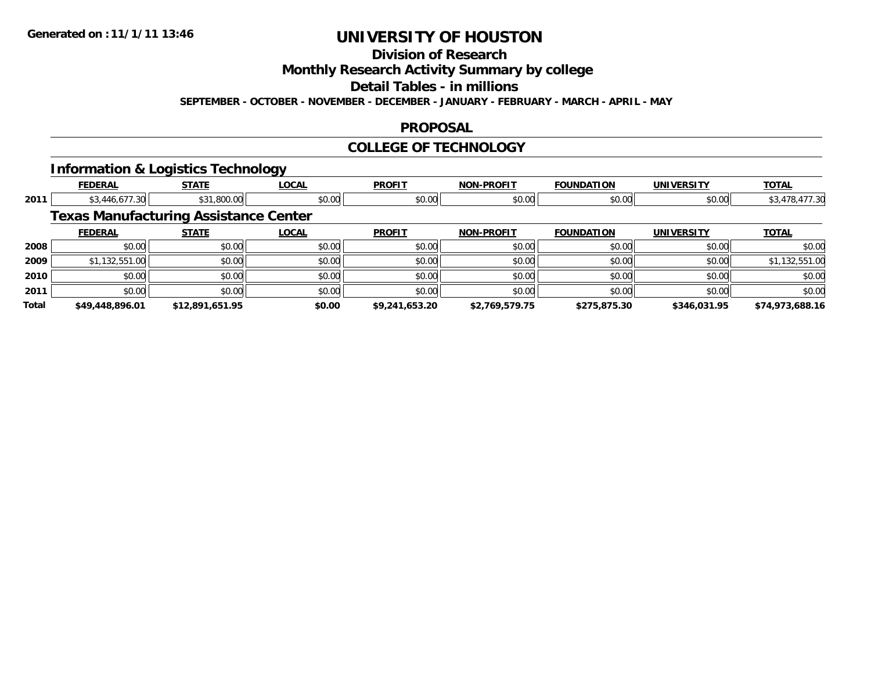### **Division of ResearchMonthly Research Activity Summary by college Detail Tables - in millions SEPTEMBER - OCTOBER - NOVEMBER - DECEMBER - JANUARY - FEBRUARY - MARCH - APRIL - MAY**

#### **PROPOSAL**

#### **COLLEGE OF TECHNOLOGY**

### **Information & Logistics Technology**

|       | <b>FEDERAL</b>  | <b>STATE</b>                                 | <b>LOCAL</b> | <b>PROFIT</b>  | <b>NON-PROFIT</b> | <b>FOUNDATION</b> | <b>UNIVERSITY</b> | <b>TOTAL</b>    |
|-------|-----------------|----------------------------------------------|--------------|----------------|-------------------|-------------------|-------------------|-----------------|
| 2011  | \$3,446,677.30  | \$31,800.00                                  | \$0.00       | \$0.00         | \$0.00            | \$0.00            | \$0.00            | \$3,478,477.30  |
|       |                 | <b>Texas Manufacturing Assistance Center</b> |              |                |                   |                   |                   |                 |
|       | <b>FEDERAL</b>  | <b>STATE</b>                                 | <b>LOCAL</b> | <b>PROFIT</b>  | <b>NON-PROFIT</b> | <b>FOUNDATION</b> | <b>UNIVERSITY</b> | <b>TOTAL</b>    |
| 2008  | \$0.00          | \$0.00                                       | \$0.00       | \$0.00         | \$0.00            | \$0.00            | \$0.00            | \$0.00          |
| 2009  | \$1,132,551.00  | \$0.00                                       | \$0.00       | \$0.00         | \$0.00            | \$0.00            | \$0.00            | \$1,132,551.00  |
| 2010  | \$0.00          | \$0.00                                       | \$0.00       | \$0.00         | \$0.00            | \$0.00            | \$0.00            | \$0.00          |
| 2011  | \$0.00          | \$0.00                                       | \$0.00       | \$0.00         | \$0.00            | \$0.00            | \$0.00            | \$0.00          |
| Total | \$49,448,896.01 | \$12,891,651.95                              | \$0.00       | \$9,241,653.20 | \$2,769,579.75    | \$275,875.30      | \$346,031.95      | \$74,973,688.16 |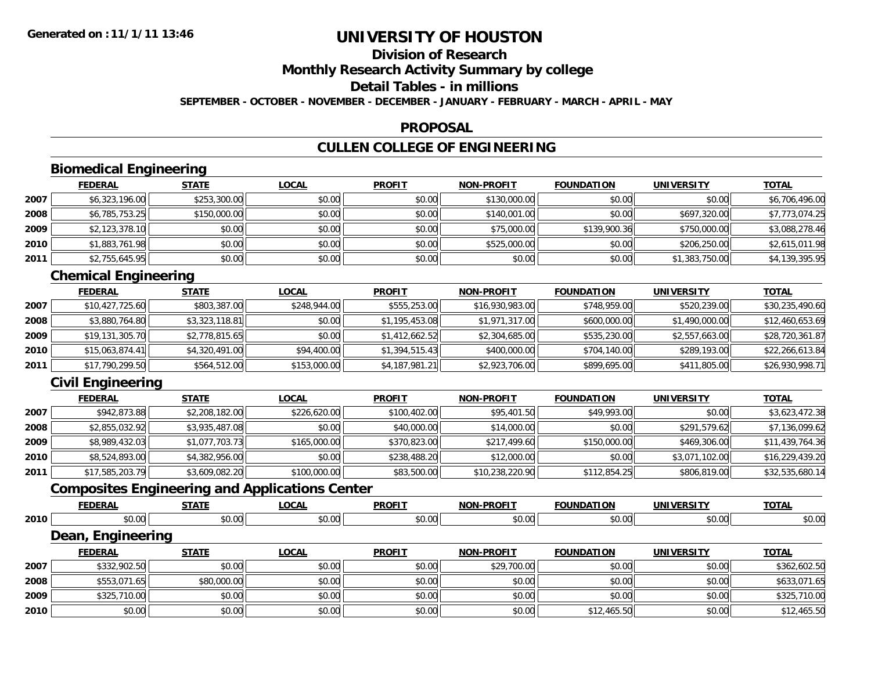### **Division of ResearchMonthly Research Activity Summary by college Detail Tables - in millionsSEPTEMBER - OCTOBER - NOVEMBER - DECEMBER - JANUARY - FEBRUARY - MARCH - APRIL - MAY**

#### **PROPOSAL**

## **CULLEN COLLEGE OF ENGINEERING**

## **Biomedical Engineering**

|      | <b>FEDERAL</b> | <b>STATE</b> | <b>LOCAL</b> | <b>PROFIT</b> | <b>NON-PROFIT</b> | <b>FOUNDATION</b> | <b>UNIVERSITY</b> | <b>TOTAL</b>   |
|------|----------------|--------------|--------------|---------------|-------------------|-------------------|-------------------|----------------|
| 2007 | \$6,323,196.00 | \$253,300.00 | \$0.00       | \$0.00        | \$130,000.00      | \$0.00            | \$0.00            | \$6,706,496.00 |
| 2008 | \$6,785,753.25 | \$150,000.00 | \$0.00       | \$0.00        | \$140,001.00      | \$0.00            | \$697,320,00      | \$7,773,074.25 |
| 2009 | \$2,123,378.10 | \$0.00       | \$0.00       | \$0.00        | \$75,000.00       | \$139,900.36      | \$750,000.00      | \$3,088,278.46 |
| 2010 | \$1,883,761.98 | \$0.00       | \$0.00       | \$0.00        | \$525,000.00      | \$0.00            | \$206,250.00      | \$2,615,011.98 |
| 2011 | \$2,755,645.95 | \$0.00       | \$0.00       | \$0.00        | \$0.00            | \$0.00            | \$1,383,750.00    | \$4,139,395.95 |

## **Chemical Engineering**

|      | <b>FEDERAL</b>  | <b>STATE</b>   | <b>LOCAL</b> | <b>PROFIT</b>  | <b>NON-PROFIT</b> | <b>FOUNDATION</b> | <b>UNIVERSITY</b> | <b>TOTAL</b>    |
|------|-----------------|----------------|--------------|----------------|-------------------|-------------------|-------------------|-----------------|
| 2007 | \$10,427,725.60 | \$803,387.00   | \$248,944,00 | \$555,253.00   | \$16,930,983.00   | \$748,959.00      | \$520,239.00      | \$30,235,490.60 |
| 2008 | \$3,880,764.80  | \$3,323,118.81 | \$0.00       | \$1,195,453.08 | \$1,971,317.00    | \$600,000.00      | \$1,490,000.00    | \$12,460,653.69 |
| 2009 | \$19,131,305.70 | \$2,778,815.65 | \$0.00       | \$1,412,662.52 | \$2,304,685.00    | \$535,230.00      | \$2,557,663.00    | \$28,720,361.87 |
| 2010 | \$15,063,874.41 | \$4,320,491.00 | \$94,400.00  | \$1,394,515.43 | \$400,000.00      | \$704,140.00      | \$289,193.00      | \$22,266,613.84 |
| 2011 | \$17,790,299.50 | \$564,512.00   | \$153,000.00 | \$4,187,981.21 | \$2,923,706.00    | \$899,695.00      | \$411,805.00      | \$26,930,998.71 |

## **Civil Engineering**

|      | <b>FEDERAL</b>  | <b>STATE</b>   | <u>LOCAL</u> | <b>PROFIT</b> | <b>NON-PROFIT</b> | <b>FOUNDATION</b> | <b>UNIVERSITY</b> | <b>TOTAL</b>    |
|------|-----------------|----------------|--------------|---------------|-------------------|-------------------|-------------------|-----------------|
| 2007 | \$942,873.88    | \$2,208,182.00 | \$226,620.00 | \$100,402.00  | \$95,401.50       | \$49,993.00       | \$0.00            | \$3,623,472.38  |
| 2008 | \$2,855,032.92  | \$3,935,487.08 | \$0.00       | \$40,000.00   | \$14,000.00       | \$0.00            | \$291,579.62      | \$7,136,099.62  |
| 2009 | \$8,989,432.03  | \$1,077,703.73 | \$165,000.00 | \$370,823.00  | \$217,499.60      | \$150,000.00      | \$469,306.00      | \$11,439,764.36 |
| 2010 | \$8,524,893.00  | \$4,382,956.00 | \$0.00       | \$238,488.20  | \$12,000.00       | \$0.00            | \$3,071,102.00    | \$16,229,439.20 |
| 2011 | \$17,585,203.79 | \$3,609,082.20 | \$100,000.00 | \$83,500.00   | \$10,238,220.90   | \$112,854.25      | \$806,819.00      | \$32,535,680.14 |

## **Composites Engineering and Applications Center**

|      | <b>FEDERAL</b>    | <b>STATE</b> | <b>LOCAL</b> | <b>PROFIT</b> | <b>NON-PROFIT</b> | <b>FOUNDATION</b> | <b>UNIVERSITY</b> | <b>TOTAL</b> |
|------|-------------------|--------------|--------------|---------------|-------------------|-------------------|-------------------|--------------|
| 2010 | \$0.00            | \$0.00       | \$0.00       | \$0.00        | \$0.00            | \$0.00            | \$0.00            | \$0.00       |
|      | Dean, Engineering |              |              |               |                   |                   |                   |              |
|      | <b>FEDERAL</b>    | <b>STATE</b> | <b>LOCAL</b> | <b>PROFIT</b> | <b>NON-PROFIT</b> | <b>FOUNDATION</b> | <b>UNIVERSITY</b> | <b>TOTAL</b> |
| 2007 | \$332,902.50      | \$0.00       | \$0.00       | \$0.00        | \$29,700.00       | \$0.00            | \$0.00            | \$362,602.50 |
| 2008 | \$553,071.65      | \$80,000.00  | \$0.00       | \$0.00        | \$0.00            | \$0.00            | \$0.00            | \$633,071.65 |
| 2009 | \$325,710.00      | \$0.00       | \$0.00       | \$0.00        | \$0.00            | \$0.00            | \$0.00            | \$325,710.00 |
| 2010 | \$0.00            | \$0.00       | \$0.00       | \$0.00        | \$0.00            | \$12,465.50       | \$0.00            | \$12,465.50  |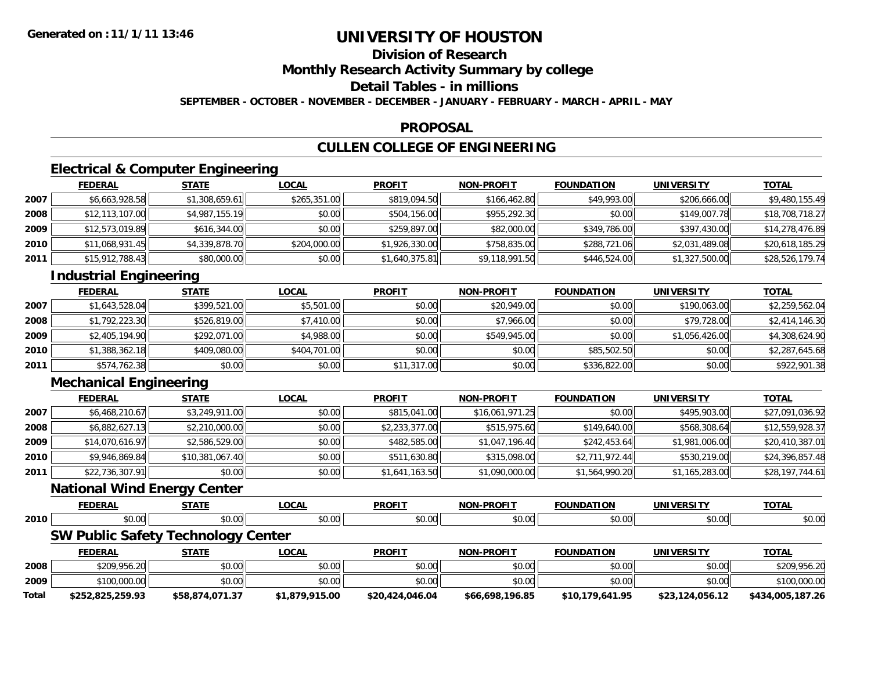### **Division of ResearchMonthly Research Activity Summary by college Detail Tables - in millionsSEPTEMBER - OCTOBER - NOVEMBER - DECEMBER - JANUARY - FEBRUARY - MARCH - APRIL - MAY**

#### **PROPOSAL**

## **CULLEN COLLEGE OF ENGINEERING**

## **Electrical & Computer Engineering**

|      | <b>FEDERAL</b>  | <b>STATE</b>   | <u>LOCAL</u> | <b>PROFIT</b>  | <b>NON-PROFIT</b> | <b>FOUNDATION</b> | <b>UNIVERSITY</b> | <b>TOTAL</b>    |
|------|-----------------|----------------|--------------|----------------|-------------------|-------------------|-------------------|-----------------|
| 2007 | \$6,663,928.58  | \$1,308,659.61 | \$265,351.00 | \$819,094.50   | \$166,462.80      | \$49,993.00       | \$206,666.00      | \$9,480,155.49  |
| 2008 | \$12,113,107.00 | \$4,987,155.19 | \$0.00       | \$504,156.00   | \$955,292,30      | \$0.00            | \$149,007.78      | \$18,708,718.27 |
| 2009 | \$12,573,019.89 | \$616,344.00   | \$0.00       | \$259,897.00   | \$82,000.00       | \$349,786.00      | \$397,430.00      | \$14,278,476.89 |
| 2010 | \$11,068,931.45 | \$4,339,878.70 | \$204,000.00 | \$1,926,330.00 | \$758,835.00      | \$288,721.06      | \$2,031,489.08    | \$20,618,185.29 |
| 2011 | \$15,912,788.43 | \$80,000.00    | \$0.00       | \$1,640,375.81 | \$9,118,991.50    | \$446,524.00      | \$1,327,500.00    | \$28,526,179.74 |

## **Industrial Engineering**

|      | <b>FEDERAL</b> | <b>STATE</b> | <b>LOCAL</b> | <b>PROFIT</b> | <b>NON-PROFIT</b> | <b>FOUNDATION</b> | <b>UNIVERSITY</b> | <b>TOTAL</b>   |
|------|----------------|--------------|--------------|---------------|-------------------|-------------------|-------------------|----------------|
| 2007 | \$1,643,528.04 | \$399,521.00 | \$5,501.00   | \$0.00        | \$20,949.00       | \$0.00            | \$190,063,00      | \$2,259,562.04 |
| 2008 | \$1,792,223.30 | \$526,819.00 | \$7,410.00   | \$0.00        | \$7,966.00        | \$0.00            | \$79,728.00       | \$2,414,146.30 |
| 2009 | \$2,405,194.90 | \$292,071.00 | \$4,988.00   | \$0.00        | \$549,945.00      | \$0.00            | \$1,056,426.00    | \$4,308,624.90 |
| 2010 | \$1,388,362.18 | \$409,080.00 | \$404,701.00 | \$0.00        | \$0.00            | \$85,502.50       | \$0.00            | \$2,287,645.68 |
| 2011 | \$574,762.38   | \$0.00       | \$0.00       | \$11,317.00   | \$0.00            | \$336,822.00      | \$0.00            | \$922,901.38   |

## **Mechanical Engineering**

|      | <b>FEDERAL</b>  | <b>STATE</b>    | <b>LOCAL</b> | <b>PROFIT</b>  | <b>NON-PROFIT</b> | <b>FOUNDATION</b> | <b>UNIVERSITY</b> | <b>TOTAL</b>    |
|------|-----------------|-----------------|--------------|----------------|-------------------|-------------------|-------------------|-----------------|
| 2007 | \$6,468,210.67  | \$3,249,911.00  | \$0.00       | \$815,041.00   | \$16,061,971.25   | \$0.00            | \$495,903.00      | \$27,091,036.92 |
| 2008 | \$6,882,627.13  | \$2,210,000.00  | \$0.00       | \$2,233,377.00 | \$515,975.60      | \$149,640.00      | \$568,308.64      | \$12,559,928.37 |
| 2009 | \$14,070,616.97 | \$2,586,529.00  | \$0.00       | \$482,585.00   | \$1,047,196.40    | \$242,453.64      | \$1,981,006.00    | \$20,410,387.01 |
| 2010 | \$9,946,869.84  | \$10,381,067.40 | \$0.00       | \$511,630.80   | \$315,098.00      | \$2,711,972.44    | \$530,219.00      | \$24,396,857.48 |
| 2011 | \$22,736,307.91 | \$0.00          | \$0.00       | \$1,641,163.50 | \$1,090,000.00    | \$1,564,990.20    | \$1,165,283.00    | \$28,197,744.61 |

### **National Wind Energy Center**

|      | <b>FEBERA</b><br>---<br>- - | -----                   | $\sum$               | <b>PROFIT</b> | <b>NION</b>           | ---                   | UNI<br>$\mathbf{r}$ if a start $\mathbf{r}$ | ΤΩΤΑΙ  |
|------|-----------------------------|-------------------------|----------------------|---------------|-----------------------|-----------------------|---------------------------------------------|--------|
| 2010 | $\sim$ $\sim$               | $\sim$ $\sim$<br>97. V. | $\sim$ $\sim$<br>w.w | 0.001<br>v.vv | $\sim$ $\sim$<br>ט. ט | $\sim$ $\sim$<br>ט.טע | 0.00<br>ט.טע                                | \$0.00 |

## **SW Public Safety Technology Center**

|       | <b>FEDERAL</b>   | <u>STATE</u>    | <u>LOCAL</u>   | <b>PROFIT</b>   | <b>NON-PROFIT</b> | <b>FOUNDATION</b> | <b>UNIVERSITY</b> | <b>TOTAL</b>     |
|-------|------------------|-----------------|----------------|-----------------|-------------------|-------------------|-------------------|------------------|
| 2008  | \$209,956.20     | \$0.00          | \$0.00         | \$0.00          | \$0.00            | \$0.00            | \$0.00            | \$209,956.20     |
| 2009  | \$100,000.00     | \$0.00          | \$0.00         | \$0.00          | \$0.00            | \$0.00            | \$0.00            | \$100,000.00     |
| Total | \$252,825,259.93 | \$58,874,071.37 | \$1,879,915.00 | \$20,424,046.04 | \$66,698,196.85   | \$10,179,641.95   | \$23,124,056.12   | \$434,005,187.26 |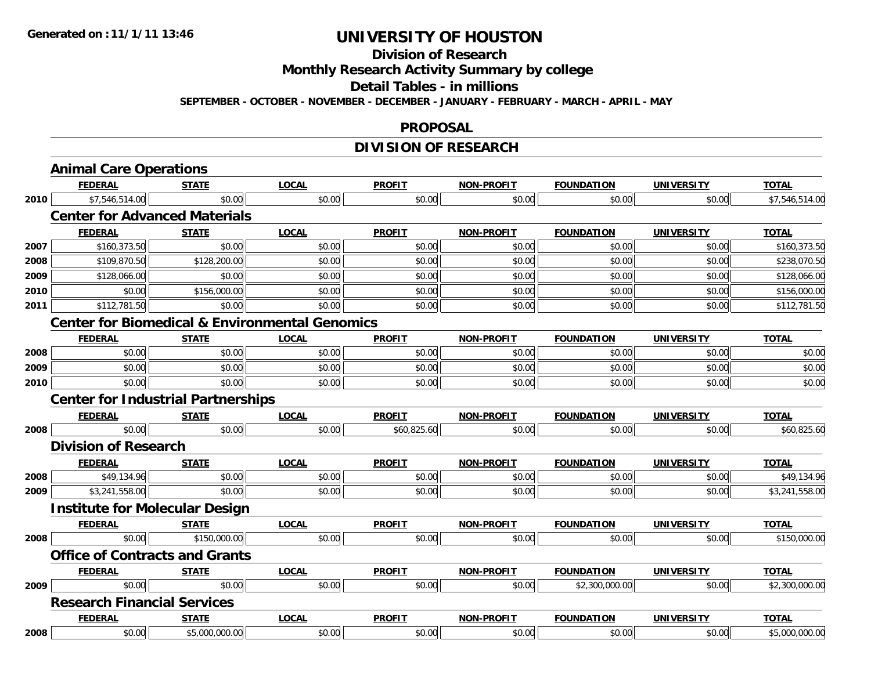### **Division of Research Monthly Research Activity Summary by college Detail Tables - in millions SEPTEMBER - OCTOBER - NOVEMBER - DECEMBER - JANUARY - FEBRUARY - MARCH - APRIL - MAY**

#### **PROPOSAL**

## **DIVISION OF RESEARCH**

| <b>FEDERAL</b>                                    | <b>STATE</b>   | <b>LOCAL</b>                                                                                                                                                                                                                 | <b>PROFIT</b> | <b>NON-PROFIT</b>                                         | <b>FOUNDATION</b> | <b>UNIVERSITY</b> | <b>TOTAL</b>   |  |  |  |
|---------------------------------------------------|----------------|------------------------------------------------------------------------------------------------------------------------------------------------------------------------------------------------------------------------------|---------------|-----------------------------------------------------------|-------------------|-------------------|----------------|--|--|--|
| \$7,546,514.00<br>2010                            | \$0.00         | \$0.00                                                                                                                                                                                                                       | \$0.00        | \$0.00                                                    | \$0.00            | \$0.00            | \$7,546,514.00 |  |  |  |
|                                                   |                |                                                                                                                                                                                                                              |               |                                                           |                   |                   |                |  |  |  |
| <b>FEDERAL</b>                                    | <b>STATE</b>   | <b>LOCAL</b>                                                                                                                                                                                                                 | <b>PROFIT</b> | <b>NON-PROFIT</b>                                         | <b>FOUNDATION</b> | <b>UNIVERSITY</b> | <b>TOTAL</b>   |  |  |  |
| \$160,373.50                                      | \$0.00         | \$0.00                                                                                                                                                                                                                       | \$0.00        | \$0.00                                                    | \$0.00            | \$0.00            | \$160,373.50   |  |  |  |
| \$109,870.50                                      | \$128,200.00   | \$0.00                                                                                                                                                                                                                       | \$0.00        | \$0.00                                                    | \$0.00            | \$0.00            | \$238,070.50   |  |  |  |
| \$128,066.00                                      | \$0.00         | \$0.00                                                                                                                                                                                                                       | \$0.00        | \$0.00                                                    | \$0.00            | \$0.00            | \$128,066.00   |  |  |  |
| \$0.00                                            | \$156,000.00   | \$0.00                                                                                                                                                                                                                       | \$0.00        | \$0.00                                                    | \$0.00            | \$0.00            | \$156,000.00   |  |  |  |
| 2011<br>\$112,781.50                              | \$0.00         | \$0.00                                                                                                                                                                                                                       | \$0.00        | \$0.00                                                    | \$0.00            | \$0.00            | \$112,781.50   |  |  |  |
|                                                   |                |                                                                                                                                                                                                                              |               |                                                           |                   |                   |                |  |  |  |
| <b>FEDERAL</b>                                    | <b>STATE</b>   | <b>LOCAL</b>                                                                                                                                                                                                                 | <b>PROFIT</b> | <b>NON-PROFIT</b>                                         | <b>FOUNDATION</b> | <b>UNIVERSITY</b> | <b>TOTAL</b>   |  |  |  |
| \$0.00                                            | \$0.00         | \$0.00                                                                                                                                                                                                                       | \$0.00        | \$0.00                                                    | \$0.00            | \$0.00            | \$0.00         |  |  |  |
| \$0.00                                            | \$0.00         | \$0.00                                                                                                                                                                                                                       | \$0.00        | \$0.00                                                    | \$0.00            | \$0.00            | \$0.00         |  |  |  |
| \$0.00                                            | \$0.00         | \$0.00                                                                                                                                                                                                                       | \$0.00        | \$0.00                                                    | \$0.00            | \$0.00            | \$0.00         |  |  |  |
| 2010<br><b>Center for Industrial Partnerships</b> |                |                                                                                                                                                                                                                              |               |                                                           |                   |                   |                |  |  |  |
| <b>FEDERAL</b>                                    | <b>STATE</b>   | <b>LOCAL</b>                                                                                                                                                                                                                 | <b>PROFIT</b> | <b>NON-PROFIT</b>                                         | <b>FOUNDATION</b> | <b>UNIVERSITY</b> | <b>TOTAL</b>   |  |  |  |
| \$0.00<br>2008                                    | \$0.00         | \$0.00                                                                                                                                                                                                                       | \$60,825.60   | \$0.00                                                    | \$0.00            | \$0.00            | \$60,825.60    |  |  |  |
|                                                   |                |                                                                                                                                                                                                                              |               |                                                           |                   |                   |                |  |  |  |
| <b>FEDERAL</b>                                    | <b>STATE</b>   | <b>LOCAL</b>                                                                                                                                                                                                                 | <b>PROFIT</b> | <b>NON-PROFIT</b>                                         | <b>FOUNDATION</b> | <b>UNIVERSITY</b> | <b>TOTAL</b>   |  |  |  |
| \$49,134.96<br>2008                               | \$0.00         | \$0.00                                                                                                                                                                                                                       | \$0.00        | \$0.00                                                    | \$0.00            | \$0.00            | \$49,134.96    |  |  |  |
| \$3,241,558.00                                    | \$0.00         | \$0.00                                                                                                                                                                                                                       | \$0.00        | \$0.00                                                    | \$0.00            | \$0.00            | \$3,241,558.00 |  |  |  |
|                                                   |                |                                                                                                                                                                                                                              |               |                                                           |                   |                   |                |  |  |  |
| <b>FEDERAL</b>                                    | <b>STATE</b>   | <b>LOCAL</b>                                                                                                                                                                                                                 | <b>PROFIT</b> | <b>NON-PROFIT</b>                                         | <b>FOUNDATION</b> | <b>UNIVERSITY</b> | <b>TOTAL</b>   |  |  |  |
| \$0.00<br>2008                                    | \$150,000.00   | \$0.00                                                                                                                                                                                                                       | \$0.00        | \$0.00                                                    | \$0.00            | \$0.00            | \$150,000.00   |  |  |  |
|                                                   |                |                                                                                                                                                                                                                              |               |                                                           |                   |                   |                |  |  |  |
| <b>FEDERAL</b>                                    | <b>STATE</b>   | <b>LOCAL</b>                                                                                                                                                                                                                 | <b>PROFIT</b> | <b>NON-PROFIT</b>                                         | <b>FOUNDATION</b> | <b>UNIVERSITY</b> | <b>TOTAL</b>   |  |  |  |
| \$0.00<br>2009                                    | \$0.00         | \$0.00                                                                                                                                                                                                                       | \$0.00        | \$0.00                                                    | \$2,300,000.00    | \$0.00            | \$2,300,000.00 |  |  |  |
|                                                   |                |                                                                                                                                                                                                                              |               |                                                           |                   |                   |                |  |  |  |
| <b>FEDERAL</b>                                    | <b>STATE</b>   | <b>LOCAL</b>                                                                                                                                                                                                                 | <b>PROFIT</b> | <b>NON-PROFIT</b>                                         | <b>FOUNDATION</b> | <b>UNIVERSITY</b> | <b>TOTAL</b>   |  |  |  |
| \$0.00<br>2008                                    | \$5,000,000.00 | \$0.00                                                                                                                                                                                                                       | \$0.00        | \$0.00                                                    | \$0.00            | \$0.00            | \$5,000,000.00 |  |  |  |
|                                                   |                | <b>Animal Care Operations</b><br><b>Center for Advanced Materials</b><br><b>Division of Research</b><br><b>Institute for Molecular Design</b><br><b>Office of Contracts and Grants</b><br><b>Research Financial Services</b> |               | <b>Center for Biomedical &amp; Environmental Genomics</b> |                   |                   |                |  |  |  |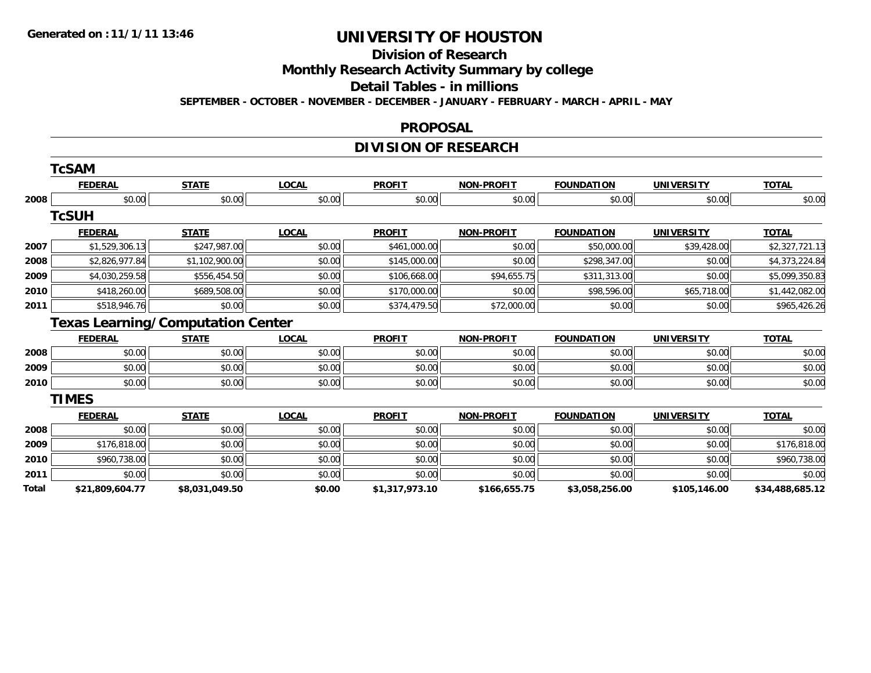#### **Division of Research Monthly Research Activity Summary by college Detail Tables - in millions SEPTEMBER - OCTOBER - NOVEMBER - DECEMBER - JANUARY - FEBRUARY - MARCH - APRIL - MAY**

#### **PROPOSAL**

## **DIVISION OF RESEARCH**

|       | TcSAM                                    |                |              |                |                   |                   |                   |                 |
|-------|------------------------------------------|----------------|--------------|----------------|-------------------|-------------------|-------------------|-----------------|
|       | <b>FEDERAL</b>                           | <b>STATE</b>   | <b>LOCAL</b> | <b>PROFIT</b>  | <b>NON-PROFIT</b> | <b>FOUNDATION</b> | <b>UNIVERSITY</b> | <b>TOTAL</b>    |
| 2008  | \$0.00                                   | \$0.00         | \$0.00       | \$0.00         | \$0.00            | \$0.00            | \$0.00            | \$0.00          |
|       | <b>TcSUH</b>                             |                |              |                |                   |                   |                   |                 |
|       | <b>FEDERAL</b>                           | <b>STATE</b>   | <b>LOCAL</b> | <b>PROFIT</b>  | <b>NON-PROFIT</b> | <b>FOUNDATION</b> | <b>UNIVERSITY</b> | <b>TOTAL</b>    |
| 2007  | \$1,529,306.13                           | \$247,987.00   | \$0.00       | \$461,000.00   | \$0.00            | \$50,000.00       | \$39,428.00       | \$2,327,721.13  |
| 2008  | \$2,826,977.84                           | \$1,102,900.00 | \$0.00       | \$145,000.00   | \$0.00            | \$298,347.00      | \$0.00            | \$4,373,224.84  |
| 2009  | \$4,030,259.58                           | \$556,454.50   | \$0.00       | \$106,668.00   | \$94,655.75       | \$311,313.00      | \$0.00            | \$5,099,350.83  |
| 2010  | \$418,260.00                             | \$689,508.00   | \$0.00       | \$170,000.00   | \$0.00            | \$98,596.00       | \$65,718.00       | \$1,442,082.00  |
| 2011  | \$518,946.76                             | \$0.00         | \$0.00       | \$374,479.50   | \$72,000.00       | \$0.00            | \$0.00            | \$965,426.26    |
|       | <b>Texas Learning/Computation Center</b> |                |              |                |                   |                   |                   |                 |
|       | <b>FEDERAL</b>                           | <b>STATE</b>   | <b>LOCAL</b> | <b>PROFIT</b>  | <b>NON-PROFIT</b> | <b>FOUNDATION</b> | <b>UNIVERSITY</b> | <b>TOTAL</b>    |
| 2008  | \$0.00                                   | \$0.00         | \$0.00       | \$0.00         | \$0.00            | \$0.00            | \$0.00            | \$0.00          |
| 2009  | \$0.00                                   | \$0.00         | \$0.00       | \$0.00         | \$0.00            | \$0.00            | \$0.00            | \$0.00          |
| 2010  | \$0.00                                   | \$0.00         | \$0.00       | \$0.00         | \$0.00            | \$0.00            | \$0.00            | \$0.00          |
|       | <b>TIMES</b>                             |                |              |                |                   |                   |                   |                 |
|       | <b>FEDERAL</b>                           | <b>STATE</b>   | <b>LOCAL</b> | <b>PROFIT</b>  | <b>NON-PROFIT</b> | <b>FOUNDATION</b> | <b>UNIVERSITY</b> | <b>TOTAL</b>    |
| 2008  | \$0.00                                   | \$0.00         | \$0.00       | \$0.00         | \$0.00            | \$0.00            | \$0.00            | \$0.00          |
| 2009  | \$176,818.00                             | \$0.00         | \$0.00       | \$0.00         | \$0.00            | \$0.00            | \$0.00            | \$176,818.00    |
| 2010  | \$960,738.00                             | \$0.00         | \$0.00       | \$0.00         | \$0.00            | \$0.00            | \$0.00            | \$960,738.00    |
| 2011  | \$0.00                                   | \$0.00         | \$0.00       | \$0.00         | \$0.00            | \$0.00            | \$0.00            | \$0.00          |
| Total | \$21,809,604.77                          | \$8,031,049.50 | \$0.00       | \$1,317,973.10 | \$166,655.75      | \$3,058,256.00    | \$105,146.00      | \$34,488,685.12 |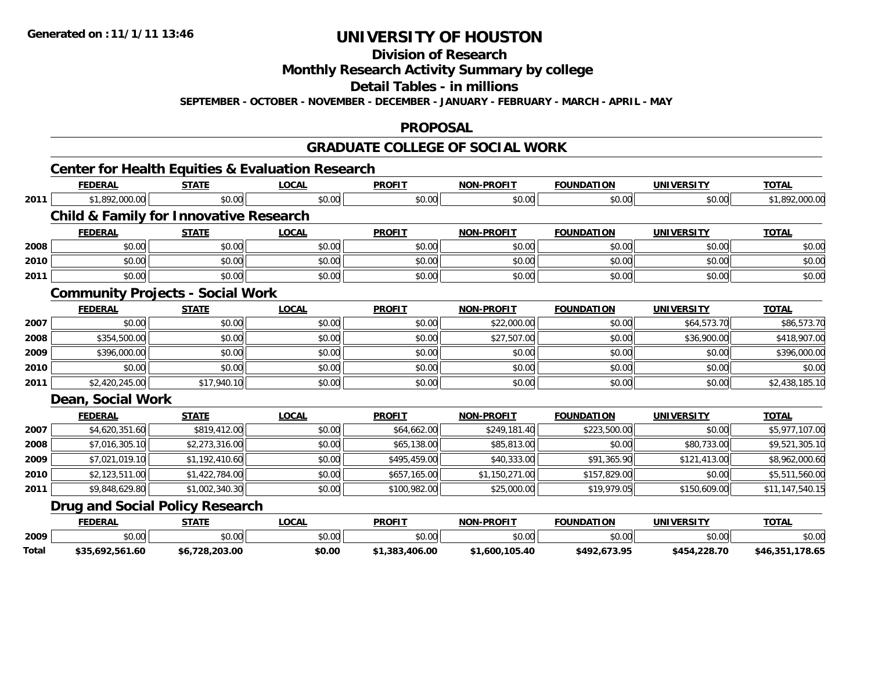### **Division of ResearchMonthly Research Activity Summary by college Detail Tables - in millionsSEPTEMBER - OCTOBER - NOVEMBER - DECEMBER - JANUARY - FEBRUARY - MARCH - APRIL - MAY**

#### **PROPOSAL**

### **GRADUATE COLLEGE OF SOCIAL WORK**

## **Center for Health Equities & Evaluation Research**

**Total**

|      | <b>FEDERAL</b>                                    | <b>STATE</b>   | <b>LOCAL</b> | <b>PROFIT</b> | <b>NON-PROFIT</b> | <b>FOUNDATION</b> | <b>UNIVERSITY</b> | <b>TOTAL</b>    |
|------|---------------------------------------------------|----------------|--------------|---------------|-------------------|-------------------|-------------------|-----------------|
| 2011 | \$1,892,000.00                                    | \$0.00         | \$0.00       | \$0.00        | \$0.00            | \$0.00            | \$0.00            | \$1,892,000.00  |
|      | <b>Child &amp; Family for Innovative Research</b> |                |              |               |                   |                   |                   |                 |
|      | <b>FEDERAL</b>                                    | <b>STATE</b>   | <b>LOCAL</b> | <b>PROFIT</b> | <b>NON-PROFIT</b> | <b>FOUNDATION</b> | <b>UNIVERSITY</b> | <b>TOTAL</b>    |
| 2008 | \$0.00                                            | \$0.00         | \$0.00       | \$0.00        | \$0.00            | \$0.00            | \$0.00            | \$0.00          |
| 2010 | \$0.00                                            | \$0.00         | \$0.00       | \$0.00        | \$0.00            | \$0.00            | \$0.00            | \$0.00          |
| 2011 | \$0.00                                            | \$0.00         | \$0.00       | \$0.00        | \$0.00            | \$0.00            | \$0.00            | \$0.00          |
|      | <b>Community Projects - Social Work</b>           |                |              |               |                   |                   |                   |                 |
|      | <b>FEDERAL</b>                                    | <b>STATE</b>   | <b>LOCAL</b> | <b>PROFIT</b> | <b>NON-PROFIT</b> | <b>FOUNDATION</b> | <b>UNIVERSITY</b> | <b>TOTAL</b>    |
| 2007 | \$0.00                                            | \$0.00         | \$0.00       | \$0.00        | \$22,000.00       | \$0.00            | \$64,573.70       | \$86,573.70     |
| 2008 | \$354,500.00                                      | \$0.00         | \$0.00       | \$0.00        | \$27,507.00       | \$0.00            | \$36,900.00       | \$418,907.00    |
| 2009 | \$396,000.00                                      | \$0.00         | \$0.00       | \$0.00        | \$0.00            | \$0.00            | \$0.00            | \$396,000.00    |
| 2010 | \$0.00                                            | \$0.00         | \$0.00       | \$0.00        | \$0.00            | \$0.00            | \$0.00            | \$0.00          |
| 2011 | \$2,420,245.00                                    | \$17,940.10    | \$0.00       | \$0.00        | \$0.00            | \$0.00            | \$0.00            | \$2,438,185.10  |
|      | <b>Dean, Social Work</b>                          |                |              |               |                   |                   |                   |                 |
|      | <b>FEDERAL</b>                                    | <b>STATE</b>   | <b>LOCAL</b> | <b>PROFIT</b> | <b>NON-PROFIT</b> | <b>FOUNDATION</b> | <b>UNIVERSITY</b> | <b>TOTAL</b>    |
| 2007 | \$4,620,351.60                                    | \$819,412.00   | \$0.00       | \$64,662.00   | \$249,181.40      | \$223,500.00      | \$0.00            | \$5,977,107.00  |
| 2008 | \$7,016,305.10                                    | \$2,273,316.00 | \$0.00       | \$65,138.00   | \$85,813.00       | \$0.00            | \$80,733.00       | \$9,521,305.10  |
| 2009 | \$7,021,019.10                                    | \$1,192,410.60 | \$0.00       | \$495,459.00  | \$40,333.00       | \$91,365.90       | \$121,413.00      | \$8,962,000.60  |
| 2010 | \$2,123,511.00                                    | \$1,422,784.00 | \$0.00       | \$657,165.00  | \$1,150,271.00    | \$157,829.00      | \$0.00            | \$5,511,560.00  |
| 2011 | \$9,848,629.80                                    | \$1,002,340.30 | \$0.00       | \$100,982.00  | \$25,000.00       | \$19,979.05       | \$150,609.00      | \$11,147,540.15 |
|      | <b>Drug and Social Policy Research</b>            |                |              |               |                   |                   |                   |                 |
|      | <b>FEDERAL</b>                                    | <b>STATE</b>   | <b>LOCAL</b> | <b>PROFIT</b> | <b>NON-PROFIT</b> | <b>FOUNDATION</b> | <b>UNIVERSITY</b> | <b>TOTAL</b>    |
| 2009 | \$0.00                                            | \$0.00         | \$0.00       | \$0.00        | \$0.00            | \$0.00            | \$0.00            | \$0.00          |

**\$35,692,561.60 \$6,728,203.00 \$0.00 \$1,383,406.00 \$1,600,105.40 \$492,673.95 \$454,228.70 \$46,351,178.65**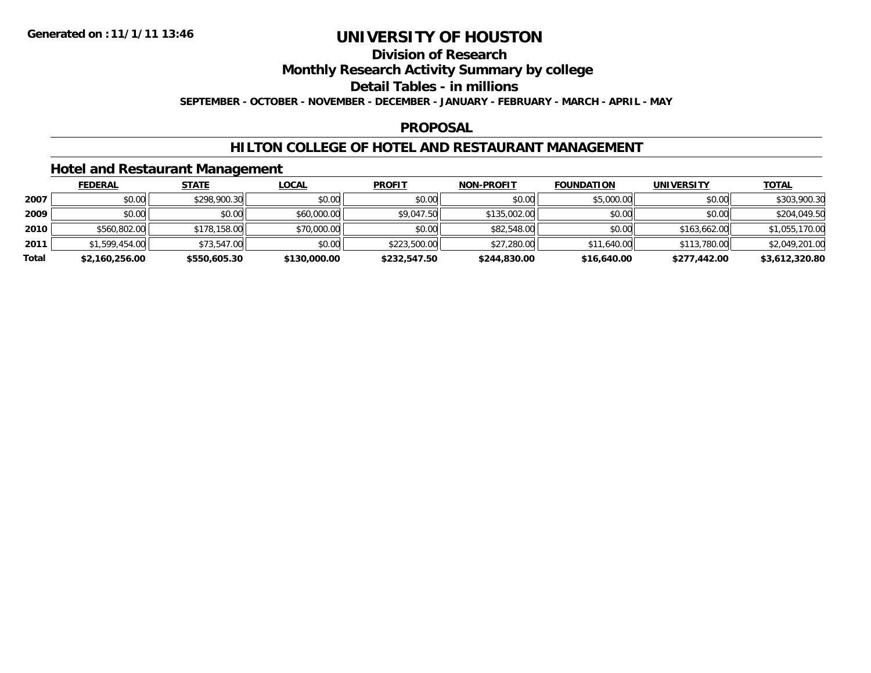### **Division of ResearchMonthly Research Activity Summary by college Detail Tables - in millions SEPTEMBER - OCTOBER - NOVEMBER - DECEMBER - JANUARY - FEBRUARY - MARCH - APRIL - MAY**

#### **PROPOSAL**

### **HILTON COLLEGE OF HOTEL AND RESTAURANT MANAGEMENT**

### **Hotel and Restaurant Management**

|       | <b>FEDERAL</b> | <b>STATE</b> | <b>LOCAL</b> | <b>PROFIT</b> | <b>NON-PROFIT</b> | <b>FOUNDATION</b> | <b>UNIVERSITY</b> | <b>TOTAL</b>   |
|-------|----------------|--------------|--------------|---------------|-------------------|-------------------|-------------------|----------------|
| 2007  | \$0.00         | \$298,900.30 | \$0.00       | \$0.00        | \$0.00            | \$5,000.00        | \$0.00            | \$303,900.30   |
| 2009  | \$0.00         | \$0.00       | \$60,000.00  | \$9,047.50    | \$135,002.00      | \$0.00            | \$0.00            | \$204,049.50   |
| 2010  | \$560,802.00   | \$178,158.00 | \$70,000.00  | \$0.00        | \$82,548.00       | \$0.00            | \$163,662,00      | \$1,055,170.00 |
| 2011  | \$1,599,454.00 | \$73,547.00  | \$0.00       | \$223,500.00  | \$27,280.00       | \$11,640.00       | \$113,780.00      | \$2,049,201.00 |
| Total | \$2,160,256.00 | \$550,605.30 | \$130,000.00 | \$232,547.50  | \$244,830.00      | \$16,640.00       | \$277,442.00      | \$3,612,320.80 |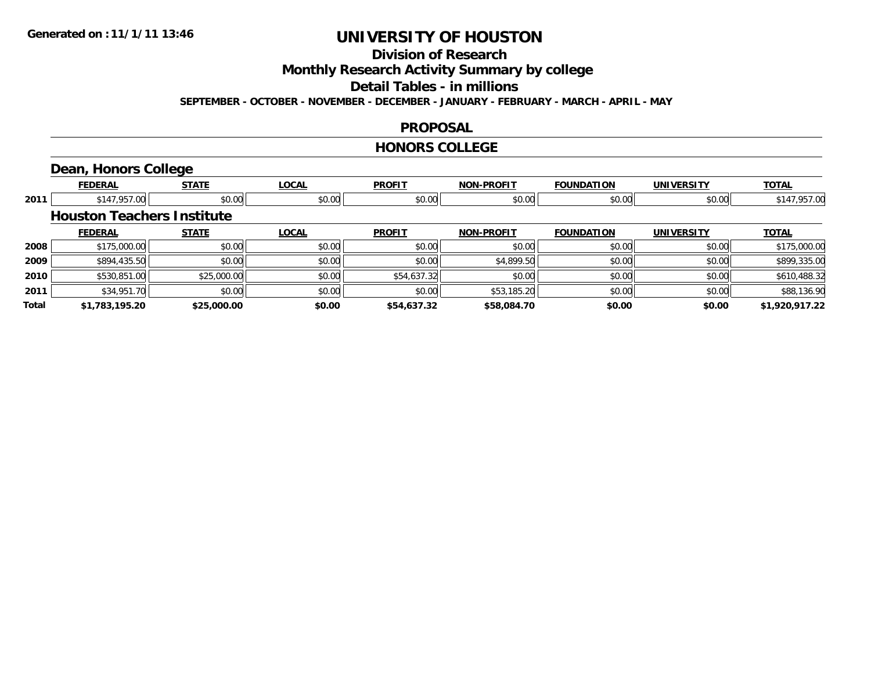### **Division of ResearchMonthly Research Activity Summary by college Detail Tables - in millionsSEPTEMBER - OCTOBER - NOVEMBER - DECEMBER - JANUARY - FEBRUARY - MARCH - APRIL - MAY**

#### **PROPOSAL**

#### **HONORS COLLEGE**

### **Dean, Honors College**

|       | <b>FEDERAL</b>                    | <b>STATE</b> | <b>LOCAL</b> | <b>PROFIT</b> | <b>NON-PROFIT</b> | <b>FOUNDATION</b> | <b>UNIVERSITY</b> | <b>TOTAL</b>   |
|-------|-----------------------------------|--------------|--------------|---------------|-------------------|-------------------|-------------------|----------------|
| 2011  | \$147,957.00                      | \$0.00       | \$0.00       | \$0.00        | \$0.00            | \$0.00            | \$0.00            | \$147,957.00   |
|       | <b>Houston Teachers Institute</b> |              |              |               |                   |                   |                   |                |
|       | <b>FEDERAL</b>                    | <b>STATE</b> | <b>LOCAL</b> | <b>PROFIT</b> | <b>NON-PROFIT</b> | <b>FOUNDATION</b> | <b>UNIVERSITY</b> | <b>TOTAL</b>   |
| 2008  | \$175,000.00                      | \$0.00       | \$0.00       | \$0.00        | \$0.00            | \$0.00            | \$0.00            | \$175,000.00   |
| 2009  | \$894,435.50                      | \$0.00       | \$0.00       | \$0.00        | \$4,899.50        | \$0.00            | \$0.00            | \$899,335.00   |
| 2010  | \$530,851.00                      | \$25,000.00  | \$0.00       | \$54,637.32   | \$0.00            | \$0.00            | \$0.00            | \$610,488.32   |
| 2011  | \$34,951.70                       | \$0.00       | \$0.00       | \$0.00        | \$53,185.20       | \$0.00            | \$0.00            | \$88,136.90    |
| Total | \$1,783,195.20                    | \$25,000.00  | \$0.00       | \$54,637.32   | \$58,084.70       | \$0.00            | \$0.00            | \$1,920,917.22 |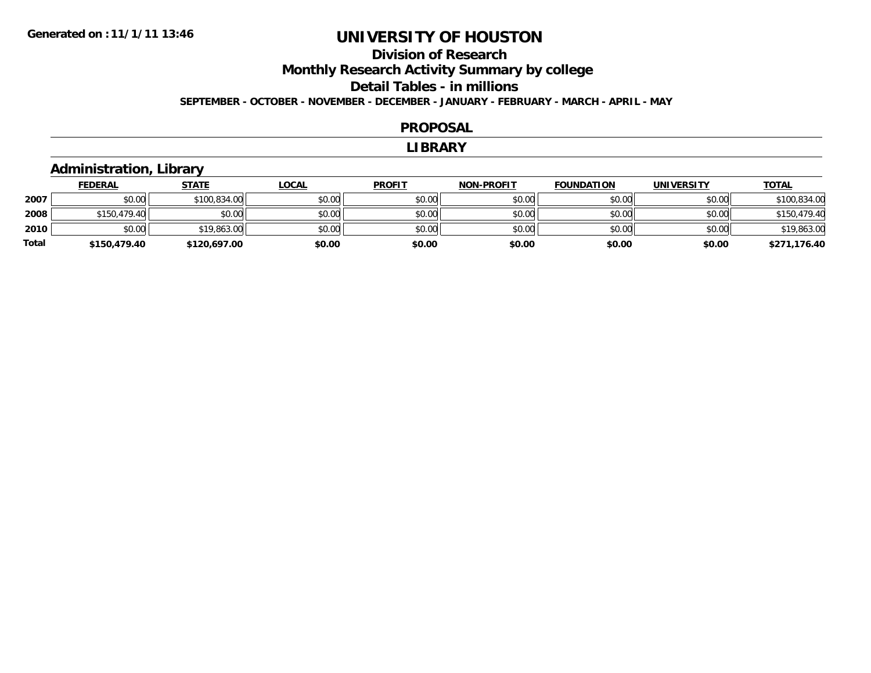### **Division of ResearchMonthly Research Activity Summary by college Detail Tables - in millions SEPTEMBER - OCTOBER - NOVEMBER - DECEMBER - JANUARY - FEBRUARY - MARCH - APRIL - MAY**

#### **PROPOSAL**

#### **LIBRARY**

## **Administration, Library**

|       | <b>FEDERAL</b> | <b>STATE</b> | <u>LOCAL</u> | <b>PROFIT</b> | <b>NON-PROFIT</b> | <b>FOUNDATION</b> | <b>UNIVERSITY</b> | <b>TOTAL</b> |
|-------|----------------|--------------|--------------|---------------|-------------------|-------------------|-------------------|--------------|
| 2007  | \$0.00         | \$100,834.00 | \$0.00       | \$0.00        | \$0.00            | \$0.00            | \$0.00            | \$100,834.00 |
| 2008  | \$150,479.40   | \$0.00       | \$0.00       | \$0.00        | \$0.00            | \$0.00            | \$0.00            | \$150,479.40 |
| 2010  | \$0.00         | \$19,863.00  | \$0.00       | \$0.00        | \$0.00            | \$0.00            | \$0.00            | \$19,863.00  |
| Total | \$150,479.40   | \$120,697.00 | \$0.00       | \$0.00        | \$0.00            | \$0.00            | \$0.00            | \$271,176.40 |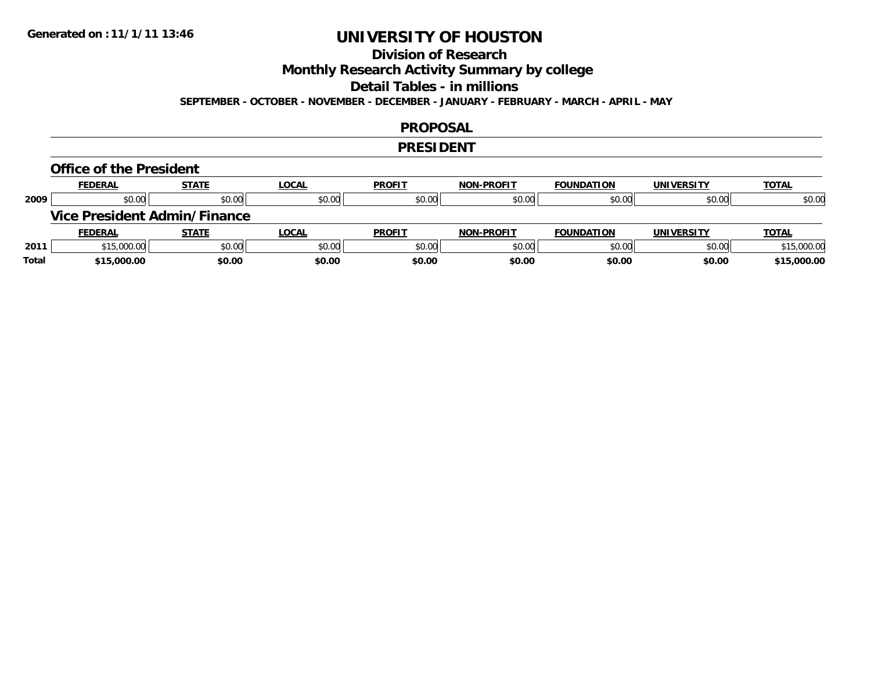### **Division of ResearchMonthly Research Activity Summary by college Detail Tables - in millions SEPTEMBER - OCTOBER - NOVEMBER - DECEMBER - JANUARY - FEBRUARY - MARCH - APRIL - MAY**

#### **PROPOSAL**

#### **PRESIDENT**

## **Office of the President**

|      | <b>FEDERAL</b>                      | <b>STATE</b> | <b>LOCAL</b> | <b>PROFIT</b> | <b>NON-PROFIT</b> | <b>FOUNDATION</b> | <b>UNIVERSITY</b> | <b>TOTAL</b> |
|------|-------------------------------------|--------------|--------------|---------------|-------------------|-------------------|-------------------|--------------|
| 2009 | \$0.00                              | \$0.00       | \$0.00       | \$0.00        | \$0.00            | \$0.00            | \$0.00            | \$0.00       |
|      | <b>Vice President Admin/Finance</b> |              |              |               |                   |                   |                   |              |
|      |                                     |              |              |               |                   |                   |                   |              |
|      | <b>FEDERAL</b>                      | <b>STATE</b> | <b>LOCAL</b> | <b>PROFIT</b> | <b>NON-PROFIT</b> | <b>FOUNDATION</b> | <b>UNIVERSITY</b> | <b>TOTAL</b> |
| 2011 | \$15,000.00                         | \$0.00       | \$0.00       | \$0.00        | \$0.00            | \$0.00            | \$0.00            | \$15,000.00  |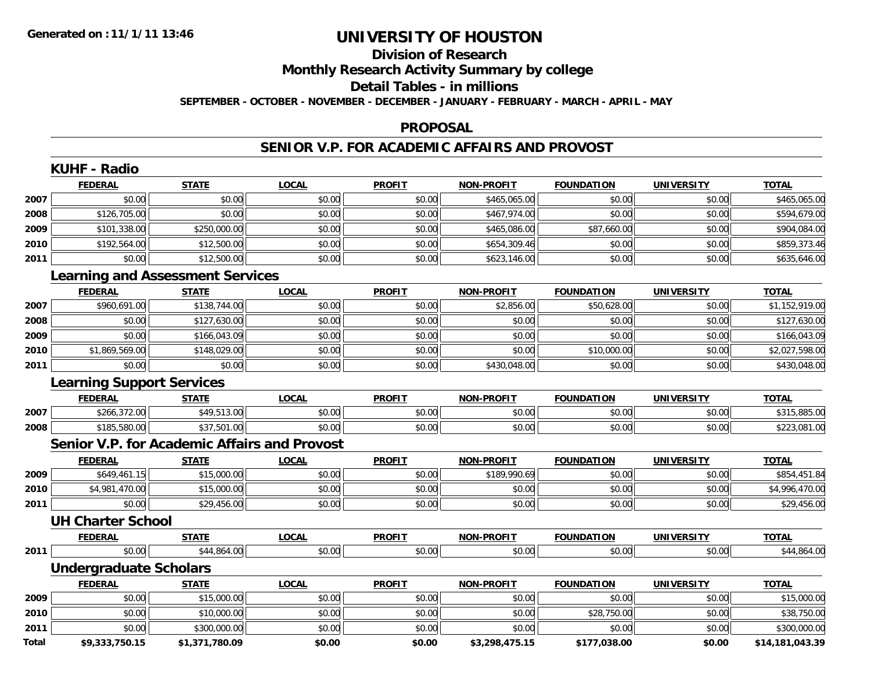### **Division of Research Monthly Research Activity Summary by college Detail Tables - in millions SEPTEMBER - OCTOBER - NOVEMBER - DECEMBER - JANUARY - FEBRUARY - MARCH - APRIL - MAY**

#### **PROPOSAL**

#### **SENIOR V.P. FOR ACADEMIC AFFAIRS AND PROVOST**

|       | <b>KUHF - Radio</b>                                 |                |              |               |                   |                   |                   |                 |
|-------|-----------------------------------------------------|----------------|--------------|---------------|-------------------|-------------------|-------------------|-----------------|
|       | <b>FEDERAL</b>                                      | <b>STATE</b>   | <b>LOCAL</b> | <b>PROFIT</b> | <b>NON-PROFIT</b> | <b>FOUNDATION</b> | <b>UNIVERSITY</b> | <b>TOTAL</b>    |
| 2007  | \$0.00                                              | \$0.00         | \$0.00       | \$0.00        | \$465,065.00      | \$0.00            | \$0.00            | \$465,065.00    |
| 2008  | \$126,705.00                                        | \$0.00         | \$0.00       | \$0.00        | \$467,974.00      | \$0.00            | \$0.00            | \$594,679.00    |
| 2009  | \$101,338.00                                        | \$250,000.00   | \$0.00       | \$0.00        | \$465,086.00      | \$87,660.00       | \$0.00            | \$904,084.00    |
| 2010  | \$192,564.00                                        | \$12,500.00    | \$0.00       | \$0.00        | \$654,309.46      | \$0.00            | \$0.00            | \$859,373.46    |
| 2011  | \$0.00                                              | \$12,500.00    | \$0.00       | \$0.00        | \$623,146.00      | \$0.00            | \$0.00            | \$635,646.00    |
|       | <b>Learning and Assessment Services</b>             |                |              |               |                   |                   |                   |                 |
|       | <b>FEDERAL</b>                                      | <b>STATE</b>   | <b>LOCAL</b> | <b>PROFIT</b> | <b>NON-PROFIT</b> | <b>FOUNDATION</b> | <b>UNIVERSITY</b> | <b>TOTAL</b>    |
| 2007  | \$960,691.00                                        | \$138,744.00   | \$0.00       | \$0.00        | \$2,856.00        | \$50,628.00       | \$0.00            | \$1,152,919.00  |
| 2008  | \$0.00                                              | \$127,630.00   | \$0.00       | \$0.00        | \$0.00            | \$0.00            | \$0.00            | \$127,630.00    |
| 2009  | \$0.00                                              | \$166,043.09   | \$0.00       | \$0.00        | \$0.00            | \$0.00            | \$0.00            | \$166,043.09    |
| 2010  | \$1,869,569.00                                      | \$148,029.00   | \$0.00       | \$0.00        | \$0.00            | \$10,000.00       | \$0.00            | \$2,027,598.00  |
| 2011  | \$0.00                                              | \$0.00         | \$0.00       | \$0.00        | \$430,048.00      | \$0.00            | \$0.00            | \$430,048.00    |
|       | <b>Learning Support Services</b>                    |                |              |               |                   |                   |                   |                 |
|       | <b>FEDERAL</b>                                      | <b>STATE</b>   | <b>LOCAL</b> | <b>PROFIT</b> | <b>NON-PROFIT</b> | <b>FOUNDATION</b> | <b>UNIVERSITY</b> | <b>TOTAL</b>    |
| 2007  | \$266,372.00                                        | \$49,513.00    | \$0.00       | \$0.00        | \$0.00            | \$0.00            | \$0.00            | \$315,885.00    |
| 2008  | \$185,580.00                                        | \$37,501.00    | \$0.00       | \$0.00        | \$0.00            | \$0.00            | \$0.00            | \$223,081.00    |
|       | <b>Senior V.P. for Academic Affairs and Provost</b> |                |              |               |                   |                   |                   |                 |
|       | <b>FEDERAL</b>                                      | <b>STATE</b>   | <b>LOCAL</b> | <b>PROFIT</b> | <b>NON-PROFIT</b> | <b>FOUNDATION</b> | <b>UNIVERSITY</b> | <b>TOTAL</b>    |
| 2009  | \$649,461.15                                        | \$15,000.00    | \$0.00       | \$0.00        | \$189,990.69      | \$0.00            | \$0.00            | \$854,451.84    |
| 2010  | \$4,981,470.00                                      | \$15,000.00    | \$0.00       | \$0.00        | \$0.00            | \$0.00            | \$0.00            | \$4,996,470.00  |
| 2011  | \$0.00                                              | \$29,456.00    | \$0.00       | \$0.00        | \$0.00            | \$0.00            | \$0.00            | \$29,456.00     |
|       | <b>UH Charter School</b>                            |                |              |               |                   |                   |                   |                 |
|       | <b>FEDERAL</b>                                      | <b>STATE</b>   | <b>LOCAL</b> | <b>PROFIT</b> | <b>NON-PROFIT</b> | <b>FOUNDATION</b> | <b>UNIVERSITY</b> | <b>TOTAL</b>    |
| 2011  | \$0.00                                              | \$44,864.00    | \$0.00       | \$0.00        | \$0.00            | \$0.00            | \$0.00            | \$44,864.00     |
|       | <b>Undergraduate Scholars</b>                       |                |              |               |                   |                   |                   |                 |
|       | <b>FEDERAL</b>                                      | <b>STATE</b>   | <b>LOCAL</b> | <b>PROFIT</b> | <b>NON-PROFIT</b> | <b>FOUNDATION</b> | <b>UNIVERSITY</b> | <b>TOTAL</b>    |
| 2009  | \$0.00                                              | \$15,000.00    | \$0.00       | \$0.00        | \$0.00            | \$0.00            | \$0.00            | \$15,000.00     |
| 2010  | \$0.00                                              | \$10,000.00    | \$0.00       | \$0.00        | \$0.00            | \$28,750.00       | \$0.00            | \$38,750.00     |
| 2011  | \$0.00                                              | \$300,000.00   | \$0.00       | \$0.00        | \$0.00            | \$0.00            | \$0.00            | \$300,000.00    |
| Total | \$9,333,750.15                                      | \$1,371,780.09 | \$0.00       | \$0.00        | \$3,298,475.15    | \$177,038.00      | \$0.00            | \$14,181,043.39 |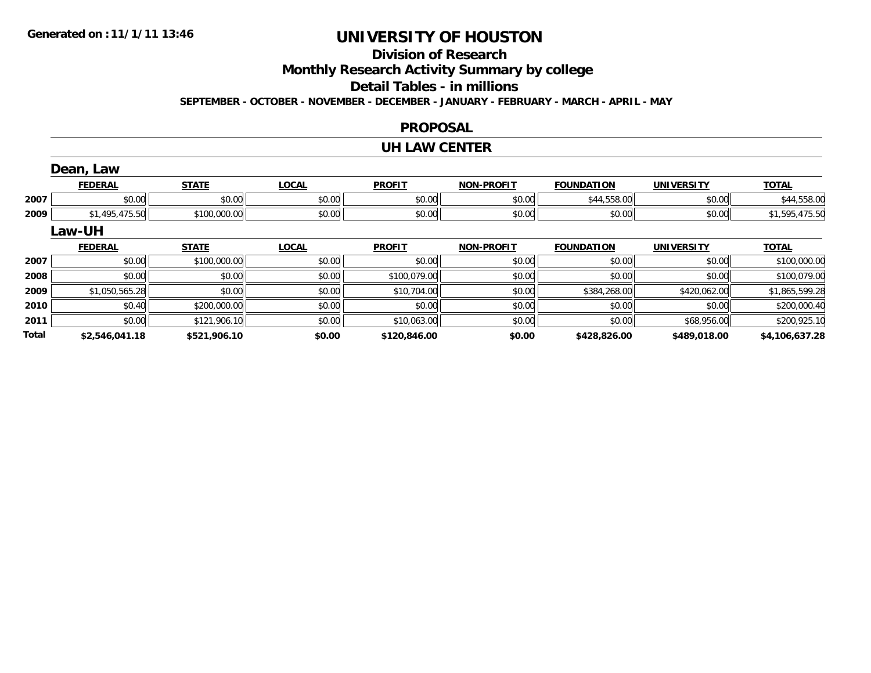### **Division of Research Monthly Research Activity Summary by college Detail Tables - in millions SEPTEMBER - OCTOBER - NOVEMBER - DECEMBER - JANUARY - FEBRUARY - MARCH - APRIL - MAY**

#### **PROPOSAL**

#### **UH LAW CENTER**

|      | Dean, Law      |              |              |               |                   |                   |                   |                |
|------|----------------|--------------|--------------|---------------|-------------------|-------------------|-------------------|----------------|
|      | <b>FEDERAL</b> | <b>STATE</b> | <b>LOCAL</b> | <b>PROFIT</b> | <b>NON-PROFIT</b> | <b>FOUNDATION</b> | <b>UNIVERSITY</b> | <b>TOTAL</b>   |
| 2007 | \$0.00         | \$0.00       | \$0.00       | \$0.00        | \$0.00            | \$44,558.00       | \$0.00            | \$44,558.00    |
| 2009 | \$1,495,475.50 | \$100,000.00 | \$0.00       | \$0.00        | \$0.00            | \$0.00            | \$0.00            | \$1,595,475.50 |
|      | Law-UH         |              |              |               |                   |                   |                   |                |
|      |                |              |              |               |                   |                   |                   |                |
|      | <b>FEDERAL</b> | <b>STATE</b> | <b>LOCAL</b> | <b>PROFIT</b> | <b>NON-PROFIT</b> | <b>FOUNDATION</b> | <b>UNIVERSITY</b> | <b>TOTAL</b>   |
| 2007 | \$0.00         | \$100,000.00 | \$0.00       | \$0.00        | \$0.00            | \$0.00            | \$0.00            | \$100,000.00   |
| 2008 | \$0.00         | \$0.00       | \$0.00       | \$100,079.00  | \$0.00            | \$0.00            | \$0.00            | \$100,079.00   |
| 2009 | \$1,050,565.28 | \$0.00       | \$0.00       | \$10,704.00   | \$0.00            | \$384,268.00      | \$420,062.00      | \$1,865,599.28 |
| 2010 | \$0.40         | \$200,000.00 | \$0.00       | \$0.00        | \$0.00            | \$0.00            | \$0.00            | \$200,000.40   |

**\$2,546,041.18 \$521,906.10 \$0.00 \$120,846.00 \$0.00 \$428,826.00 \$489,018.00 \$4,106,637.28**

**Total**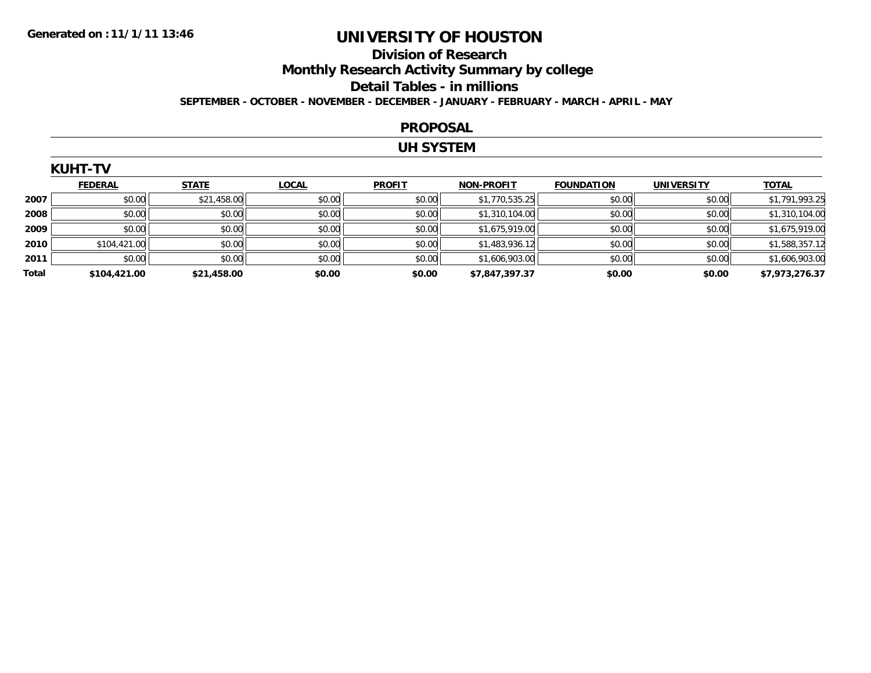#### **Division of Research Monthly Research Activity Summary by college Detail Tables - in millions SEPTEMBER - OCTOBER - NOVEMBER - DECEMBER - JANUARY - FEBRUARY - MARCH - APRIL - MAY**

#### **PROPOSAL**

### **UH SYSTEM**

|       | <b>KUHT-TV</b> |              |              |               |                   |                   |                   |                |  |  |  |  |
|-------|----------------|--------------|--------------|---------------|-------------------|-------------------|-------------------|----------------|--|--|--|--|
|       | <b>FEDERAL</b> | <b>STATE</b> | <b>LOCAL</b> | <b>PROFIT</b> | <b>NON-PROFIT</b> | <b>FOUNDATION</b> | <b>UNIVERSITY</b> | <b>TOTAL</b>   |  |  |  |  |
| 2007  | \$0.00         | \$21,458.00  | \$0.00       | \$0.00        | \$1,770,535.25    | \$0.00            | \$0.00            | \$1,791,993.25 |  |  |  |  |
| 2008  | \$0.00         | \$0.00       | \$0.00       | \$0.00        | \$1,310,104.00    | \$0.00            | \$0.00            | \$1,310,104.00 |  |  |  |  |
| 2009  | \$0.00         | \$0.00       | \$0.00       | \$0.00        | \$1,675,919.00    | \$0.00            | \$0.00            | \$1,675,919.00 |  |  |  |  |
| 2010  | \$104,421.00   | \$0.00       | \$0.00       | \$0.00        | \$1,483,936.12    | \$0.00            | \$0.00            | \$1,588,357.12 |  |  |  |  |
| 2011  | \$0.00         | \$0.00       | \$0.00       | \$0.00        | \$1,606,903.00    | \$0.00            | \$0.00            | \$1,606,903.00 |  |  |  |  |
| Total | \$104,421.00   | \$21,458.00  | \$0.00       | \$0.00        | \$7,847,397.37    | \$0.00            | \$0.00            | \$7,973,276.37 |  |  |  |  |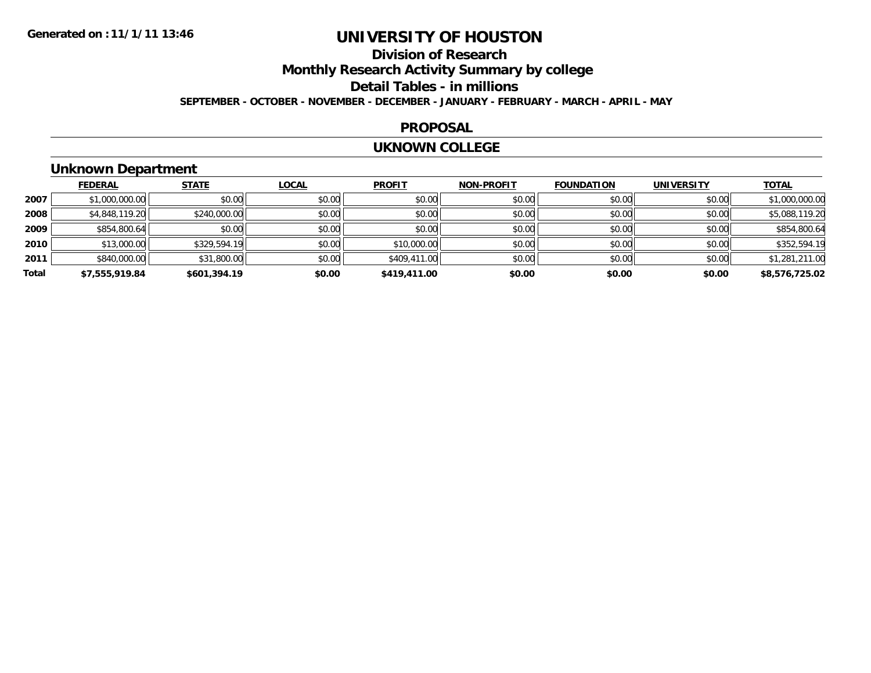### **Division of Research Monthly Research Activity Summary by college Detail Tables - in millions SEPTEMBER - OCTOBER - NOVEMBER - DECEMBER - JANUARY - FEBRUARY - MARCH - APRIL - MAY**

#### **PROPOSAL**

#### **UKNOWN COLLEGE**

## **Unknown Department**

|              | <b>FEDERAL</b> | <b>STATE</b> | <b>LOCAL</b> | <b>PROFIT</b> | <b>NON-PROFIT</b> | <b>FOUNDATION</b> | <b>UNIVERSITY</b> | <b>TOTAL</b>   |
|--------------|----------------|--------------|--------------|---------------|-------------------|-------------------|-------------------|----------------|
| 2007         | \$1,000,000.00 | \$0.00       | \$0.00       | \$0.00        | \$0.00            | \$0.00            | \$0.00            | \$1,000,000.00 |
| 2008         | \$4,848,119.20 | \$240,000.00 | \$0.00       | \$0.00        | \$0.00            | \$0.00            | \$0.00            | \$5,088,119.20 |
| 2009         | \$854,800.64   | \$0.00       | \$0.00       | \$0.00        | \$0.00            | \$0.00            | \$0.00            | \$854,800.64   |
| 2010         | \$13,000.00    | \$329,594.19 | \$0.00       | \$10,000.00   | \$0.00            | \$0.00            | \$0.00            | \$352,594.19   |
| 2011         | \$840,000.00   | \$31,800.00  | \$0.00       | \$409,411.00  | \$0.00            | \$0.00            | \$0.00            | \$1,281,211.00 |
| <b>Total</b> | \$7,555,919.84 | \$601,394.19 | \$0.00       | \$419,411.00  | \$0.00            | \$0.00            | \$0.00            | \$8,576,725.02 |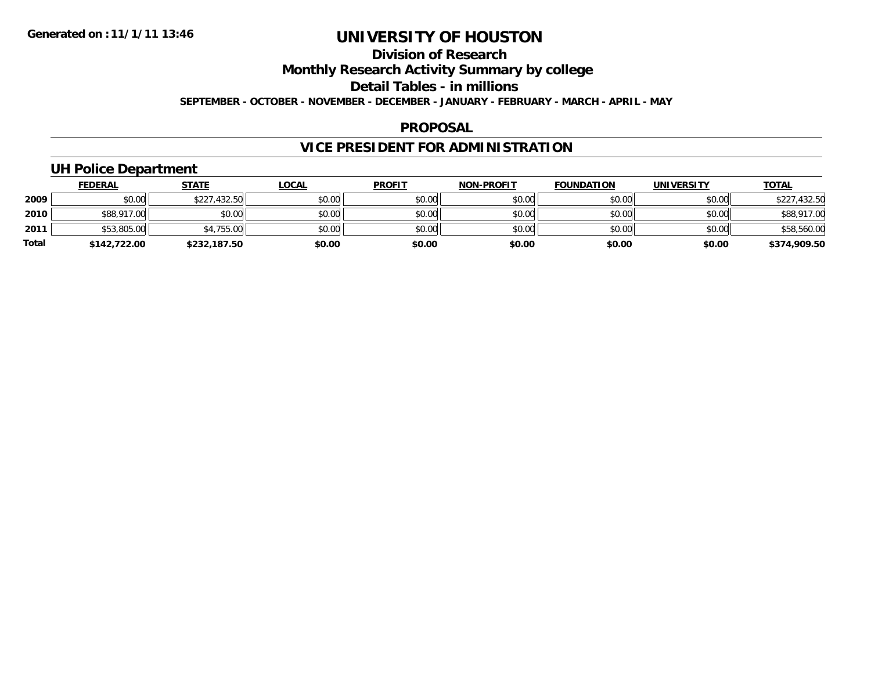### **Division of Research Monthly Research Activity Summary by college Detail Tables - in millions SEPTEMBER - OCTOBER - NOVEMBER - DECEMBER - JANUARY - FEBRUARY - MARCH - APRIL - MAY**

#### **PROPOSAL**

## **VICE PRESIDENT FOR ADMINISTRATION**

## **UH Police Department**

|       | <b>FEDERAL</b> | <b>STATE</b> | <b>LOCAL</b> | <b>PROFIT</b> | <b>NON-PROFIT</b> | <b>FOUNDATION</b> | <b>UNIVERSITY</b> | <b>TOTAL</b> |
|-------|----------------|--------------|--------------|---------------|-------------------|-------------------|-------------------|--------------|
| 2009  | \$0.00         | \$227,432.50 | \$0.00       | \$0.00        | \$0.00            | \$0.00            | \$0.00            | \$227,432.50 |
| 2010  | \$88,917.00    | \$0.00       | \$0.00       | \$0.00        | \$0.00            | \$0.00            | \$0.00            | \$88,917.00  |
| 2011  | \$53,805.00    | \$4,755.00   | \$0.00       | \$0.00        | \$0.00            | \$0.00            | \$0.00            | \$58,560.00  |
| Total | \$142,722.00   | \$232,187.50 | \$0.00       | \$0.00        | \$0.00            | \$0.00            | \$0.00            | \$374,909.50 |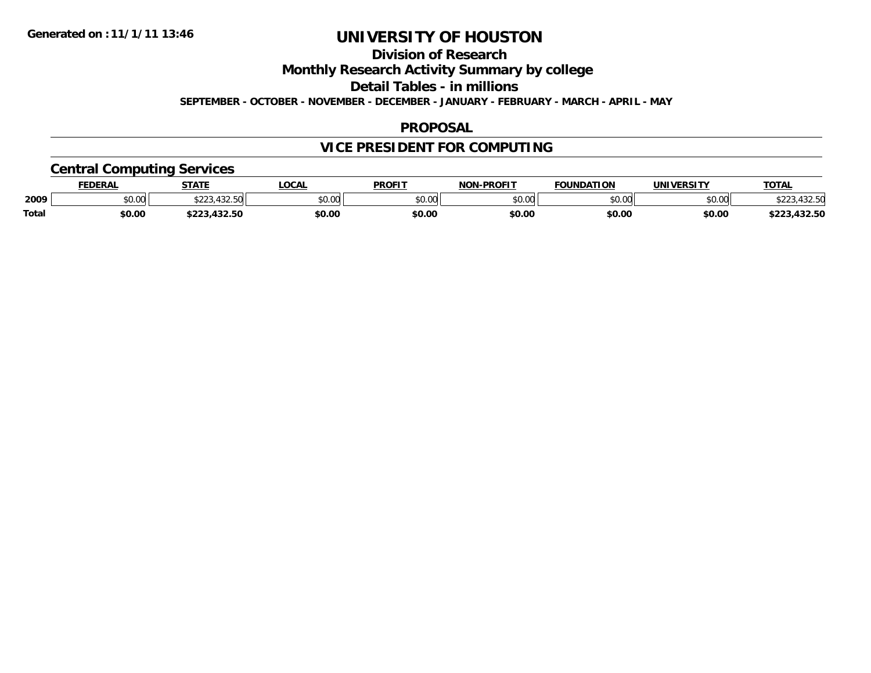### **Division of Research Monthly Research Activity Summary by college Detail Tables - in millions SEPTEMBER - OCTOBER - NOVEMBER - DECEMBER - JANUARY - FEBRUARY - MARCH - APRIL - MAY**

#### **PROPOSAL**

## **VICE PRESIDENT FOR COMPUTING**

### **Central Computing Services**

|              | <b>FEDERAL</b> | <b>STATE</b>             | <b>LOCAL</b> | <b>PROFIT</b> | <b>I-PROFIT</b><br><b>NON</b> | <b>FOUNDATION</b> | <b>UNIVERSITY</b> | <u>TOTAL</u>         |
|--------------|----------------|--------------------------|--------------|---------------|-------------------------------|-------------------|-------------------|----------------------|
| 2009         | 0000<br>JU.UU  | 100F<br>ሐ へ へ く<br>90.JU | \$0.00       | \$0.00        | \$0.00                        | \$0.00            | \$0.00            | 122 F<br>. J Z . J U |
| <b>Total</b> | \$0.00         | 122E<br>3223,432.3U      | \$0.00       | \$0.00        | \$0.00                        | \$0.00            | \$0.00            | \$223,432.50         |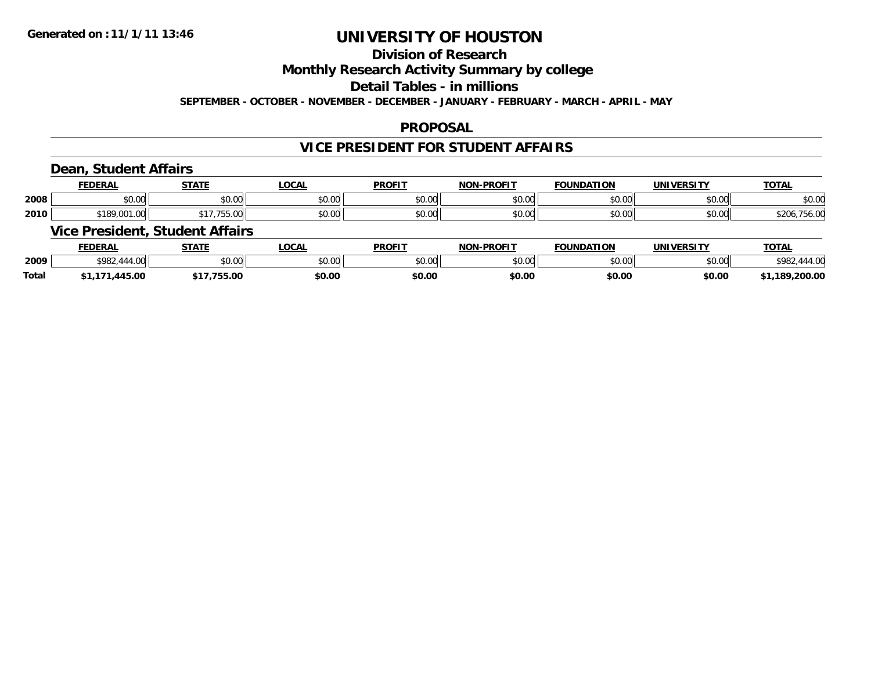### **Division of Research Monthly Research Activity Summary by college Detail Tables - in millions SEPTEMBER - OCTOBER - NOVEMBER - DECEMBER - JANUARY - FEBRUARY - MARCH - APRIL - MAY**

#### **PROPOSAL**

### **VICE PRESIDENT FOR STUDENT AFFAIRS**

### **Dean, Student Affairs**

|      | <b>EENEDA'</b><br>шка | <b>STATE</b>    | <b>OCA</b>         | <b>PROFIT</b>        | <b>NON-PROFIT</b> | <b>FOUNDATION</b>      | <b>UNIVERSITY</b> | <b>TOTA</b>                             |
|------|-----------------------|-----------------|--------------------|----------------------|-------------------|------------------------|-------------------|-----------------------------------------|
| 2008 | 0000<br>JU.UU         | ሐሴ ሰሰ<br>JU.UU  | ሶስ ስስ<br>pu.uu     | 0.00<br>JU.UU        | \$0.00            | $n \cap \neg$<br>DU.UU | nn na<br>pu.uu    | \$0.00                                  |
| 2010 | 0.100001<br>ா<br>w    | $\sim$<br>JJ.UU | $\sim$ 00<br>JU.UU | 0.00<br><b>JU.UU</b> | \$0.00            | nn na<br>pu.uu         | \$0.00            | $\sim$ $\sim$<br>$\sim$<br><b>JU.UL</b> |

### **Vice President, Student Affairs**

|              | <b>FEDERAL</b> | <b>STATE</b> | <b>' OCAL</b> | <b>PROFIT</b> | -PROFIT<br>NON- | <b>FOUNDATION</b> | <b>UNIVERSITY</b> | <u>TOTAL</u>   |
|--------------|----------------|--------------|---------------|---------------|-----------------|-------------------|-------------------|----------------|
| 2009         | \$982.         | \$0.00       | 0000<br>vu.uu | \$0.00        | ልስ ሰሰ<br>pv.uu  | \$0.00            | \$0.00            | \$982<br>44.00 |
| <b>Total</b> | ,445.00        | 755.00       | \$0.00        | \$0.00        | \$0.00          | \$0.00            | \$0.00            | \$1,189,200.00 |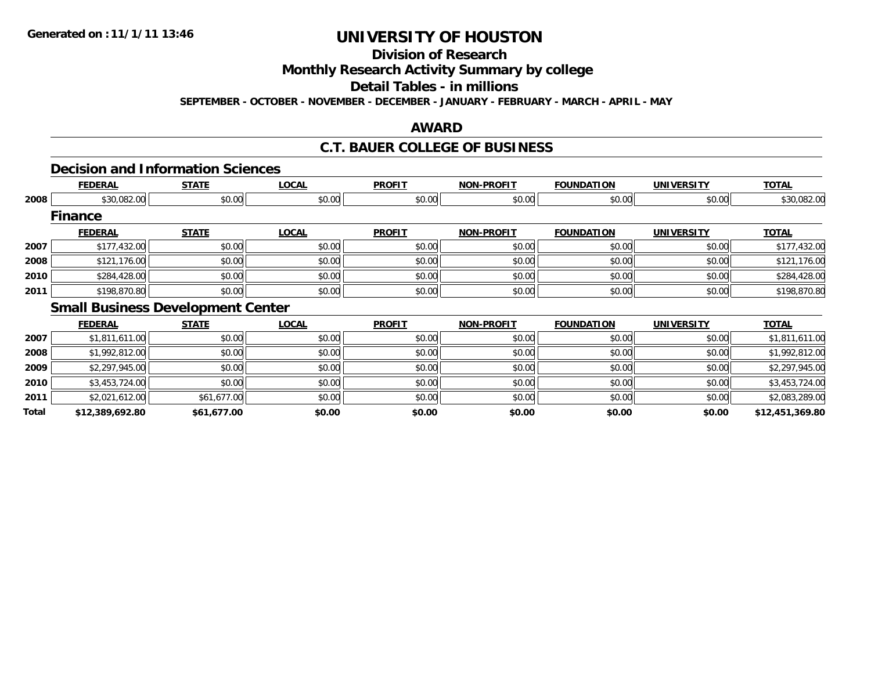## **Division of Research**

**Monthly Research Activity Summary by college**

#### **Detail Tables - in millions**

**SEPTEMBER - OCTOBER - NOVEMBER - DECEMBER - JANUARY - FEBRUARY - MARCH - APRIL - MAY**

### **AWARD**

### **C.T. BAUER COLLEGE OF BUSINESS**

## **Decision and Information Sciences**

|      | <b>FEDERAL</b> | <b>STATE</b>                             | <b>LOCAL</b> | <b>PROFIT</b> | <b>NON-PROFIT</b> | <b>FOUNDATION</b> | <b>UNIVERSITY</b> | <b>TOTAL</b> |
|------|----------------|------------------------------------------|--------------|---------------|-------------------|-------------------|-------------------|--------------|
| 2008 | \$30,082.00    | \$0.00                                   | \$0.00       | \$0.00        | \$0.00            | \$0.00            | \$0.00            | \$30,082.00  |
|      | <b>Finance</b> |                                          |              |               |                   |                   |                   |              |
|      | <b>FEDERAL</b> | <b>STATE</b>                             | <b>LOCAL</b> | <b>PROFIT</b> | <b>NON-PROFIT</b> | <b>FOUNDATION</b> | <b>UNIVERSITY</b> | <b>TOTAL</b> |
| 2007 | \$177,432.00   | \$0.00                                   | \$0.00       | \$0.00        | \$0.00            | \$0.00            | \$0.00            | \$177,432.00 |
| 2008 | \$121,176.00   | \$0.00                                   | \$0.00       | \$0.00        | \$0.00            | \$0.00            | \$0.00            | \$121,176.00 |
| 2010 | \$284,428.00   | \$0.00                                   | \$0.00       | \$0.00        | \$0.00            | \$0.00            | \$0.00            | \$284,428.00 |
| 2011 | \$198,870.80   | \$0.00                                   | \$0.00       | \$0.00        | \$0.00            | \$0.00            | \$0.00            | \$198,870.80 |
|      |                | <b>Small Business Development Center</b> |              |               |                   |                   |                   |              |

|       | <b>FEDERAL</b>  | <b>STATE</b> | <b>LOCAL</b> | <b>PROFIT</b> | <b>NON-PROFIT</b> | <b>FOUNDATION</b> | <b>UNIVERSITY</b> | <b>TOTAL</b>    |
|-------|-----------------|--------------|--------------|---------------|-------------------|-------------------|-------------------|-----------------|
| 2007  | \$1,811,611.00  | \$0.00       | \$0.00       | \$0.00        | \$0.00            | \$0.00            | \$0.00            | \$1,811,611.00  |
| 2008  | \$1,992,812.00  | \$0.00       | \$0.00       | \$0.00        | \$0.00            | \$0.00            | \$0.00            | \$1,992,812.00  |
| 2009  | \$2,297,945.00  | \$0.00       | \$0.00       | \$0.00        | \$0.00            | \$0.00            | \$0.00            | \$2,297,945.00  |
| 2010  | \$3,453,724.00  | \$0.00       | \$0.00       | \$0.00        | \$0.00            | \$0.00            | \$0.00            | \$3,453,724.00  |
| 2011  | \$2,021,612.00  | \$61,677.00  | \$0.00       | \$0.00        | \$0.00            | \$0.00            | \$0.00            | \$2,083,289.00  |
| Total | \$12,389,692.80 | \$61,677.00  | \$0.00       | \$0.00        | \$0.00            | \$0.00            | \$0.00            | \$12,451,369.80 |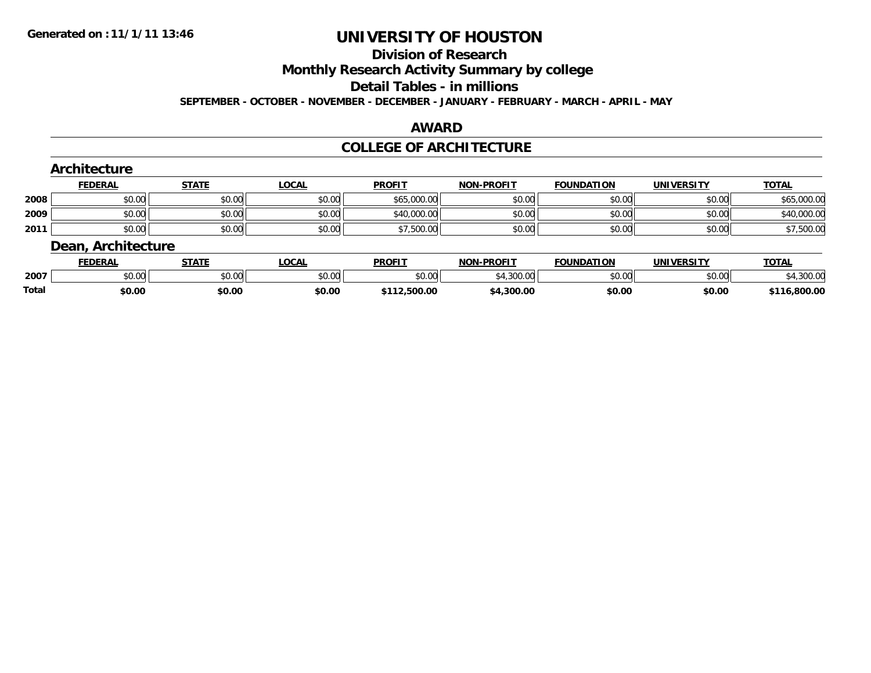## **Division of Research**

**Monthly Research Activity Summary by college**

#### **Detail Tables - in millions**

**SEPTEMBER - OCTOBER - NOVEMBER - DECEMBER - JANUARY - FEBRUARY - MARCH - APRIL - MAY**

### **AWARD**

#### **COLLEGE OF ARCHITECTURE**

|      | <b>Architecture</b>       |                             |              |               |                   |                   |                   |              |
|------|---------------------------|-----------------------------|--------------|---------------|-------------------|-------------------|-------------------|--------------|
|      | <b>FEDERAL</b>            | <b>STATE</b>                | <b>LOCAL</b> | <b>PROFIT</b> | <b>NON-PROFIT</b> | <b>FOUNDATION</b> | <b>UNIVERSITY</b> | <b>TOTAL</b> |
| 2008 | \$0.00                    | \$0.00                      | \$0.00       | \$65,000.00   | \$0.00            | \$0.00            | \$0.00            | \$65,000.00  |
| 2009 | \$0.00                    | \$0.00                      | \$0.00       | \$40,000.00   | \$0.00            | \$0.00            | \$0.00            | \$40,000.00  |
| 2011 | \$0.00                    | \$0.00                      | \$0.00       | \$7,500.00    | \$0.00            | \$0.00            | \$0.00            | \$7,500.00   |
|      | <b>Dean, Architecture</b> |                             |              |               |                   |                   |                   |              |
|      | -------                   | $\sim$ $\sim$ $\sim$ $\sim$ | .            | -----         |                   | -----------       | $\cdots$          | -----        |

|       | <b>FEDERAL</b>     |               | .OCAL  | <b>PROFI</b>  | <b>NON-PROFIT</b> | <b>FOUNDATION</b> | <b>UNIVERSITY</b> | TOTA.            |
|-------|--------------------|---------------|--------|---------------|-------------------|-------------------|-------------------|------------------|
| 2007  | $\sim$ 00<br>JU.UU | 0000<br>JU.UU | \$0.00 | 0000<br>JU.UU | 00000<br>vv.vv    | \$0.00            | \$0.00            | 0000<br>4,300.00 |
| Total | \$0.00             | \$0.00        | \$0.00 | 112.500.00    | 4.300.00          | \$0.00            | \$0.00            | $-0.800.00$      |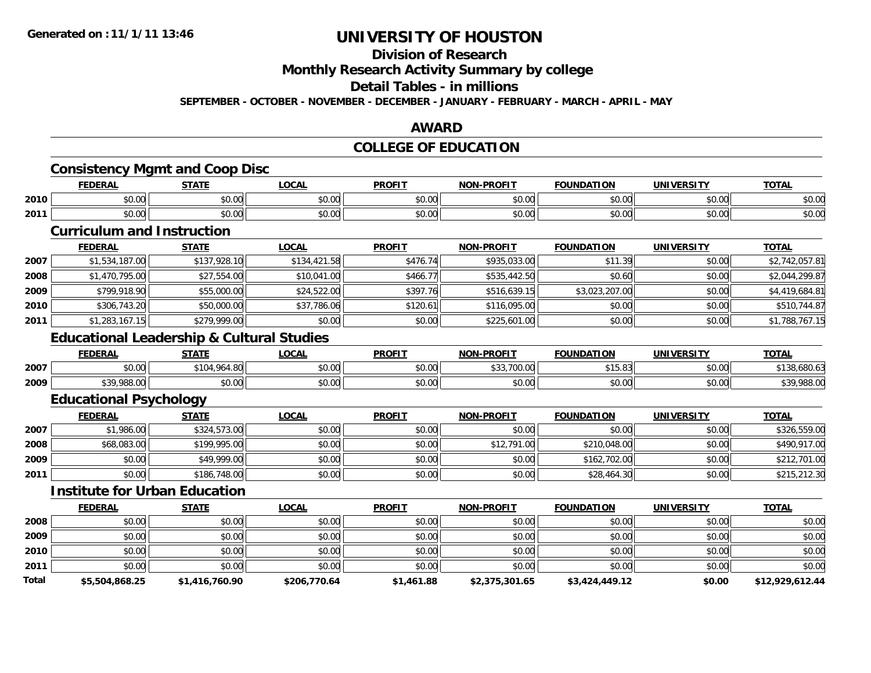# **Division of Research**

## **Monthly Research Activity Summary by college**

### **Detail Tables - in millions**

**SEPTEMBER - OCTOBER - NOVEMBER - DECEMBER - JANUARY - FEBRUARY - MARCH - APRIL - MAY**

### **AWARD**

### **COLLEGE OF EDUCATION**

## **Consistency Mgmt and Coop Disc**

|      | <b>FEDERAL</b> | <b>STATE</b> | LOCAL          | <b>PROFIT</b> | <b>NON-PROFIT</b>      | <b>FOUNDATION</b> | ------<br>UNIVF | <b>TOTA</b>   |
|------|----------------|--------------|----------------|---------------|------------------------|-------------------|-----------------|---------------|
| 2010 | 0000<br>JU.UU  | \$0.00       | ሐሴ ሰሰ<br>JU.UU | \$0.00        | vv.vv                  | 0000<br>JU.UU     | en uu<br>PO.OO  | 0000<br>DU.UU |
| 2011 | 0000<br>JU.UU  | \$0.00       | ሐሴ ሰሰ<br>JU.UU | \$0.00        | $\sim$ $\sim$<br>JU.UU | 0000<br>JU.UU     | 4000<br>JU.UU   | \$0.00        |

#### **Curriculum and Instruction**

|      | <u>FEDERAL</u> | <b>STATE</b> | <b>LOCAL</b> | <b>PROFIT</b> | <b>NON-PROFIT</b> | <b>FOUNDATION</b> | <b>UNIVERSITY</b> | <b>TOTAL</b>   |
|------|----------------|--------------|--------------|---------------|-------------------|-------------------|-------------------|----------------|
| 2007 | \$1,534,187.00 | \$137,928.10 | \$134,421.58 | \$476.74      | \$935,033.00      | \$11.39           | \$0.00            | \$2,742,057.81 |
| 2008 | \$1,470,795.00 | \$27,554.00  | \$10,041.00  | \$466.77      | \$535,442.50      | \$0.60            | \$0.00            | \$2,044,299.87 |
| 2009 | \$799,918.90   | \$55,000.00  | \$24,522.00  | \$397.76      | \$516,639.15      | \$3,023,207.00    | \$0.00            | \$4,419,684.81 |
| 2010 | \$306,743.20   | \$50,000.00  | \$37,786.06  | \$120.61      | \$116,095.00      | \$0.00            | \$0.00            | \$510,744.87   |
| 2011 | \$1,283,167.15 | \$279,999.00 | \$0.00       | \$0.00        | \$225,601.00      | \$0.00            | \$0.00            | \$1,788,767.15 |

### **Educational Leadership & Cultural Studies**

|      | <b>FEDERAI</b>           | STATE              | <b>LOCAL</b>           | <b>PROFIT</b> | -PROFIT<br>NON- | <b>FOUNDATION</b>         | <b>UNIVERSITY</b> | TOTA.                  |
|------|--------------------------|--------------------|------------------------|---------------|-----------------|---------------------------|-------------------|------------------------|
| 2007 | 0000<br>וט.טי            | $+101$<br>7.14.00  | ሶስ ሰሰ<br>vv.vv         | \$0.00        | .700C<br>'UU.UU | $AA =$<br>ົດຕະ<br>91 J.OJ | nn no<br>DU.UG    | 190,000.09             |
| 2009 | <b>000 000</b><br>$\sim$ | $\sim$ 00<br>JU.UU | $\sim$ $\sim$<br>vv.vv | \$0.00        | \$0.00          | 0000<br>JU.UU             | m up<br>pu.uu     | $*20.000.00$<br>100.UU |

## **Educational Psychology**

|      | <b>FEDERAL</b> | <b>STATE</b> | <u>LOCAL</u> | <b>PROFIT</b> | <b>NON-PROFIT</b> | <b>FOUNDATION</b> | <b>UNIVERSITY</b> | <b>TOTAL</b> |
|------|----------------|--------------|--------------|---------------|-------------------|-------------------|-------------------|--------------|
| 2007 | \$1,986.00     | \$324,573.00 | \$0.00       | \$0.00        | \$0.00            | \$0.00            | \$0.00            | \$326,559.00 |
| 2008 | \$68,083.00    | \$199,995.00 | \$0.00       | \$0.00        | \$12,791.00       | \$210,048.00      | \$0.00            | \$490,917.00 |
| 2009 | \$0.00         | \$49,999.00  | \$0.00       | \$0.00        | \$0.00            | \$162,702,00      | \$0.00            | \$212,701.00 |
| 2011 | \$0.00         | \$186,748.00 | \$0.00       | \$0.00        | \$0.00            | \$28,464.30       | \$0.00            | \$215,212.30 |

#### **Institute for Urban Education**

|              | <b>FEDERAL</b> | <b>STATE</b>   | <b>LOCAL</b> | <b>PROFIT</b> | <b>NON-PROFIT</b> | <b>FOUNDATION</b> | <b>UNIVERSITY</b> | <b>TOTAL</b>    |
|--------------|----------------|----------------|--------------|---------------|-------------------|-------------------|-------------------|-----------------|
| 2008         | \$0.00         | \$0.00         | \$0.00       | \$0.00        | \$0.00            | \$0.00            | \$0.00            | \$0.00          |
| 2009         | \$0.00         | \$0.00         | \$0.00       | \$0.00        | \$0.00            | \$0.00            | \$0.00            | \$0.00          |
| 2010         | \$0.00         | \$0.00         | \$0.00       | \$0.00        | \$0.00            | \$0.00            | \$0.00            | \$0.00          |
| 2011         | \$0.00         | \$0.00         | \$0.00       | \$0.00        | \$0.00            | \$0.00            | \$0.00            | \$0.00          |
| <b>Total</b> | \$5,504,868.25 | \$1,416,760.90 | \$206,770.64 | \$1,461.88    | \$2,375,301.65    | \$3,424,449.12    | \$0.00            | \$12,929,612.44 |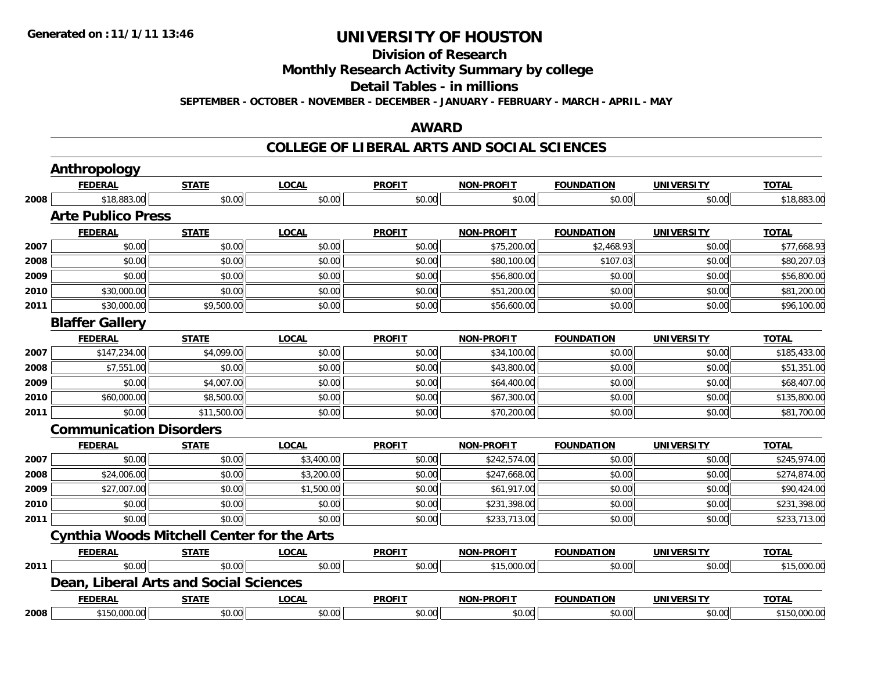## **Division of Research**

**Monthly Research Activity Summary by college**

#### **Detail Tables - in millions**

**SEPTEMBER - OCTOBER - NOVEMBER - DECEMBER - JANUARY - FEBRUARY - MARCH - APRIL - MAY**

#### **AWARD**

#### **COLLEGE OF LIBERAL ARTS AND SOCIAL SCIENCES**

|      | Anthropology                                      |              |              |               |                   |                   |                   |              |
|------|---------------------------------------------------|--------------|--------------|---------------|-------------------|-------------------|-------------------|--------------|
|      | <b>FEDERAL</b>                                    | <b>STATE</b> | <b>LOCAL</b> | <b>PROFIT</b> | <b>NON-PROFIT</b> | <b>FOUNDATION</b> | <b>UNIVERSITY</b> | <b>TOTAL</b> |
| 2008 | \$18,883.00                                       | \$0.00       | \$0.00       | \$0.00        | \$0.00            | \$0.00            | \$0.00            | \$18,883.00  |
|      | <b>Arte Publico Press</b>                         |              |              |               |                   |                   |                   |              |
|      | <b>FEDERAL</b>                                    | <b>STATE</b> | <b>LOCAL</b> | <b>PROFIT</b> | <b>NON-PROFIT</b> | <b>FOUNDATION</b> | <b>UNIVERSITY</b> | <b>TOTAL</b> |
| 2007 | \$0.00                                            | \$0.00       | \$0.00       | \$0.00        | \$75,200.00       | \$2,468.93        | \$0.00            | \$77,668.93  |
| 2008 | \$0.00                                            | \$0.00       | \$0.00       | \$0.00        | \$80,100.00       | \$107.03          | \$0.00            | \$80,207.03  |
| 2009 | \$0.00                                            | \$0.00       | \$0.00       | \$0.00        | \$56,800.00       | \$0.00            | \$0.00            | \$56,800.00  |
| 2010 | \$30,000.00                                       | \$0.00       | \$0.00       | \$0.00        | \$51,200.00       | \$0.00            | \$0.00            | \$81,200.00  |
| 2011 | \$30,000.00                                       | \$9,500.00   | \$0.00       | \$0.00        | \$56,600.00       | \$0.00            | \$0.00            | \$96,100.00  |
|      | <b>Blaffer Gallery</b>                            |              |              |               |                   |                   |                   |              |
|      | <b>FEDERAL</b>                                    | <b>STATE</b> | <b>LOCAL</b> | <b>PROFIT</b> | <b>NON-PROFIT</b> | <b>FOUNDATION</b> | <b>UNIVERSITY</b> | <b>TOTAL</b> |
| 2007 | \$147,234.00                                      | \$4,099.00   | \$0.00       | \$0.00        | \$34,100.00       | \$0.00            | \$0.00            | \$185,433.00 |
| 2008 | \$7,551.00                                        | \$0.00       | \$0.00       | \$0.00        | \$43,800.00       | \$0.00            | \$0.00            | \$51,351.00  |
| 2009 | \$0.00                                            | \$4,007.00   | \$0.00       | \$0.00        | \$64,400.00       | \$0.00            | \$0.00            | \$68,407.00  |
| 2010 | \$60,000.00                                       | \$8,500.00   | \$0.00       | \$0.00        | \$67,300.00       | \$0.00            | \$0.00            | \$135,800.00 |
| 2011 | \$0.00                                            | \$11,500.00  | \$0.00       | \$0.00        | \$70,200.00       | \$0.00            | \$0.00            | \$81,700.00  |
|      | <b>Communication Disorders</b>                    |              |              |               |                   |                   |                   |              |
|      | <b>FEDERAL</b>                                    | <b>STATE</b> | <b>LOCAL</b> | <b>PROFIT</b> | <b>NON-PROFIT</b> | <b>FOUNDATION</b> | <b>UNIVERSITY</b> | <b>TOTAL</b> |
| 2007 | \$0.00                                            | \$0.00       | \$3,400.00   | \$0.00        | \$242,574.00      | \$0.00            | \$0.00            | \$245,974.00 |
| 2008 | \$24,006.00                                       | \$0.00       | \$3,200.00   | \$0.00        | \$247,668.00      | \$0.00            | \$0.00            | \$274,874.00 |
| 2009 | \$27,007.00                                       | \$0.00       | \$1,500.00   | \$0.00        | \$61,917.00       | \$0.00            | \$0.00            | \$90,424.00  |
| 2010 | \$0.00                                            | \$0.00       | \$0.00       | \$0.00        | \$231,398.00      | \$0.00            | \$0.00            | \$231,398.00 |
| 2011 | \$0.00                                            | \$0.00       | \$0.00       | \$0.00        | \$233,713.00      | \$0.00            | \$0.00            | \$233,713.00 |
|      | <b>Cynthia Woods Mitchell Center for the Arts</b> |              |              |               |                   |                   |                   |              |
|      | <b>FEDERAL</b>                                    | <b>STATE</b> | <b>LOCAL</b> | <b>PROFIT</b> | <b>NON-PROFIT</b> | <b>FOUNDATION</b> | <b>UNIVERSITY</b> | <b>TOTAL</b> |
| 2011 | \$0.00                                            | \$0.00       | \$0.00       | \$0.00        | \$15,000.00       | \$0.00            | \$0.00            | \$15,000.00  |
|      | <b>Dean, Liberal Arts and Social Sciences</b>     |              |              |               |                   |                   |                   |              |
|      | <b>FEDERAL</b>                                    | <b>STATE</b> | <b>LOCAL</b> | <b>PROFIT</b> | <b>NON-PROFIT</b> | <b>FOUNDATION</b> | <b>UNIVERSITY</b> | <b>TOTAL</b> |
| 2008 | \$150,000.00                                      | \$0.00       | \$0.00       | \$0.00        | \$0.00            | \$0.00            | \$0.00            | \$150,000.00 |
|      |                                                   |              |              |               |                   |                   |                   |              |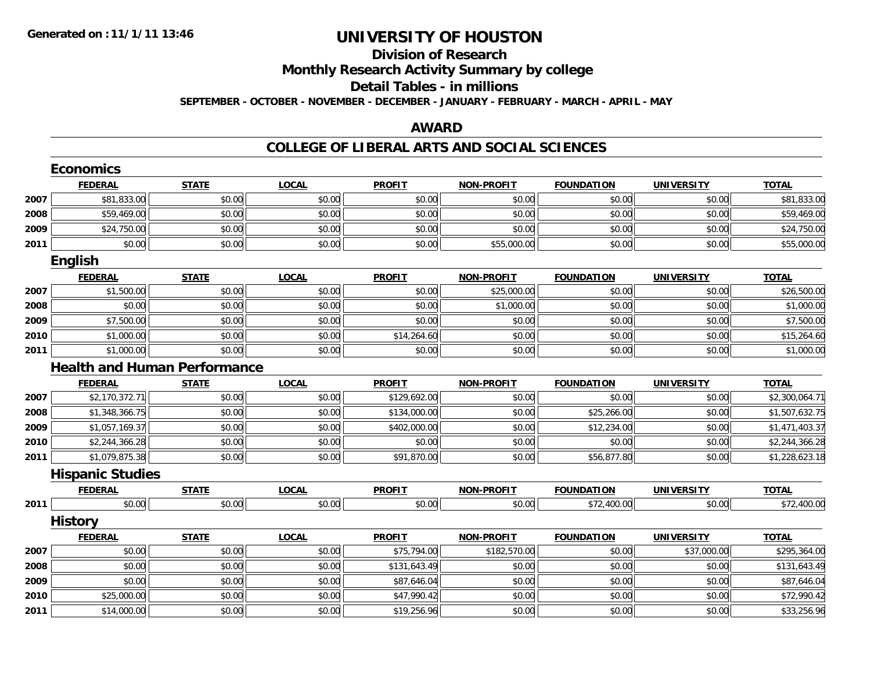## **Division of ResearchMonthly Research Activity Summary by college Detail Tables - in millionsSEPTEMBER - OCTOBER - NOVEMBER - DECEMBER - JANUARY - FEBRUARY - MARCH - APRIL - MAY**

### **AWARD**

#### **COLLEGE OF LIBERAL ARTS AND SOCIAL SCIENCES**

|      | <b>Economics</b>        |                                     |              |               |                   |                   |                   |                |
|------|-------------------------|-------------------------------------|--------------|---------------|-------------------|-------------------|-------------------|----------------|
|      | <b>FEDERAL</b>          | <b>STATE</b>                        | <b>LOCAL</b> | <b>PROFIT</b> | <b>NON-PROFIT</b> | <b>FOUNDATION</b> | <b>UNIVERSITY</b> | <b>TOTAL</b>   |
| 2007 | \$81,833.00             | \$0.00                              | \$0.00       | \$0.00        | \$0.00            | \$0.00            | \$0.00            | \$81,833.00    |
| 2008 | \$59,469.00             | \$0.00                              | \$0.00       | \$0.00        | \$0.00            | \$0.00            | \$0.00            | \$59,469.00    |
| 2009 | \$24,750.00             | \$0.00                              | \$0.00       | \$0.00        | \$0.00            | \$0.00            | \$0.00            | \$24,750.00    |
| 2011 | \$0.00                  | \$0.00                              | \$0.00       | \$0.00        | \$55,000.00       | \$0.00            | \$0.00            | \$55,000.00    |
|      | <b>English</b>          |                                     |              |               |                   |                   |                   |                |
|      | <b>FEDERAL</b>          | <b>STATE</b>                        | <b>LOCAL</b> | <b>PROFIT</b> | <b>NON-PROFIT</b> | <b>FOUNDATION</b> | <b>UNIVERSITY</b> | <b>TOTAL</b>   |
| 2007 | \$1,500.00              | \$0.00                              | \$0.00       | \$0.00        | \$25,000.00       | \$0.00            | \$0.00            | \$26,500.00    |
| 2008 | \$0.00                  | \$0.00                              | \$0.00       | \$0.00        | \$1,000.00        | \$0.00            | \$0.00            | \$1,000.00     |
| 2009 | \$7,500.00              | \$0.00                              | \$0.00       | \$0.00        | \$0.00            | \$0.00            | \$0.00            | \$7,500.00     |
| 2010 | \$1,000.00              | \$0.00                              | \$0.00       | \$14,264.60   | \$0.00            | \$0.00            | \$0.00            | \$15,264.60    |
| 2011 | \$1,000.00              | \$0.00                              | \$0.00       | \$0.00        | \$0.00            | \$0.00            | \$0.00            | \$1,000.00     |
|      |                         | <b>Health and Human Performance</b> |              |               |                   |                   |                   |                |
|      | <b>FEDERAL</b>          | <b>STATE</b>                        | <b>LOCAL</b> | <b>PROFIT</b> | <b>NON-PROFIT</b> | <b>FOUNDATION</b> | <b>UNIVERSITY</b> | <b>TOTAL</b>   |
| 2007 | \$2,170,372.71          | \$0.00                              | \$0.00       | \$129,692.00  | \$0.00            | \$0.00            | \$0.00            | \$2,300,064.71 |
| 2008 | \$1,348,366.75          | \$0.00                              | \$0.00       | \$134,000.00  | \$0.00            | \$25,266.00       | \$0.00            | \$1,507,632.75 |
| 2009 | \$1,057,169.37          | \$0.00                              | \$0.00       | \$402,000.00  | \$0.00            | \$12,234.00       | \$0.00            | \$1,471,403.37 |
| 2010 | \$2,244,366.28          | \$0.00                              | \$0.00       | \$0.00        | \$0.00            | \$0.00            | \$0.00            | \$2,244,366.28 |
| 2011 | \$1,079,875.38          | \$0.00                              | \$0.00       | \$91,870.00   | \$0.00            | \$56,877.80       | \$0.00            | \$1,228,623.18 |
|      | <b>Hispanic Studies</b> |                                     |              |               |                   |                   |                   |                |
|      | <b>FEDERAL</b>          | <b>STATE</b>                        | <b>LOCAL</b> | <b>PROFIT</b> | <b>NON-PROFIT</b> | <b>FOUNDATION</b> | <b>UNIVERSITY</b> | <b>TOTAL</b>   |
| 2011 | \$0.00                  | \$0.00                              | \$0.00       | \$0.00        | \$0.00            | \$72,400.00       | \$0.00            | \$72,400.00    |
|      | <b>History</b>          |                                     |              |               |                   |                   |                   |                |
|      | <b>FEDERAL</b>          | <b>STATE</b>                        | <b>LOCAL</b> | <b>PROFIT</b> | <b>NON-PROFIT</b> | <b>FOUNDATION</b> | <b>UNIVERSITY</b> | <b>TOTAL</b>   |
| 2007 | \$0.00                  | \$0.00                              | \$0.00       | \$75,794.00   | \$182,570.00      | \$0.00            | \$37,000.00       | \$295,364.00   |
| 2008 | \$0.00                  | \$0.00                              | \$0.00       | \$131,643.49  | \$0.00            | \$0.00            | \$0.00            | \$131,643.49   |
| 2009 | \$0.00                  | \$0.00                              | \$0.00       | \$87,646.04   | \$0.00            | \$0.00            | \$0.00            | \$87,646.04    |
| 2010 | \$25,000.00             | \$0.00                              | \$0.00       | \$47,990.42   | \$0.00            | \$0.00            | \$0.00            | \$72,990.42    |
| 2011 | \$14,000.00             | \$0.00                              | \$0.00       | \$19,256.96   | \$0.00            | \$0.00            | \$0.00            | \$33,256.96    |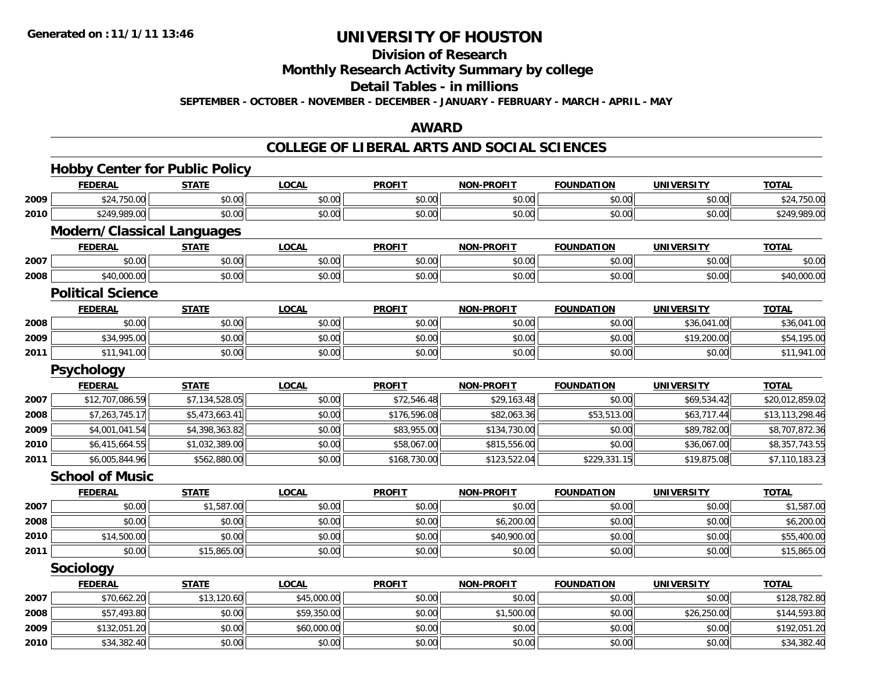## **Division of Research**

### **Monthly Research Activity Summary by college**

#### **Detail Tables - in millions**

**SEPTEMBER - OCTOBER - NOVEMBER - DECEMBER - JANUARY - FEBRUARY - MARCH - APRIL - MAY**

### **AWARD**

#### **COLLEGE OF LIBERAL ARTS AND SOCIAL SCIENCES**

|      | <b>Hobby Center for Public Policy</b> |                |              |               |                   |                   |                   |                 |  |  |  |
|------|---------------------------------------|----------------|--------------|---------------|-------------------|-------------------|-------------------|-----------------|--|--|--|
|      | <b>FEDERAL</b>                        | <b>STATE</b>   | <b>LOCAL</b> | <b>PROFIT</b> | <b>NON-PROFIT</b> | <b>FOUNDATION</b> | <b>UNIVERSITY</b> | <b>TOTAL</b>    |  |  |  |
| 2009 | \$24,750.00                           | \$0.00         | \$0.00       | \$0.00        | \$0.00            | \$0.00            | \$0.00            | \$24,750.00     |  |  |  |
| 2010 | \$249,989.00                          | \$0.00         | \$0.00       | \$0.00        | \$0.00            | \$0.00            | \$0.00            | \$249,989.00    |  |  |  |
|      | <b>Modern/Classical Languages</b>     |                |              |               |                   |                   |                   |                 |  |  |  |
|      | <b>FEDERAL</b>                        | <b>STATE</b>   | <b>LOCAL</b> | <b>PROFIT</b> | <b>NON-PROFIT</b> | <b>FOUNDATION</b> | <b>UNIVERSITY</b> | <b>TOTAL</b>    |  |  |  |
| 2007 | \$0.00                                | \$0.00         | \$0.00       | \$0.00        | \$0.00            | \$0.00            | \$0.00            | \$0.00          |  |  |  |
| 2008 | \$40,000.00                           | \$0.00         | \$0.00       | \$0.00        | \$0.00            | \$0.00            | \$0.00            | \$40,000.00     |  |  |  |
|      | <b>Political Science</b>              |                |              |               |                   |                   |                   |                 |  |  |  |
|      | <b>FEDERAL</b>                        | <b>STATE</b>   | <b>LOCAL</b> | <b>PROFIT</b> | <b>NON-PROFIT</b> | <b>FOUNDATION</b> | <b>UNIVERSITY</b> | <b>TOTAL</b>    |  |  |  |
| 2008 | \$0.00                                | \$0.00         | \$0.00       | \$0.00        | \$0.00            | \$0.00            | \$36,041.00       | \$36,041.00     |  |  |  |
| 2009 | \$34,995.00                           | \$0.00         | \$0.00       | \$0.00        | \$0.00            | \$0.00            | \$19,200.00       | \$54,195.00     |  |  |  |
| 2011 | \$11,941.00                           | \$0.00         | \$0.00       | \$0.00        | \$0.00            | \$0.00            | \$0.00            | \$11,941.00     |  |  |  |
|      | <b>Psychology</b>                     |                |              |               |                   |                   |                   |                 |  |  |  |
|      | <b>FEDERAL</b>                        | <b>STATE</b>   | <b>LOCAL</b> | <b>PROFIT</b> | <b>NON-PROFIT</b> | <b>FOUNDATION</b> | <b>UNIVERSITY</b> | <b>TOTAL</b>    |  |  |  |
| 2007 | \$12,707,086.59                       | \$7,134,528.05 | \$0.00       | \$72,546.48   | \$29,163.48       | \$0.00            | \$69,534.42       | \$20,012,859.02 |  |  |  |
| 2008 | \$7,263,745.17                        | \$5,473,663.41 | \$0.00       | \$176,596.08  | \$82,063.36       | \$53,513.00       | \$63,717.44       | \$13,113,298.46 |  |  |  |
| 2009 | \$4,001,041.54                        | \$4,398,363.82 | \$0.00       | \$83,955.00   | \$134,730.00      | \$0.00            | \$89,782.00       | \$8,707,872.36  |  |  |  |
| 2010 | \$6,415,664.55                        | \$1,032,389.00 | \$0.00       | \$58,067.00   | \$815,556.00      | \$0.00            | \$36,067.00       | \$8,357,743.55  |  |  |  |
| 2011 | \$6,005,844.96                        | \$562,880.00   | \$0.00       | \$168,730.00  | \$123,522.04      | \$229,331.15      | \$19,875.08       | \$7,110,183.23  |  |  |  |
|      | <b>School of Music</b>                |                |              |               |                   |                   |                   |                 |  |  |  |
|      | <b>FEDERAL</b>                        | <b>STATE</b>   | <b>LOCAL</b> | <b>PROFIT</b> | <b>NON-PROFIT</b> | <b>FOUNDATION</b> | <b>UNIVERSITY</b> | <b>TOTAL</b>    |  |  |  |
| 2007 | \$0.00                                | \$1,587.00     | \$0.00       | \$0.00        | \$0.00            | \$0.00            | \$0.00            | \$1,587.00      |  |  |  |
| 2008 | \$0.00                                | \$0.00         | \$0.00       | \$0.00        | \$6,200.00        | \$0.00            | \$0.00            | \$6,200.00      |  |  |  |
| 2010 | \$14,500.00                           | \$0.00         | \$0.00       | \$0.00        | \$40,900.00       | \$0.00            | \$0.00            | \$55,400.00     |  |  |  |
| 2011 | \$0.00                                | \$15,865.00    | \$0.00       | \$0.00        | \$0.00            | \$0.00            | \$0.00            | \$15,865.00     |  |  |  |
|      | <b>Sociology</b>                      |                |              |               |                   |                   |                   |                 |  |  |  |
|      | <b>FEDERAL</b>                        | <b>STATE</b>   | <b>LOCAL</b> | <b>PROFIT</b> | <b>NON-PROFIT</b> | <b>FOUNDATION</b> | <b>UNIVERSITY</b> | <b>TOTAL</b>    |  |  |  |
| 2007 | \$70,662.20                           | \$13,120.60    | \$45,000.00  | \$0.00        | \$0.00            | \$0.00            | \$0.00            | \$128,782.80    |  |  |  |
| 2008 | \$57,493.80                           | \$0.00         | \$59,350.00  | \$0.00        | \$1,500.00        | \$0.00            | \$26,250.00       | \$144,593.80    |  |  |  |
| 2009 | \$132,051.20                          | \$0.00         | \$60,000.00  | \$0.00        | \$0.00            | \$0.00            | \$0.00            | \$192,051.20    |  |  |  |
| 2010 | \$34,382.40                           | \$0.00         | \$0.00       | \$0.00        | \$0.00            | \$0.00            | \$0.00            | \$34,382.40     |  |  |  |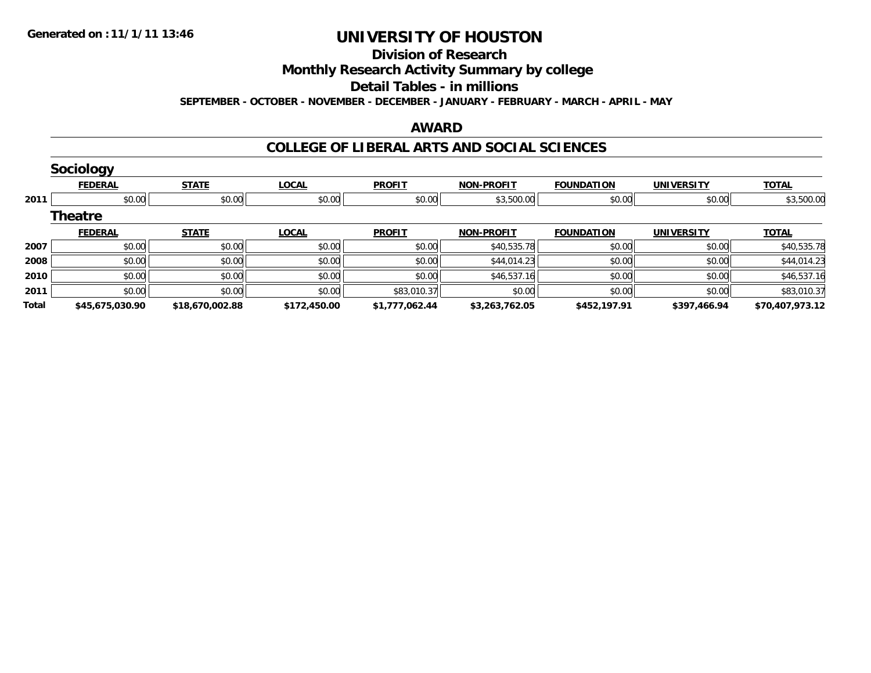## **Division of Research**

## **Monthly Research Activity Summary by college**

#### **Detail Tables - in millions**

**SEPTEMBER - OCTOBER - NOVEMBER - DECEMBER - JANUARY - FEBRUARY - MARCH - APRIL - MAY**

#### **AWARD**

### **COLLEGE OF LIBERAL ARTS AND SOCIAL SCIENCES**

|       | <b>Sociology</b> |                 |              |                |                   |                   |                   |                 |
|-------|------------------|-----------------|--------------|----------------|-------------------|-------------------|-------------------|-----------------|
|       | <b>FEDERAL</b>   | <b>STATE</b>    | <b>LOCAL</b> | <b>PROFIT</b>  | <b>NON-PROFIT</b> | <b>FOUNDATION</b> | <b>UNIVERSITY</b> | <b>TOTAL</b>    |
| 2011  | \$0.00           | \$0.00          | \$0.00       | \$0.00         | \$3,500.00        | \$0.00            | \$0.00            | \$3,500.00      |
|       | <b>Theatre</b>   |                 |              |                |                   |                   |                   |                 |
|       | <b>FEDERAL</b>   | <b>STATE</b>    | <b>LOCAL</b> | <b>PROFIT</b>  | <b>NON-PROFIT</b> | <b>FOUNDATION</b> | <b>UNIVERSITY</b> | <b>TOTAL</b>    |
| 2007  | \$0.00           | \$0.00          | \$0.00       | \$0.00         | \$40,535.78       | \$0.00            | \$0.00            | \$40,535.78     |
| 2008  | \$0.00           | \$0.00          | \$0.00       | \$0.00         | \$44,014.23       | \$0.00            | \$0.00            | \$44,014.23     |
| 2010  | \$0.00           | \$0.00          | \$0.00       | \$0.00         | \$46,537.16       | \$0.00            | \$0.00            | \$46,537.16     |
| 2011  | \$0.00           | \$0.00          | \$0.00       | \$83,010.37    | \$0.00            | \$0.00            | \$0.00            | \$83,010.37     |
| Total | \$45,675,030.90  | \$18,670,002.88 | \$172,450.00 | \$1,777,062.44 | \$3,263,762.05    | \$452,197.91      | \$397,466.94      | \$70,407,973.12 |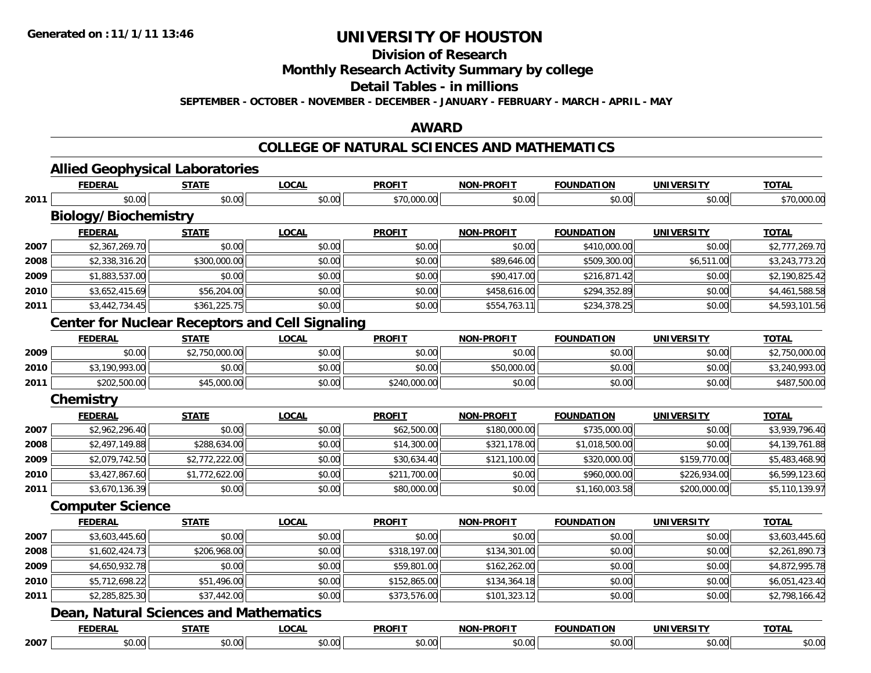# **Division of Research**

**Monthly Research Activity Summary by college**

**Detail Tables - in millions**

**SEPTEMBER - OCTOBER - NOVEMBER - DECEMBER - JANUARY - FEBRUARY - MARCH - APRIL - MAY**

## **AWARD**

## **COLLEGE OF NATURAL SCIENCES AND MATHEMATICS**

|      | <b>Allied Geophysical Laboratories</b>                 |                |              |               |                   |                   |                   |                |
|------|--------------------------------------------------------|----------------|--------------|---------------|-------------------|-------------------|-------------------|----------------|
|      | <b>FEDERAL</b>                                         | <b>STATE</b>   | <b>LOCAL</b> | <b>PROFIT</b> | <b>NON-PROFIT</b> | <b>FOUNDATION</b> | <b>UNIVERSITY</b> | <b>TOTAL</b>   |
| 2011 | \$0.00                                                 | \$0.00         | \$0.00       | \$70,000.00   | \$0.00            | \$0.00            | \$0.00            | \$70,000.00    |
|      | <b>Biology/Biochemistry</b>                            |                |              |               |                   |                   |                   |                |
|      | <b>FEDERAL</b>                                         | <b>STATE</b>   | <b>LOCAL</b> | <b>PROFIT</b> | <b>NON-PROFIT</b> | <b>FOUNDATION</b> | <b>UNIVERSITY</b> | <b>TOTAL</b>   |
| 2007 | \$2,367,269.70                                         | \$0.00         | \$0.00       | \$0.00        | \$0.00            | \$410,000.00      | \$0.00            | \$2,777,269.70 |
| 2008 | \$2,338,316.20                                         | \$300,000.00   | \$0.00       | \$0.00        | \$89,646.00       | \$509,300.00      | \$6,511.00        | \$3,243,773.20 |
| 2009 | \$1,883,537.00                                         | \$0.00         | \$0.00       | \$0.00        | \$90,417.00       | \$216,871.42      | \$0.00            | \$2,190,825.42 |
| 2010 | \$3,652,415.69                                         | \$56,204.00    | \$0.00       | \$0.00        | \$458,616.00      | \$294,352.89      | \$0.00            | \$4,461,588.58 |
| 2011 | \$3,442,734.45                                         | \$361,225.75   | \$0.00       | \$0.00        | \$554,763.11      | \$234,378.25      | \$0.00            | \$4,593,101.56 |
|      | <b>Center for Nuclear Receptors and Cell Signaling</b> |                |              |               |                   |                   |                   |                |
|      | <b>FEDERAL</b>                                         | <b>STATE</b>   | <b>LOCAL</b> | <b>PROFIT</b> | <b>NON-PROFIT</b> | <b>FOUNDATION</b> | <b>UNIVERSITY</b> | <b>TOTAL</b>   |
| 2009 | \$0.00                                                 | \$2,750,000.00 | \$0.00       | \$0.00        | \$0.00            | \$0.00            | \$0.00            | \$2,750,000.00 |
| 2010 | \$3,190,993.00                                         | \$0.00         | \$0.00       | \$0.00        | \$50,000.00       | \$0.00            | \$0.00            | \$3,240,993.00 |
| 2011 | \$202,500.00                                           | \$45,000.00    | \$0.00       | \$240,000.00  | \$0.00            | \$0.00            | \$0.00            | \$487,500.00   |
|      | <b>Chemistry</b>                                       |                |              |               |                   |                   |                   |                |
|      | <b>FEDERAL</b>                                         | <b>STATE</b>   | <b>LOCAL</b> | <b>PROFIT</b> | <b>NON-PROFIT</b> | <b>FOUNDATION</b> | <b>UNIVERSITY</b> | <b>TOTAL</b>   |
| 2007 | \$2,962,296.40                                         | \$0.00         | \$0.00       | \$62,500.00   | \$180,000.00      | \$735,000.00      | \$0.00            | \$3,939,796.40 |
| 2008 | \$2,497,149.88                                         | \$288,634.00   | \$0.00       | \$14,300.00   | \$321,178.00      | \$1,018,500.00    | \$0.00            | \$4,139,761.88 |
| 2009 | \$2,079,742.50                                         | \$2,772,222.00 | \$0.00       | \$30,634.40   | \$121,100.00      | \$320,000.00      | \$159,770.00      | \$5,483,468.90 |
| 2010 | \$3,427,867.60                                         | \$1,772,622.00 | \$0.00       | \$211,700.00  | \$0.00            | \$960,000.00      | \$226,934.00      | \$6,599,123.60 |
| 2011 | \$3,670,136.39                                         | \$0.00         | \$0.00       | \$80,000.00   | \$0.00            | \$1,160,003.58    | \$200,000.00      | \$5,110,139.97 |
|      | <b>Computer Science</b>                                |                |              |               |                   |                   |                   |                |
|      | <b>FEDERAL</b>                                         | <b>STATE</b>   | <b>LOCAL</b> | <b>PROFIT</b> | <b>NON-PROFIT</b> | <b>FOUNDATION</b> | <b>UNIVERSITY</b> | <b>TOTAL</b>   |
| 2007 | \$3,603,445.60                                         | \$0.00         | \$0.00       | \$0.00        | \$0.00            | \$0.00            | \$0.00            | \$3,603,445.60 |
| 2008 | \$1,602,424.73                                         | \$206,968.00   | \$0.00       | \$318,197.00  | \$134,301.00      | \$0.00            | \$0.00            | \$2,261,890.73 |
| 2009 | \$4,650,932.78                                         | \$0.00         | \$0.00       | \$59,801.00   | \$162,262.00      | \$0.00            | \$0.00            | \$4,872,995.78 |
| 2010 | \$5,712,698.22                                         | \$51,496.00    | \$0.00       | \$152,865.00  | \$134,364.18      | \$0.00            | \$0.00            | \$6,051,423.40 |
| 2011 | \$2,285,825.30                                         | \$37,442.00    | \$0.00       | \$373,576.00  | \$101,323.12      | \$0.00            | \$0.00            | \$2,798,166.42 |
|      | <b>Dean, Natural Sciences and Mathematics</b>          |                |              |               |                   |                   |                   |                |
|      | <b>FEDERAL</b>                                         | <b>STATE</b>   | <b>LOCAL</b> | <b>PROFIT</b> | <b>NON-PROFIT</b> | <b>FOUNDATION</b> | <b>UNIVERSITY</b> | <b>TOTAL</b>   |
| 2007 | \$0.00                                                 | \$0.00         | \$0.00       | \$0.00        | \$0.00            | \$0.00            | \$0.00            | \$0.00         |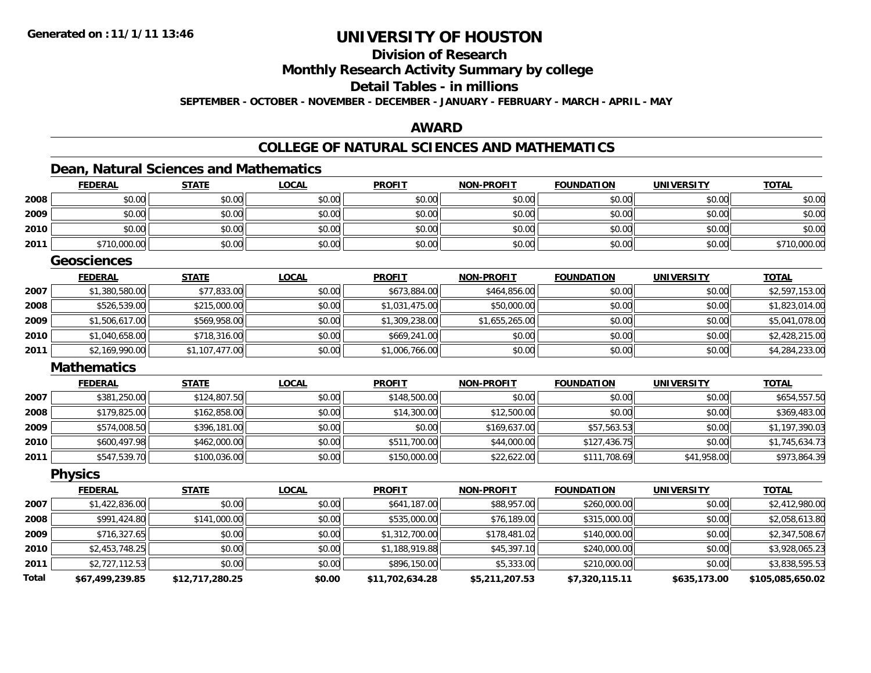## **Division of ResearchMonthly Research Activity Summary by college Detail Tables - in millionsSEPTEMBER - OCTOBER - NOVEMBER - DECEMBER - JANUARY - FEBRUARY - MARCH - APRIL - MAY**

## **AWARD**

# **COLLEGE OF NATURAL SCIENCES AND MATHEMATICS**

## **Dean, Natural Sciences and Mathematics**

|              | <b>FEDERAL</b>     | <b>STATE</b>    | <b>LOCAL</b> | <b>PROFIT</b>   | <b>NON-PROFIT</b> | <b>FOUNDATION</b> | <b>UNIVERSITY</b> | <b>TOTAL</b>     |
|--------------|--------------------|-----------------|--------------|-----------------|-------------------|-------------------|-------------------|------------------|
| 2008         | \$0.00             | \$0.00          | \$0.00       | \$0.00          | \$0.00            | \$0.00            | \$0.00            | \$0.00           |
| 2009         | \$0.00             | \$0.00          | \$0.00       | \$0.00          | \$0.00            | \$0.00            | \$0.00            | \$0.00           |
| 2010         | \$0.00             | \$0.00          | \$0.00       | \$0.00          | \$0.00            | \$0.00            | \$0.00            | \$0.00           |
| 2011         | \$710,000.00       | \$0.00          | \$0.00       | \$0.00          | \$0.00            | \$0.00            | \$0.00            | \$710,000.00     |
|              | <b>Geosciences</b> |                 |              |                 |                   |                   |                   |                  |
|              | <b>FEDERAL</b>     | <b>STATE</b>    | <b>LOCAL</b> | <b>PROFIT</b>   | <b>NON-PROFIT</b> | <b>FOUNDATION</b> | <b>UNIVERSITY</b> | <b>TOTAL</b>     |
| 2007         | \$1,380,580.00     | \$77,833.00     | \$0.00       | \$673,884.00    | \$464,856.00      | \$0.00            | \$0.00            | \$2,597,153.00   |
| 2008         | \$526,539.00       | \$215,000.00    | \$0.00       | \$1,031,475.00  | \$50,000.00       | \$0.00            | \$0.00            | \$1,823,014.00   |
| 2009         | \$1,506,617.00     | \$569,958.00    | \$0.00       | \$1,309,238.00  | \$1,655,265.00    | \$0.00            | \$0.00            | \$5,041,078.00   |
| 2010         | \$1,040,658.00     | \$718,316.00    | \$0.00       | \$669,241.00    | \$0.00            | \$0.00            | \$0.00            | \$2,428,215.00   |
| 2011         | \$2,169,990.00     | \$1,107,477.00  | \$0.00       | \$1,006,766.00  | \$0.00            | \$0.00            | \$0.00            | \$4,284,233.00   |
|              | <b>Mathematics</b> |                 |              |                 |                   |                   |                   |                  |
|              | <b>FEDERAL</b>     | <b>STATE</b>    | <b>LOCAL</b> | <b>PROFIT</b>   | <b>NON-PROFIT</b> | <b>FOUNDATION</b> | <b>UNIVERSITY</b> | <b>TOTAL</b>     |
| 2007         | \$381,250.00       | \$124,807.50    | \$0.00       | \$148,500.00    | \$0.00            | \$0.00            | \$0.00            | \$654,557.50     |
| 2008         | \$179,825.00       | \$162,858.00    | \$0.00       | \$14,300.00     | \$12,500.00       | \$0.00            | \$0.00            | \$369,483.00     |
| 2009         | \$574,008.50       | \$396,181.00    | \$0.00       | \$0.00          | \$169,637.00      | \$57,563.53       | \$0.00            | \$1,197,390.03   |
| 2010         | \$600,497.98       | \$462,000.00    | \$0.00       | \$511,700.00    | \$44,000.00       | \$127,436.75      | \$0.00            | \$1,745,634.73   |
| 2011         | \$547,539.70       | \$100,036.00    | \$0.00       | \$150,000.00    | \$22,622.00       | \$111,708.69      | \$41,958.00       | \$973,864.39     |
|              | <b>Physics</b>     |                 |              |                 |                   |                   |                   |                  |
|              | <b>FEDERAL</b>     | <b>STATE</b>    | <b>LOCAL</b> | <b>PROFIT</b>   | <b>NON-PROFIT</b> | <b>FOUNDATION</b> | <b>UNIVERSITY</b> | <b>TOTAL</b>     |
| 2007         | \$1,422,836.00     | \$0.00          | \$0.00       | \$641,187.00    | \$88,957.00       | \$260,000.00      | \$0.00            | \$2,412,980.00   |
| 2008         | \$991,424.80       | \$141,000.00    | \$0.00       | \$535,000.00    | \$76,189.00       | \$315,000.00      | \$0.00            | \$2,058,613.80   |
| 2009         | \$716,327.65       | \$0.00          | \$0.00       | \$1,312,700.00  | \$178,481.02      | \$140,000.00      | \$0.00            | \$2,347,508.67   |
| 2010         | \$2,453,748.25     | \$0.00          | \$0.00       | \$1,188,919.88  | \$45,397.10       | \$240,000.00      | \$0.00            | \$3,928,065.23   |
| 2011         | \$2,727,112.53     | \$0.00          | \$0.00       | \$896,150.00    | \$5,333.00        | \$210,000.00      | \$0.00            | \$3,838,595.53   |
| <b>Total</b> | \$67,499,239.85    | \$12,717,280.25 | \$0.00       | \$11,702,634.28 | \$5,211,207.53    | \$7,320,115.11    | \$635,173.00      | \$105,085,650.02 |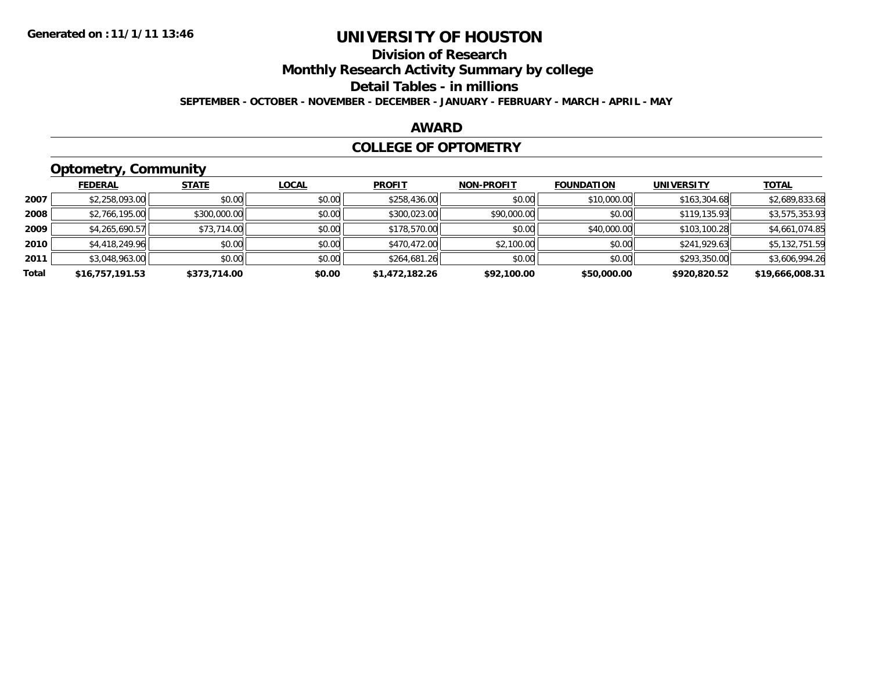## **Division of ResearchMonthly Research Activity Summary by college Detail Tables - in millions SEPTEMBER - OCTOBER - NOVEMBER - DECEMBER - JANUARY - FEBRUARY - MARCH - APRIL - MAY**

## **AWARD**

## **COLLEGE OF OPTOMETRY**

# **Optometry, Community**

|       | ---             |              |              |                |                   |                   |                   |                 |
|-------|-----------------|--------------|--------------|----------------|-------------------|-------------------|-------------------|-----------------|
|       | <b>FEDERAL</b>  | <b>STATE</b> | <b>LOCAL</b> | <b>PROFIT</b>  | <b>NON-PROFIT</b> | <b>FOUNDATION</b> | <b>UNIVERSITY</b> | <b>TOTAL</b>    |
| 2007  | \$2,258,093.00  | \$0.00       | \$0.00       | \$258,436.00   | \$0.00            | \$10,000.00       | \$163,304.68      | \$2,689,833.68  |
| 2008  | \$2,766,195.00  | \$300,000.00 | \$0.00       | \$300,023.00   | \$90,000.00       | \$0.00            | \$119,135.93      | \$3,575,353.93  |
| 2009  | \$4,265,690.57  | \$73,714.00  | \$0.00       | \$178,570.00   | \$0.00            | \$40,000.00       | \$103,100.28      | \$4,661,074.85  |
| 2010  | \$4,418,249.96  | \$0.00       | \$0.00       | \$470,472.00   | \$2,100.00        | \$0.00            | \$241,929.63      | \$5,132,751.59  |
| 2011  | \$3,048,963.00  | \$0.00       | \$0.00       | \$264,681.26   | \$0.00            | \$0.00            | \$293,350.00      | \$3,606,994.26  |
| Total | \$16,757,191.53 | \$373,714.00 | \$0.00       | \$1,472,182.26 | \$92,100.00       | \$50,000.00       | \$920,820.52      | \$19,666,008.31 |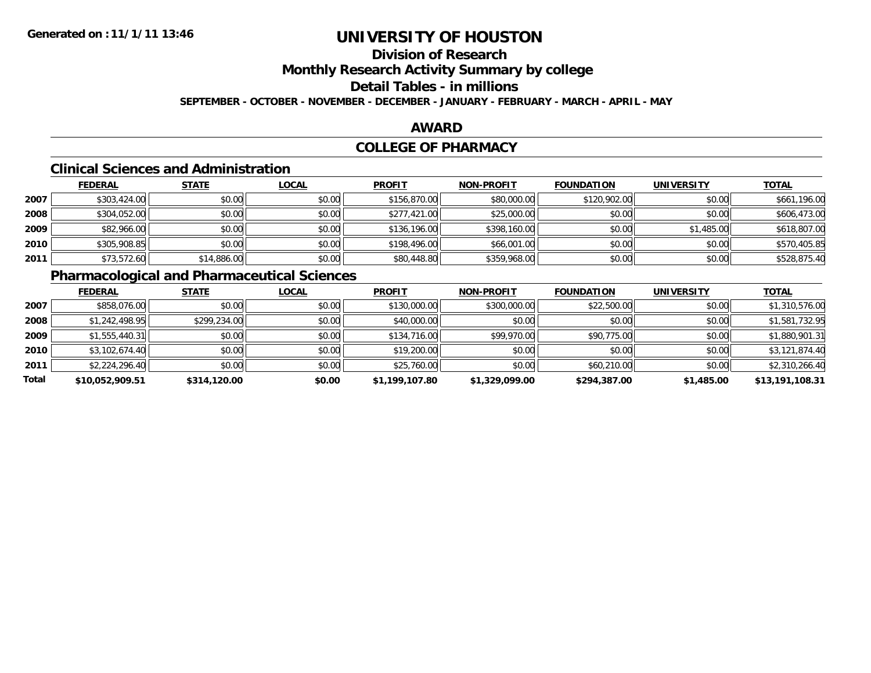## **Division of ResearchMonthly Research Activity Summary by college Detail Tables - in millionsSEPTEMBER - OCTOBER - NOVEMBER - DECEMBER - JANUARY - FEBRUARY - MARCH - APRIL - MAY**

## **AWARD**

## **COLLEGE OF PHARMACY**

## **Clinical Sciences and Administration**

|      | <b>FEDERAL</b> | <b>STATE</b> | <b>LOCAL</b> | <b>PROFIT</b> | <b>NON-PROFIT</b> | <b>FOUNDATION</b> | <b>UNIVERSITY</b> | <b>TOTAL</b> |
|------|----------------|--------------|--------------|---------------|-------------------|-------------------|-------------------|--------------|
| 2007 | \$303,424.00   | \$0.00       | \$0.00       | \$156,870.00  | \$80,000.00       | \$120,902.00      | \$0.00            | \$661,196.00 |
| 2008 | \$304,052.00   | \$0.00       | \$0.00       | \$277,421.00  | \$25,000.00       | \$0.00            | \$0.00            | \$606,473.00 |
| 2009 | \$82,966.00    | \$0.00       | \$0.00       | \$136,196.00  | \$398,160.00      | \$0.00            | \$1,485.00        | \$618,807.00 |
| 2010 | \$305,908.85   | \$0.00       | \$0.00       | \$198,496.00  | \$66,001.00       | \$0.00            | \$0.00            | \$570,405.85 |
| 2011 | \$73,572.60    | \$14,886.00  | \$0.00       | \$80,448.80   | \$359,968.00      | \$0.00            | \$0.00            | \$528,875.40 |

# **Pharmacological and Pharmaceutical Sciences**

|       | <b>FEDERAL</b>  | <b>STATE</b> | <b>LOCAL</b> | <b>PROFIT</b>  | <b>NON-PROFIT</b> | <b>FOUNDATION</b> | <b>UNIVERSITY</b> | <b>TOTAL</b>    |
|-------|-----------------|--------------|--------------|----------------|-------------------|-------------------|-------------------|-----------------|
| 2007  | \$858,076.00    | \$0.00       | \$0.00       | \$130,000.00   | \$300,000.00      | \$22,500.00       | \$0.00            | \$1,310,576.00  |
| 2008  | \$1,242,498.95  | \$299,234.00 | \$0.00       | \$40,000.00    | \$0.00            | \$0.00            | \$0.00            | \$1,581,732.95  |
| 2009  | \$1,555,440.31  | \$0.00       | \$0.00       | \$134,716.00   | \$99,970.00       | \$90,775.00       | \$0.00            | \$1,880,901.31  |
| 2010  | \$3,102,674.40  | \$0.00       | \$0.00       | \$19,200.00    | \$0.00            | \$0.00            | \$0.00            | \$3,121,874.40  |
| 2011  | \$2,224,296.40  | \$0.00       | \$0.00       | \$25,760.00    | \$0.00            | \$60,210.00       | \$0.00            | \$2,310,266.40  |
| Total | \$10,052,909.51 | \$314,120.00 | \$0.00       | \$1,199,107.80 | \$1,329,099.00    | \$294,387.00      | \$1,485.00        | \$13,191,108.31 |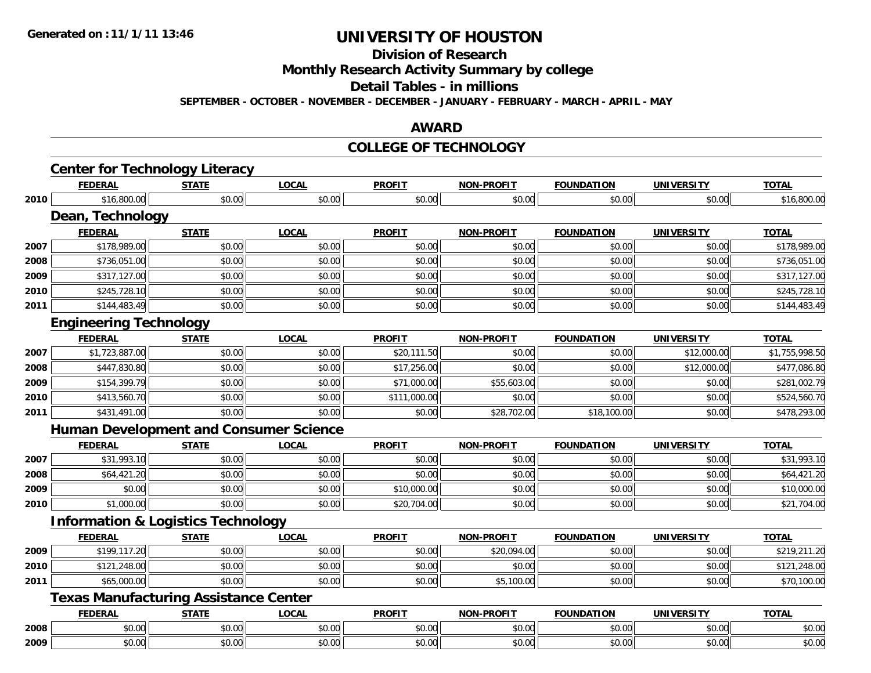# **Division of Research**

**Monthly Research Activity Summary by college**

**Detail Tables - in millions**

**SEPTEMBER - OCTOBER - NOVEMBER - DECEMBER - JANUARY - FEBRUARY - MARCH - APRIL - MAY**

## **AWARD**

#### **COLLEGE OF TECHNOLOGY**

|      | <b>Center for Technology Literacy</b>         |              |              |               |                   |                   |                   |                |  |  |  |
|------|-----------------------------------------------|--------------|--------------|---------------|-------------------|-------------------|-------------------|----------------|--|--|--|
|      | <b>FEDERAL</b>                                | <b>STATE</b> | <b>LOCAL</b> | <b>PROFIT</b> | <b>NON-PROFIT</b> | <b>FOUNDATION</b> | <b>UNIVERSITY</b> | <b>TOTAL</b>   |  |  |  |
| 2010 | \$16,800.00                                   | \$0.00       | \$0.00       | \$0.00        | \$0.00            | \$0.00            | \$0.00            | \$16,800.00    |  |  |  |
|      | <b>Dean, Technology</b>                       |              |              |               |                   |                   |                   |                |  |  |  |
|      | <b>FEDERAL</b>                                | <b>STATE</b> | <b>LOCAL</b> | <b>PROFIT</b> | <b>NON-PROFIT</b> | <b>FOUNDATION</b> | <b>UNIVERSITY</b> | <b>TOTAL</b>   |  |  |  |
| 2007 | \$178,989.00                                  | \$0.00       | \$0.00       | \$0.00        | \$0.00            | \$0.00            | \$0.00            | \$178,989.00   |  |  |  |
| 2008 | \$736,051.00                                  | \$0.00       | \$0.00       | \$0.00        | \$0.00            | \$0.00            | \$0.00            | \$736,051.00   |  |  |  |
| 2009 | \$317,127.00                                  | \$0.00       | \$0.00       | \$0.00        | \$0.00            | \$0.00            | \$0.00            | \$317,127.00   |  |  |  |
| 2010 | \$245,728.10                                  | \$0.00       | \$0.00       | \$0.00        | \$0.00            | \$0.00            | \$0.00            | \$245,728.10   |  |  |  |
| 2011 | \$144,483.49                                  | \$0.00       | \$0.00       | \$0.00        | \$0.00            | \$0.00            | \$0.00            | \$144,483.49   |  |  |  |
|      | <b>Engineering Technology</b>                 |              |              |               |                   |                   |                   |                |  |  |  |
|      | <b>FEDERAL</b>                                | <b>STATE</b> | <b>LOCAL</b> | <b>PROFIT</b> | <b>NON-PROFIT</b> | <b>FOUNDATION</b> | <b>UNIVERSITY</b> | <b>TOTAL</b>   |  |  |  |
| 2007 | \$1,723,887.00                                | \$0.00       | \$0.00       | \$20,111.50   | \$0.00            | \$0.00            | \$12,000.00       | \$1,755,998.50 |  |  |  |
| 2008 | \$447,830.80                                  | \$0.00       | \$0.00       | \$17,256.00   | \$0.00            | \$0.00            | \$12,000.00       | \$477,086.80   |  |  |  |
| 2009 | \$154,399.79                                  | \$0.00       | \$0.00       | \$71,000.00   | \$55,603.00       | \$0.00            | \$0.00            | \$281,002.79   |  |  |  |
| 2010 | \$413,560.70                                  | \$0.00       | \$0.00       | \$111,000.00  | \$0.00            | \$0.00            | \$0.00            | \$524,560.70   |  |  |  |
| 2011 | \$431,491.00                                  | \$0.00       | \$0.00       | \$0.00        | \$28,702.00       | \$18,100.00       | \$0.00            | \$478,293.00   |  |  |  |
|      | <b>Human Development and Consumer Science</b> |              |              |               |                   |                   |                   |                |  |  |  |
|      | <b>FEDERAL</b>                                | <b>STATE</b> | <b>LOCAL</b> | <b>PROFIT</b> | <b>NON-PROFIT</b> | <b>FOUNDATION</b> | <b>UNIVERSITY</b> | <b>TOTAL</b>   |  |  |  |
| 2007 | \$31,993.10                                   | \$0.00       | \$0.00       | \$0.00        | \$0.00            | \$0.00            | \$0.00            | \$31,993.10    |  |  |  |
| 2008 | \$64,421.20                                   | \$0.00       | \$0.00       | \$0.00        | \$0.00            | \$0.00            | \$0.00            | \$64,421.20    |  |  |  |
| 2009 | \$0.00                                        | \$0.00       | \$0.00       | \$10,000.00   | \$0.00            | \$0.00            | \$0.00            | \$10,000.00    |  |  |  |
| 2010 | \$1,000.00                                    | \$0.00       | \$0.00       | \$20,704.00   | \$0.00            | \$0.00            | \$0.00            | \$21,704.00    |  |  |  |
|      | <b>Information &amp; Logistics Technology</b> |              |              |               |                   |                   |                   |                |  |  |  |
|      | <b>FEDERAL</b>                                | <b>STATE</b> | <b>LOCAL</b> | <b>PROFIT</b> | <b>NON-PROFIT</b> | <b>FOUNDATION</b> | <b>UNIVERSITY</b> | <b>TOTAL</b>   |  |  |  |
| 2009 | \$199,117.20                                  | \$0.00       | \$0.00       | \$0.00        | \$20,094.00       | \$0.00            | \$0.00            | \$219,211.20   |  |  |  |
| 2010 | \$121,248.00                                  | \$0.00       | \$0.00       | \$0.00        | \$0.00            | \$0.00            | \$0.00            | \$121,248.00   |  |  |  |
| 2011 | \$65,000.00                                   | \$0.00       | \$0.00       | \$0.00        | \$5,100.00        | \$0.00            | \$0.00            | \$70,100.00    |  |  |  |
|      | <b>Texas Manufacturing Assistance Center</b>  |              |              |               |                   |                   |                   |                |  |  |  |
|      | <b>FEDERAL</b>                                | <b>STATE</b> | <b>LOCAL</b> | <b>PROFIT</b> | <b>NON-PROFIT</b> | <b>FOUNDATION</b> | <b>UNIVERSITY</b> | <b>TOTAL</b>   |  |  |  |
| 2008 | \$0.00                                        | \$0.00       | \$0.00       | \$0.00        | \$0.00            | \$0.00            | \$0.00            | \$0.00         |  |  |  |
| 2009 | \$0.00                                        | \$0.00       | \$0.00       | \$0.00        | \$0.00            | \$0.00            | \$0.00            | \$0.00         |  |  |  |
|      |                                               |              |              |               |                   |                   |                   |                |  |  |  |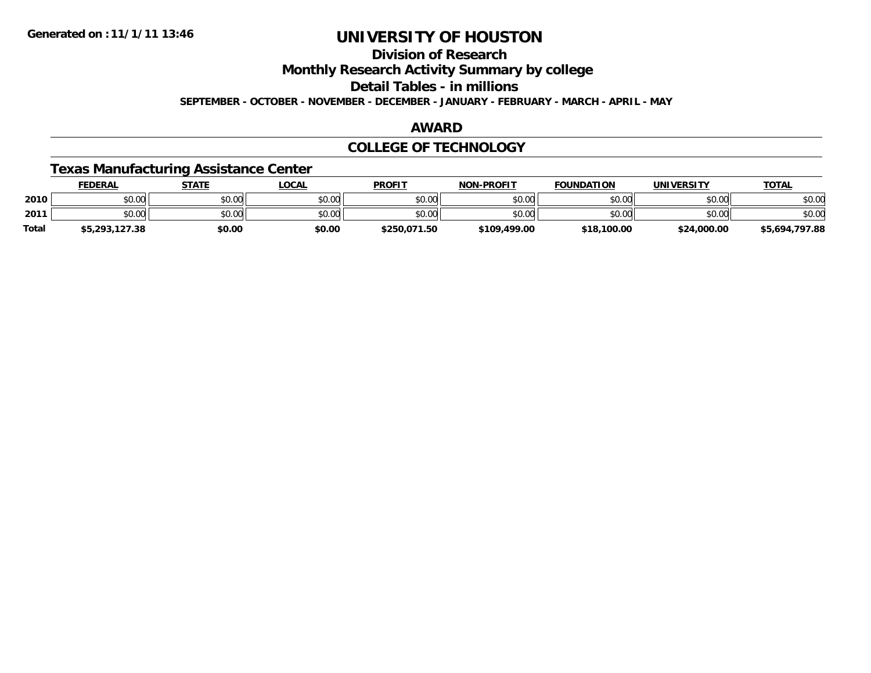## **Division of ResearchMonthly Research Activity Summary by college Detail Tables - in millionsSEPTEMBER - OCTOBER - NOVEMBER - DECEMBER - JANUARY - FEBRUARY - MARCH - APRIL - MAY**

## **AWARD**

## **COLLEGE OF TECHNOLOGY**

## **Texas Manufacturing Assistance Center**

|       | <b>FEDERAL</b> | <b>STATE</b> | LOCAL  | <b>PROFIT</b> | <b>NON-PROFIT</b> | <b>FOUNDATION</b> | <b>UNIVERSITY</b> | <b>TOTAL</b>   |
|-------|----------------|--------------|--------|---------------|-------------------|-------------------|-------------------|----------------|
| 2010  | \$0.00         | \$0.00       | \$0.00 | \$0.00        | \$0.00            | \$0.00            | \$0.00            | \$0.00         |
| 2011  | \$0.00         | \$0.00       | \$0.00 | \$0.00        | \$0.00            | \$0.00            | \$0.00            | \$0.00         |
| Total | \$5,293,127.38 | \$0.00       | \$0.00 | \$250,071.50  | \$109,499.00      | \$18,100.00       | \$24,000.00       | \$5,694,797.88 |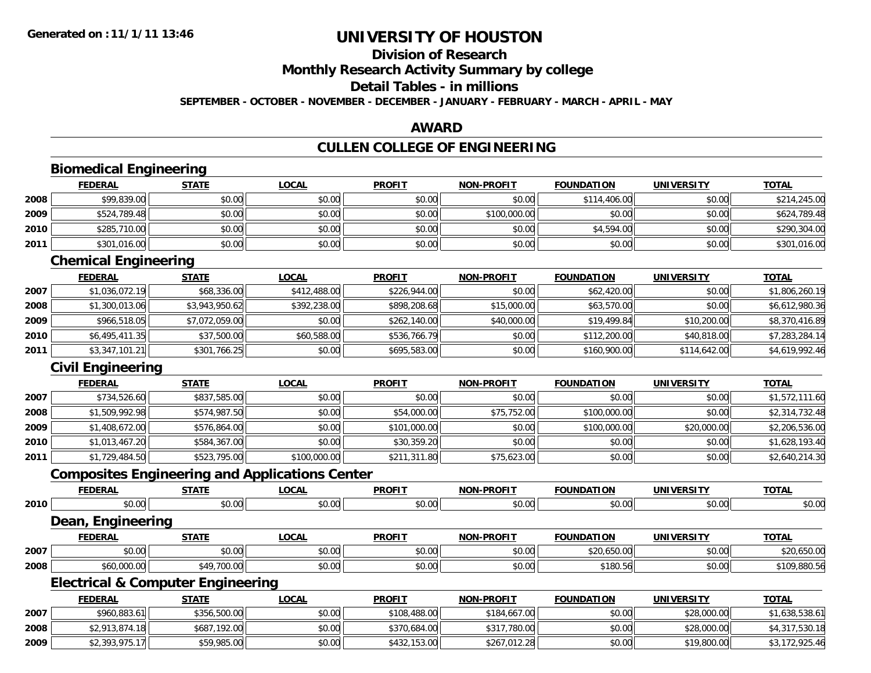## **Division of ResearchMonthly Research Activity Summary by college Detail Tables - in millionsSEPTEMBER - OCTOBER - NOVEMBER - DECEMBER - JANUARY - FEBRUARY - MARCH - APRIL - MAY**

## **AWARD**

# **CULLEN COLLEGE OF ENGINEERING**

|      | <b>Biomedical Engineering</b> |                                                       |              |               |                   |                   |                   |                |
|------|-------------------------------|-------------------------------------------------------|--------------|---------------|-------------------|-------------------|-------------------|----------------|
|      | <b>FEDERAL</b>                | <b>STATE</b>                                          | <b>LOCAL</b> | <b>PROFIT</b> | <b>NON-PROFIT</b> | <b>FOUNDATION</b> | <b>UNIVERSITY</b> | <b>TOTAL</b>   |
| 2008 | \$99,839.00                   | \$0.00                                                | \$0.00       | \$0.00        | \$0.00            | \$114,406.00      | \$0.00            | \$214,245.00   |
| 2009 | \$524,789.48                  | \$0.00                                                | \$0.00       | \$0.00        | \$100,000.00      | \$0.00            | \$0.00            | \$624,789.48   |
| 2010 | \$285,710.00                  | \$0.00                                                | \$0.00       | \$0.00        | \$0.00            | \$4,594.00        | \$0.00            | \$290,304.00   |
| 2011 | \$301,016.00                  | \$0.00                                                | \$0.00       | \$0.00        | \$0.00            | \$0.00            | \$0.00            | \$301,016.00   |
|      | <b>Chemical Engineering</b>   |                                                       |              |               |                   |                   |                   |                |
|      | <b>FEDERAL</b>                | <b>STATE</b>                                          | <b>LOCAL</b> | <b>PROFIT</b> | <b>NON-PROFIT</b> | <b>FOUNDATION</b> | <b>UNIVERSITY</b> | <b>TOTAL</b>   |
| 2007 | \$1,036,072.19                | \$68,336.00                                           | \$412,488.00 | \$226,944.00  | \$0.00            | \$62,420.00       | \$0.00            | \$1,806,260.19 |
| 2008 | \$1,300,013.06                | \$3,943,950.62                                        | \$392,238.00 | \$898,208.68  | \$15,000.00       | \$63,570.00       | \$0.00            | \$6,612,980.36 |
| 2009 | \$966,518.05                  | \$7,072,059.00                                        | \$0.00       | \$262,140.00  | \$40,000.00       | \$19,499.84       | \$10,200.00       | \$8,370,416.89 |
| 2010 | \$6,495,411.35                | \$37,500.00                                           | \$60,588.00  | \$536,766.79  | \$0.00            | \$112,200.00      | \$40,818.00       | \$7,283,284.14 |
| 2011 | \$3,347,101.21                | \$301,766.25                                          | \$0.00       | \$695,583.00  | \$0.00            | \$160,900.00      | \$114,642.00      | \$4,619,992.46 |
|      | <b>Civil Engineering</b>      |                                                       |              |               |                   |                   |                   |                |
|      | <b>FEDERAL</b>                | <b>STATE</b>                                          | <b>LOCAL</b> | <b>PROFIT</b> | <b>NON-PROFIT</b> | <b>FOUNDATION</b> | <b>UNIVERSITY</b> | <b>TOTAL</b>   |
| 2007 | \$734,526.60                  | \$837,585.00                                          | \$0.00       | \$0.00        | \$0.00            | \$0.00            | \$0.00            | \$1,572,111.60 |
| 2008 | \$1,509,992.98                | \$574,987.50                                          | \$0.00       | \$54,000.00   | \$75,752.00       | \$100,000.00      | \$0.00            | \$2,314,732.48 |
| 2009 | \$1,408,672.00                | \$576,864.00                                          | \$0.00       | \$101,000.00  | \$0.00            | \$100,000.00      | \$20,000.00       | \$2,206,536.00 |
| 2010 | \$1,013,467.20                | \$584,367.00                                          | \$0.00       | \$30,359.20   | \$0.00            | \$0.00            | \$0.00            | \$1,628,193.40 |
| 2011 | \$1,729,484.50                | \$523,795.00                                          | \$100,000.00 | \$211,311.80  | \$75,623.00       | \$0.00            | \$0.00            | \$2,640,214.30 |
|      |                               | <b>Composites Engineering and Applications Center</b> |              |               |                   |                   |                   |                |
|      | <b>FEDERAL</b>                | <b>STATE</b>                                          | <b>LOCAL</b> | <b>PROFIT</b> | <b>NON-PROFIT</b> | <b>FOUNDATION</b> | <b>UNIVERSITY</b> | <b>TOTAL</b>   |
| 2010 | \$0.00                        | \$0.00                                                | \$0.00       | \$0.00        | \$0.00            | \$0.00            | \$0.00            | \$0.00         |
|      | <b>Dean, Engineering</b>      |                                                       |              |               |                   |                   |                   |                |
|      | <b>FEDERAL</b>                | <b>STATE</b>                                          | <b>LOCAL</b> | <b>PROFIT</b> | <b>NON-PROFIT</b> | <b>FOUNDATION</b> | <b>UNIVERSITY</b> | <b>TOTAL</b>   |
| 2007 | \$0.00                        | \$0.00                                                | \$0.00       | \$0.00        | \$0.00            | \$20,650.00       | \$0.00            | \$20,650.00    |
| 2008 | \$60,000.00                   | \$49,700.00                                           | \$0.00       | \$0.00        | \$0.00            | \$180.56          | \$0.00            | \$109,880.56   |
|      |                               | <b>Electrical &amp; Computer Engineering</b>          |              |               |                   |                   |                   |                |
|      | <b>FEDERAL</b>                | <b>STATE</b>                                          | <b>LOCAL</b> | <b>PROFIT</b> | <b>NON-PROFIT</b> | <b>FOUNDATION</b> | <b>UNIVERSITY</b> | <b>TOTAL</b>   |
| 2007 | \$960,883.61                  | \$356,500.00                                          | \$0.00       | \$108,488.00  | \$184,667.00      | \$0.00            | \$28,000.00       | \$1,638,538.61 |
| 2008 | \$2,913,874.18                | \$687,192.00                                          | \$0.00       | \$370,684.00  | \$317,780.00      | \$0.00            | \$28,000.00       | \$4,317,530.18 |
| 2009 | \$2,393,975.17                | \$59,985.00                                           | \$0.00       | \$432,153.00  | \$267,012.28      | \$0.00            | \$19,800.00       | \$3,172,925.46 |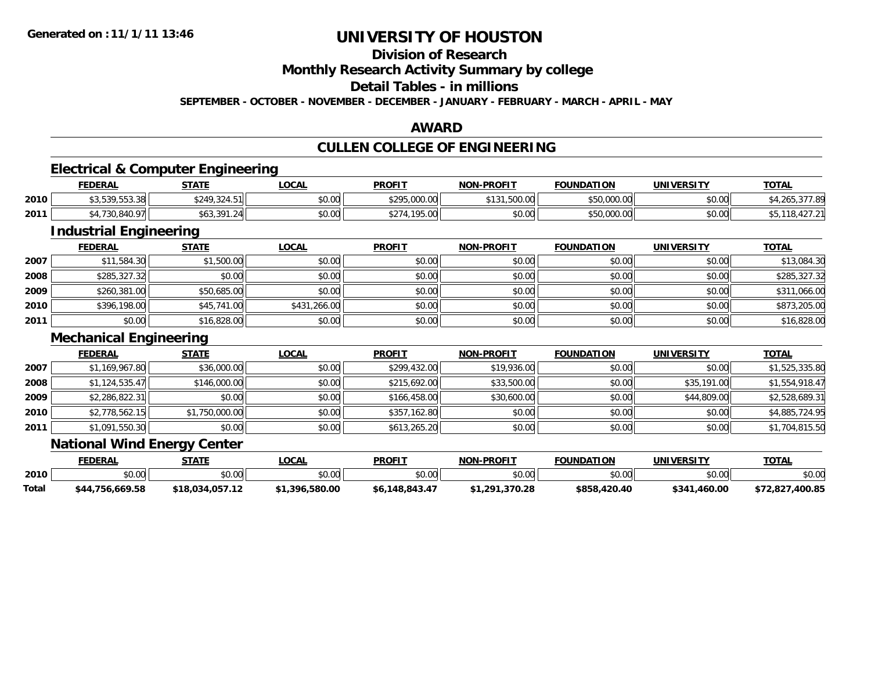# **Division of Research**

## **Monthly Research Activity Summary by college**

## **Detail Tables - in millions**

**SEPTEMBER - OCTOBER - NOVEMBER - DECEMBER - JANUARY - FEBRUARY - MARCH - APRIL - MAY**

## **AWARD**

## **CULLEN COLLEGE OF ENGINEERING**

## **Electrical & Computer Engineering**

|      | <b>FEDERAL</b>                     | <b>STATF</b>     | LOCAI          | <b>PROFIT</b>                     | <b>NON-PROFIT</b>                          | <b>FOUNDATION</b> | <b>UNIVERSITY</b> | <b>TOTAL</b> |
|------|------------------------------------|------------------|----------------|-----------------------------------|--------------------------------------------|-------------------|-------------------|--------------|
| 2010 | <b>¢3 E30 EE3 30</b><br>,,,,,,,,,  | \$249,324.51     | \$0.00         | <b>COOR OOO OO</b><br>, 70,000.00 | <b>EOO OO</b><br>A A A<br>UU.UUC, I<br>. ن | \$50,000.00       | \$0.00            |              |
| 2011 | 0.10 <sub>0</sub><br>۹Λ<br>JU,U4U. | 301<br>ا41.24⊫نډ | nn nn<br>DU.UG | 4.195.00<br>$\uparrow$ $\uparrow$ | \$0.00                                     | \$50,000.00       | \$0.00            | ᠇᠘<br>υυ.    |

## **Industrial Engineering**

|      | <b>FEDERAL</b> | <b>STATE</b> | <u>LOCAL</u> | <b>PROFIT</b> | <b>NON-PROFIT</b> | <b>FOUNDATION</b> | <b>UNIVERSITY</b> | <b>TOTAL</b> |
|------|----------------|--------------|--------------|---------------|-------------------|-------------------|-------------------|--------------|
| 2007 | \$11,584.30    | \$1,500.00   | \$0.00       | \$0.00        | \$0.00            | \$0.00            | \$0.00            | \$13,084.30  |
| 2008 | \$285,327.32   | \$0.00       | \$0.00       | \$0.00        | \$0.00            | \$0.00            | \$0.00            | \$285,327.32 |
| 2009 | \$260,381.00   | \$50,685.00  | \$0.00       | \$0.00        | \$0.00            | \$0.00            | \$0.00            | \$311,066.00 |
| 2010 | \$396,198.00   | \$45,741.00  | \$431,266.00 | \$0.00        | \$0.00            | \$0.00            | \$0.00            | \$873,205.00 |
| 2011 | \$0.00         | \$16,828.00  | \$0.00       | \$0.00        | \$0.00            | \$0.00            | \$0.00            | \$16,828.00  |

### **Mechanical Engineering**

|      | <b>FEDERAL</b> | <b>STATE</b>   | <b>LOCAL</b> | <b>PROFIT</b> | <b>NON-PROFIT</b> | <b>FOUNDATION</b> | <b>UNIVERSITY</b> | <b>TOTAL</b>   |
|------|----------------|----------------|--------------|---------------|-------------------|-------------------|-------------------|----------------|
| 2007 | \$1,169,967.80 | \$36,000.00    | \$0.00       | \$299,432.00  | \$19,936.00       | \$0.00            | \$0.00            | \$1,525,335.80 |
| 2008 | \$1,124,535.47 | \$146,000.00   | \$0.00       | \$215,692.00  | \$33,500.00       | \$0.00            | \$35,191.00       | \$1,554,918.47 |
| 2009 | \$2,286,822.31 | \$0.00         | \$0.00       | \$166,458,00  | \$30,600.00       | \$0.00            | \$44,809.00       | \$2,528,689.31 |
| 2010 | \$2,778,562.15 | \$1,750,000.00 | \$0.00       | \$357,162.80  | \$0.00            | \$0.00            | \$0.00            | \$4,885,724.95 |
| 2011 | \$1,091,550.30 | \$0.00         | \$0.00       | \$613,265.20  | \$0.00            | \$0.00            | \$0.00            | \$1,704,815.50 |

## **National Wind Energy Center**

|       | <b>FEDERAL</b>     | STATE           | <b>.OCAL</b> | <b>PROFIT</b>  | <b>NON-PROFIT</b> | <b>FOUNDATION</b> | <b>UNIVERSITY</b> | <b>TOTAL</b>        |
|-------|--------------------|-----------------|--------------|----------------|-------------------|-------------------|-------------------|---------------------|
| 2010  | $\sim$ 00<br>JU.UU | \$0.00          | JU.UU        | \$0.00         | \$0.00            | ልስ ሰስ             | ልስ ሰሰ<br>JU.UU    | \$0.00              |
| Total | \$44,756,669.58    | \$18,034,057.12 | .,396,580.00 | \$6,148,843.47 | 1,291,370.28ء     | \$858.420.40      | \$341,460.00      | ,400.85<br>31 Z.OZ. |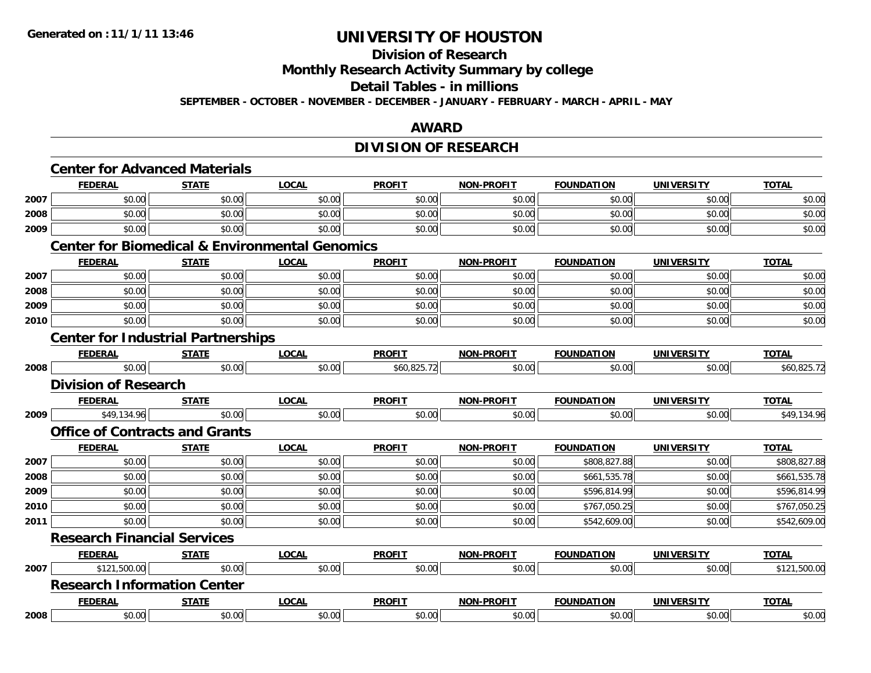# **Division of Research**

**Monthly Research Activity Summary by college**

#### **Detail Tables - in millions**

**SEPTEMBER - OCTOBER - NOVEMBER - DECEMBER - JANUARY - FEBRUARY - MARCH - APRIL - MAY**

## **AWARD**

# **DIVISION OF RESEARCH**

|      | <b>Center for Advanced Materials</b>      |              |                                                           |               |                   |                   |                   |              |  |  |
|------|-------------------------------------------|--------------|-----------------------------------------------------------|---------------|-------------------|-------------------|-------------------|--------------|--|--|
|      | <b>FEDERAL</b>                            | <b>STATE</b> | <b>LOCAL</b>                                              | <b>PROFIT</b> | <b>NON-PROFIT</b> | <b>FOUNDATION</b> | <b>UNIVERSITY</b> | <b>TOTAL</b> |  |  |
| 2007 | \$0.00                                    | \$0.00       | \$0.00                                                    | \$0.00        | \$0.00            | \$0.00            | \$0.00            | \$0.00       |  |  |
| 2008 | \$0.00                                    | \$0.00       | \$0.00                                                    | \$0.00        | \$0.00            | \$0.00            | \$0.00            | \$0.00       |  |  |
| 2009 | \$0.00                                    | \$0.00       | \$0.00                                                    | \$0.00        | \$0.00            | \$0.00            | \$0.00            | \$0.00       |  |  |
|      |                                           |              | <b>Center for Biomedical &amp; Environmental Genomics</b> |               |                   |                   |                   |              |  |  |
|      | <b>FEDERAL</b>                            | <b>STATE</b> | <b>LOCAL</b>                                              | <b>PROFIT</b> | <b>NON-PROFIT</b> | <b>FOUNDATION</b> | <b>UNIVERSITY</b> | <b>TOTAL</b> |  |  |
| 2007 | \$0.00                                    | \$0.00       | \$0.00                                                    | \$0.00        | \$0.00            | \$0.00            | \$0.00            | \$0.00       |  |  |
| 2008 | \$0.00                                    | \$0.00       | \$0.00                                                    | \$0.00        | \$0.00            | \$0.00            | \$0.00            | \$0.00       |  |  |
| 2009 | \$0.00                                    | \$0.00       | \$0.00                                                    | \$0.00        | \$0.00            | \$0.00            | \$0.00            | \$0.00       |  |  |
| 2010 | \$0.00                                    | \$0.00       | \$0.00                                                    | \$0.00        | \$0.00            | \$0.00            | \$0.00            | \$0.00       |  |  |
|      | <b>Center for Industrial Partnerships</b> |              |                                                           |               |                   |                   |                   |              |  |  |
|      | <b>FEDERAL</b>                            | <b>STATE</b> | <b>LOCAL</b>                                              | <b>PROFIT</b> | <b>NON-PROFIT</b> | <b>FOUNDATION</b> | <b>UNIVERSITY</b> | <b>TOTAL</b> |  |  |
| 2008 | \$0.00                                    | \$0.00       | \$0.00                                                    | \$60,825.72   | \$0.00            | \$0.00            | \$0.00            | \$60,825.72  |  |  |
|      | <b>Division of Research</b>               |              |                                                           |               |                   |                   |                   |              |  |  |
|      | <b>FEDERAL</b>                            | <b>STATE</b> | <b>LOCAL</b>                                              | <b>PROFIT</b> | <b>NON-PROFIT</b> | <b>FOUNDATION</b> | <b>UNIVERSITY</b> | <b>TOTAL</b> |  |  |
| 2009 | \$49,134.96                               | \$0.00       | \$0.00                                                    | \$0.00        | \$0.00            | \$0.00            | \$0.00            | \$49,134.96  |  |  |
|      | <b>Office of Contracts and Grants</b>     |              |                                                           |               |                   |                   |                   |              |  |  |
|      | <b>FEDERAL</b>                            | <b>STATE</b> | <b>LOCAL</b>                                              | <b>PROFIT</b> | <b>NON-PROFIT</b> | <b>FOUNDATION</b> | <b>UNIVERSITY</b> | <b>TOTAL</b> |  |  |
| 2007 | \$0.00                                    | \$0.00       | \$0.00                                                    | \$0.00        | \$0.00            | \$808,827.88      | \$0.00            | \$808,827.88 |  |  |
| 2008 | \$0.00                                    | \$0.00       | \$0.00                                                    | \$0.00        | \$0.00            | \$661,535.78      | \$0.00            | \$661,535.78 |  |  |
| 2009 | \$0.00                                    | \$0.00       | \$0.00                                                    | \$0.00        | \$0.00            | \$596,814.99      | \$0.00            | \$596,814.99 |  |  |
| 2010 | \$0.00                                    | \$0.00       | \$0.00                                                    | \$0.00        | \$0.00            | \$767,050.25      | \$0.00            | \$767,050.25 |  |  |
| 2011 | \$0.00                                    | \$0.00       | \$0.00                                                    | \$0.00        | \$0.00            | \$542,609.00      | \$0.00            | \$542,609.00 |  |  |
|      | <b>Research Financial Services</b>        |              |                                                           |               |                   |                   |                   |              |  |  |
|      | <b>FEDERAL</b>                            | <b>STATE</b> | <b>LOCAL</b>                                              | <b>PROFIT</b> | <b>NON-PROFIT</b> | <b>FOUNDATION</b> | <b>UNIVERSITY</b> | <b>TOTAL</b> |  |  |
| 2007 | \$121,500.00                              | \$0.00       | \$0.00                                                    | \$0.00        | \$0.00            | \$0.00            | \$0.00            | \$121,500.00 |  |  |
|      | <b>Research Information Center</b>        |              |                                                           |               |                   |                   |                   |              |  |  |
|      | <b>FEDERAL</b>                            | <b>STATE</b> | <b>LOCAL</b>                                              | <b>PROFIT</b> | <b>NON-PROFIT</b> | <b>FOUNDATION</b> | <b>UNIVERSITY</b> | <b>TOTAL</b> |  |  |
| 2008 | \$0.00                                    | \$0.00       | \$0.00                                                    | \$0.00        | \$0.00            | \$0.00            | \$0.00            | \$0.00       |  |  |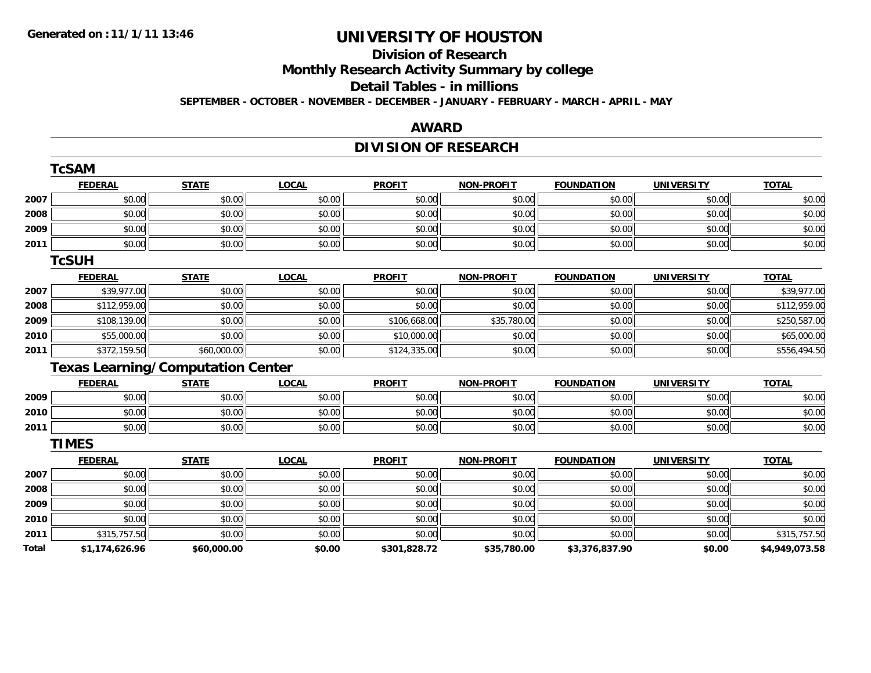## **Division of ResearchMonthly Research Activity Summary by college Detail Tables - in millionsSEPTEMBER - OCTOBER - NOVEMBER - DECEMBER - JANUARY - FEBRUARY - MARCH - APRIL - MAY**

## **AWARD**

## **DIVISION OF RESEARCH**

|              | <b>TcSAM</b>   |                                          |              |               |                   |                   |                   |                |
|--------------|----------------|------------------------------------------|--------------|---------------|-------------------|-------------------|-------------------|----------------|
|              | <b>FEDERAL</b> | <b>STATE</b>                             | <b>LOCAL</b> | <b>PROFIT</b> | <b>NON-PROFIT</b> | <b>FOUNDATION</b> | <b>UNIVERSITY</b> | <b>TOTAL</b>   |
| 2007         | \$0.00         | \$0.00                                   | \$0.00       | \$0.00        | \$0.00            | \$0.00            | \$0.00            | \$0.00         |
| 2008         | \$0.00         | \$0.00                                   | \$0.00       | \$0.00        | \$0.00            | \$0.00            | \$0.00            | \$0.00         |
| 2009         | \$0.00         | \$0.00                                   | \$0.00       | \$0.00        | \$0.00            | \$0.00            | \$0.00            | \$0.00         |
| 2011         | \$0.00         | \$0.00                                   | \$0.00       | \$0.00        | \$0.00            | \$0.00            | \$0.00            | \$0.00         |
|              | <b>TCSUH</b>   |                                          |              |               |                   |                   |                   |                |
|              | <b>FEDERAL</b> | <b>STATE</b>                             | <b>LOCAL</b> | <b>PROFIT</b> | <b>NON-PROFIT</b> | <b>FOUNDATION</b> | <b>UNIVERSITY</b> | <b>TOTAL</b>   |
| 2007         | \$39,977.00    | \$0.00                                   | \$0.00       | \$0.00        | \$0.00            | \$0.00            | \$0.00            | \$39,977.00    |
| 2008         | \$112,959.00   | \$0.00                                   | \$0.00       | \$0.00        | \$0.00            | \$0.00            | \$0.00            | \$112,959.00   |
| 2009         | \$108,139.00   | \$0.00                                   | \$0.00       | \$106,668.00  | \$35,780.00       | \$0.00            | \$0.00            | \$250,587.00   |
| 2010         | \$55,000.00    | \$0.00                                   | \$0.00       | \$10,000.00   | \$0.00            | \$0.00            | \$0.00            | \$65,000.00    |
| 2011         | \$372,159.50   | \$60,000.00                              | \$0.00       | \$124,335.00  | \$0.00            | \$0.00            | \$0.00            | \$556,494.50   |
|              |                | <b>Texas Learning/Computation Center</b> |              |               |                   |                   |                   |                |
|              | <b>FEDERAL</b> | <b>STATE</b>                             | <b>LOCAL</b> | <b>PROFIT</b> | <b>NON-PROFIT</b> | <b>FOUNDATION</b> | <b>UNIVERSITY</b> | <b>TOTAL</b>   |
| 2009         | \$0.00         | \$0.00                                   | \$0.00       | \$0.00        | \$0.00            | \$0.00            | \$0.00            | \$0.00         |
| 2010         | \$0.00         | \$0.00                                   | \$0.00       | \$0.00        | \$0.00            | \$0.00            | \$0.00            | \$0.00         |
| 2011         | \$0.00         | \$0.00                                   | \$0.00       | \$0.00        | \$0.00            | \$0.00            | \$0.00            | \$0.00         |
|              | <b>TIMES</b>   |                                          |              |               |                   |                   |                   |                |
|              | <b>FEDERAL</b> | <b>STATE</b>                             | <b>LOCAL</b> | <b>PROFIT</b> | <b>NON-PROFIT</b> | <b>FOUNDATION</b> | <b>UNIVERSITY</b> | <b>TOTAL</b>   |
| 2007         | \$0.00         | \$0.00                                   | \$0.00       | \$0.00        | \$0.00            | \$0.00            | \$0.00            | \$0.00         |
| 2008         | \$0.00         | \$0.00                                   | \$0.00       | \$0.00        | \$0.00            | \$0.00            | \$0.00            | \$0.00         |
| 2009         | \$0.00         | \$0.00                                   | \$0.00       | \$0.00        | \$0.00            | \$0.00            | \$0.00            | \$0.00         |
| 2010         | \$0.00         | \$0.00                                   | \$0.00       | \$0.00        | \$0.00            | \$0.00            | \$0.00            | \$0.00         |
| 2011         | \$315,757.50   | \$0.00                                   | \$0.00       | \$0.00        | \$0.00            | \$0.00            | \$0.00            | \$315,757.50   |
| <b>Total</b> | \$1,174,626.96 | \$60,000.00                              | \$0.00       | \$301,828.72  | \$35,780.00       | \$3,376,837.90    | \$0.00            | \$4,949,073.58 |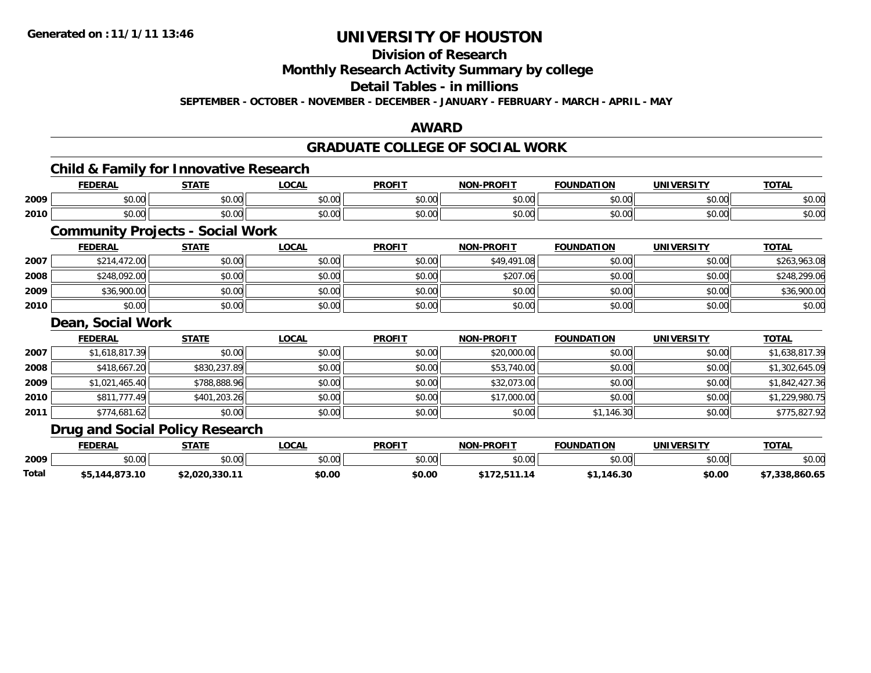# **Division of Research**

**Monthly Research Activity Summary by college**

# **Detail Tables - in millions**

**SEPTEMBER - OCTOBER - NOVEMBER - DECEMBER - JANUARY - FEBRUARY - MARCH - APRIL - MAY**

## **AWARD**

# **GRADUATE COLLEGE OF SOCIAL WORK**

## **Child & Family for Innovative Research**

|      | <b>FEDERAI</b> | <b>STATE</b>            | LOCAL                  | <b>PROFIT</b>        | <b>NON-PROFIT</b> | <b>FOUNDATION</b>  | <b>IINITVEDCTTV</b> | <b>TOTAI</b> |
|------|----------------|-------------------------|------------------------|----------------------|-------------------|--------------------|---------------------|--------------|
| 2009 | 0.00<br>DU.UU  | $\sim$<br>$\sim$<br>υU. | $\sim$ $\sim$<br>vv.vv | $\sim$ $\sim$<br>υU. | 0000<br>vv.vv     | $\sim$ 00<br>טט.   | 0.00<br>JU.UU       | \$0.00       |
| 2010 | 0000<br>JU.UU  | $\uparrow$<br>JU.UU     | 0.00<br>PO.OO          | $\sim$<br>JU.UU      | 0000<br>vu.vu     | $\sim$ 00<br>JU.UU | 0000<br>PO.OO       | \$0.00       |

## **Community Projects - Social Work**

|      | <b>FEDERAL</b> | <b>STATE</b> | <b>LOCAL</b> | <b>PROFIT</b> | <b>NON-PROFIT</b> | <b>FOUNDATION</b> | <b>UNIVERSITY</b> | <b>TOTAL</b> |
|------|----------------|--------------|--------------|---------------|-------------------|-------------------|-------------------|--------------|
| 2007 | \$214,472.00   | \$0.00       | \$0.00       | \$0.00        | \$49,491.08       | \$0.00            | \$0.00            | \$263,963.08 |
| 2008 | \$248,092.00   | \$0.00       | \$0.00       | \$0.00        | \$207.06          | \$0.00            | \$0.00            | \$248,299.06 |
| 2009 | \$36,900.00    | \$0.00       | \$0.00       | \$0.00        | \$0.00            | \$0.00            | \$0.00            | \$36,900.00  |
| 2010 | \$0.00         | \$0.00       | \$0.00       | \$0.00        | \$0.00            | \$0.00            | \$0.00            | \$0.00       |

## **Dean, Social Work**

|      | <b>FEDERAL</b> | <b>STATE</b> | <b>LOCAL</b> | <b>PROFIT</b> | <b>NON-PROFIT</b> | <b>FOUNDATION</b> | <b>UNIVERSITY</b> | <b>TOTAL</b>   |
|------|----------------|--------------|--------------|---------------|-------------------|-------------------|-------------------|----------------|
| 2007 | \$1,618,817.39 | \$0.00       | \$0.00       | \$0.00        | \$20,000.00       | \$0.00            | \$0.00            | \$1,638,817.39 |
| 2008 | \$418,667.20   | \$830,237.89 | \$0.00       | \$0.00        | \$53,740.00       | \$0.00            | \$0.00            | \$1,302,645.09 |
| 2009 | \$1,021,465.40 | \$788,888.96 | \$0.00       | \$0.00        | \$32,073.00       | \$0.00            | \$0.00            | \$1,842,427.36 |
| 2010 | \$811,777.49   | \$401,203.26 | \$0.00       | \$0.00        | \$17,000.00       | \$0.00            | \$0.00            | \$1,229,980.75 |
| 2011 | \$774,681.62   | \$0.00       | \$0.00       | \$0.00        | \$0.00            | \$1,146.30        | \$0.00            | \$775,827.92   |

## **Drug and Social Policy Research**

|       | <b>FEDERAL</b>     | <b>STATE</b> | <b>OCAL</b> | <b>PROFIT</b> | <b>NON-PROFIT</b> | <b>FOUNDATION</b> | <b>UNIVERSITY</b> | <b>TOTAL</b>  |
|-------|--------------------|--------------|-------------|---------------|-------------------|-------------------|-------------------|---------------|
| 2009  | $\sim$ 00<br>DU.UU | \$0.00       | vv.vv       | \$0.00        | \$0.00            | ቀስ ሰሰ<br>DU.UU    | ደስ ሰሰ<br>PU.UU    | \$0.00        |
| Total | 5,144,873.10       | 1.020.330.11 | \$0.00      | \$0.00        | .                 | \$1,146.30        | \$0.00            | ,7,338,860.65 |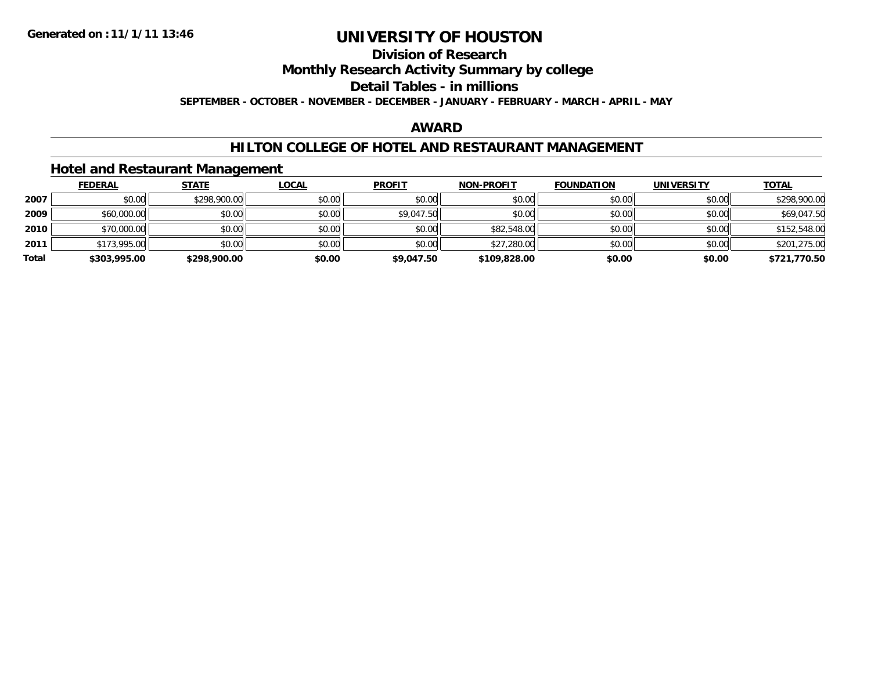## **Division of ResearchMonthly Research Activity Summary by college Detail Tables - in millions SEPTEMBER - OCTOBER - NOVEMBER - DECEMBER - JANUARY - FEBRUARY - MARCH - APRIL - MAY**

## **AWARD**

## **HILTON COLLEGE OF HOTEL AND RESTAURANT MANAGEMENT**

## **Hotel and Restaurant Management**

|       | <b>FEDERAL</b> | <b>STATE</b> | <b>LOCAL</b> | <b>PROFIT</b> | <b>NON-PROFIT</b> | <b>FOUNDATION</b> | <b>UNIVERSITY</b> | <b>TOTAL</b> |
|-------|----------------|--------------|--------------|---------------|-------------------|-------------------|-------------------|--------------|
| 2007  | \$0.00         | \$298,900.00 | \$0.00       | \$0.00        | \$0.00            | \$0.00            | \$0.00            | \$298,900.00 |
| 2009  | \$60,000.00    | \$0.00       | \$0.00       | \$9,047.50    | \$0.00            | \$0.00            | \$0.00            | \$69,047.50  |
| 2010  | \$70,000.00    | \$0.00       | \$0.00       | \$0.00        | \$82,548.00       | \$0.00            | \$0.00            | \$152,548.00 |
| 2011  | \$173,995.00   | \$0.00       | \$0.00       | \$0.00        | \$27,280.00       | \$0.00            | \$0.00            | \$201,275.00 |
| Total | \$303,995.00   | \$298,900.00 | \$0.00       | \$9,047.50    | \$109,828,00      | \$0.00            | \$0.00            | \$721,770.50 |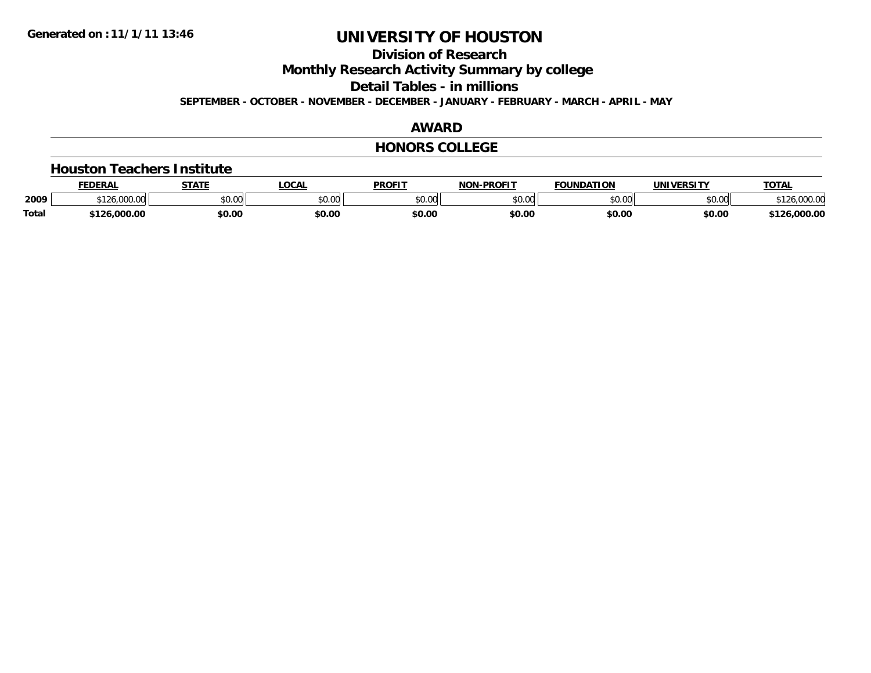# **Division of Research**

**Monthly Research Activity Summary by college**

**Detail Tables - in millions**

**SEPTEMBER - OCTOBER - NOVEMBER - DECEMBER - JANUARY - FEBRUARY - MARCH - APRIL - MAY**

## **AWARD**

## **HONORS COLLEGE**

#### **Houston Teachers Institute**

|              | <b>FEDERA</b>                 | <b>CTATE</b>         | $\Omega$ | <b>PROFIT</b> | <b>NON-PROFIT</b> | <b>FOUNDATION</b> | <b>UNIVERSITY</b> | <b>TOTAL</b>        |
|--------------|-------------------------------|----------------------|----------|---------------|-------------------|-------------------|-------------------|---------------------|
| 2009         | 00000<br>* <u>*</u> ^<br>ww.w | 0000<br><b>JU.UU</b> | JU.UU    | \$0.00        | 0000<br>JU.UU     | 0000<br>יט.טי     | \$0.00            | 00000<br>120.000.00 |
| <b>Total</b> | 6.000.00                      | \$0.00               | \$0.00   | \$0.00        | \$0.00            | \$0.00            | \$0.00            | 20.000.00           |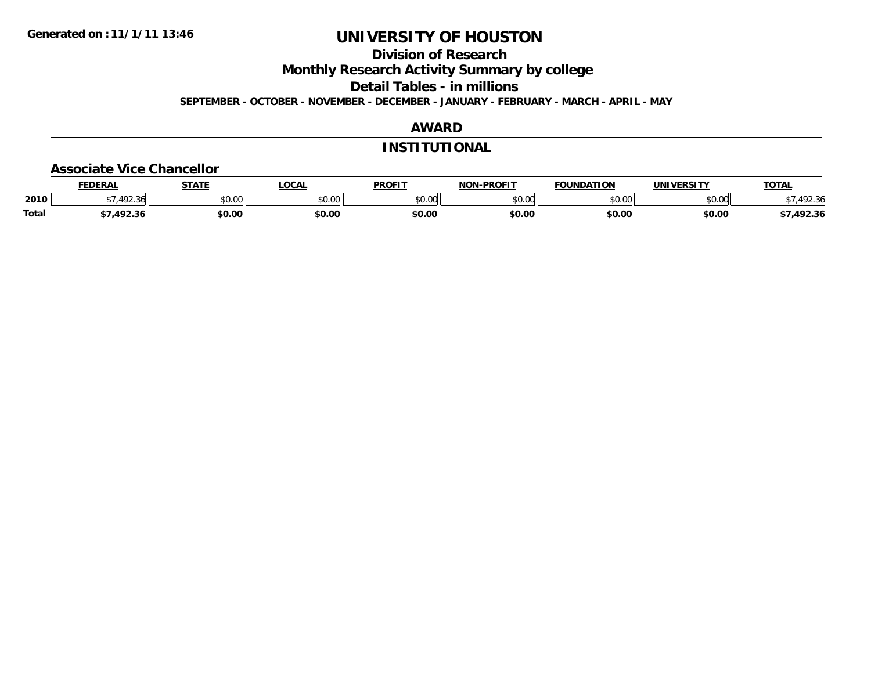# **Division of Research**

**Monthly Research Activity Summary by college**

**Detail Tables - in millions**

**SEPTEMBER - OCTOBER - NOVEMBER - DECEMBER - JANUARY - FEBRUARY - MARCH - APRIL - MAY**

## **AWARD**

## **INSTITUTIONAL**

#### **Associate Vice Chancellor**

|              | <b>FEDERAL</b>            | <b>STATE</b> | <b>OCAL</b> | <b>PROFIT</b>           | -PROFTT<br><b>NON</b> | <b>FOUNDATION</b> | <b>UNIVERSITY</b> | TOTAL   |
|--------------|---------------------------|--------------|-------------|-------------------------|-----------------------|-------------------|-------------------|---------|
| 2010         | $\sqrt{2}$<br>२४।<br>1.11 | \$0.00       | ט. טע       | 0 <sup>n</sup><br>JU.UU | 0000<br>pu.uu         | \$0.00            | \$0.00            |         |
| <b>Total</b> | 1022'                     | \$0.00       | \$0.00      | \$0.00                  | \$0.00                | \$0.00            | \$0.00            | ,492.36 |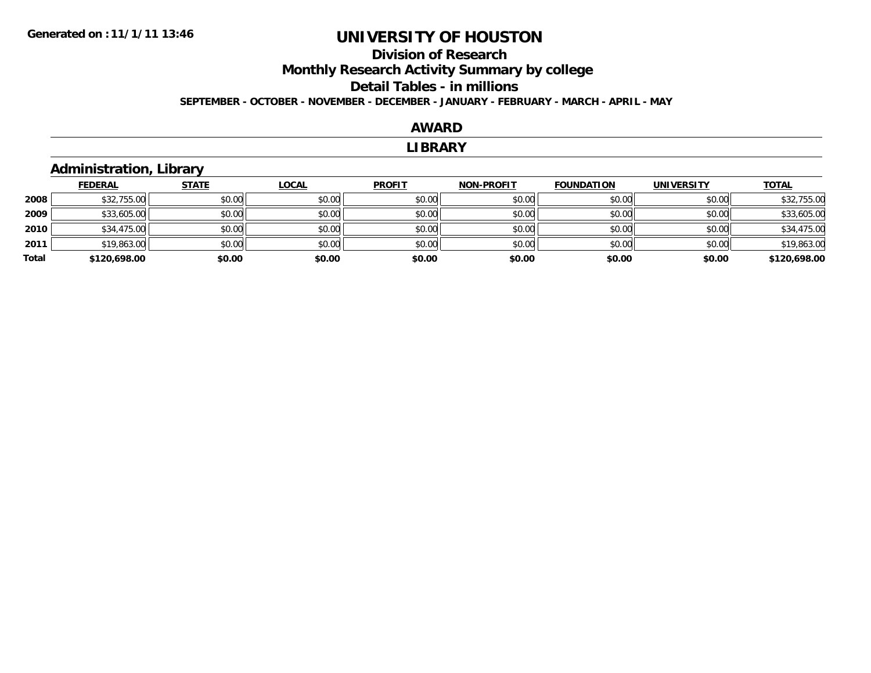## **Division of ResearchMonthly Research Activity Summary by college Detail Tables - in millions SEPTEMBER - OCTOBER - NOVEMBER - DECEMBER - JANUARY - FEBRUARY - MARCH - APRIL - MAY**

#### **AWARD**

#### **LIBRARY**

## **Administration, Library**

|       | <b>FEDERAL</b> | <b>STATE</b> | <b>LOCAL</b> | <b>PROFIT</b> | <b>NON-PROFIT</b> | <b>FOUNDATION</b> | <b>UNIVERSITY</b> | <b>TOTAL</b> |
|-------|----------------|--------------|--------------|---------------|-------------------|-------------------|-------------------|--------------|
| 2008  | \$32,755.00    | \$0.00       | \$0.00       | \$0.00        | \$0.00            | \$0.00            | \$0.00            | \$32,755.00  |
| 2009  | \$33,605.00    | \$0.00       | \$0.00       | \$0.00        | \$0.00            | \$0.00            | \$0.00            | \$33,605.00  |
| 2010  | \$34,475.00    | \$0.00       | \$0.00       | \$0.00        | \$0.00            | \$0.00            | \$0.00            | \$34,475.00  |
| 2011  | \$19,863.00    | \$0.00       | \$0.00       | \$0.00        | \$0.00            | \$0.00            | \$0.00            | \$19,863.00  |
| Total | \$120,698.00   | \$0.00       | \$0.00       | \$0.00        | \$0.00            | \$0.00            | \$0.00            | \$120,698.00 |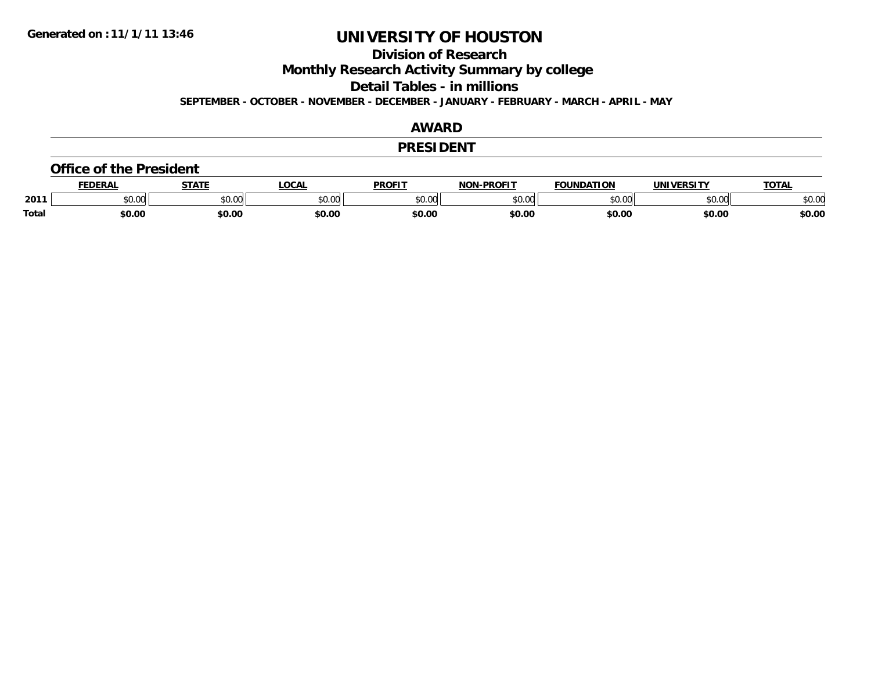## **Division of Research**

**Monthly Research Activity Summary by college**

**Detail Tables - in millions**

**SEPTEMBER - OCTOBER - NOVEMBER - DECEMBER - JANUARY - FEBRUARY - MARCH - APRIL - MAY**

## **AWARD**

## **PRESIDENT**

#### **Office of the President**

|              | FDFRA <sup>.</sup> | 87.TP                                   | LOCAI                                                                                  | PROFIT        | $-$ DD $\wedge$ ETT<br>NIANI | <b>FOUNDATION</b> | UNIVERSITY | <b>TOTAL</b>  |
|--------------|--------------------|-----------------------------------------|----------------------------------------------------------------------------------------|---------------|------------------------------|-------------------|------------|---------------|
| 2011         | ልስ ሰሰ<br>u.uu      | $\uparrow$ $\uparrow$ $\uparrow$<br>. ש | $\begin{array}{c} \hline \text{A} & \text{A} & \text{B} \\ \hline \end{array}$<br>ט.טע | 0000<br>JU.UU | 0000<br>v.vu                 | $\sim$ 00         | \$0.00     | n or<br>JU.UU |
| <b>Total</b> | 60.00              | \$0.00                                  | \$0.00                                                                                 | \$0.00        | \$0.00                       | \$0.00            | \$0.00     | \$0.00        |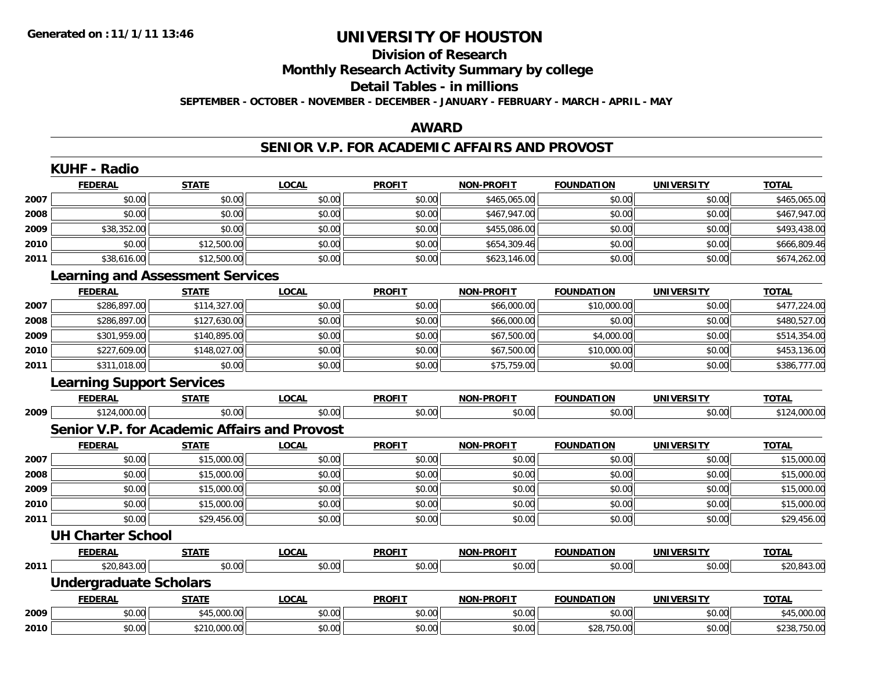## **Division of ResearchMonthly Research Activity Summary by college Detail Tables - in millions SEPTEMBER - OCTOBER - NOVEMBER - DECEMBER - JANUARY - FEBRUARY - MARCH - APRIL - MAY**

## **AWARD**

# **SENIOR V.P. FOR ACADEMIC AFFAIRS AND PROVOST**

|      | <b>KUHF - Radio</b>                                 |              |              |               |                   |                   |                   |              |  |  |
|------|-----------------------------------------------------|--------------|--------------|---------------|-------------------|-------------------|-------------------|--------------|--|--|
|      | <b>FEDERAL</b>                                      | <b>STATE</b> | <b>LOCAL</b> | <b>PROFIT</b> | <b>NON-PROFIT</b> | <b>FOUNDATION</b> | <b>UNIVERSITY</b> | <b>TOTAL</b> |  |  |
| 2007 | \$0.00                                              | \$0.00       | \$0.00       | \$0.00        | \$465,065.00      | \$0.00            | \$0.00            | \$465,065.00 |  |  |
| 2008 | \$0.00                                              | \$0.00       | \$0.00       | \$0.00        | \$467,947.00      | \$0.00            | \$0.00            | \$467,947.00 |  |  |
| 2009 | \$38,352.00                                         | \$0.00       | \$0.00       | \$0.00        | \$455,086.00      | \$0.00            | \$0.00            | \$493,438.00 |  |  |
| 2010 | \$0.00                                              | \$12,500.00  | \$0.00       | \$0.00        | \$654,309.46      | \$0.00            | \$0.00            | \$666,809.46 |  |  |
| 2011 | \$38,616.00                                         | \$12,500.00  | \$0.00       | \$0.00        | \$623,146.00      | \$0.00            | \$0.00            | \$674,262.00 |  |  |
|      | <b>Learning and Assessment Services</b>             |              |              |               |                   |                   |                   |              |  |  |
|      | <b>FEDERAL</b>                                      | <b>STATE</b> | <b>LOCAL</b> | <b>PROFIT</b> | <b>NON-PROFIT</b> | <b>FOUNDATION</b> | <b>UNIVERSITY</b> | <b>TOTAL</b> |  |  |
| 2007 | \$286,897.00                                        | \$114,327.00 | \$0.00       | \$0.00        | \$66,000.00       | \$10,000.00       | \$0.00            | \$477,224.00 |  |  |
| 2008 | \$286,897.00                                        | \$127,630.00 | \$0.00       | \$0.00        | \$66,000.00       | \$0.00            | \$0.00            | \$480,527.00 |  |  |
| 2009 | \$301,959.00                                        | \$140,895.00 | \$0.00       | \$0.00        | \$67,500.00       | \$4,000.00        | \$0.00            | \$514,354.00 |  |  |
| 2010 | \$227,609.00                                        | \$148,027.00 | \$0.00       | \$0.00        | \$67,500.00       | \$10,000.00       | \$0.00            | \$453,136.00 |  |  |
| 2011 | \$311,018.00                                        | \$0.00       | \$0.00       | \$0.00        | \$75,759.00       | \$0.00            | \$0.00            | \$386,777.00 |  |  |
|      | <b>Learning Support Services</b>                    |              |              |               |                   |                   |                   |              |  |  |
|      | <b>FEDERAL</b>                                      | <b>STATE</b> | <b>LOCAL</b> | <b>PROFIT</b> | <b>NON-PROFIT</b> | <b>FOUNDATION</b> | <b>UNIVERSITY</b> | <b>TOTAL</b> |  |  |
| 2009 | \$124,000.00                                        | \$0.00       | \$0.00       | \$0.00        | \$0.00            | \$0.00            | \$0.00            | \$124,000.00 |  |  |
|      | <b>Senior V.P. for Academic Affairs and Provost</b> |              |              |               |                   |                   |                   |              |  |  |
|      | <b>FEDERAL</b>                                      | <b>STATE</b> | <b>LOCAL</b> | <b>PROFIT</b> | <b>NON-PROFIT</b> | <b>FOUNDATION</b> | <b>UNIVERSITY</b> | <b>TOTAL</b> |  |  |
| 2007 | \$0.00                                              | \$15,000.00  | \$0.00       | \$0.00        | \$0.00            | \$0.00            | \$0.00            | \$15,000.00  |  |  |
| 2008 | \$0.00                                              | \$15,000.00  | \$0.00       | \$0.00        | \$0.00            | \$0.00            | \$0.00            | \$15,000.00  |  |  |
| 2009 | \$0.00                                              | \$15,000.00  | \$0.00       | \$0.00        | \$0.00            | \$0.00            | \$0.00            | \$15,000.00  |  |  |
| 2010 | \$0.00                                              | \$15,000.00  | \$0.00       | \$0.00        | \$0.00            | \$0.00            | \$0.00            | \$15,000.00  |  |  |
| 2011 | \$0.00                                              | \$29,456.00  | \$0.00       | \$0.00        | \$0.00            | \$0.00            | \$0.00            | \$29,456.00  |  |  |
|      | <b>UH Charter School</b>                            |              |              |               |                   |                   |                   |              |  |  |
|      | <b>FEDERAL</b>                                      | <b>STATE</b> | <b>LOCAL</b> | <b>PROFIT</b> | <b>NON-PROFIT</b> | <b>FOUNDATION</b> | <b>UNIVERSITY</b> | <b>TOTAL</b> |  |  |
| 2011 | \$20,843.00                                         | \$0.00       | \$0.00       | \$0.00        | \$0.00            | \$0.00            | \$0.00            | \$20,843.00  |  |  |
|      | <b>Undergraduate Scholars</b>                       |              |              |               |                   |                   |                   |              |  |  |
|      | <b>FEDERAL</b>                                      | <b>STATE</b> | <b>LOCAL</b> | <b>PROFIT</b> | <b>NON-PROFIT</b> | <b>FOUNDATION</b> | <b>UNIVERSITY</b> | <b>TOTAL</b> |  |  |
| 2009 | \$0.00                                              | \$45,000.00  | \$0.00       | \$0.00        | \$0.00            | \$0.00            | \$0.00            | \$45,000.00  |  |  |
| 2010 | \$0.00                                              | \$210,000.00 | \$0.00       | \$0.00        | \$0.00            | \$28,750.00       | \$0.00            | \$238,750.00 |  |  |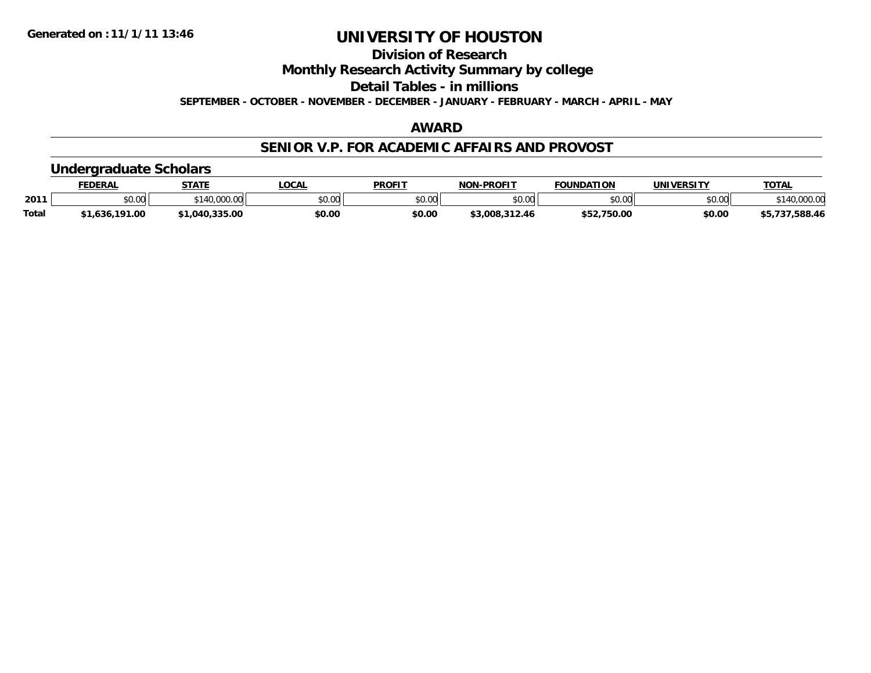## **Division of ResearchMonthly Research Activity Summary by college Detail Tables - in millionsSEPTEMBER - OCTOBER - NOVEMBER - DECEMBER - JANUARY - FEBRUARY - MARCH - APRIL - MAY**

## **AWARD**

## **SENIOR V.P. FOR ACADEMIC AFFAIRS AND PROVOST**

# **Undergraduate Scholars**

|              | <b>FEDERAL</b> | <b>STATE</b>          | <b>LOCAL</b> | <b>PROFIT</b> | -PROFIT<br>NON- | <b>FOUNDATION</b> | <b>UNIVERSITY</b> | TOTA.         |
|--------------|----------------|-----------------------|--------------|---------------|-----------------|-------------------|-------------------|---------------|
| 2011         | $$0.00$        | 000.00<br><b>¢110</b> | \$0.00       | \$0.00        | mn n¢<br>pu.uu  | \$0.00            | \$0.00            | $+110$ .      |
| <b>Total</b> | 1,636,191.00   | \$1,040,335.00        | \$0.00       | \$0.00        | \$3,008,312.46  | \$52,750.00       | \$0.00            | 55,737,588.46 |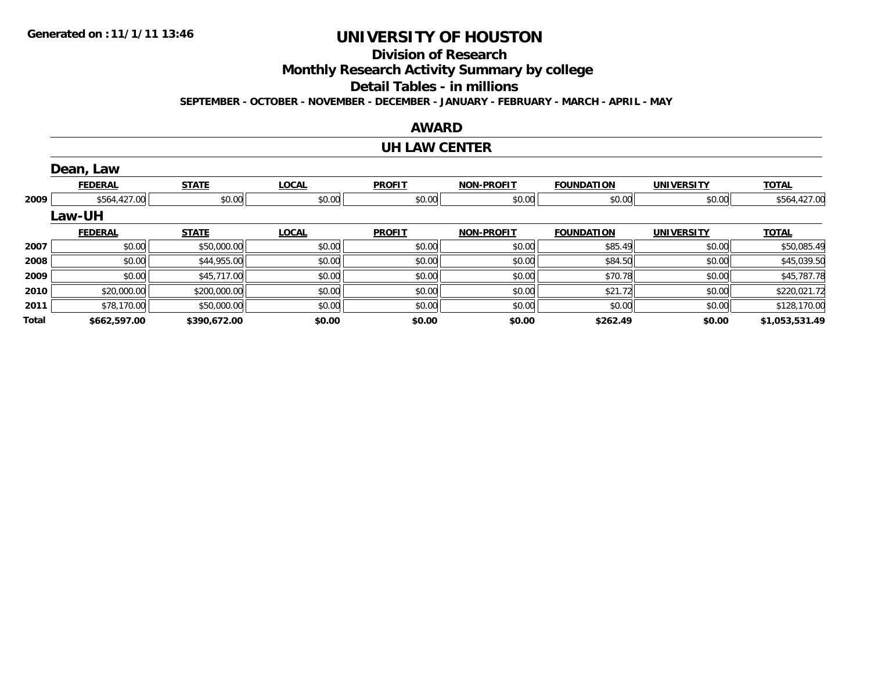## **Division of Research**

**Monthly Research Activity Summary by college**

**Detail Tables - in millions**

**SEPTEMBER - OCTOBER - NOVEMBER - DECEMBER - JANUARY - FEBRUARY - MARCH - APRIL - MAY**

## **AWARD**

## **UH LAW CENTER**

|       | Dean, Law      |              |              |               |                   |                   |                   |                |
|-------|----------------|--------------|--------------|---------------|-------------------|-------------------|-------------------|----------------|
|       | <b>FEDERAL</b> | <b>STATE</b> | <b>LOCAL</b> | <b>PROFIT</b> | <b>NON-PROFIT</b> | <b>FOUNDATION</b> | <b>UNIVERSITY</b> | <b>TOTAL</b>   |
| 2009  | \$564,427.00   | \$0.00       | \$0.00       | \$0.00        | \$0.00            | \$0.00            | \$0.00            | \$564,427.00   |
|       | Law-UH         |              |              |               |                   |                   |                   |                |
|       | <b>FEDERAL</b> | <b>STATE</b> | <b>LOCAL</b> | <b>PROFIT</b> | <b>NON-PROFIT</b> | <b>FOUNDATION</b> | <b>UNIVERSITY</b> | <b>TOTAL</b>   |
| 2007  | \$0.00         | \$50,000.00  | \$0.00       | \$0.00        | \$0.00            | \$85.49           | \$0.00            | \$50,085.49    |
| 2008  | \$0.00         | \$44,955.00  | \$0.00       | \$0.00        | \$0.00            | \$84.50           | \$0.00            | \$45,039.50    |
| 2009  | \$0.00         | \$45,717.00  | \$0.00       | \$0.00        | \$0.00            | \$70.78           | \$0.00            | \$45,787.78    |
| 2010  | \$20,000.00    | \$200,000.00 | \$0.00       | \$0.00        | \$0.00            | \$21.72           | \$0.00            | \$220,021.72   |
| 2011  | \$78,170.00    | \$50,000.00  | \$0.00       | \$0.00        | \$0.00            | \$0.00            | \$0.00            | \$128,170.00   |
| Total | \$662,597.00   | \$390,672.00 | \$0.00       | \$0.00        | \$0.00            | \$262.49          | \$0.00            | \$1,053,531.49 |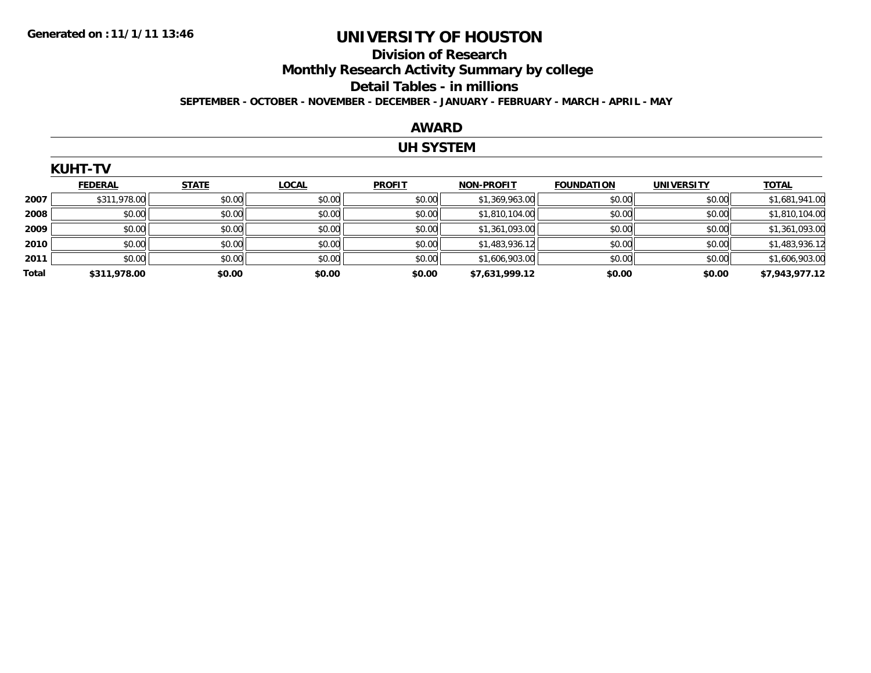$K$ 

# **UNIVERSITY OF HOUSTON**

## **Division of ResearchMonthly Research Activity Summary by college Detail Tables - in millions SEPTEMBER - OCTOBER - NOVEMBER - DECEMBER - JANUARY - FEBRUARY - MARCH - APRIL - MAY**

#### **AWARD**

## **UH SYSTEM**

|       | KUMI-IV        |              |              |               |                   |                   |                   |                |
|-------|----------------|--------------|--------------|---------------|-------------------|-------------------|-------------------|----------------|
|       | <b>FEDERAL</b> | <b>STATE</b> | <b>LOCAL</b> | <b>PROFIT</b> | <b>NON-PROFIT</b> | <b>FOUNDATION</b> | <b>UNIVERSITY</b> | <b>TOTAL</b>   |
| 2007  | \$311,978.00   | \$0.00       | \$0.00       | \$0.00        | \$1,369,963.00    | \$0.00            | \$0.00            | \$1,681,941.00 |
| 2008  | \$0.00         | \$0.00       | \$0.00       | \$0.00        | \$1,810,104.00    | \$0.00            | \$0.00            | \$1,810,104.00 |
| 2009  | \$0.00         | \$0.00       | \$0.00       | \$0.00        | \$1,361,093.00    | \$0.00            | \$0.00            | \$1,361,093.00 |
| 2010  | \$0.00         | \$0.00       | \$0.00       | \$0.00        | \$1,483,936.12    | \$0.00            | \$0.00            | \$1,483,936.12 |
| 2011  | \$0.00         | \$0.00       | \$0.00       | \$0.00        | \$1,606,903.00    | \$0.00            | \$0.00            | \$1,606,903.00 |
| Total | \$311,978.00   | \$0.00       | \$0.00       | \$0.00        | \$7,631,999.12    | \$0.00            | \$0.00            | \$7,943,977.12 |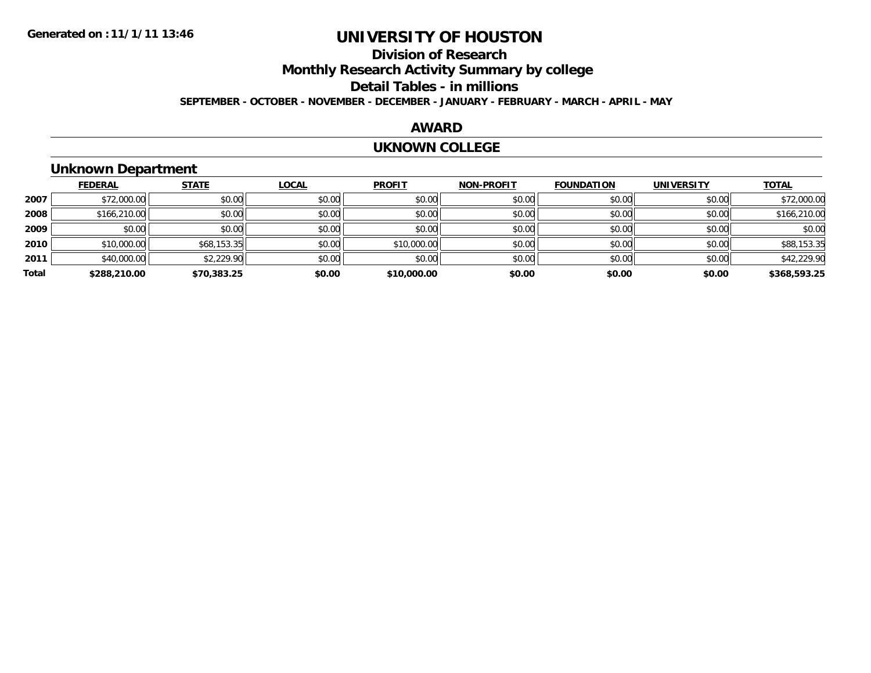## **Division of ResearchMonthly Research Activity Summary by college Detail Tables - in millions SEPTEMBER - OCTOBER - NOVEMBER - DECEMBER - JANUARY - FEBRUARY - MARCH - APRIL - MAY**

## **AWARD**

#### **UKNOWN COLLEGE**

## **Unknown Department**

|       | <b>FEDERAL</b> | <b>STATE</b> | <b>LOCAL</b> | <b>PROFIT</b> | <b>NON-PROFIT</b> | <b>FOUNDATION</b> | <b>UNIVERSITY</b> | <b>TOTAL</b> |
|-------|----------------|--------------|--------------|---------------|-------------------|-------------------|-------------------|--------------|
| 2007  | \$72,000.00    | \$0.00       | \$0.00       | \$0.00        | \$0.00            | \$0.00            | \$0.00            | \$72,000.00  |
| 2008  | \$166,210.00   | \$0.00       | \$0.00       | \$0.00        | \$0.00            | \$0.00            | \$0.00            | \$166,210.00 |
| 2009  | \$0.00         | \$0.00       | \$0.00       | \$0.00        | \$0.00            | \$0.00            | \$0.00            | \$0.00       |
| 2010  | \$10,000.00    | \$68,153.35  | \$0.00       | \$10,000.00   | \$0.00            | \$0.00            | \$0.00            | \$88,153.35  |
| 2011  | \$40,000.00    | \$2,229.90   | \$0.00       | \$0.00        | \$0.00            | \$0.00            | \$0.00            | \$42,229.90  |
| Total | \$288,210.00   | \$70,383.25  | \$0.00       | \$10,000.00   | \$0.00            | \$0.00            | \$0.00            | \$368,593.25 |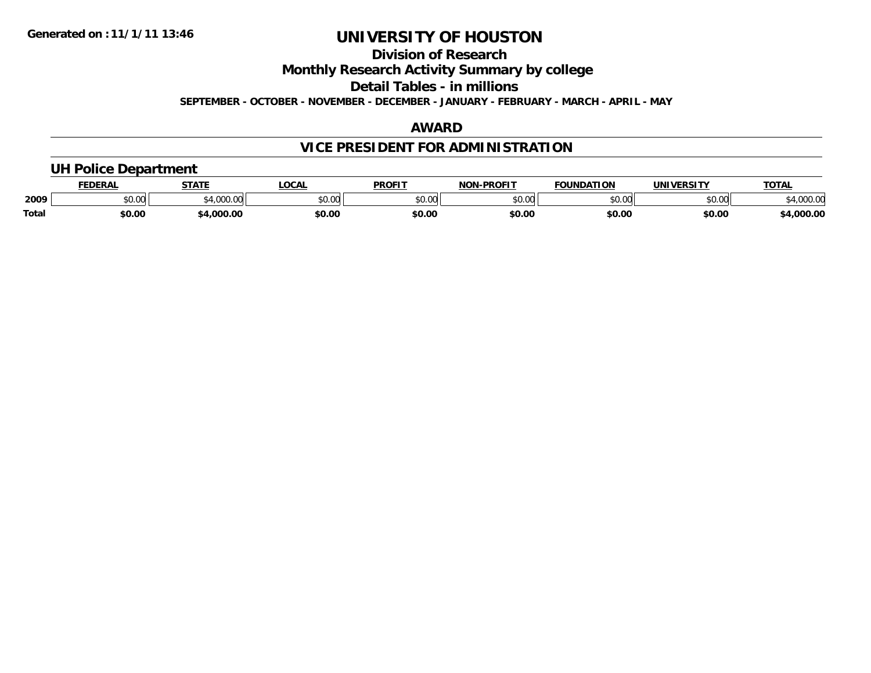## **Division of ResearchMonthly Research Activity Summary by college Detail Tables - in millionsSEPTEMBER - OCTOBER - NOVEMBER - DECEMBER - JANUARY - FEBRUARY - MARCH - APRIL - MAY**

## **AWARD**

# **VICE PRESIDENT FOR ADMINISTRATION**

# **UH Police Department**

|              | <b>FEDERAL</b> | <b>STATE</b>    | <b>LOCAL</b>  | <b>PROFIT</b> | <b>-PROFIT</b><br><b>NON</b> | <b>FOUNDATION</b> | UNIVERSITY | <b>TOTAL</b>             |
|--------------|----------------|-----------------|---------------|---------------|------------------------------|-------------------|------------|--------------------------|
| 2009         | vv.vv          | 0.1000<br>uuu.u | 0000<br>JU.UU | 0000<br>JU.UU | \$0.00                       | \$0.00            | \$0.00     | 00000<br><b>4,000.00</b> |
| <b>Total</b> | \$0.00         | 000.00.         | \$0.00        | \$0.00        | \$0.00                       | \$0.00            | \$0.00     | 4,000.00                 |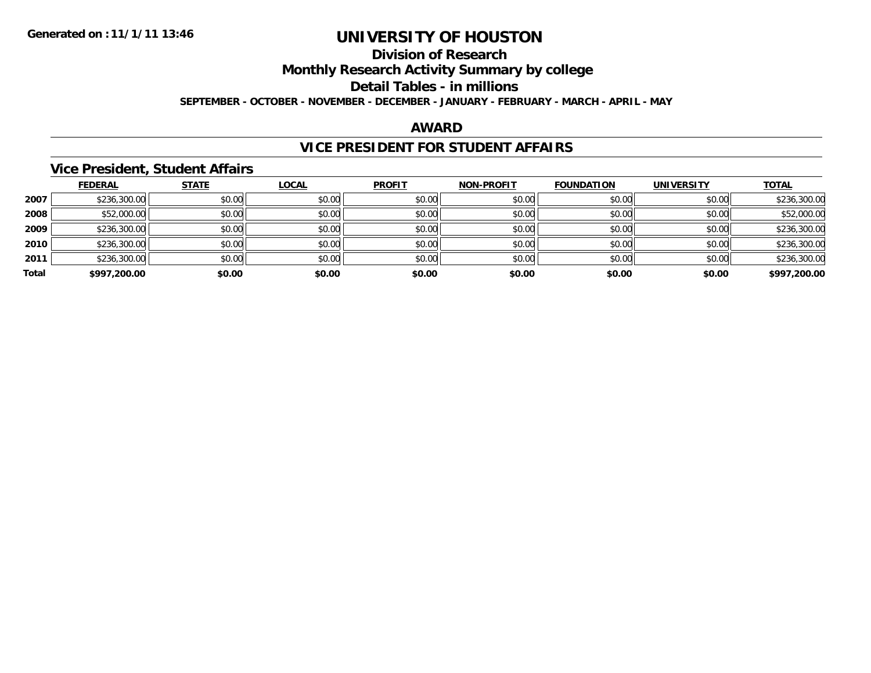## **Division of ResearchMonthly Research Activity Summary by college Detail Tables - in millions SEPTEMBER - OCTOBER - NOVEMBER - DECEMBER - JANUARY - FEBRUARY - MARCH - APRIL - MAY**

## **AWARD**

## **VICE PRESIDENT FOR STUDENT AFFAIRS**

## **Vice President, Student Affairs**

|       | <b>FEDERAL</b> | <b>STATE</b> | <b>LOCAL</b> | <b>PROFIT</b> | <b>NON-PROFIT</b> | <b>FOUNDATION</b> | <b>UNIVERSITY</b> | <b>TOTAL</b> |
|-------|----------------|--------------|--------------|---------------|-------------------|-------------------|-------------------|--------------|
| 2007  | \$236,300.00   | \$0.00       | \$0.00       | \$0.00        | \$0.00            | \$0.00            | \$0.00            | \$236,300.00 |
| 2008  | \$52,000.00    | \$0.00       | \$0.00       | \$0.00        | \$0.00            | \$0.00            | \$0.00            | \$52,000.00  |
| 2009  | \$236,300.00   | \$0.00       | \$0.00       | \$0.00        | \$0.00            | \$0.00            | \$0.00            | \$236,300.00 |
| 2010  | \$236,300.00   | \$0.00       | \$0.00       | \$0.00        | \$0.00            | \$0.00            | \$0.00            | \$236,300.00 |
| 2011  | \$236,300.00   | \$0.00       | \$0.00       | \$0.00        | \$0.00            | \$0.00            | \$0.00            | \$236,300.00 |
| Total | \$997,200.00   | \$0.00       | \$0.00       | \$0.00        | \$0.00            | \$0.00            | \$0.00            | \$997,200.00 |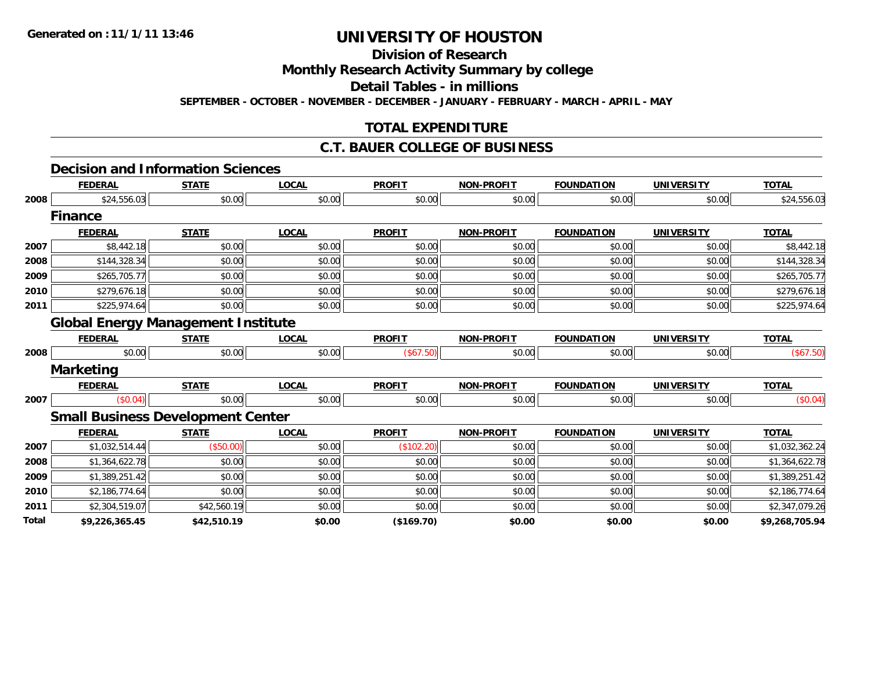# **Division of Research**

**Monthly Research Activity Summary by college**

**Detail Tables - in millions**

**SEPTEMBER - OCTOBER - NOVEMBER - DECEMBER - JANUARY - FEBRUARY - MARCH - APRIL - MAY**

## **TOTAL EXPENDITURE**

## **C.T. BAUER COLLEGE OF BUSINESS**

### **Decision and Information Sciences**

|              | <b>FEDERAL</b>                            | <b>STATE</b> | <b>LOCAL</b> | <b>PROFIT</b> | <b>NON-PROFIT</b> | <b>FOUNDATION</b> | <b>UNIVERSITY</b> | <b>TOTAL</b>   |
|--------------|-------------------------------------------|--------------|--------------|---------------|-------------------|-------------------|-------------------|----------------|
| 2008         | \$24,556.03                               | \$0.00       | \$0.00       | \$0.00        | \$0.00            | \$0.00            | \$0.00            | \$24,556.03    |
|              | <b>Finance</b>                            |              |              |               |                   |                   |                   |                |
|              | <b>FEDERAL</b>                            | <b>STATE</b> | <b>LOCAL</b> | <b>PROFIT</b> | <b>NON-PROFIT</b> | <b>FOUNDATION</b> | <b>UNIVERSITY</b> | <b>TOTAL</b>   |
| 2007         | \$8,442.18                                | \$0.00       | \$0.00       | \$0.00        | \$0.00            | \$0.00            | \$0.00            | \$8,442.18     |
| 2008         | \$144,328.34                              | \$0.00       | \$0.00       | \$0.00        | \$0.00            | \$0.00            | \$0.00            | \$144,328.34   |
| 2009         | \$265,705.77                              | \$0.00       | \$0.00       | \$0.00        | \$0.00            | \$0.00            | \$0.00            | \$265,705.77   |
| 2010         | \$279,676.18                              | \$0.00       | \$0.00       | \$0.00        | \$0.00            | \$0.00            | \$0.00            | \$279,676.18   |
| 2011         | \$225,974.64                              | \$0.00       | \$0.00       | \$0.00        | \$0.00            | \$0.00            | \$0.00            | \$225,974.64   |
|              | <b>Global Energy Management Institute</b> |              |              |               |                   |                   |                   |                |
|              | <b>FEDERAL</b>                            | <b>STATE</b> | <b>LOCAL</b> | <b>PROFIT</b> | <b>NON-PROFIT</b> | <b>FOUNDATION</b> | <b>UNIVERSITY</b> | <b>TOTAL</b>   |
| 2008         | \$0.00                                    | \$0.00       | \$0.00       | (\$67.50)     | \$0.00            | \$0.00            | \$0.00            | (\$67.50)      |
|              | <b>Marketing</b>                          |              |              |               |                   |                   |                   |                |
|              | <b>FEDERAL</b>                            | <b>STATE</b> | <b>LOCAL</b> | <b>PROFIT</b> | <b>NON-PROFIT</b> | <b>FOUNDATION</b> | <b>UNIVERSITY</b> | <b>TOTAL</b>   |
| 2007         | (\$0.04)                                  | \$0.00       | \$0.00       | \$0.00        | \$0.00            | \$0.00            | \$0.00            | (\$0.04)       |
|              | <b>Small Business Development Center</b>  |              |              |               |                   |                   |                   |                |
|              | <b>FEDERAL</b>                            | <b>STATE</b> | <b>LOCAL</b> | <b>PROFIT</b> | <b>NON-PROFIT</b> | <b>FOUNDATION</b> | <b>UNIVERSITY</b> | <b>TOTAL</b>   |
| 2007         | \$1,032,514.44                            | (\$50.00)    | \$0.00       | (\$102.20)    | \$0.00            | \$0.00            | \$0.00            | \$1,032,362.24 |
| 2008         | \$1,364,622.78                            | \$0.00       | \$0.00       | \$0.00        | \$0.00            | \$0.00            | \$0.00            | \$1,364,622.78 |
| 2009         | \$1,389,251.42                            | \$0.00       | \$0.00       | \$0.00        | \$0.00            | \$0.00            | \$0.00            | \$1,389,251.42 |
| 2010         | \$2,186,774.64                            | \$0.00       | \$0.00       | \$0.00        | \$0.00            | \$0.00            | \$0.00            | \$2,186,774.64 |
| 2011         | \$2,304,519.07                            | \$42,560.19  | \$0.00       | \$0.00        | \$0.00            | \$0.00            | \$0.00            | \$2,347,079.26 |
| <b>Total</b> | \$9,226,365.45                            | \$42,510.19  | \$0.00       | (\$169.70)    | \$0.00            | \$0.00            | \$0.00            | \$9,268,705.94 |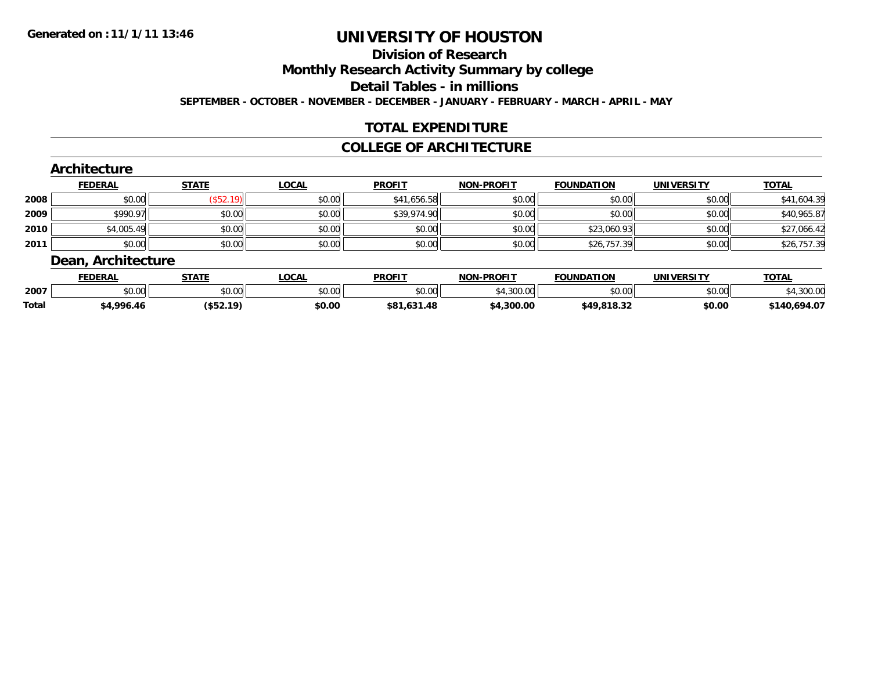## **Division of ResearchMonthly Research Activity Summary by college Detail Tables - in millionsSEPTEMBER - OCTOBER - NOVEMBER - DECEMBER - JANUARY - FEBRUARY - MARCH - APRIL - MAY**

## **TOTAL EXPENDITURE**

## **COLLEGE OF ARCHITECTURE**

#### **Architecture FEDERAL STATE LOCAL PROFIT NON-PROFIT FOUNDATION UNIVERSITY TOTAL 2008** $\bf 8 \left| \right. \qquad \qquad \left. \left. \begin{array}{c} \left. \begin{array}{c} \left. \begin{array}{c} \delta \end{array} \right] \left. \begin{array}{c} \delta \end{array} \right) \left. \begin{array}{c} \delta \end{array} \right) \left. \begin{array}{c} \delta \end{array} \right) \left. \begin{array}{c} \delta \end{array} \right) \left. \begin{array}{c} \delta \end{array} \right) \left. \begin{array}{c} \delta \end{array} \right) \left. \begin{array}{c} \delta \end{array} \right) \left. \begin{array}{c} \delta \end{array} \right) \$ **20099** \$990.97 \$0.00 \$0.00 \$0.00 \$0.00 \$0.00 \$39,974.90 \$39,974.90 \$0.00 \$0.00 \$0.00 \$0.00 \$0.00 \$40,965.87 **2010** $\textsf{\textbf{0}} \parallel \textsf{\textbf{0}}$  \$4,005.49  $\textsf{\textbf{0}}$  \$0.00  $\textsf{\textbf{0}}$  \$0.00  $\textsf{\textbf{0}}$  \$0.00  $\textsf{\textbf{0}}$  \$0.00  $\textsf{\textbf{0}}$  \$23,060.93  $\textsf{\textbf{0}}$  \$0.00  $\textsf{\textbf{0}}$ **2011** $\textbf{1} \hspace{.2cm} \text{$80.00]} \hspace{1.5cm} \text{$50.00]} \hspace{1.5cm} \text{$50.00} \hspace{1.5cm} \text{$1$} \hspace{1.5cm} \text{$26,757.39]} \hspace{1.5cm} \text{$1$} \hspace{1.5cm} \text{$30.00]} \hspace{1.5cm} \text{$30.00]} \hspace{1.5cm} \text{$30.00} \hspace{1.5cm} \text{$1$} \hspace{1.5cm} \text{$1$} \hspace{1.5cm} \text{$3$ **Dean, Architecture**

|       | <b>FEDERAL</b>     | STATE     | LOCAL  | <b>PROFIT</b> | -PROFIT<br>NON- | <b>FOUNDATION</b> | <b>UNIVERSITY</b> | <b>TOTAL</b>         |
|-------|--------------------|-----------|--------|---------------|-----------------|-------------------|-------------------|----------------------|
| 2007  | $\sim$ 00<br>vu.ou | \$0.00    | \$0.00 | \$0.00        | .300.00         | \$0.00            | \$0.00            | ,300.00              |
| Total | 4,996.46           | (\$52.19) | \$0.00 | \$81.631.48   | \$4,300.00      | \$49.818.37       | \$0.00            | .140,694.07<br>41.AO |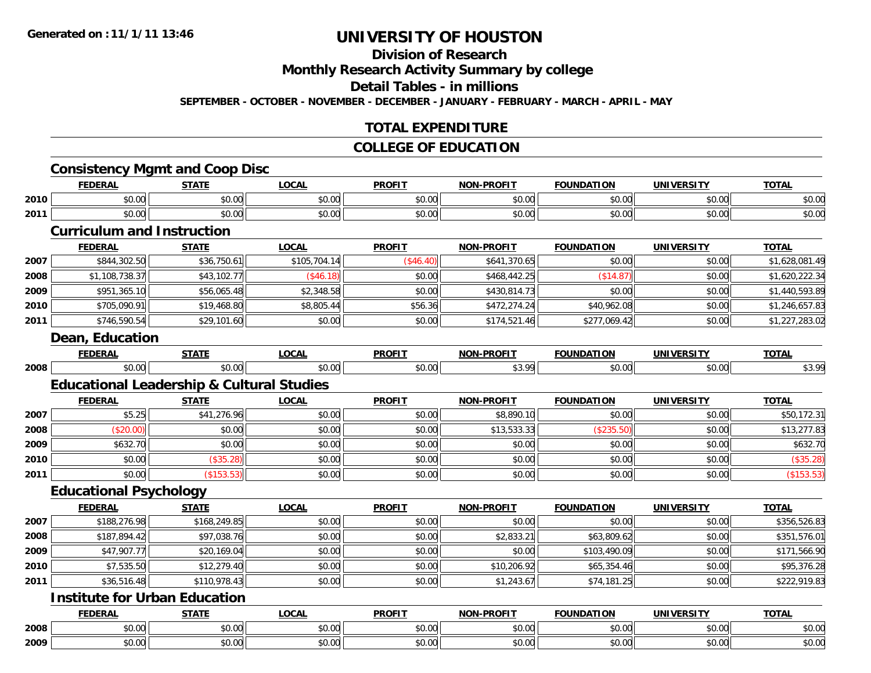# **Division of Research**

**Monthly Research Activity Summary by college**

**Detail Tables - in millions**

**SEPTEMBER - OCTOBER - NOVEMBER - DECEMBER - JANUARY - FEBRUARY - MARCH - APRIL - MAY**

## **TOTAL EXPENDITURE**

## **COLLEGE OF EDUCATION**

## **Consistency Mgmt and Coop Disc**

|      | <b>FEDERAL</b> | <b>STATE</b>                                      | LOCAI         | <b>PROFIT</b> | <b>NON-PROFIT</b> | ΓΙΟΝ<br><b>FAUNIDAT</b><br>IN | <b>UNIVERSITY</b>                                            | <b>TOTAL</b>                    |
|------|----------------|---------------------------------------------------|---------------|---------------|-------------------|-------------------------------|--------------------------------------------------------------|---------------------------------|
| 2010 | 0.00<br>JU.UU  | $\sim$ $\sim$<br>JU.UU                            | 0000<br>JU.UU | 0.00<br>wu.uu | 0000<br>JU.UU     | \$0.00                        | $\mathsf{A} \cap \mathsf{A} \cap \mathsf{A}$<br><b>DU.UG</b> | $\sim$ $\sim$<br>งบ.บบ          |
| 2011 | 0.00<br>JU.UU  | $\mathsf{A}\cap\mathsf{A}\cap\mathsf{A}$<br>JU.UU | 0000<br>PO.OO | 0.00<br>JU.UU | 0000<br>PO.OO     | \$0.00                        | $\sim$ 00<br>ง∪.∪บ                                           | $\uparrow$ $\uparrow$<br>\$U.UU |

## **Curriculum and Instruction**

|      | <b>FEDERAL</b> | <b>STATE</b> | <b>LOCAL</b> | <b>PROFIT</b> | <b>NON-PROFIT</b> | <b>FOUNDATION</b> | <b>UNIVERSITY</b> | <b>TOTAL</b>   |
|------|----------------|--------------|--------------|---------------|-------------------|-------------------|-------------------|----------------|
| 2007 | \$844,302.50   | \$36,750.61  | \$105,704.14 | (\$46.40)     | \$641,370.65      | \$0.00            | \$0.00            | \$1,628,081.49 |
| 2008 | \$1,108,738.37 | \$43,102.77  | \$46.18      | \$0.00        | \$468,442.25      | (\$14.87)         | \$0.00            | \$1,620,222.34 |
| 2009 | \$951,365.10   | \$56,065.48  | \$2,348.58   | \$0.00        | \$430,814.73      | \$0.00            | \$0.00            | \$1,440,593.89 |
| 2010 | \$705,090.91   | \$19,468.80  | \$8,805.44   | \$56.36       | \$472,274.24      | \$40,962.08       | \$0.00            | \$1,246,657.83 |
| 2011 | \$746,590.54   | \$29,101.60  | \$0.00       | \$0.00        | \$174,521.46      | \$277,069.42      | \$0.00            | \$1,227,283.02 |

#### **Dean, Education**

|      | <b>FEDERA</b>                                          | -----<br>- 31 A I - | AA<br>$\sim$  | <b>PROFIT</b>             | -PROFT1<br><b>NON</b> | <b>DATION</b><br><b>COUNDA.</b> | <b>UNIVERSITY</b> | ----           |
|------|--------------------------------------------------------|---------------------|---------------|---------------------------|-----------------------|---------------------------------|-------------------|----------------|
| 2008 | $\mathsf{A} \cap \mathsf{A} \cap \mathsf{A}$<br>טע, טע | $\sim$              | 0.00<br>v.vvi | $\mathsf{v} \mathsf{v}$ . | $\Omega$ now<br>~     |                                 | \$0.00            | 200<br>ູນ ບ. ∠ |

# **Educational Leadership & Cultural Studies**

|      | <b>FEDERAL</b> | <u>STATE</u>      | <b>LOCAL</b> | <b>PROFIT</b> | <b>NON-PROFIT</b> | <b>FOUNDATION</b> | <b>UNIVERSITY</b> | <b>TOTAL</b> |
|------|----------------|-------------------|--------------|---------------|-------------------|-------------------|-------------------|--------------|
| 2007 | \$5.25         | \$41,276.96       | \$0.00       | \$0.00        | \$8,890.10        | \$0.00            | \$0.00            | \$50,172.31  |
| 2008 | \$20.00]       | \$0.00            | \$0.00       | \$0.00        | \$13,533.33       | (\$235.50)        | \$0.00            | \$13,277.83  |
| 2009 | \$632.70       | \$0.00            | \$0.00       | \$0.00        | \$0.00            | \$0.00            | \$0.00            | \$632.70     |
| 2010 | \$0.00         | \$35.28           | \$0.00       | \$0.00        | \$0.00            | \$0.00            | \$0.00            | (\$35.28)    |
| 2011 | \$0.00         | $($ \$153.53) $ $ | \$0.00       | \$0.00        | \$0.00            | \$0.00            | \$0.00            | (\$153.53)   |

## **Educational Psychology**

|      | <b>FEDERAL</b> | <b>STATE</b> | <b>LOCAL</b> | <b>PROFIT</b> | <b>NON-PROFIT</b> | <b>FOUNDATION</b> | <b>UNIVERSITY</b> | <b>TOTAL</b> |
|------|----------------|--------------|--------------|---------------|-------------------|-------------------|-------------------|--------------|
| 2007 | \$188,276.98   | \$168,249.85 | \$0.00       | \$0.00        | \$0.00            | \$0.00            | \$0.00            | \$356,526.83 |
| 2008 | \$187,894.42   | \$97,038.76  | \$0.00       | \$0.00        | \$2,833.21        | \$63,809.62       | \$0.00            | \$351,576.01 |
| 2009 | \$47,907.77    | \$20,169.04  | \$0.00       | \$0.00        | \$0.00            | \$103,490.09      | \$0.00            | \$171,566.90 |
| 2010 | \$7,535.50     | \$12,279.40  | \$0.00       | \$0.00        | \$10,206.92       | \$65,354.46       | \$0.00            | \$95,376.28  |
| 2011 | \$36,516.48    | \$110,978.43 | \$0.00       | \$0.00        | \$1,243.67        | \$74,181.25       | \$0.00            | \$222,919.83 |

## **Institute for Urban Education**

|      | <b>FEDERAI</b> | <b>STATE</b> | LOCAI         | <b>PROFIT</b>                                       | NON-PROFIT             | <b>FOUNDATION</b>      | <b>UNIVERSITY</b>              | <b>TOTAL</b><br>,,, |
|------|----------------|--------------|---------------|-----------------------------------------------------|------------------------|------------------------|--------------------------------|---------------------|
| 2008 | 0000<br>טט.טע  | 0000<br>ט.טי | 0000<br>טט.טע | $\uparrow$ $\uparrow$ $\uparrow$<br>JU.U            | $\sim$ $\sim$<br>JU.UU | $\sim$ $\sim$<br>DU.UU | 0 <sub>n</sub><br>vu.vu        | \$0.00              |
| 2009 | 0000<br>DU.UU  | 0000<br>,uu  | 0000<br>DU.UU | $\uparrow$ $\uparrow$ $\uparrow$ $\uparrow$<br>JU.U | ሐሴ ሰሰ<br>JU.UU         | $\sim$ 00<br>DU.UU     | 0 <sub>n</sub><br><b>JU.UU</b> | \$0.00              |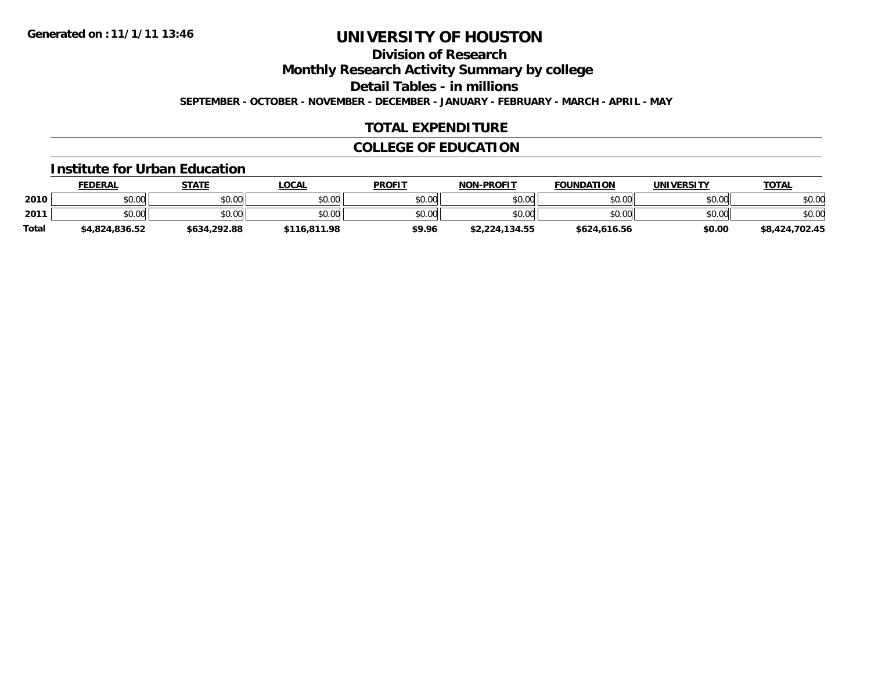## **Division of ResearchMonthly Research Activity Summary by college Detail Tables - in millionsSEPTEMBER - OCTOBER - NOVEMBER - DECEMBER - JANUARY - FEBRUARY - MARCH - APRIL - MAY**

## **TOTAL EXPENDITURE**

## **COLLEGE OF EDUCATION**

## **Institute for Urban Education**

|       | <b>FEDERAL</b> | <b>STATE</b> | LOCAL        | <b>PROFIT</b> | <b>NON-PROFIT</b> | <b>FOUNDATION</b> | <b>UNIVERSITY</b> | <b>TOTAL</b>   |
|-------|----------------|--------------|--------------|---------------|-------------------|-------------------|-------------------|----------------|
| 2010  | \$0.00         | \$0.00       | \$0.00       | \$0.00        | \$0.00            | \$0.00            | \$0.00            | \$0.00         |
| 2011  | \$0.00         | \$0.00       | \$0.00       | \$0.00        | \$0.00            | \$0.00            | \$0.00            | \$0.00         |
| Total | \$4,824,836.52 | \$634,292.88 | \$116,811.98 | \$9.96        | \$2,224,134.55    | \$624,616.56      | \$0.00            | \$8,424,702.45 |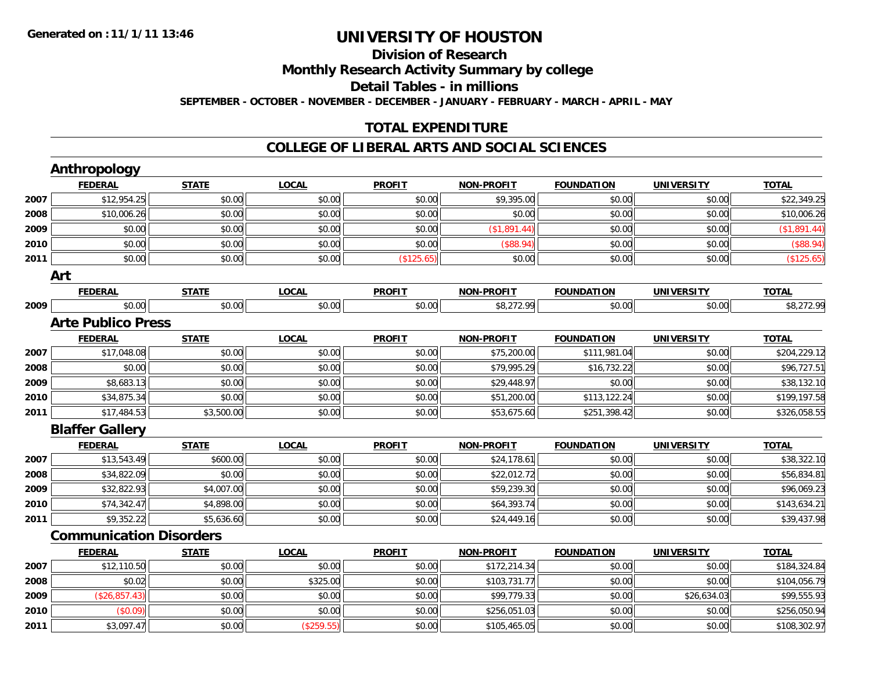## **Division of ResearchMonthly Research Activity Summary by college Detail Tables - in millions SEPTEMBER - OCTOBER - NOVEMBER - DECEMBER - JANUARY - FEBRUARY - MARCH - APRIL - MAY**

## **TOTAL EXPENDITURE**

## **COLLEGE OF LIBERAL ARTS AND SOCIAL SCIENCES**

|      | <b>FEDERAL</b>                 | <b>STATE</b> | <b>LOCAL</b> | <b>PROFIT</b> | <b>NON-PROFIT</b> | <b>FOUNDATION</b> | <b>UNIVERSITY</b> | <b>TOTAL</b> |
|------|--------------------------------|--------------|--------------|---------------|-------------------|-------------------|-------------------|--------------|
| 2007 | \$12,954.25                    | \$0.00       | \$0.00       | \$0.00        | \$9,395.00        | \$0.00            | \$0.00            | \$22,349.25  |
| 2008 | \$10,006.26                    | \$0.00       | \$0.00       | \$0.00        | \$0.00            | \$0.00            | \$0.00            | \$10,006.26  |
| 2009 | \$0.00                         | \$0.00       | \$0.00       | \$0.00        | (\$1,891.44)      | \$0.00            | \$0.00            | (\$1,891.44) |
| 2010 | \$0.00                         | \$0.00       | \$0.00       | \$0.00        | (\$88.94)         | \$0.00            | \$0.00            | (\$88.94)    |
| 2011 | \$0.00                         | \$0.00       | \$0.00       | (\$125.65)    | \$0.00            | \$0.00            | \$0.00            | (\$125.65)   |
| Art  |                                |              |              |               |                   |                   |                   |              |
|      | <b>FEDERAL</b>                 | <b>STATE</b> | <b>LOCAL</b> | <b>PROFIT</b> | <b>NON-PROFIT</b> | <b>FOUNDATION</b> | <b>UNIVERSITY</b> | <b>TOTAL</b> |
| 2009 | \$0.00                         | \$0.00       | \$0.00       | \$0.00        | \$8,272.99        | \$0.00            | \$0.00            | \$8,272.99   |
|      | <b>Arte Publico Press</b>      |              |              |               |                   |                   |                   |              |
|      | <b>FEDERAL</b>                 | <b>STATE</b> | <b>LOCAL</b> | <b>PROFIT</b> | <b>NON-PROFIT</b> | <b>FOUNDATION</b> | <b>UNIVERSITY</b> | <b>TOTAL</b> |
| 2007 | \$17,048.08                    | \$0.00       | \$0.00       | \$0.00        | \$75,200.00       | \$111,981.04      | \$0.00            | \$204,229.12 |
| 2008 | \$0.00                         | \$0.00       | \$0.00       | \$0.00        | \$79,995.29       | \$16,732.22       | \$0.00            | \$96,727.51  |
| 2009 | \$8,683.13                     | \$0.00       | \$0.00       | \$0.00        | \$29,448.97       | \$0.00            | \$0.00            | \$38,132.10  |
| 2010 | \$34,875.34                    | \$0.00       | \$0.00       | \$0.00        | \$51,200.00       | \$113,122.24      | \$0.00            | \$199,197.58 |
| 2011 | \$17,484.53                    | \$3,500.00   | \$0.00       | \$0.00        | \$53,675.60       | \$251,398.42      | \$0.00            | \$326,058.55 |
|      | <b>Blaffer Gallery</b>         |              |              |               |                   |                   |                   |              |
|      | <b>FEDERAL</b>                 | <b>STATE</b> | <b>LOCAL</b> | <b>PROFIT</b> | <b>NON-PROFIT</b> | <b>FOUNDATION</b> | <b>UNIVERSITY</b> | <b>TOTAL</b> |
| 2007 | \$13,543.49                    | \$600.00     | \$0.00       | \$0.00        | \$24,178.61       | \$0.00            | \$0.00            | \$38,322.10  |
| 2008 | \$34,822.09                    | \$0.00       | \$0.00       | \$0.00        | \$22,012.72       | \$0.00            | \$0.00            | \$56,834.81  |
| 2009 | \$32,822.93                    | \$4,007.00   | \$0.00       | \$0.00        | \$59,239.30       | \$0.00            | \$0.00            | \$96,069.23  |
| 2010 | \$74,342.47                    | \$4,898.00   | \$0.00       | \$0.00        | \$64,393.74       | \$0.00            | \$0.00            | \$143,634.21 |
| 2011 | \$9,352.22                     | \$5,636.60   | \$0.00       | \$0.00        | \$24,449.16       | \$0.00            | \$0.00            | \$39,437.98  |
|      | <b>Communication Disorders</b> |              |              |               |                   |                   |                   |              |
|      | <b>FEDERAL</b>                 | <b>STATE</b> | <b>LOCAL</b> | <b>PROFIT</b> | <b>NON-PROFIT</b> | <b>FOUNDATION</b> | <b>UNIVERSITY</b> | <b>TOTAL</b> |
| 2007 | \$12,110.50                    | \$0.00       | \$0.00       | \$0.00        | \$172,214.34      | \$0.00            | \$0.00            | \$184,324.84 |
| 2008 | \$0.02                         | \$0.00       | \$325.00     | \$0.00        | \$103,731.77      | \$0.00            | \$0.00            | \$104,056.79 |
| 2009 | (\$26,857.43)                  | \$0.00       | \$0.00       | \$0.00        | \$99,779.33       | \$0.00            | \$26,634.03       | \$99,555.93  |
| 2010 | (\$0.09)                       | \$0.00       | \$0.00       | \$0.00        | \$256,051.03      | \$0.00            | \$0.00            | \$256,050.94 |
| 2011 | \$3,097.47                     | \$0.00       | (\$259.55)   | \$0.00        | \$105,465.05      | \$0.00            | \$0.00            | \$108,302.97 |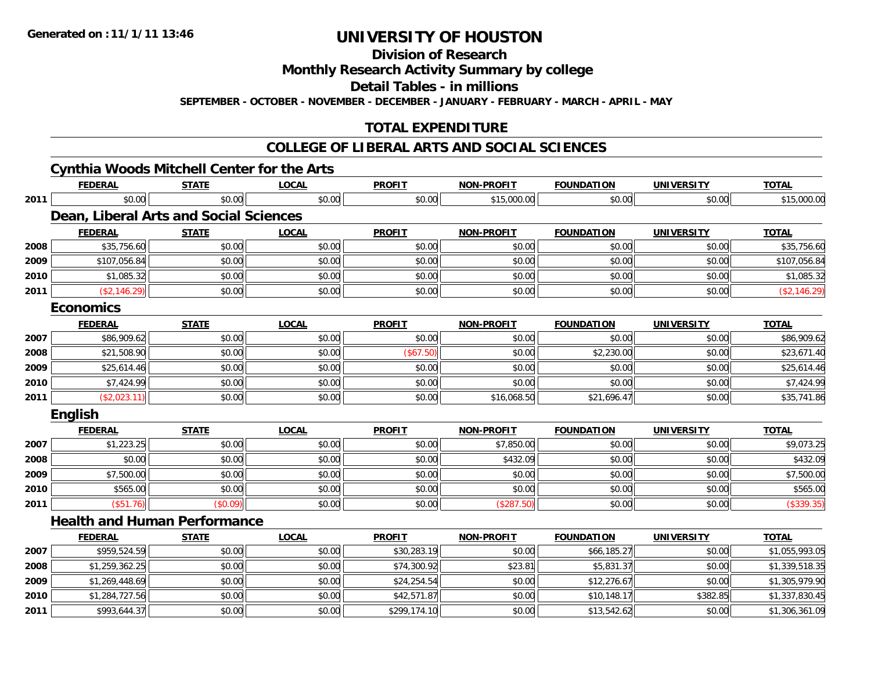**2011**

# **UNIVERSITY OF HOUSTON**

**Division of Research**

**Monthly Research Activity Summary by college**

**Detail Tables - in millions**

**SEPTEMBER - OCTOBER - NOVEMBER - DECEMBER - JANUARY - FEBRUARY - MARCH - APRIL - MAY**

## **TOTAL EXPENDITURE**

## **COLLEGE OF LIBERAL ARTS AND SOCIAL SCIENCES**

## **Cynthia Woods Mitchell Center for the Arts**

|      | <b>FEDERAL</b>   | <b>STATE</b>                                  | <b>LOCAL</b> | <b>PROFIT</b> | <b>NON-PROFIT</b> | <b>FOUNDATION</b> | <b>UNIVERSITY</b> | <b>TOTAL</b>   |
|------|------------------|-----------------------------------------------|--------------|---------------|-------------------|-------------------|-------------------|----------------|
| 2011 | \$0.00           | \$0.00                                        | \$0.00       | \$0.00        | \$15,000.00       | \$0.00            | \$0.00            | \$15,000.00    |
|      |                  | <b>Dean, Liberal Arts and Social Sciences</b> |              |               |                   |                   |                   |                |
|      | <b>FEDERAL</b>   | <b>STATE</b>                                  | <b>LOCAL</b> | <b>PROFIT</b> | <b>NON-PROFIT</b> | <b>FOUNDATION</b> | <b>UNIVERSITY</b> | <b>TOTAL</b>   |
| 2008 | \$35,756.60      | \$0.00                                        | \$0.00       | \$0.00        | \$0.00            | \$0.00            | \$0.00            | \$35,756.60    |
| 2009 | \$107,056.84     | \$0.00                                        | \$0.00       | \$0.00        | \$0.00            | \$0.00            | \$0.00            | \$107,056.84   |
| 2010 | \$1,085.32       | \$0.00                                        | \$0.00       | \$0.00        | \$0.00            | \$0.00            | \$0.00            | \$1,085.32     |
| 2011 | (\$2,146.29)     | \$0.00                                        | \$0.00       | \$0.00        | \$0.00            | \$0.00            | \$0.00            | (\$2,146.29)   |
|      | <b>Economics</b> |                                               |              |               |                   |                   |                   |                |
|      | <b>FEDERAL</b>   | <b>STATE</b>                                  | <b>LOCAL</b> | <b>PROFIT</b> | <b>NON-PROFIT</b> | <b>FOUNDATION</b> | <b>UNIVERSITY</b> | <b>TOTAL</b>   |
| 2007 | \$86,909.62      | \$0.00                                        | \$0.00       | \$0.00        | \$0.00            | \$0.00            | \$0.00            | \$86,909.62    |
| 2008 | \$21,508.90      | \$0.00                                        | \$0.00       | (\$67.50)     | \$0.00            | \$2,230.00        | \$0.00            | \$23,671.40    |
| 2009 | \$25,614.46      | \$0.00                                        | \$0.00       | \$0.00        | \$0.00            | \$0.00            | \$0.00            | \$25,614.46    |
| 2010 | \$7,424.99       | \$0.00                                        | \$0.00       | \$0.00        | \$0.00            | \$0.00            | \$0.00            | \$7,424.99     |
| 2011 | (\$2,023.11)     | \$0.00                                        | \$0.00       | \$0.00        | \$16,068.50       | \$21,696.47       | \$0.00            | \$35,741.86    |
|      | <b>English</b>   |                                               |              |               |                   |                   |                   |                |
|      | <b>FEDERAL</b>   | <b>STATE</b>                                  | <b>LOCAL</b> | <b>PROFIT</b> | <b>NON-PROFIT</b> | <b>FOUNDATION</b> | <b>UNIVERSITY</b> | <b>TOTAL</b>   |
| 2007 | \$1,223.25       | \$0.00                                        | \$0.00       | \$0.00        | \$7,850.00        | \$0.00            | \$0.00            | \$9,073.25     |
| 2008 | \$0.00           | \$0.00                                        | \$0.00       | \$0.00        | \$432.09          | \$0.00            | \$0.00            | \$432.09       |
| 2009 | \$7,500.00       | \$0.00                                        | \$0.00       | \$0.00        | \$0.00            | \$0.00            | \$0.00            | \$7,500.00     |
| 2010 | \$565.00         | \$0.00                                        | \$0.00       | \$0.00        | \$0.00            | \$0.00            | \$0.00            | \$565.00       |
| 2011 | (\$51.76)        | (\$0.09)                                      | \$0.00       | \$0.00        | (\$287.50)        | \$0.00            | \$0.00            | (\$339.35)     |
|      |                  | <b>Health and Human Performance</b>           |              |               |                   |                   |                   |                |
|      | <b>FEDERAL</b>   | <b>STATE</b>                                  | <b>LOCAL</b> | <b>PROFIT</b> | <b>NON-PROFIT</b> | <b>FOUNDATION</b> | <b>UNIVERSITY</b> | <b>TOTAL</b>   |
| 2007 | \$959,524.59     | \$0.00                                        | \$0.00       | \$30,283.19   | \$0.00            | \$66,185.27       | \$0.00            | \$1,055,993.05 |
| 2008 | \$1,259,362.25   | \$0.00                                        | \$0.00       | \$74,300.92   | \$23.81           | \$5,831.37        | \$0.00            | \$1,339,518.35 |
| 2009 | \$1,269,448.69   | \$0.00                                        | \$0.00       | \$24,254.54   | \$0.00            | \$12,276.67       | \$0.00            | \$1,305,979.90 |
| 2010 | \$1,284,727.56   | \$0.00                                        | \$0.00       | \$42,571.87   | \$0.00            | \$10,148.17       | \$382.85          | \$1,337,830.45 |

 $\textbf{1} \hspace{14mm} \text{\textcolor{red}{\textbf{3.542.62}}} \hspace{14mm} \text{\textcolor{red}{\textbf{5.644.37}}} \hspace{13mm} \text{\textcolor{red}{\textbf{5.643.361.09}}} \hspace{13mm} \text{\textcolor{red}{\textbf{5.663.61.09}}} \hspace{13mm} \text{\textcolor{red}{\textbf{5.663.61.09}}} \hspace{13mm} \text{\textcolor{red}{\textbf{5.663.61.09}}} \hspace{13mm} \text{\textcolor{red}{\textbf{5.663.6$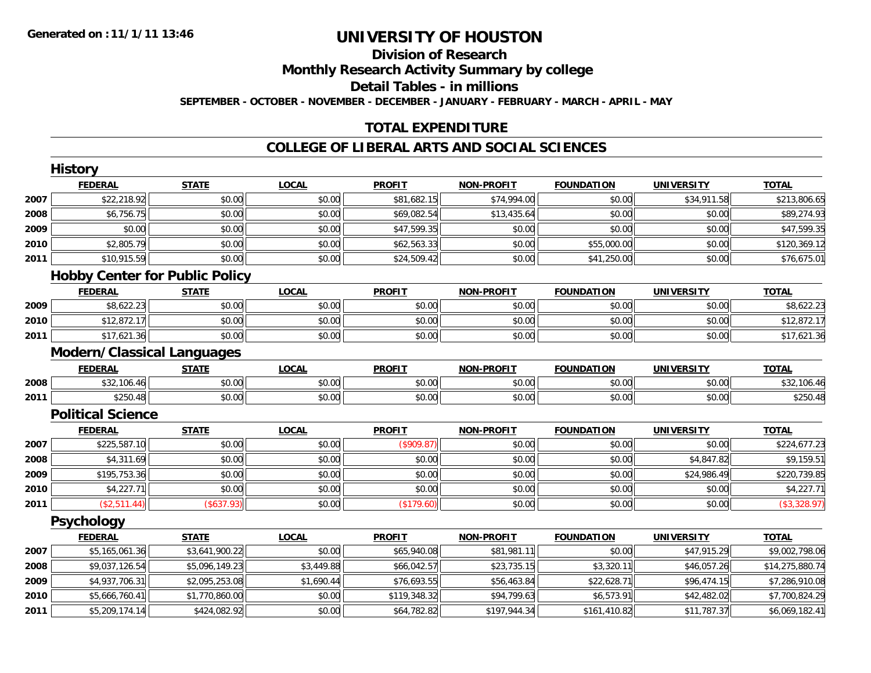**History**

# **UNIVERSITY OF HOUSTON**

## **Division of ResearchMonthly Research Activity Summary by college Detail Tables - in millionsSEPTEMBER - OCTOBER - NOVEMBER - DECEMBER - JANUARY - FEBRUARY - MARCH - APRIL - MAY**

## **TOTAL EXPENDITURE**

## **COLLEGE OF LIBERAL ARTS AND SOCIAL SCIENCES**

|      | <b>HISTORY</b>                        |                |              |               |                   |                   |                   |                 |
|------|---------------------------------------|----------------|--------------|---------------|-------------------|-------------------|-------------------|-----------------|
|      | <b>FEDERAL</b>                        | <b>STATE</b>   | <b>LOCAL</b> | <b>PROFIT</b> | <b>NON-PROFIT</b> | <b>FOUNDATION</b> | <b>UNIVERSITY</b> | <b>TOTAL</b>    |
| 2007 | \$22,218.92                           | \$0.00         | \$0.00       | \$81,682.15   | \$74,994.00       | \$0.00            | \$34,911.58       | \$213,806.65    |
| 2008 | \$6,756.75                            | \$0.00         | \$0.00       | \$69,082.54   | \$13,435.64       | \$0.00            | \$0.00            | \$89,274.93     |
| 2009 | \$0.00                                | \$0.00         | \$0.00       | \$47,599.35   | \$0.00            | \$0.00            | \$0.00            | \$47,599.35     |
| 2010 | \$2,805.79                            | \$0.00         | \$0.00       | \$62,563.33   | \$0.00            | \$55,000.00       | \$0.00            | \$120,369.12    |
| 2011 | \$10,915.59                           | \$0.00         | \$0.00       | \$24,509.42   | \$0.00            | \$41,250.00       | \$0.00            | \$76,675.01     |
|      | <b>Hobby Center for Public Policy</b> |                |              |               |                   |                   |                   |                 |
|      | <b>FEDERAL</b>                        | <b>STATE</b>   | <b>LOCAL</b> | <b>PROFIT</b> | <b>NON-PROFIT</b> | <b>FOUNDATION</b> | <b>UNIVERSITY</b> | <b>TOTAL</b>    |
| 2009 | \$8,622.23                            | \$0.00         | \$0.00       | \$0.00        | \$0.00            | \$0.00            | \$0.00            | \$8,622.23      |
| 2010 | \$12,872.17                           | \$0.00         | \$0.00       | \$0.00        | \$0.00            | \$0.00            | \$0.00            | \$12,872.17     |
| 2011 | \$17,621.36                           | \$0.00         | \$0.00       | \$0.00        | \$0.00            | \$0.00            | \$0.00            | \$17,621.36     |
|      | <b>Modern/Classical Languages</b>     |                |              |               |                   |                   |                   |                 |
|      | <b>FEDERAL</b>                        | <b>STATE</b>   | <b>LOCAL</b> | <b>PROFIT</b> | <b>NON-PROFIT</b> | <b>FOUNDATION</b> | <b>UNIVERSITY</b> | <b>TOTAL</b>    |
| 2008 | \$32,106.46                           | \$0.00         | \$0.00       | \$0.00        | \$0.00            | \$0.00            | \$0.00            | \$32,106.46     |
| 2011 | \$250.48                              | \$0.00         | \$0.00       | \$0.00        | \$0.00            | \$0.00            | \$0.00            | \$250.48        |
|      | <b>Political Science</b>              |                |              |               |                   |                   |                   |                 |
|      | <b>FEDERAL</b>                        | <b>STATE</b>   | <b>LOCAL</b> | <b>PROFIT</b> | <b>NON-PROFIT</b> | <b>FOUNDATION</b> | <b>UNIVERSITY</b> | <b>TOTAL</b>    |
| 2007 | \$225,587.10                          | \$0.00         | \$0.00       | (\$909.87)    | \$0.00            | \$0.00            | \$0.00            | \$224,677.23    |
| 2008 | \$4,311.69                            | \$0.00         | \$0.00       | \$0.00        | \$0.00            | \$0.00            | \$4,847.82        | \$9,159.51      |
| 2009 | \$195,753.36                          | \$0.00         | \$0.00       | \$0.00        | \$0.00            | \$0.00            | \$24,986.49       | \$220,739.85    |
| 2010 | \$4,227.71                            | \$0.00         | \$0.00       | \$0.00        | \$0.00            | \$0.00            | \$0.00            | \$4,227.71      |
| 2011 | (\$2,511.44)                          | (\$637.93)     | \$0.00       | (\$179.60)    | \$0.00            | \$0.00            | \$0.00            | (\$3,328.97)    |
|      | <b>Psychology</b>                     |                |              |               |                   |                   |                   |                 |
|      | <b>FEDERAL</b>                        | <b>STATE</b>   | <b>LOCAL</b> | <b>PROFIT</b> | <b>NON-PROFIT</b> | <b>FOUNDATION</b> | <b>UNIVERSITY</b> | <b>TOTAL</b>    |
| 2007 | \$5,165,061.36                        | \$3,641,900.22 | \$0.00       | \$65,940.08   | \$81,981.11       | \$0.00            | \$47,915.29       | \$9,002,798.06  |
| 2008 | \$9,037,126.54                        | \$5,096,149.23 | \$3,449.88   | \$66,042.57   | \$23,735.15       | \$3,320.11        | \$46,057.26       | \$14,275,880.74 |
| 2009 | \$4,937,706.31                        | \$2,095,253.08 | \$1,690.44   | \$76,693.55   | \$56,463.84       | \$22,628.71       | \$96,474.15       | \$7,286,910.08  |
| 2010 | \$5,666,760.41                        | \$1,770,860.00 | \$0.00       | \$119,348.32  | \$94,799.63       | \$6,573.91        | \$42,482.02       | \$7,700,824.29  |
| 2011 | \$5,209,174.14                        | \$424,082.92   | \$0.00       | \$64,782.82   | \$197,944.34      | \$161,410.82      | \$11,787.37       | \$6,069,182.41  |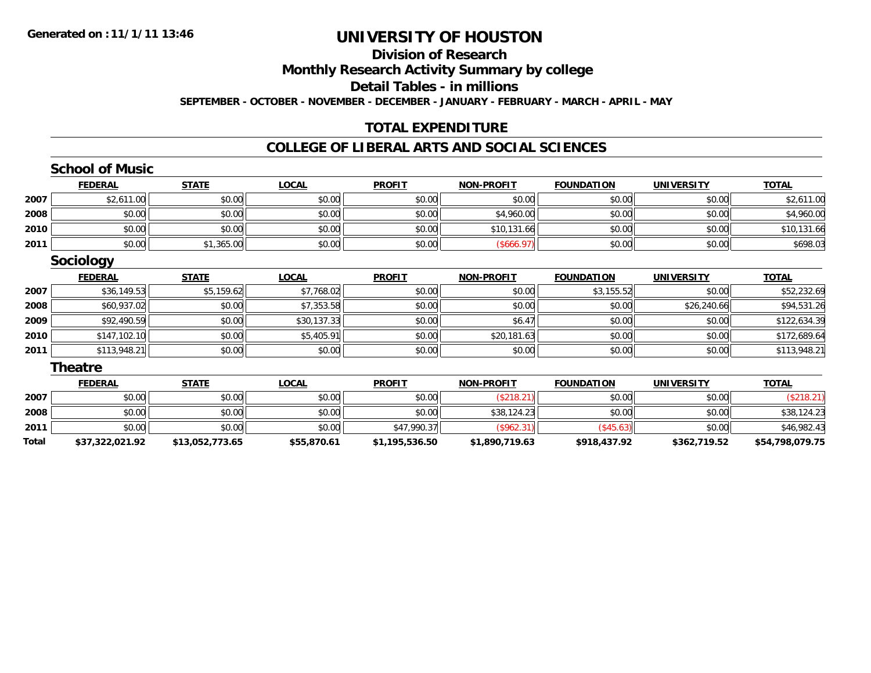## **Division of ResearchMonthly Research Activity Summary by college Detail Tables - in millionsSEPTEMBER - OCTOBER - NOVEMBER - DECEMBER - JANUARY - FEBRUARY - MARCH - APRIL - MAY**

## **TOTAL EXPENDITURE**

## **COLLEGE OF LIBERAL ARTS AND SOCIAL SCIENCES**

## **School of Music**

|      | <b>FEDERAL</b> | <b>STATE</b> | <u>LOCAL</u> | <b>PROFIT</b> | <b>NON-PROFIT</b> | <b>FOUNDATION</b> | <b>UNIVERSITY</b> | <b>TOTAL</b> |
|------|----------------|--------------|--------------|---------------|-------------------|-------------------|-------------------|--------------|
| 2007 | \$2,611.00     | \$0.00       | \$0.00       | \$0.00        | \$0.00            | \$0.00            | \$0.00            | \$2,611.00   |
| 2008 | \$0.00         | \$0.00       | \$0.00       | \$0.00        | \$4,960.00        | \$0.00            | \$0.00            | \$4,960.00   |
| 2010 | \$0.00         | \$0.00       | \$0.00       | \$0.00        | \$10,131.66       | \$0.00            | \$0.00            | \$10,131.66  |
| 2011 | \$0.00         | \$1,365.00   | \$0.00       | \$0.00        | (\$666.97)        | \$0.00            | \$0.00            | \$698.03     |

## **Sociology**

|      | <b>FEDERAL</b> | <b>STATE</b> | <u>LOCAL</u> | <b>PROFIT</b> | <b>NON-PROFIT</b> | <b>FOUNDATION</b> | <b>UNIVERSITY</b> | <b>TOTAL</b> |
|------|----------------|--------------|--------------|---------------|-------------------|-------------------|-------------------|--------------|
| 2007 | \$36,149.53    | \$5,159.62   | \$7,768.02   | \$0.00        | \$0.00            | \$3,155.52        | \$0.00            | \$52,232.69  |
| 2008 | \$60,937.02    | \$0.00       | \$7,353.58   | \$0.00        | \$0.00            | \$0.00            | \$26,240.66       | \$94,531.26  |
| 2009 | \$92,490.59    | \$0.00       | \$30,137.33  | \$0.00        | \$6.47            | \$0.00            | \$0.00            | \$122,634.39 |
| 2010 | \$147,102.10   | \$0.00       | \$5,405.91   | \$0.00        | \$20,181.63       | \$0.00            | \$0.00            | \$172,689.64 |
| 2011 | \$113,948.21   | \$0.00       | \$0.00       | \$0.00        | \$0.00            | \$0.00            | \$0.00            | \$113,948.21 |

## **Theatre**

|       | <b>FEDERAL</b>  | <b>STATE</b>    | <b>LOCAL</b> | <b>PROFIT</b>  | <b>NON-PROFIT</b> | <b>FOUNDATION</b> | <b>UNIVERSITY</b> | <b>TOTAL</b>    |
|-------|-----------------|-----------------|--------------|----------------|-------------------|-------------------|-------------------|-----------------|
| 2007  | \$0.00          | \$0.00          | \$0.00       | \$0.00         | \$218.2           | \$0.00            | \$0.00            | \$218.2         |
| 2008  | \$0.00          | \$0.00          | \$0.00       | \$0.00         | \$38,124.23       | \$0.00            | \$0.00            | \$38,124.23     |
| 2011  | \$0.00          | \$0.00          | \$0.00       | \$47,990.37    | $($ \$962.31)     | $\frac{7545}{10}$ | \$0.00            | \$46,982.43     |
| Total | \$37,322,021.92 | \$13,052,773.65 | \$55,870.61  | \$1,195,536.50 | \$1,890,719.63    | \$918,437.92      | \$362,719.52      | \$54,798,079.75 |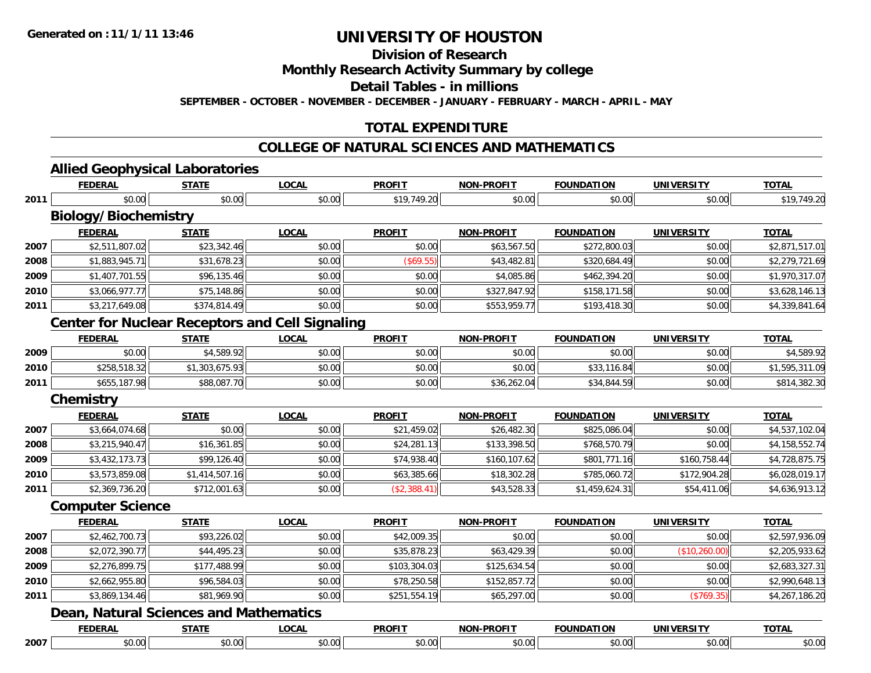# **Division of Research**

**Monthly Research Activity Summary by college**

**Detail Tables - in millions**

**SEPTEMBER - OCTOBER - NOVEMBER - DECEMBER - JANUARY - FEBRUARY - MARCH - APRIL - MAY**

## **TOTAL EXPENDITURE**

## **COLLEGE OF NATURAL SCIENCES AND MATHEMATICS**

# **Allied Geophysical Laboratories**

|      | <b>FEDERAL</b>                                         | <b>STATE</b>   | <b>LOCAL</b> | <b>PROFIT</b> | <b>NON-PROFIT</b> | <b>FOUNDATION</b> | <b>UNIVERSITY</b> | <b>TOTAL</b>   |
|------|--------------------------------------------------------|----------------|--------------|---------------|-------------------|-------------------|-------------------|----------------|
| 2011 | \$0.00                                                 | \$0.00         | \$0.00       | \$19,749.20   | \$0.00            | \$0.00            | \$0.00            | \$19,749.20    |
|      | <b>Biology/Biochemistry</b>                            |                |              |               |                   |                   |                   |                |
|      | <b>FEDERAL</b>                                         | <b>STATE</b>   | <b>LOCAL</b> | <b>PROFIT</b> | <b>NON-PROFIT</b> | <b>FOUNDATION</b> | <b>UNIVERSITY</b> | <b>TOTAL</b>   |
| 2007 | \$2,511,807.02                                         | \$23,342.46    | \$0.00       | \$0.00        | \$63,567.50       | \$272,800.03      | \$0.00            | \$2,871,517.01 |
| 2008 | \$1,883,945.71                                         | \$31,678.23    | \$0.00       | (\$69.55)     | \$43,482.81       | \$320,684.49      | \$0.00            | \$2,279,721.69 |
| 2009 | \$1,407,701.55                                         | \$96,135.46    | \$0.00       | \$0.00        | \$4,085.86        | \$462,394.20      | \$0.00            | \$1,970,317.07 |
| 2010 | \$3,066,977.77                                         | \$75,148.86    | \$0.00       | \$0.00        | \$327,847.92      | \$158,171.58      | \$0.00            | \$3,628,146.13 |
| 2011 | \$3,217,649.08                                         | \$374,814.49   | \$0.00       | \$0.00        | \$553,959.77      | \$193,418.30      | \$0.00            | \$4,339,841.64 |
|      | <b>Center for Nuclear Receptors and Cell Signaling</b> |                |              |               |                   |                   |                   |                |
|      | <b>FEDERAL</b>                                         | <b>STATE</b>   | <b>LOCAL</b> | <b>PROFIT</b> | <b>NON-PROFIT</b> | <b>FOUNDATION</b> | <b>UNIVERSITY</b> | <b>TOTAL</b>   |
| 2009 | \$0.00                                                 | \$4,589.92     | \$0.00       | \$0.00        | \$0.00            | \$0.00            | \$0.00            | \$4,589.92     |
| 2010 | \$258,518.32                                           | \$1,303,675.93 | \$0.00       | \$0.00        | \$0.00            | \$33,116.84       | \$0.00            | \$1,595,311.09 |
| 2011 | \$655,187.98                                           | \$88,087.70    | \$0.00       | \$0.00        | \$36,262.04       | \$34,844.59       | \$0.00            | \$814,382.30   |
|      | <b>Chemistry</b>                                       |                |              |               |                   |                   |                   |                |
|      | <b>FEDERAL</b>                                         | <b>STATE</b>   | <b>LOCAL</b> | <b>PROFIT</b> | <b>NON-PROFIT</b> | <b>FOUNDATION</b> | <b>UNIVERSITY</b> | <b>TOTAL</b>   |
| 2007 | \$3,664,074.68                                         | \$0.00         | \$0.00       | \$21,459.02   | \$26,482.30       | \$825,086.04      | \$0.00            | \$4,537,102.04 |
| 2008 | \$3,215,940.47                                         | \$16,361.85    | \$0.00       | \$24,281.13   | \$133,398.50      | \$768,570.79      | \$0.00            | \$4,158,552.74 |
| 2009 | \$3,432,173.73                                         | \$99,126.40    | \$0.00       | \$74,938.40   | \$160,107.62      | \$801,771.16      | \$160,758.44      | \$4,728,875.75 |
| 2010 | \$3,573,859.08                                         | \$1,414,507.16 | \$0.00       | \$63,385.66   | \$18,302.28       | \$785,060.72      | \$172,904.28      | \$6,028,019.17 |
| 2011 | \$2,369,736.20                                         | \$712,001.63   | \$0.00       | (\$2,388.41)  | \$43,528.33       | \$1,459,624.31    | \$54,411.06       | \$4,636,913.12 |
|      | <b>Computer Science</b>                                |                |              |               |                   |                   |                   |                |
|      | <b>FEDERAL</b>                                         | <b>STATE</b>   | <b>LOCAL</b> | <b>PROFIT</b> | <b>NON-PROFIT</b> | <b>FOUNDATION</b> | <b>UNIVERSITY</b> | <b>TOTAL</b>   |
| 2007 | \$2,462,700.73                                         | \$93,226.02    | \$0.00       | \$42,009.35   | \$0.00            | \$0.00            | \$0.00            | \$2,597,936.09 |
| 2008 | \$2,072,390.77                                         | \$44,495.23    | \$0.00       | \$35,878.23   | \$63,429.39       | \$0.00            | (\$10,260.00)     | \$2,205,933.62 |
| 2009 | \$2,276,899.75                                         | \$177,488.99   | \$0.00       | \$103,304.03  | \$125,634.54      | \$0.00            | \$0.00            | \$2,683,327.31 |
| 2010 | \$2,662,955.80                                         | \$96,584.03    | \$0.00       | \$78,250.58   | \$152,857.72      | \$0.00            | \$0.00            | \$2,990,648.13 |
| 2011 | \$3,869,134.46                                         | \$81,969.90    | \$0.00       | \$251,554.19  | \$65,297.00       | \$0.00            | (\$769.35)        | \$4,267,186.20 |
|      | <b>Dean, Natural Sciences and Mathematics</b>          |                |              |               |                   |                   |                   |                |
|      | <b>FEDERAL</b>                                         | <b>STATE</b>   | <b>LOCAL</b> | <b>PROFIT</b> | <b>NON-PROFIT</b> | <b>FOUNDATION</b> | <b>UNIVERSITY</b> | <b>TOTAL</b>   |
| 2007 | \$0.00                                                 | \$0.00         | \$0.00       | \$0.00        | \$0.00            | \$0.00            | \$0.00            | \$0.00         |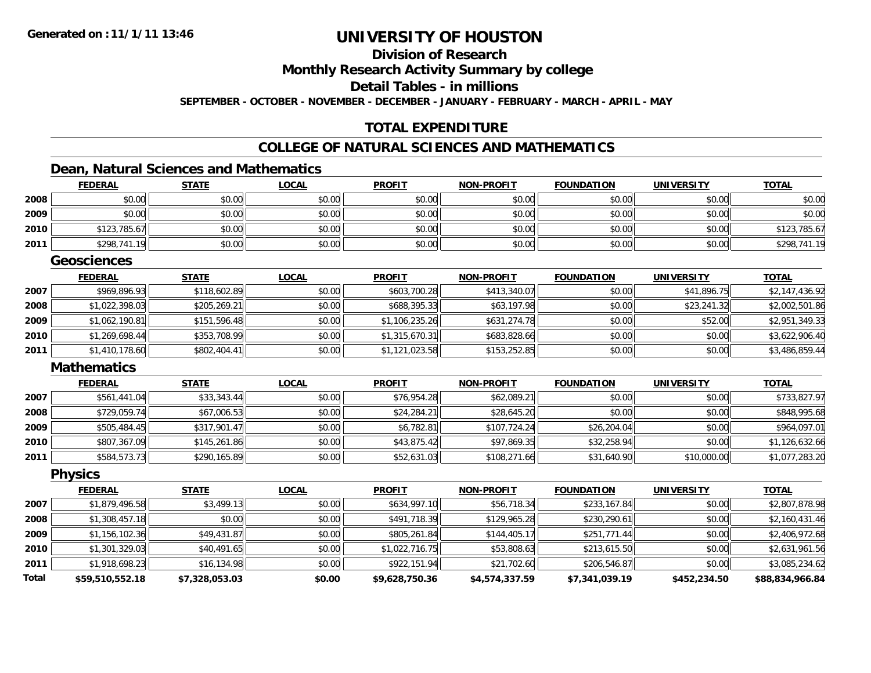## **Division of ResearchMonthly Research Activity Summary by college Detail Tables - in millionsSEPTEMBER - OCTOBER - NOVEMBER - DECEMBER - JANUARY - FEBRUARY - MARCH - APRIL - MAY**

## **TOTAL EXPENDITURE**

## **COLLEGE OF NATURAL SCIENCES AND MATHEMATICS**

## **Dean, Natural Sciences and Mathematics**

|              | <b>FEDERAL</b>     | <b>STATE</b>   | <b>LOCAL</b> | <b>PROFIT</b>  | <b>NON-PROFIT</b> | <b>FOUNDATION</b> | <b>UNIVERSITY</b> | <b>TOTAL</b>    |
|--------------|--------------------|----------------|--------------|----------------|-------------------|-------------------|-------------------|-----------------|
| 2008         | \$0.00             | \$0.00         | \$0.00       | \$0.00         | \$0.00            | \$0.00            | \$0.00            | \$0.00          |
| 2009         | \$0.00             | \$0.00         | \$0.00       | \$0.00         | \$0.00            | \$0.00            | \$0.00            | \$0.00          |
| 2010         | \$123,785.67       | \$0.00         | \$0.00       | \$0.00         | \$0.00            | \$0.00            | \$0.00            | \$123,785.67    |
| 2011         | \$298,741.19       | \$0.00         | \$0.00       | \$0.00         | \$0.00            | \$0.00            | \$0.00            | \$298,741.19    |
|              | <b>Geosciences</b> |                |              |                |                   |                   |                   |                 |
|              | <b>FEDERAL</b>     | <b>STATE</b>   | <b>LOCAL</b> | <b>PROFIT</b>  | <b>NON-PROFIT</b> | <b>FOUNDATION</b> | <b>UNIVERSITY</b> | <b>TOTAL</b>    |
| 2007         | \$969,896.93       | \$118,602.89   | \$0.00       | \$603,700.28   | \$413,340.07      | \$0.00            | \$41,896.75       | \$2,147,436.92  |
| 2008         | \$1,022,398.03     | \$205,269.21   | \$0.00       | \$688,395.33   | \$63,197.98       | \$0.00            | \$23,241.32       | \$2,002,501.86  |
| 2009         | \$1,062,190.81     | \$151,596.48   | \$0.00       | \$1,106,235.26 | \$631,274.78      | \$0.00            | \$52.00           | \$2,951,349.33  |
| 2010         | \$1,269,698.44     | \$353,708.99   | \$0.00       | \$1,315,670.31 | \$683,828.66      | \$0.00            | \$0.00            | \$3,622,906.40  |
| 2011         | \$1,410,178.60     | \$802,404.41   | \$0.00       | \$1,121,023.58 | \$153,252.85      | \$0.00            | \$0.00            | \$3,486,859.44  |
|              | <b>Mathematics</b> |                |              |                |                   |                   |                   |                 |
|              | <b>FEDERAL</b>     | <b>STATE</b>   | <b>LOCAL</b> | <b>PROFIT</b>  | <b>NON-PROFIT</b> | <b>FOUNDATION</b> | <b>UNIVERSITY</b> | <b>TOTAL</b>    |
| 2007         | \$561,441.04       | \$33,343.44    | \$0.00       | \$76,954.28    | \$62,089.21       | \$0.00            | \$0.00            | \$733,827.97    |
| 2008         | \$729,059.74       | \$67,006.53    | \$0.00       | \$24,284.21    | \$28,645.20       | \$0.00            | \$0.00            | \$848,995.68    |
| 2009         | \$505,484.45       | \$317,901.47   | \$0.00       | \$6,782.81     | \$107,724.24      | \$26,204.04       | \$0.00            | \$964,097.01    |
| 2010         | \$807,367.09       | \$145,261.86   | \$0.00       | \$43,875.42    | \$97,869.35       | \$32,258.94       | \$0.00            | \$1,126,632.66  |
| 2011         | \$584,573.73       | \$290,165.89   | \$0.00       | \$52,631.03    | \$108,271.66      | \$31,640.90       | \$10,000.00       | \$1,077,283.20  |
|              | <b>Physics</b>     |                |              |                |                   |                   |                   |                 |
|              | <b>FEDERAL</b>     | <b>STATE</b>   | <b>LOCAL</b> | <b>PROFIT</b>  | <b>NON-PROFIT</b> | <b>FOUNDATION</b> | <b>UNIVERSITY</b> | <b>TOTAL</b>    |
| 2007         | \$1,879,496.58     | \$3,499.13     | \$0.00       | \$634,997.10   | \$56,718.34       | \$233,167.84      | \$0.00            | \$2,807,878.98  |
| 2008         | \$1,308,457.18     | \$0.00         | \$0.00       | \$491,718.39   | \$129,965.28      | \$230,290.61      | \$0.00            | \$2,160,431.46  |
| 2009         | \$1,156,102.36     | \$49,431.87    | \$0.00       | \$805,261.84   | \$144,405.17      | \$251,771.44      | \$0.00            | \$2,406,972.68  |
| 2010         | \$1,301,329.03     | \$40,491.65    | \$0.00       | \$1,022,716.75 | \$53,808.63       | \$213,615.50      | \$0.00            | \$2,631,961.56  |
| 2011         | \$1,918,698.23     | \$16,134.98    | \$0.00       | \$922,151.94   | \$21,702.60       | \$206,546.87      | \$0.00            | \$3,085,234.62  |
| <b>Total</b> | \$59,510,552.18    | \$7,328,053.03 | \$0.00       | \$9,628,750.36 | \$4,574,337.59    | \$7,341,039.19    | \$452,234.50      | \$88,834,966.84 |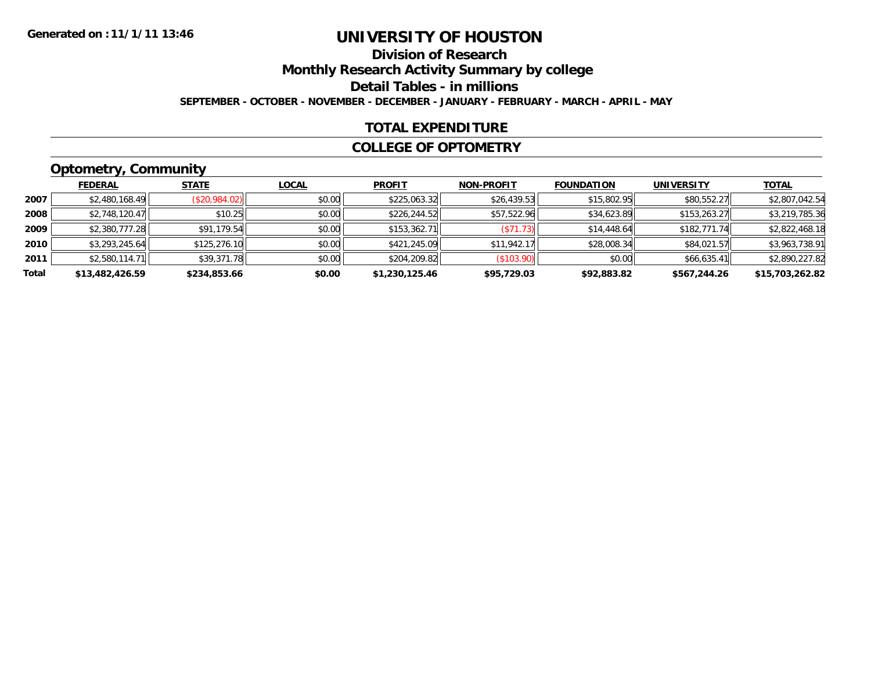## **Division of ResearchMonthly Research Activity Summary by college Detail Tables - in millions SEPTEMBER - OCTOBER - NOVEMBER - DECEMBER - JANUARY - FEBRUARY - MARCH - APRIL - MAY**

## **TOTAL EXPENDITURE**

### **COLLEGE OF OPTOMETRY**

# **Optometry, Community**

|       | --              |               |              |                |                   |                   |                   |                 |
|-------|-----------------|---------------|--------------|----------------|-------------------|-------------------|-------------------|-----------------|
|       | <b>FEDERAL</b>  | <b>STATE</b>  | <b>LOCAL</b> | <b>PROFIT</b>  | <b>NON-PROFIT</b> | <b>FOUNDATION</b> | <b>UNIVERSITY</b> | <b>TOTAL</b>    |
| 2007  | \$2,480,168.49  | (\$20,984.02) | \$0.00       | \$225,063.32   | \$26,439.53       | \$15,802.95       | \$80,552.27       | \$2,807,042.54  |
| 2008  | \$2,748,120.47  | \$10.25       | \$0.00       | \$226,244.52   | \$57,522.96       | \$34,623.89       | \$153,263.27      | \$3,219,785.36  |
| 2009  | \$2,380,777.28  | \$91,179.54   | \$0.00       | \$153,362.71   | (S71.73)          | \$14,448.64       | \$182,771.74      | \$2,822,468.18  |
| 2010  | \$3,293,245.64  | \$125,276.10  | \$0.00       | \$421,245.09   | \$11,942.17       | \$28,008.34       | \$84,021.57       | \$3,963,738.91  |
| 2011  | \$2,580,114.71  | \$39,371.78   | \$0.00       | \$204,209.82   | (\$103.90)        | \$0.00            | \$66,635.41       | \$2,890,227.82  |
| Total | \$13,482,426.59 | \$234,853.66  | \$0.00       | \$1,230,125.46 | \$95,729.03       | \$92,883.82       | \$567,244.26      | \$15,703,262.82 |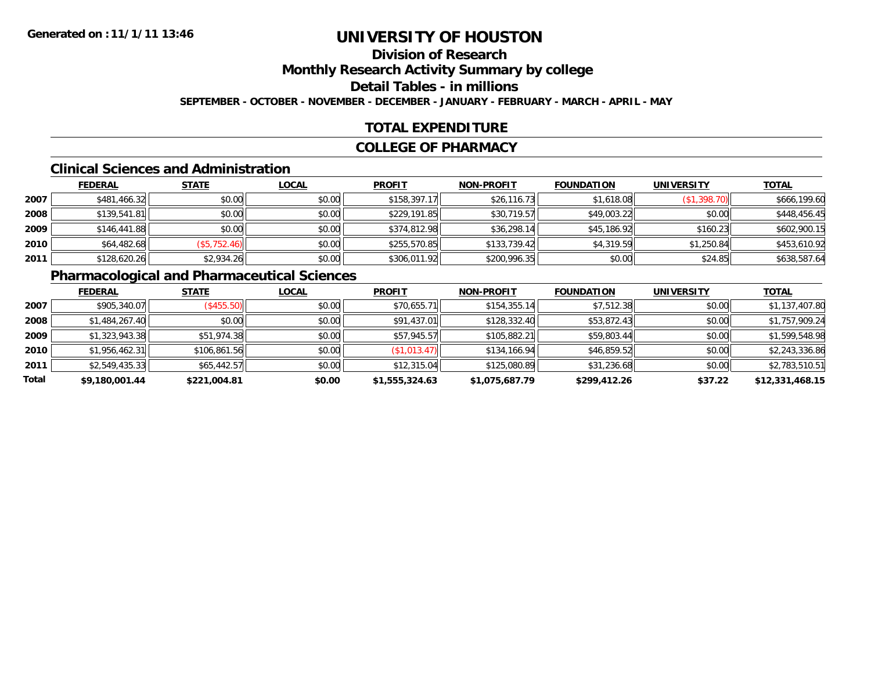## **Division of ResearchMonthly Research Activity Summary by college Detail Tables - in millionsSEPTEMBER - OCTOBER - NOVEMBER - DECEMBER - JANUARY - FEBRUARY - MARCH - APRIL - MAY**

## **TOTAL EXPENDITURE**

## **COLLEGE OF PHARMACY**

## **Clinical Sciences and Administration**

|      | <b>FEDERAL</b> | <b>STATE</b> | <b>LOCAL</b> | <b>PROFIT</b> | <b>NON-PROFIT</b> | <b>FOUNDATION</b> | <b>UNIVERSITY</b> | <b>TOTAL</b> |
|------|----------------|--------------|--------------|---------------|-------------------|-------------------|-------------------|--------------|
| 2007 | \$481,466.32   | \$0.00       | \$0.00       | \$158,397.17  | \$26,116.73       | \$1,618.08        | (\$1,398.70)      | \$666,199.60 |
| 2008 | \$139,541.81   | \$0.00       | \$0.00       | \$229,191.85  | \$30,719.57       | \$49,003.22       | \$0.00            | \$448,456.45 |
| 2009 | \$146,441.88   | \$0.00       | \$0.00       | \$374,812.98  | \$36,298.14       | \$45,186.92       | \$160.23          | \$602,900.15 |
| 2010 | \$64,482.68    | (\$5,752.46) | \$0.00       | \$255,570.85  | \$133,739.42      | \$4,319.59        | \$1,250.84        | \$453,610.92 |
| 2011 | \$128,620.26   | \$2,934.26   | \$0.00       | \$306,011.92  | \$200,996.35      | \$0.00            | \$24.85           | \$638,587.64 |

# **Pharmacological and Pharmaceutical Sciences**

|       | <b>FEDERAL</b> | <b>STATE</b> | <b>LOCAL</b> | <b>PROFIT</b>  | <b>NON-PROFIT</b> | <b>FOUNDATION</b> | <b>UNIVERSITY</b> | <b>TOTAL</b>    |
|-------|----------------|--------------|--------------|----------------|-------------------|-------------------|-------------------|-----------------|
| 2007  | \$905,340.07   | (S455.50)    | \$0.00       | \$70,655.71    | \$154,355.14      | \$7,512.38        | \$0.00            | \$1,137,407.80  |
| 2008  | \$1,484,267.40 | \$0.00       | \$0.00       | \$91,437.01    | \$128,332.40      | \$53,872.43       | \$0.00            | \$1,757,909.24  |
| 2009  | \$1,323,943.38 | \$51,974.38  | \$0.00       | \$57,945.57    | \$105,882.21      | \$59,803.44       | \$0.00            | \$1,599,548.98  |
| 2010  | \$1,956,462.31 | \$106,861.56 | \$0.00       | (\$1,013.47)   | \$134,166.94      | \$46,859.52       | \$0.00            | \$2,243,336.86  |
| 2011  | \$2,549,435.33 | \$65,442.57  | \$0.00       | \$12,315.04    | \$125,080.89      | \$31,236.68       | \$0.00            | \$2,783,510.51  |
| Total | \$9,180,001.44 | \$221,004.81 | \$0.00       | \$1,555,324.63 | \$1,075,687.79    | \$299,412.26      | \$37.22           | \$12,331,468.15 |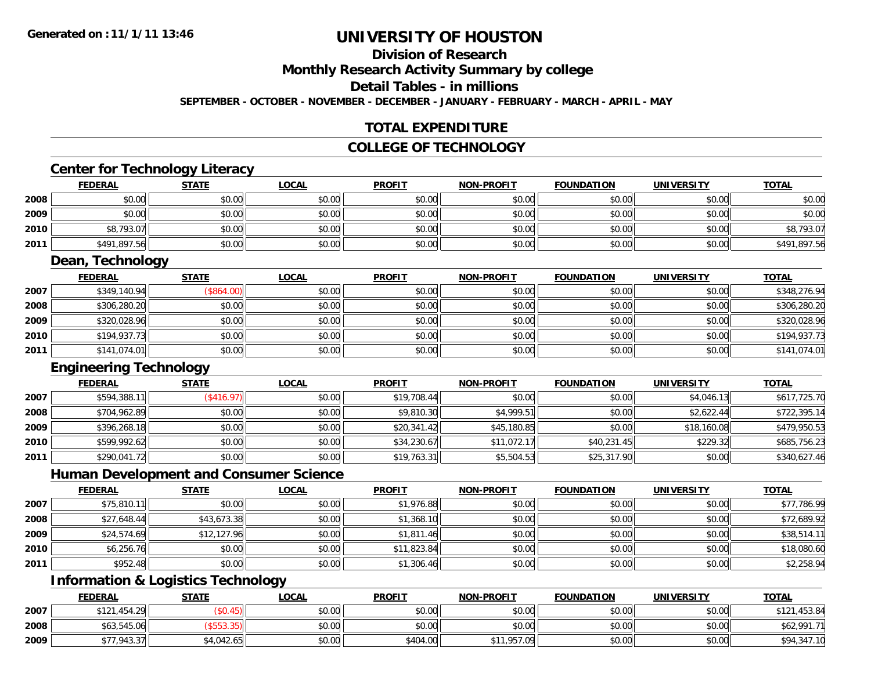## **Division of ResearchMonthly Research Activity Summary by college Detail Tables - in millionsSEPTEMBER - OCTOBER - NOVEMBER - DECEMBER - JANUARY - FEBRUARY - MARCH - APRIL - MAY**

## **TOTAL EXPENDITURE**

## **COLLEGE OF TECHNOLOGY**

## **Center for Technology Literacy**

|      | <b>FEDERAL</b> | <b>STATE</b> | <b>LOCAL</b> | <b>PROFIT</b> | <b>NON-PROFIT</b> | <b>FOUNDATION</b> | <b>UNIVERSITY</b> | <b>TOTAL</b> |
|------|----------------|--------------|--------------|---------------|-------------------|-------------------|-------------------|--------------|
| 2008 | \$0.00         | \$0.00       | \$0.00       | \$0.00        | \$0.00            | \$0.00            | \$0.00            | \$0.00       |
| 2009 | \$0.00         | \$0.00       | \$0.00       | \$0.00        | \$0.00            | \$0.00            | \$0.00            | \$0.00       |
| 2010 | \$8,793.07     | \$0.00       | \$0.00       | \$0.00        | \$0.00            | \$0.00            | \$0.00            | \$8,793.07   |
| 2011 | \$491,897.56   | \$0.00       | \$0.00       | \$0.00        | \$0.00            | \$0.00            | \$0.00            | \$491,897.56 |

## **Dean, Technology**

|      | <b>FEDERAL</b> | <b>STATE</b> | <u>LOCAL</u> | <b>PROFIT</b> | <b>NON-PROFIT</b> | <b>FOUNDATION</b> | <b>UNIVERSITY</b> | <u>TOTAL</u> |
|------|----------------|--------------|--------------|---------------|-------------------|-------------------|-------------------|--------------|
| 2007 | \$349,140.94   | \$864.00     | \$0.00       | \$0.00        | \$0.00            | \$0.00            | \$0.00            | \$348,276.94 |
| 2008 | \$306,280.20   | \$0.00       | \$0.00       | \$0.00        | \$0.00            | \$0.00            | \$0.00            | \$306,280.20 |
| 2009 | \$320,028.96   | \$0.00       | \$0.00       | \$0.00        | \$0.00            | \$0.00            | \$0.00            | \$320,028.96 |
| 2010 | \$194,937.73   | \$0.00       | \$0.00       | \$0.00        | \$0.00            | \$0.00            | \$0.00            | \$194,937.73 |
| 2011 | \$141,074.01   | \$0.00       | \$0.00       | \$0.00        | \$0.00            | \$0.00            | \$0.00            | \$141,074.01 |

## **Engineering Technology**

|      | <b>FEDERAL</b> | <b>STATE</b>      | <b>LOCAL</b> | <b>PROFIT</b> | <b>NON-PROFIT</b> | <b>FOUNDATION</b> | <b>UNIVERSITY</b> | <u>TOTAL</u> |
|------|----------------|-------------------|--------------|---------------|-------------------|-------------------|-------------------|--------------|
| 2007 | \$594,388.1    | $($ \$416.97) $ $ | \$0.00       | \$19,708.44   | \$0.00            | \$0.00            | \$4,046.13        | \$617,725.70 |
| 2008 | \$704,962.89   | \$0.00            | \$0.00       | \$9,810.30    | \$4,999.51        | \$0.00            | \$2,622.44        | \$722,395.14 |
| 2009 | \$396,268.18   | \$0.00            | \$0.00       | \$20,341.42   | \$45,180.85       | \$0.00            | \$18,160.08       | \$479,950.53 |
| 2010 | \$599,992.62   | \$0.00            | \$0.00       | \$34,230.67   | \$11,072.17       | \$40,231.45       | \$229.32          | \$685,756.23 |
| 2011 | \$290,041.72   | \$0.00            | \$0.00       | \$19,763.31   | \$5,504.53        | \$25,317.90       | \$0.00            | \$340,627.46 |

## **Human Development and Consumer Science**

|      | <b>FEDERAL</b> | <b>STATE</b> | <b>LOCAL</b> | <b>PROFIT</b> | <b>NON-PROFIT</b> | <b>FOUNDATION</b> | <b>UNIVERSITY</b> | <b>TOTAL</b> |
|------|----------------|--------------|--------------|---------------|-------------------|-------------------|-------------------|--------------|
| 2007 | \$75,810.11    | \$0.00       | \$0.00       | \$1,976.88    | \$0.00            | \$0.00            | \$0.00            | \$77,786.99  |
| 2008 | \$27,648.44    | \$43,673.38  | \$0.00       | \$1,368.10    | \$0.00            | \$0.00            | \$0.00            | \$72,689.92  |
| 2009 | \$24,574.69    | \$12,127.96  | \$0.00       | \$1,811.46    | \$0.00            | \$0.00            | \$0.00            | \$38,514.11  |
| 2010 | \$6,256.76     | \$0.00       | \$0.00       | \$11,823.84   | \$0.00            | \$0.00            | \$0.00            | \$18,080.60  |
| 2011 | \$952.48       | \$0.00       | \$0.00       | \$1,306.46    | \$0.00            | \$0.00            | \$0.00            | \$2,258.94   |

# **Information & Logistics Technology**

|      | <b>FEDERAL</b> | <b>STATE</b> | <u>LOCAL</u> | <b>PROFIT</b> | <b>NON-PROFIT</b> | <b>FOUNDATION</b> | <b>UNIVERSITY</b> | <b>TOTAL</b>     |
|------|----------------|--------------|--------------|---------------|-------------------|-------------------|-------------------|------------------|
| 2007 | \$121,454.29   |              | \$0.00       | \$0.00        | \$0.00            | \$0.00            | \$0.00            | ,453.84<br>\$121 |
| 2008 | \$63,545.06    |              | \$0.00       | \$0.00        | \$0.00            | \$0.00            | \$0.00            | \$62,991.7       |
| 2009 | \$77,943.37    | \$4,042.65   | \$0.00       | \$404.00      | \$11,957.09       | \$0.00            | \$0.00            | \$94,347.10      |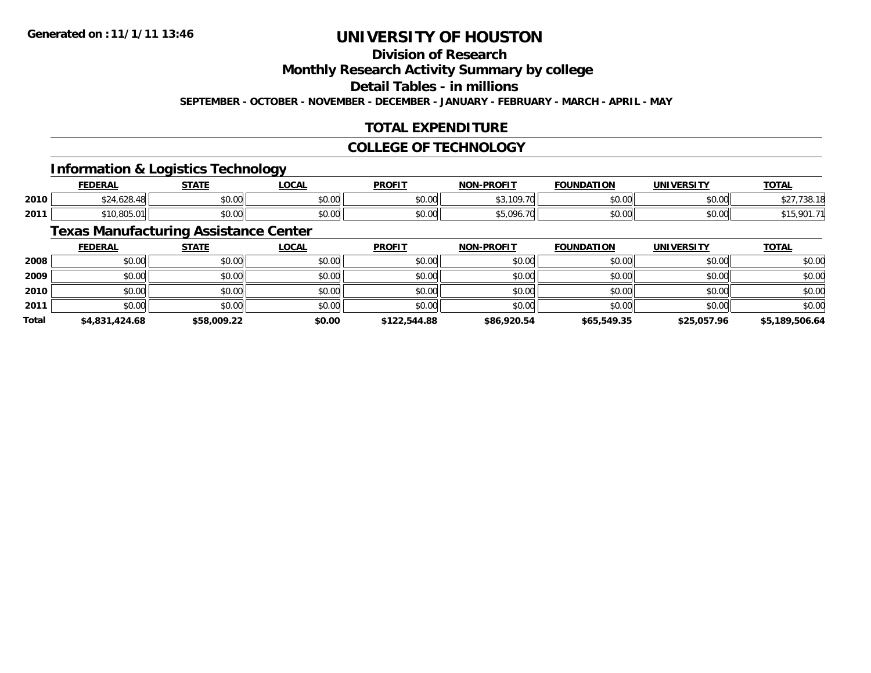# **Division of Research**

**Monthly Research Activity Summary by college**

**Detail Tables - in millions**

**SEPTEMBER - OCTOBER - NOVEMBER - DECEMBER - JANUARY - FEBRUARY - MARCH - APRIL - MAY**

### **TOTAL EXPENDITURE**

### **COLLEGE OF TECHNOLOGY**

### **Information & Logistics Technology**

|      | <b>FEDERAL</b> | <b>STATE</b>  | <b>OCAL</b> | <b>PROFIT</b> | -PROFTT<br>NON.      | <b>FOUNDATION</b>      | <b>IINITUEDCTTV</b> | <b>TAT.</b><br>IUIAL |
|------|----------------|---------------|-------------|---------------|----------------------|------------------------|---------------------|----------------------|
| 2010 | ח ה'<br>$\sim$ | 0000<br>JU.UU | \$0.00      | \$0.00        | $\sim$ $\sim$<br>. ب | $\sim$ $\sim$<br>vu.uu | 0000<br>vu.vu       | .                    |
| 2011 | 00F<br>.       | 0000<br>PO.OO | \$0.00      | \$0.00        | $\leftarrow$<br>.    | $\sim$ $\sim$<br>JU.UU | ሰሰ ሰሰ<br>PO.OO      | nn                   |

### **Texas Manufacturing Assistance Center**

|              | <b>FEDERAL</b> | <b>STATE</b> | <b>LOCAL</b> | <b>PROFIT</b> | <b>NON-PROFIT</b> | <b>FOUNDATION</b> | <b>UNIVERSITY</b> | <b>TOTAL</b>   |
|--------------|----------------|--------------|--------------|---------------|-------------------|-------------------|-------------------|----------------|
| 2008         | \$0.00         | \$0.00       | \$0.00       | \$0.00        | \$0.00            | \$0.00            | \$0.00            | \$0.00         |
| 2009         | \$0.00         | \$0.00       | \$0.00       | \$0.00        | \$0.00            | \$0.00            | \$0.00            | \$0.00         |
| 2010         | \$0.00         | \$0.00       | \$0.00       | \$0.00        | \$0.00            | \$0.00            | \$0.00            | \$0.00         |
| 2011         | \$0.00         | \$0.00       | \$0.00       | \$0.00        | \$0.00            | \$0.00            | \$0.00            | \$0.00         |
| <b>Total</b> | \$4,831,424.68 | \$58,009.22  | \$0.00       | \$122,544.88  | \$86,920.54       | \$65,549.35       | \$25,057.96       | \$5,189,506.64 |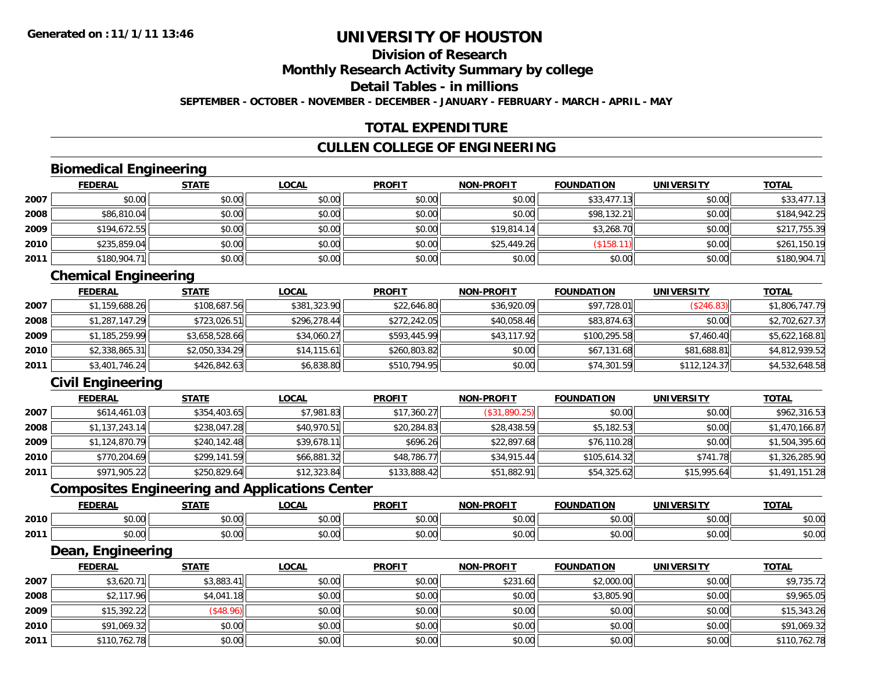### **Division of ResearchMonthly Research Activity Summary by college Detail Tables - in millionsSEPTEMBER - OCTOBER - NOVEMBER - DECEMBER - JANUARY - FEBRUARY - MARCH - APRIL - MAY**

#### **TOTAL EXPENDITURE**

#### **CULLEN COLLEGE OF ENGINEERING**

# **Biomedical Engineering**

|      | <b>FEDERAL</b> | <b>STATE</b> | <b>LOCAL</b> | <b>PROFIT</b> | <b>NON-PROFIT</b> | <b>FOUNDATION</b> | <b>UNIVERSITY</b> | <b>TOTAL</b> |
|------|----------------|--------------|--------------|---------------|-------------------|-------------------|-------------------|--------------|
| 2007 | \$0.00         | \$0.00       | \$0.00       | \$0.00        | \$0.00            | \$33,477.13       | \$0.00            | \$33,477.13  |
| 2008 | \$86,810.04    | \$0.00       | \$0.00       | \$0.00        | \$0.00            | \$98,132.21       | \$0.00            | \$184,942.25 |
| 2009 | \$194,672.55   | \$0.00       | \$0.00       | \$0.00        | \$19,814.14       | \$3,268.70        | \$0.00            | \$217,755.39 |
| 2010 | \$235,859.04   | \$0.00       | \$0.00       | \$0.00        | \$25,449.26       | (\$158.11)        | \$0.00            | \$261,150.19 |
| 2011 | \$180,904.71   | \$0.00       | \$0.00       | \$0.00        | \$0.00            | \$0.00            | \$0.00            | \$180,904.71 |

# **Chemical Engineering**

|      | <b>FEDERAL</b> | <b>STATE</b>   | <b>LOCAL</b> | <b>PROFIT</b> | <b>NON-PROFIT</b> | <b>FOUNDATION</b> | <b>UNIVERSITY</b> | <b>TOTAL</b>   |
|------|----------------|----------------|--------------|---------------|-------------------|-------------------|-------------------|----------------|
| 2007 | \$1,159,688.26 | \$108,687.56   | \$381,323.90 | \$22,646.80   | \$36,920.09       | \$97,728.01       | (S246.83)         | \$1,806,747.79 |
| 2008 | \$1,287,147.29 | \$723,026.51   | \$296,278.44 | \$272,242.05  | \$40,058.46       | \$83,874.63       | \$0.00            | \$2,702,627.37 |
| 2009 | \$1,185,259.99 | \$3,658,528.66 | \$34,060.27  | \$593,445.99  | \$43,117.92       | \$100.295.58      | \$7,460.40        | \$5,622,168.81 |
| 2010 | \$2,338,865.31 | \$2,050,334.29 | \$14,115.61  | \$260,803.82  | \$0.00            | \$67,131.68       | \$81,688.81       | \$4,812,939.52 |
| 2011 | \$3,401,746.24 | \$426,842.63   | \$6,838.80   | \$510,794.95  | \$0.00            | \$74,301.59       | \$112,124.37      | \$4,532,648.58 |

### **Civil Engineering**

|      | <b>FEDERAL</b> | <b>STATE</b> | <u>LOCAL</u> | <b>PROFIT</b> | <b>NON-PROFIT</b> | <b>FOUNDATION</b> | <b>UNIVERSITY</b> | <b>TOTAL</b>   |
|------|----------------|--------------|--------------|---------------|-------------------|-------------------|-------------------|----------------|
| 2007 | \$614,461.03   | \$354,403.65 | \$7,981.83   | \$17,360.27   | (\$31,890.25)     | \$0.00            | \$0.00            | \$962,316.53   |
| 2008 | \$1,137,243.14 | \$238,047.28 | \$40,970.51  | \$20,284.83   | \$28,438.59       | \$5,182.53        | \$0.00            | \$1,470,166.87 |
| 2009 | \$1,124,870.79 | \$240.142.48 | \$39,678.11  | \$696.26      | \$22,897.68       | \$76,110.28       | \$0.00            | \$1,504,395.60 |
| 2010 | \$770,204.69   | \$299,141.59 | \$66,881.32  | \$48,786.77   | \$34,915.44       | \$105,614.32      | \$741.78          | \$1,326,285.90 |
| 2011 | \$971,905.22   | \$250,829.64 | \$12,323.84  | \$133,888.42  | \$51,882.91       | \$54,325.62       | \$15,995.64       | \$1,491,151.28 |

### **Composites Engineering and Applications Center**

|      | <b>FEDERAL</b> | <b>STATE</b>   | <b>OCAL</b>   | <b>PROFIT</b>          | <b>NON-PROFIT</b> | <b>FOUNDATION</b> | <b>UNIVERSITY</b> | <b>TOTAL</b> |
|------|----------------|----------------|---------------|------------------------|-------------------|-------------------|-------------------|--------------|
| 2010 | \$0.00         | 0000<br>vu.uu  | 0.00<br>pu.uu | $\sim$ $\sim$<br>vu.vu | 0000<br>PO.OO     | \$0.00            | \$0.00            | \$0.00       |
| 2011 | \$0.00         | ልስ ሀህ<br>JU.UU | 0.00<br>DU.UU | $\sim$ $\sim$<br>JU.UU | 0000<br>PO.OO     | \$0.00            | \$0.00            | \$0.00       |

<u> 1989 - Johann Stoff, deutscher Stoffen und der Stoffen und der Stoffen und der Stoffen und der Stoffen und der</u>

#### **Dean, Engineering**

|      | <b>FEDERAL</b> | <b>STATE</b> | <b>LOCAL</b> | <b>PROFIT</b> | <b>NON-PROFIT</b> | <b>FOUNDATION</b> | <b>UNIVERSITY</b> | <b>TOTAL</b> |
|------|----------------|--------------|--------------|---------------|-------------------|-------------------|-------------------|--------------|
| 2007 | \$3,620.71     | \$3,883.41   | \$0.00       | \$0.00        | \$231.60          | \$2,000.00        | \$0.00            | \$9,735.72   |
| 2008 | \$2,117.96     | \$4,041.18   | \$0.00       | \$0.00        | \$0.00            | \$3,805.90        | \$0.00            | \$9,965.05   |
| 2009 | \$15,392.22    | (\$48.96)    | \$0.00       | \$0.00        | \$0.00            | \$0.00            | \$0.00            | \$15,343.26  |
| 2010 | \$91,069.32    | \$0.00       | \$0.00       | \$0.00        | \$0.00            | \$0.00            | \$0.00            | \$91,069.32  |
| 2011 | \$110,762.78   | \$0.00       | \$0.00       | \$0.00        | \$0.00            | \$0.00            | \$0.00            | \$110,762.78 |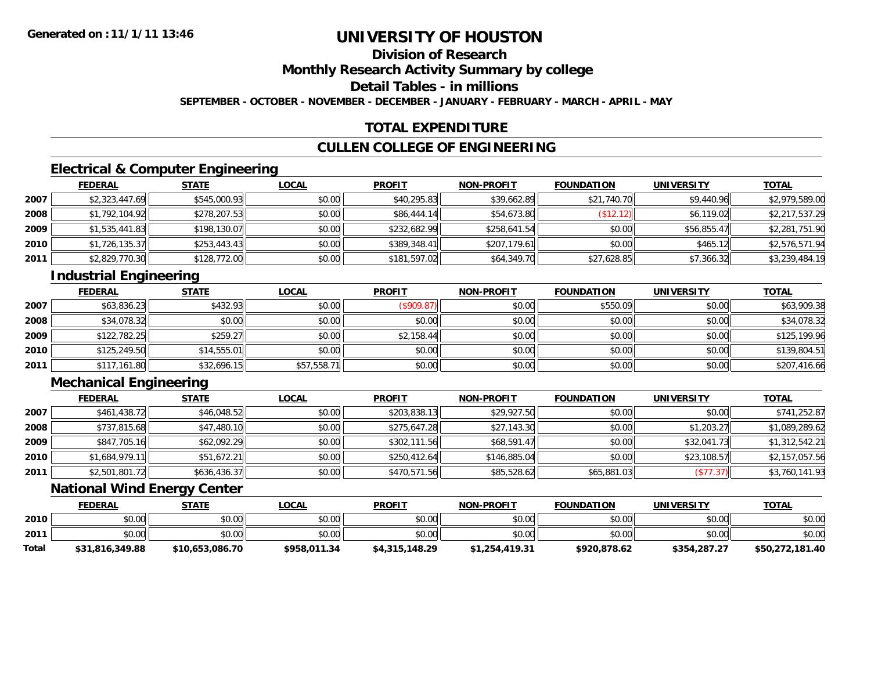### **Division of ResearchMonthly Research Activity Summary by college Detail Tables - in millionsSEPTEMBER - OCTOBER - NOVEMBER - DECEMBER - JANUARY - FEBRUARY - MARCH - APRIL - MAY**

#### **TOTAL EXPENDITURE**

#### **CULLEN COLLEGE OF ENGINEERING**

# **Electrical & Computer Engineering**

|      | <b>FEDERAL</b> | <b>STATE</b> | <b>LOCAL</b> | <b>PROFIT</b> | <b>NON-PROFIT</b> | <b>FOUNDATION</b> | <b>UNIVERSITY</b> | <b>TOTAL</b>   |
|------|----------------|--------------|--------------|---------------|-------------------|-------------------|-------------------|----------------|
| 2007 | \$2,323,447.69 | \$545,000.93 | \$0.00       | \$40,295.83   | \$39,662.89       | \$21,740.70       | \$9,440.96        | \$2,979,589.00 |
| 2008 | \$1,792,104.92 | \$278,207.53 | \$0.00       | \$86,444.14   | \$54,673.80       | \$12.12           | \$6,119.02        | \$2,217,537.29 |
| 2009 | \$1,535,441.83 | \$198,130.07 | \$0.00       | \$232,682.99  | \$258,641.54      | \$0.00            | \$56,855.47       | \$2,281,751.90 |
| 2010 | \$1,726,135.37 | \$253,443.43 | \$0.00       | \$389,348.41  | \$207,179.61      | \$0.00            | \$465.12          | \$2,576,571.94 |
| 2011 | \$2,829,770.30 | \$128,772.00 | \$0.00       | \$181,597.02  | \$64,349.70       | \$27,628.85       | \$7,366.32        | \$3,239,484.19 |

# **Industrial Engineering**

|      | <b>FEDERAL</b> | <b>STATE</b> | <b>LOCAL</b> | <b>PROFIT</b> | <b>NON-PROFIT</b> | <b>FOUNDATION</b> | <b>UNIVERSITY</b> | <b>TOTAL</b> |
|------|----------------|--------------|--------------|---------------|-------------------|-------------------|-------------------|--------------|
| 2007 | \$63,836.23    | \$432.93     | \$0.00       | (\$909.87)    | \$0.00            | \$550.09          | \$0.00            | \$63,909.38  |
| 2008 | \$34,078.32    | \$0.00       | \$0.00       | \$0.00        | \$0.00            | \$0.00            | \$0.00            | \$34,078.32  |
| 2009 | \$122,782.25   | \$259.27     | \$0.00       | \$2,158.44    | \$0.00            | \$0.00            | \$0.00            | \$125,199.96 |
| 2010 | \$125,249.50   | \$14,555.01  | \$0.00       | \$0.00        | \$0.00            | \$0.00            | \$0.00            | \$139,804.51 |
| 2011 | \$117,161.80   | \$32,696.15  | \$57,558.71  | \$0.00        | \$0.00            | \$0.00            | \$0.00            | \$207,416.66 |

### **Mechanical Engineering**

|      | <b>FEDERAL</b> | <b>STATE</b> | <b>LOCAL</b> | <b>PROFIT</b> | <b>NON-PROFIT</b> | <b>FOUNDATION</b> | <b>UNIVERSITY</b> | <b>TOTAL</b>   |
|------|----------------|--------------|--------------|---------------|-------------------|-------------------|-------------------|----------------|
| 2007 | \$461,438.72   | \$46,048.52  | \$0.00       | \$203,838.13  | \$29,927.50       | \$0.00            | \$0.00            | \$741,252.87   |
| 2008 | \$737,815.68   | \$47,480.10  | \$0.00       | \$275,647.28  | \$27,143.30       | \$0.00            | \$1,203.27        | \$1,089,289.62 |
| 2009 | \$847,705.16   | \$62,092.29  | \$0.00       | \$302,111.56  | \$68,591.47       | \$0.00            | \$32,041.73       | \$1,312,542.21 |
| 2010 | \$1,684,979.11 | \$51,672.21  | \$0.00       | \$250,412.64  | \$146,885.04      | \$0.00            | \$23,108.57       | \$2,157,057.56 |
| 2011 | \$2,501,801.72 | \$636,436.37 | \$0.00       | \$470,571.56  | \$85,528.62       | \$65,881.03       | (\$77.37)         | \$3,760,141.93 |

### **National Wind Energy Center**

|       | <b>FEDERAL</b>  | <b>STATE</b>    | <b>LOCAL</b> | <b>PROFIT</b>  | <b>NON-PROFIT</b> | <b>FOUNDATION</b> | <b>UNIVERSITY</b> | <b>TOTAL</b>    |
|-------|-----------------|-----------------|--------------|----------------|-------------------|-------------------|-------------------|-----------------|
| 2010  | \$0.00          | \$0.00          | \$0.00       | \$0.00         | \$0.00            | \$0.00            | \$0.00            | \$0.00          |
| 2011  | \$0.00          | \$0.00          | \$0.00       | \$0.00         | \$0.00            | \$0.00            | \$0.00            | \$0.00          |
| Total | \$31,816,349.88 | \$10,653,086.70 | \$958.011.34 | \$4,315,148.29 | \$1,254,419.31    | \$920,878.62      | \$354,287.27      | \$50,272,181.40 |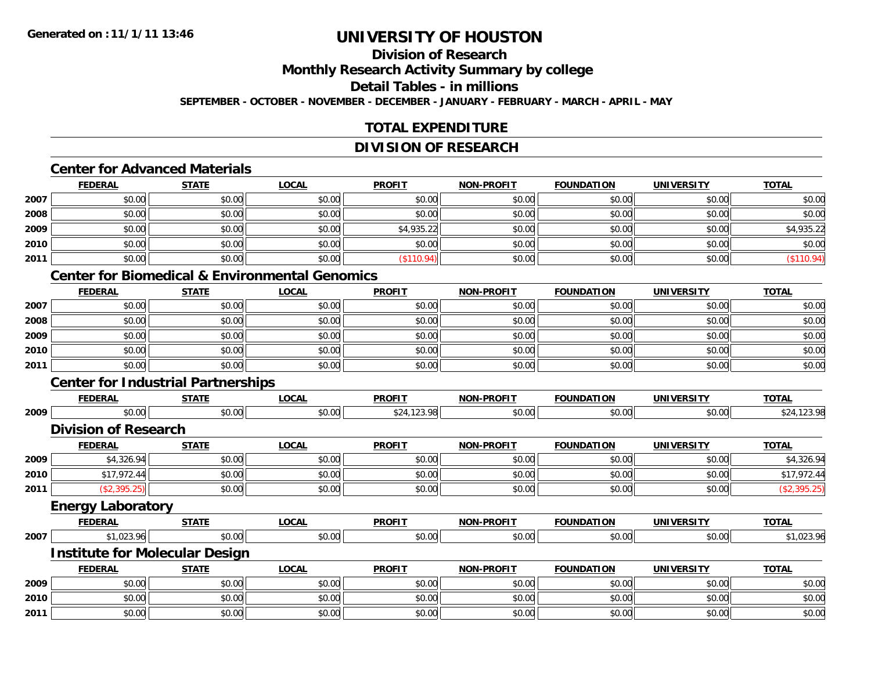#### **Division of ResearchMonthly Research Activity Summary by college Detail Tables - in millionsSEPTEMBER - OCTOBER - NOVEMBER - DECEMBER - JANUARY - FEBRUARY - MARCH - APRIL - MAY**

#### **TOTAL EXPENDITURE**

#### **DIVISION OF RESEARCH**

### **Center for Advanced Materials**

|      | <b>FEDERAL</b> | <b>STATE</b> | <b>LOCAL</b> | <b>PROFIT</b> | <b>NON-PROFIT</b> | <b>FOUNDATION</b> | <b>UNIVERSITY</b> | <b>TOTAL</b> |
|------|----------------|--------------|--------------|---------------|-------------------|-------------------|-------------------|--------------|
| 2007 | \$0.00         | \$0.00       | \$0.00       | \$0.00        | \$0.00            | \$0.00            | \$0.00            | \$0.00       |
| 2008 | \$0.00         | \$0.00       | \$0.00       | \$0.00        | \$0.00            | \$0.00            | \$0.00            | \$0.00       |
| 2009 | \$0.00         | \$0.00       | \$0.00       | \$4,935.22    | \$0.00            | \$0.00            | \$0.00            | \$4,935.22   |
| 2010 | \$0.00         | \$0.00       | \$0.00       | \$0.00        | \$0.00            | \$0.00            | \$0.00            | \$0.00       |
| 2011 | \$0.00         | \$0.00       | \$0.00       | \$110.94      | \$0.00            | \$0.00            | \$0.00            | (\$110.94)   |

### **Center for Biomedical & Environmental Genomics**

|      | <u>FEDERAL</u> | <b>STATE</b> | <b>LOCAL</b> | <b>PROFIT</b> | <b>NON-PROFIT</b> | <b>FOUNDATION</b> | <b>UNIVERSITY</b> | <b>TOTAL</b> |
|------|----------------|--------------|--------------|---------------|-------------------|-------------------|-------------------|--------------|
| 2007 | \$0.00         | \$0.00       | \$0.00       | \$0.00        | \$0.00            | \$0.00            | \$0.00            | \$0.00       |
| 2008 | \$0.00         | \$0.00       | \$0.00       | \$0.00        | \$0.00            | \$0.00            | \$0.00            | \$0.00       |
| 2009 | \$0.00         | \$0.00       | \$0.00       | \$0.00        | \$0.00            | \$0.00            | \$0.00            | \$0.00       |
| 2010 | \$0.00         | \$0.00       | \$0.00       | \$0.00        | \$0.00            | \$0.00            | \$0.00            | \$0.00       |
| 2011 | \$0.00         | \$0.00       | \$0.00       | \$0.00        | \$0.00            | \$0.00            | \$0.00            | \$0.00       |

### **Center for Industrial Partnerships**

|      | <b>FEDERAL</b>                        | <b>STATE</b> | <b>LOCAL</b> | <b>PROFIT</b> | <b>NON-PROFIT</b> | <b>FOUNDATION</b> | <b>UNIVERSITY</b> | <b>TOTAL</b> |
|------|---------------------------------------|--------------|--------------|---------------|-------------------|-------------------|-------------------|--------------|
| 2009 | \$0.00                                | \$0.00       | \$0.00       | \$24,123.98   | \$0.00            | \$0.00            | \$0.00            | \$24,123.98  |
|      | <b>Division of Research</b>           |              |              |               |                   |                   |                   |              |
|      | <b>FEDERAL</b>                        | <b>STATE</b> | <b>LOCAL</b> | <b>PROFIT</b> | <b>NON-PROFIT</b> | <b>FOUNDATION</b> | <b>UNIVERSITY</b> | <b>TOTAL</b> |
| 2009 | \$4,326.94                            | \$0.00       | \$0.00       | \$0.00        | \$0.00            | \$0.00            | \$0.00            | \$4,326.94   |
| 2010 | \$17,972.44                           | \$0.00       | \$0.00       | \$0.00        | \$0.00            | \$0.00            | \$0.00            | \$17,972.44  |
| 2011 | (\$2,395.25)                          | \$0.00       | \$0.00       | \$0.00        | \$0.00            | \$0.00            | \$0.00            | (\$2,395.25) |
|      | <b>Energy Laboratory</b>              |              |              |               |                   |                   |                   |              |
|      | <b>FEDERAL</b>                        | <b>STATE</b> | <b>LOCAL</b> | <b>PROFIT</b> | <b>NON-PROFIT</b> | <b>FOUNDATION</b> | <b>UNIVERSITY</b> | <b>TOTAL</b> |
| 2007 | \$1,023.96                            | \$0.00       | \$0.00       | \$0.00        | \$0.00            | \$0.00            | \$0.00            | \$1,023.96   |
|      | <b>Institute for Molecular Design</b> |              |              |               |                   |                   |                   |              |
|      | <b>FEDERAL</b>                        | <b>STATE</b> | <b>LOCAL</b> | <b>PROFIT</b> | <b>NON-PROFIT</b> | <b>FOUNDATION</b> | <b>UNIVERSITY</b> | <b>TOTAL</b> |
| 2009 | \$0.00                                | \$0.00       | \$0.00       | \$0.00        | \$0.00            | \$0.00            | \$0.00            | \$0.00       |
| 2010 | \$0.00                                | \$0.00       | \$0.00       | \$0.00        | \$0.00            | \$0.00            | \$0.00            | \$0.00       |
| 2011 | \$0.00                                | \$0.00       | \$0.00       | \$0.00        | \$0.00            | \$0.00            | \$0.00            | \$0.00       |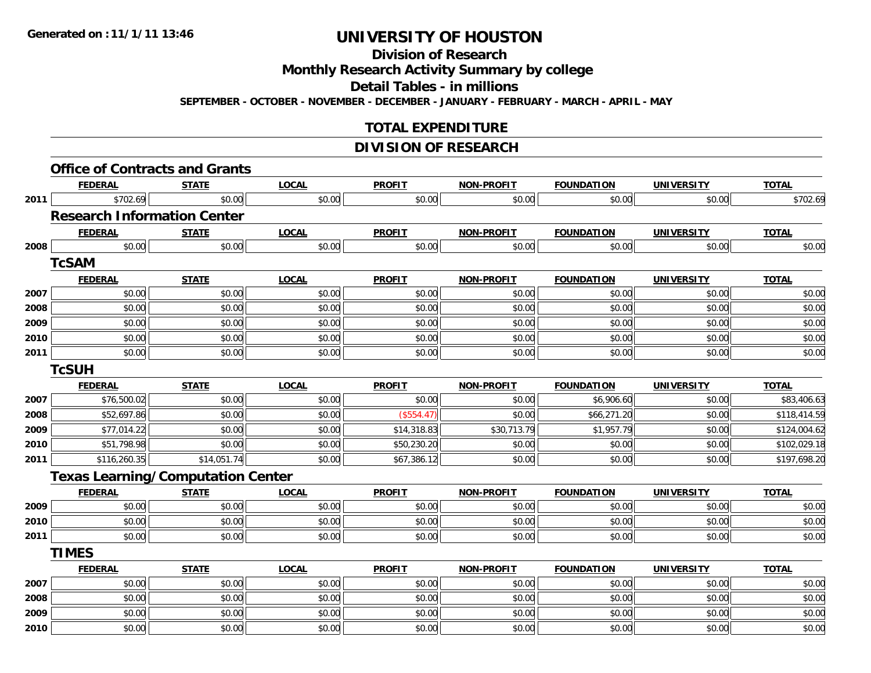### **Division of Research**

**Monthly Research Activity Summary by college**

**Detail Tables - in millions**

**SEPTEMBER - OCTOBER - NOVEMBER - DECEMBER - JANUARY - FEBRUARY - MARCH - APRIL - MAY**

### **TOTAL EXPENDITURE**

#### **DIVISION OF RESEARCH**

|      | <b>Office of Contracts and Grants</b>    |              |              |               |                   |                   |                   |              |
|------|------------------------------------------|--------------|--------------|---------------|-------------------|-------------------|-------------------|--------------|
|      | <b>FEDERAL</b>                           | <b>STATE</b> | <b>LOCAL</b> | <b>PROFIT</b> | <b>NON-PROFIT</b> | <b>FOUNDATION</b> | <b>UNIVERSITY</b> | <b>TOTAL</b> |
| 2011 | \$702.69                                 | \$0.00       | \$0.00       | \$0.00        | \$0.00            | \$0.00            | \$0.00            | \$702.69     |
|      | <b>Research Information Center</b>       |              |              |               |                   |                   |                   |              |
|      | <b>FEDERAL</b>                           | <b>STATE</b> | <b>LOCAL</b> | <b>PROFIT</b> | <b>NON-PROFIT</b> | <b>FOUNDATION</b> | <b>UNIVERSITY</b> | <b>TOTAL</b> |
| 2008 | \$0.00                                   | \$0.00       | \$0.00       | \$0.00        | \$0.00            | \$0.00            | \$0.00            | \$0.00       |
|      | <b>TCSAM</b>                             |              |              |               |                   |                   |                   |              |
|      | <b>FEDERAL</b>                           | <b>STATE</b> | <b>LOCAL</b> | <b>PROFIT</b> | <b>NON-PROFIT</b> | <b>FOUNDATION</b> | <b>UNIVERSITY</b> | <b>TOTAL</b> |
| 2007 | \$0.00                                   | \$0.00       | \$0.00       | \$0.00        | \$0.00            | \$0.00            | \$0.00            | \$0.00       |
| 2008 | \$0.00                                   | \$0.00       | \$0.00       | \$0.00        | \$0.00            | \$0.00            | \$0.00            | \$0.00       |
| 2009 | \$0.00                                   | \$0.00       | \$0.00       | \$0.00        | \$0.00            | \$0.00            | \$0.00            | \$0.00       |
| 2010 | \$0.00                                   | \$0.00       | \$0.00       | \$0.00        | \$0.00            | \$0.00            | \$0.00            | \$0.00       |
| 2011 | \$0.00                                   | \$0.00       | \$0.00       | \$0.00        | \$0.00            | \$0.00            | \$0.00            | \$0.00       |
|      | <b>TcSUH</b>                             |              |              |               |                   |                   |                   |              |
|      | <b>FEDERAL</b>                           | <b>STATE</b> | <b>LOCAL</b> | <b>PROFIT</b> | <b>NON-PROFIT</b> | <b>FOUNDATION</b> | <b>UNIVERSITY</b> | <b>TOTAL</b> |
| 2007 | \$76,500.02                              | \$0.00       | \$0.00       | \$0.00        | \$0.00            | \$6,906.60        | \$0.00            | \$83,406.63  |
| 2008 | \$52,697.86                              | \$0.00       | \$0.00       | (\$554.47)    | \$0.00            | \$66,271.20       | \$0.00            | \$118,414.59 |
| 2009 | \$77,014.22                              | \$0.00       | \$0.00       | \$14,318.83   | \$30,713.79       | \$1,957.79        | \$0.00            | \$124,004.62 |
| 2010 | \$51,798.98                              | \$0.00       | \$0.00       | \$50,230.20   | \$0.00            | \$0.00            | \$0.00            | \$102,029.18 |
| 2011 | \$116,260.35                             | \$14,051.74  | \$0.00       | \$67,386.12   | \$0.00            | \$0.00            | \$0.00            | \$197,698.20 |
|      | <b>Texas Learning/Computation Center</b> |              |              |               |                   |                   |                   |              |
|      | <b>FEDERAL</b>                           | <b>STATE</b> | <b>LOCAL</b> | <b>PROFIT</b> | <b>NON-PROFIT</b> | <b>FOUNDATION</b> | <b>UNIVERSITY</b> | <b>TOTAL</b> |
| 2009 | \$0.00                                   | \$0.00       | \$0.00       | \$0.00        | \$0.00            | \$0.00            | \$0.00            | \$0.00       |
| 2010 | \$0.00                                   | \$0.00       | \$0.00       | \$0.00        | \$0.00            | \$0.00            | \$0.00            | \$0.00       |
| 2011 | \$0.00                                   | \$0.00       | \$0.00       | \$0.00        | \$0.00            | \$0.00            | \$0.00            | \$0.00       |
|      | <b>TIMES</b>                             |              |              |               |                   |                   |                   |              |
|      | <b>FEDERAL</b>                           | <b>STATE</b> | <b>LOCAL</b> | <b>PROFIT</b> | <b>NON-PROFIT</b> | <b>FOUNDATION</b> | <b>UNIVERSITY</b> | <b>TOTAL</b> |
| 2007 | \$0.00                                   | \$0.00       | \$0.00       | \$0.00        | \$0.00            | \$0.00            | \$0.00            | \$0.00       |
| 2008 | \$0.00                                   | \$0.00       | \$0.00       | \$0.00        | \$0.00            | \$0.00            | \$0.00            | \$0.00       |
| 2009 | \$0.00                                   | \$0.00       | \$0.00       | \$0.00        | \$0.00            | \$0.00            | \$0.00            | \$0.00       |
| 2010 | \$0.00                                   | \$0.00       | \$0.00       | \$0.00        | \$0.00            | \$0.00            | \$0.00            | \$0.00       |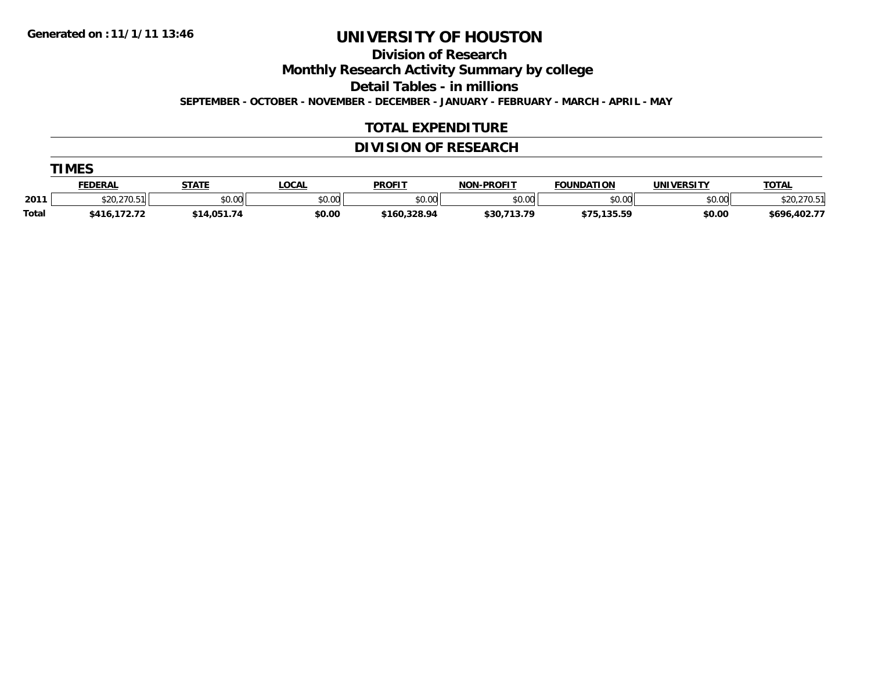**TIMES**

# **UNIVERSITY OF HOUSTON**

**Division of Research**

**Monthly Research Activity Summary by college**

**Detail Tables - in millions**

**SEPTEMBER - OCTOBER - NOVEMBER - DECEMBER - JANUARY - FEBRUARY - MARCH - APRIL - MAY**

#### **TOTAL EXPENDITURE**

#### **DIVISION OF RESEARCH**

|              | .IMES .        |              |              |               |                   |                   |                   |                          |  |  |  |  |
|--------------|----------------|--------------|--------------|---------------|-------------------|-------------------|-------------------|--------------------------|--|--|--|--|
|              | <b>FEDERAL</b> | <b>STATE</b> | <b>LOCAL</b> | <b>PROFIT</b> | <b>NON-PROFIT</b> | <b>FOUNDATION</b> | <b>UNIVERSITY</b> | <b>TOTAL</b>             |  |  |  |  |
| 2011         | \$20,270.51    | \$0.00       | \$0.00       | \$0.00        | \$0.00            | \$0.00            | \$0.00            | \$20<br>$.270.5^{\circ}$ |  |  |  |  |
| <b>Total</b> | \$416,172.72   | \$14,051.74  | \$0.00       | \$160,328.94  | \$30,713.79       | \$75,135.59       | \$0.00            | \$696,402.77             |  |  |  |  |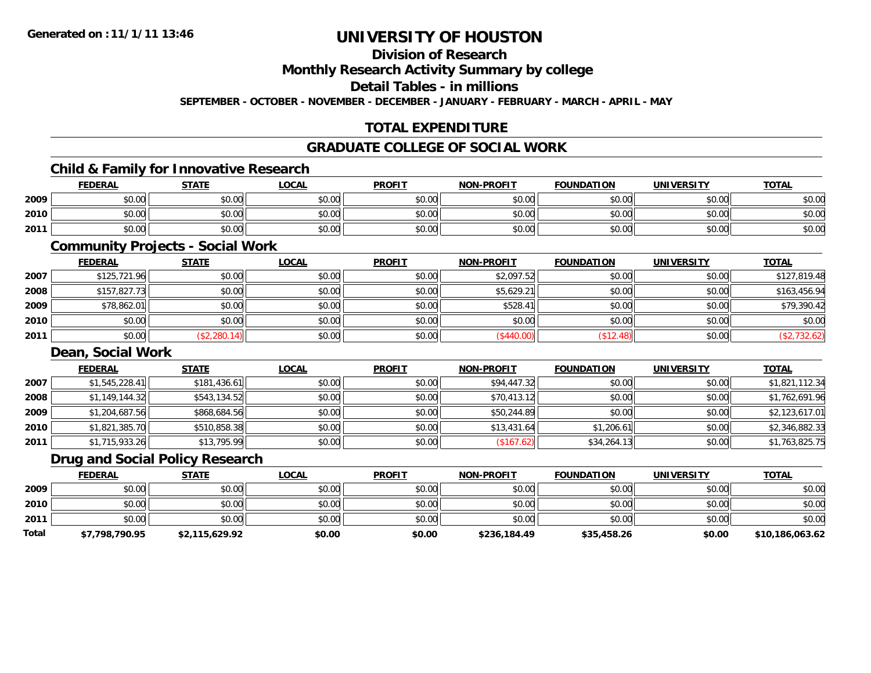### **Division of ResearchMonthly Research Activity Summary by college Detail Tables - in millions**

**SEPTEMBER - OCTOBER - NOVEMBER - DECEMBER - JANUARY - FEBRUARY - MARCH - APRIL - MAY**

### **TOTAL EXPENDITURE**

#### **GRADUATE COLLEGE OF SOCIAL WORK**

### **Child & Family for Innovative Research**

|      | <b>FEDERAL</b> | <b>STATE</b> | <u>LOCAL</u> | <b>PROFIT</b> | <b>NON-PROFIT</b> | <b>FOUNDATION</b> | <b>UNIVERSITY</b> | <b>TOTAL</b> |
|------|----------------|--------------|--------------|---------------|-------------------|-------------------|-------------------|--------------|
| 2009 | \$0.00         | \$0.00       | \$0.00       | \$0.00        | \$0.00            | \$0.00            | \$0.00            | \$0.00       |
| 2010 | \$0.00         | \$0.00       | \$0.00       | \$0.00        | \$0.00            | \$0.00            | \$0.00            | \$0.00       |
| 2011 | \$0.00         | \$0.00       | \$0.00       | \$0.00        | \$0.00            | \$0.00            | \$0.00            | \$0.00       |

### **Community Projects - Social Work**

|      | <b>FEDERAL</b> | <b>STATE</b> | <b>LOCAL</b> | <b>PROFIT</b> | <b>NON-PROFIT</b> | <b>FOUNDATION</b> | <b>UNIVERSITY</b> | <b>TOTAL</b> |
|------|----------------|--------------|--------------|---------------|-------------------|-------------------|-------------------|--------------|
| 2007 | \$125,721.96   | \$0.00       | \$0.00       | \$0.00        | \$2,097.52        | \$0.00            | \$0.00            | \$127,819.48 |
| 2008 | \$157,827.73   | \$0.00       | \$0.00       | \$0.00        | \$5,629.21        | \$0.00            | \$0.00            | \$163,456.94 |
| 2009 | \$78,862.01    | \$0.00       | \$0.00       | \$0.00        | \$528.41          | \$0.00            | \$0.00            | \$79,390.42  |
| 2010 | \$0.00         | \$0.00       | \$0.00       | \$0.00        | \$0.00            | \$0.00            | \$0.00            | \$0.00       |
| 2011 | \$0.00         | (\$2,280.14) | \$0.00       | \$0.00        | (\$440.00)        | \$12.48           | \$0.00            | \$2,732.62   |

#### **Dean, Social Work**

|      | <b>FEDERAL</b> | <b>STATE</b> | <b>LOCAL</b> | <b>PROFIT</b> | <b>NON-PROFIT</b> | <b>FOUNDATION</b> | <b>UNIVERSITY</b> | <b>TOTAL</b>   |
|------|----------------|--------------|--------------|---------------|-------------------|-------------------|-------------------|----------------|
| 2007 | \$1,545,228.41 | \$181,436.61 | \$0.00       | \$0.00        | \$94,447.32       | \$0.00            | \$0.00            | \$1,821,112.34 |
| 2008 | \$1,149,144.32 | \$543,134.52 | \$0.00       | \$0.00        | \$70,413.12       | \$0.00            | \$0.00            | \$1,762,691.96 |
| 2009 | \$1,204,687.56 | \$868,684.56 | \$0.00       | \$0.00        | \$50,244.89       | \$0.00            | \$0.00            | \$2,123,617.01 |
| 2010 | \$1,821,385.70 | \$510,858.38 | \$0.00       | \$0.00        | \$13,431.64       | \$1,206.61        | \$0.00            | \$2,346,882.33 |
| 2011 | \$1,715,933.26 | \$13,795.99  | \$0.00       | \$0.00        | (\$167.62)        | \$34,264.13       | \$0.00            | \$1,763,825.75 |

### **Drug and Social Policy Research**

|       | <b>FEDERAL</b> | <b>STATE</b>   | <u>LOCAL</u> | <b>PROFIT</b> | <b>NON-PROFIT</b> | <b>FOUNDATION</b> | <b>UNIVERSITY</b> | <u>TOTAL</u>    |
|-------|----------------|----------------|--------------|---------------|-------------------|-------------------|-------------------|-----------------|
| 2009  | \$0.00         | \$0.00         | \$0.00       | \$0.00        | \$0.00            | \$0.00            | \$0.00            | \$0.00          |
| 2010  | \$0.00         | \$0.00         | \$0.00       | \$0.00        | \$0.00            | \$0.00            | \$0.00            | \$0.00          |
| 2011  | \$0.00         | \$0.00         | \$0.00       | \$0.00        | \$0.00            | \$0.00            | \$0.00            | \$0.00          |
| Total | \$7,798,790.95 | \$2,115,629.92 | \$0.00       | \$0.00        | \$236,184.49      | \$35,458.26       | \$0.00            | \$10,186,063.62 |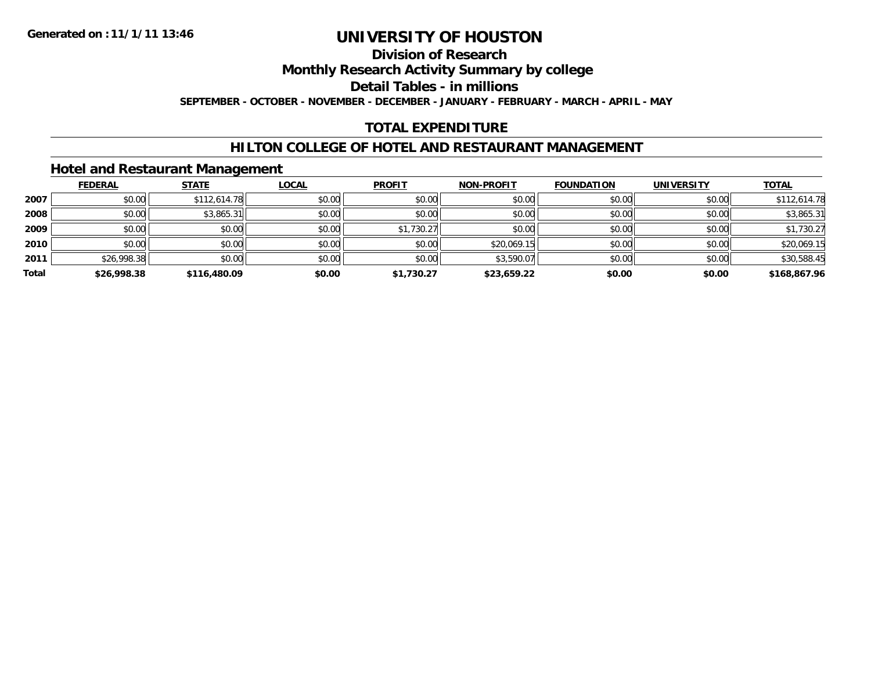### **Division of ResearchMonthly Research Activity Summary by college Detail Tables - in millionsSEPTEMBER - OCTOBER - NOVEMBER - DECEMBER - JANUARY - FEBRUARY - MARCH - APRIL - MAY**

### **TOTAL EXPENDITURE**

### **HILTON COLLEGE OF HOTEL AND RESTAURANT MANAGEMENT**

### **Hotel and Restaurant Management**

|       | <b>FEDERAL</b> | <b>STATE</b> | <b>LOCAL</b> | <b>PROFIT</b> | <b>NON-PROFIT</b> | <b>FOUNDATION</b> | <b>UNIVERSITY</b> | <b>TOTAL</b> |
|-------|----------------|--------------|--------------|---------------|-------------------|-------------------|-------------------|--------------|
| 2007  | \$0.00         | \$112,614.78 | \$0.00       | \$0.00        | \$0.00            | \$0.00            | \$0.00            | \$112,614.78 |
| 2008  | \$0.00         | \$3,865.31   | \$0.00       | \$0.00        | \$0.00            | \$0.00            | \$0.00            | \$3,865.31   |
| 2009  | \$0.00         | \$0.00       | \$0.00       | \$1,730.27    | \$0.00            | \$0.00            | \$0.00            | \$1,730.27   |
| 2010  | \$0.00         | \$0.00       | \$0.00       | \$0.00        | \$20,069.15       | \$0.00            | \$0.00            | \$20,069.15  |
| 2011  | \$26,998.38    | \$0.00       | \$0.00       | \$0.00        | \$3,590.07        | \$0.00            | \$0.00            | \$30,588.45  |
| Total | \$26,998.38    | \$116,480.09 | \$0.00       | \$1,730.27    | \$23,659.22       | \$0.00            | \$0.00            | \$168,867.96 |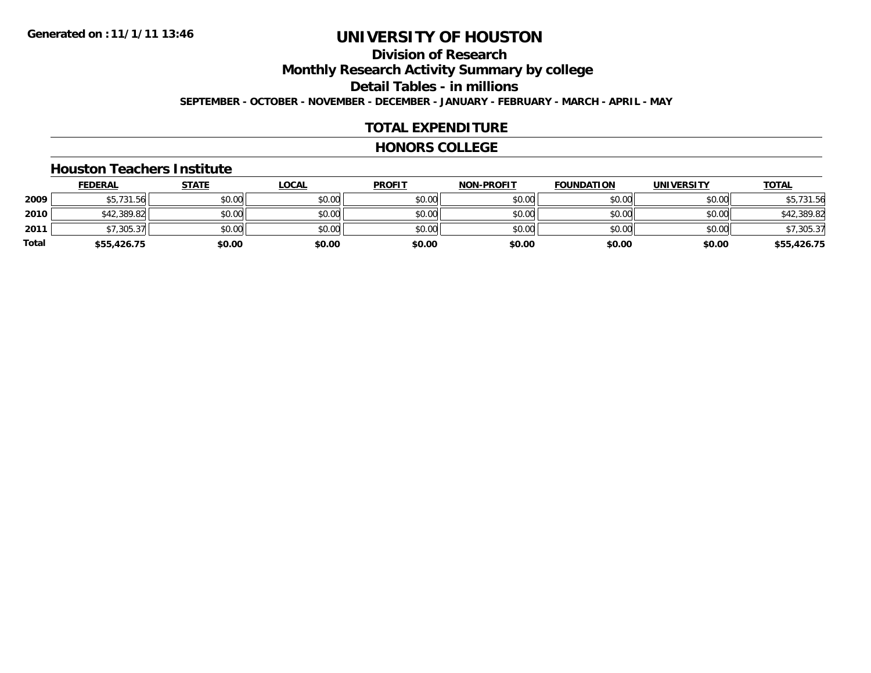### **Division of ResearchMonthly Research Activity Summary by college Detail Tables - in millions SEPTEMBER - OCTOBER - NOVEMBER - DECEMBER - JANUARY - FEBRUARY - MARCH - APRIL - MAY**

#### **TOTAL EXPENDITURE**

#### **HONORS COLLEGE**

#### **Houston Teachers Institute**

|       | <b>FEDERAL</b> | <b>STATE</b> | <b>LOCAL</b> | <b>PROFIT</b> | <b>NON-PROFIT</b> | <b>FOUNDATION</b> | <b>UNIVERSITY</b> | <b>TOTAL</b> |
|-------|----------------|--------------|--------------|---------------|-------------------|-------------------|-------------------|--------------|
| 2009  | \$5,731.56     | \$0.00       | \$0.00       | \$0.00        | \$0.00            | \$0.00            | \$0.00            | \$5,731.56   |
| 2010  | \$42,389.82    | \$0.00       | \$0.00       | \$0.00        | \$0.00            | \$0.00            | \$0.00            | \$42,389.82  |
| 2011  | \$7,305.37     | \$0.00       | \$0.00       | \$0.00        | \$0.00            | \$0.00            | \$0.00            | \$7,305.37   |
| Total | \$55,426.75    | \$0.00       | \$0.00       | \$0.00        | \$0.00            | \$0.00            | \$0.00            | \$55,426.75  |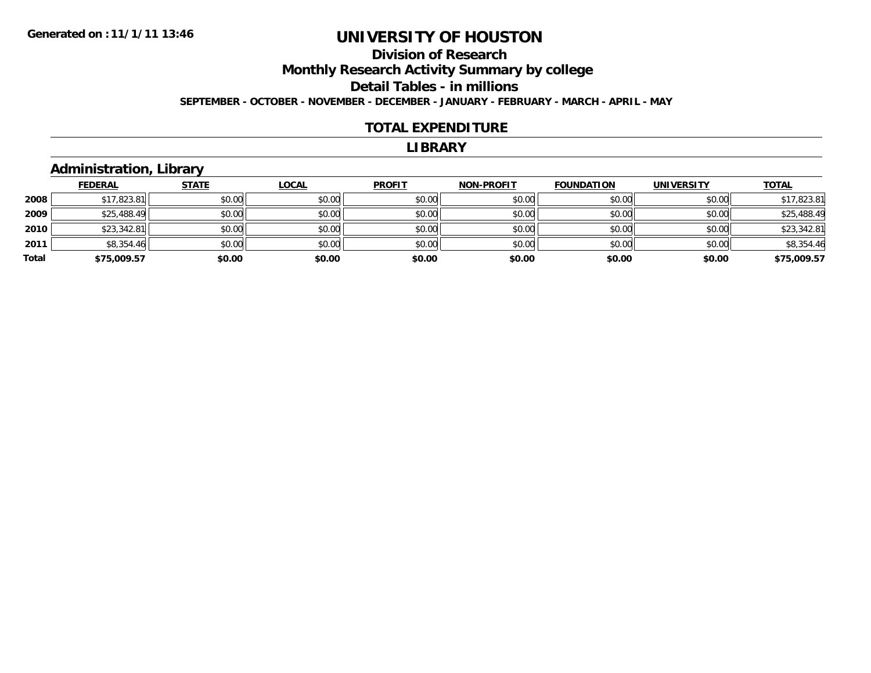### **Division of ResearchMonthly Research Activity Summary by college Detail Tables - in millions SEPTEMBER - OCTOBER - NOVEMBER - DECEMBER - JANUARY - FEBRUARY - MARCH - APRIL - MAY**

#### **TOTAL EXPENDITURE**

#### **LIBRARY**

### **Administration, Library**

|       | <b>FEDERAL</b> | <b>STATE</b> | <b>LOCAL</b> | <b>PROFIT</b> | <b>NON-PROFIT</b> | <b>FOUNDATION</b> | <b>UNIVERSITY</b> | <b>TOTAL</b> |
|-------|----------------|--------------|--------------|---------------|-------------------|-------------------|-------------------|--------------|
| 2008  | \$17,823.81    | \$0.00       | \$0.00       | \$0.00        | \$0.00            | \$0.00            | \$0.00            | \$17,823.81  |
| 2009  | \$25,488.49    | \$0.00       | \$0.00       | \$0.00        | \$0.00            | \$0.00            | \$0.00            | \$25,488.49  |
| 2010  | \$23,342.81    | \$0.00       | \$0.00       | \$0.00        | \$0.00            | \$0.00            | \$0.00            | \$23,342.81  |
| 2011  | \$8,354.46     | \$0.00       | \$0.00       | \$0.00        | \$0.00            | \$0.00            | \$0.00            | \$8,354.46   |
| Total | \$75,009.57    | \$0.00       | \$0.00       | \$0.00        | \$0.00            | \$0.00            | \$0.00            | \$75,009.57  |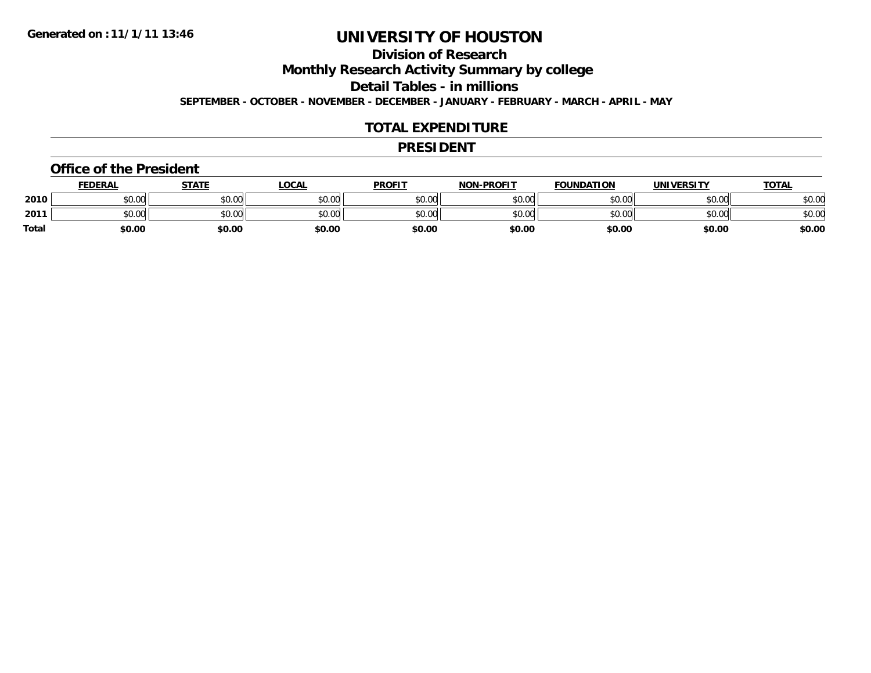#### **Division of ResearchMonthly Research Activity Summary by college Detail Tables - in millionsSEPTEMBER - OCTOBER - NOVEMBER - DECEMBER - JANUARY - FEBRUARY - MARCH - APRIL - MAY**

#### **TOTAL EXPENDITURE**

#### **PRESIDENT**

#### **Office of the President**

|       | <b>FEDERAL</b> | <b>STATE</b> | <u>LOCAL</u> | <b>PROFIT</b> | <b>NON-PROFIT</b> | <b>FOUNDATION</b> | <b>UNIVERSITY</b> | <u>TOTAL</u> |
|-------|----------------|--------------|--------------|---------------|-------------------|-------------------|-------------------|--------------|
| 2010  | ሶስ ስስ<br>JU.UU | \$0.00       | \$0.00       | \$0.00        | \$0.00            | \$0.00            | \$0.00            | \$0.00       |
| 2011  | ልስ ሰሰ<br>PU.UU | \$0.00       | \$0.00       | \$0.00        | \$0.00            | \$0.00            | \$0.00            | \$0.00       |
| Total | \$0.00         | \$0.00       | \$0.00       | \$0.00        | \$0.00            | \$0.00            | \$0.00            | \$0.00       |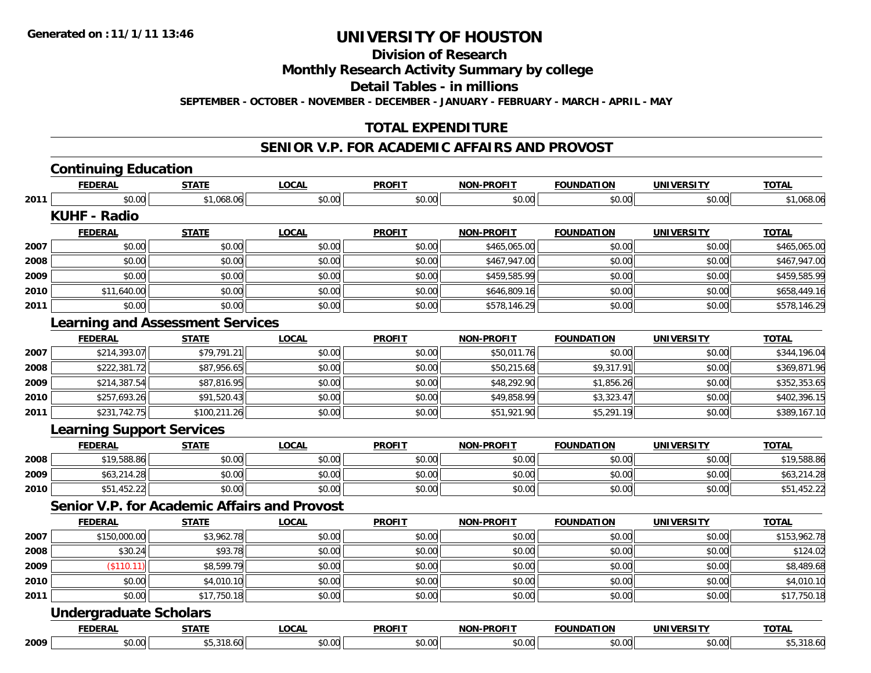### **Division of Research**

#### **Monthly Research Activity Summary by college**

**Detail Tables - in millions**

**SEPTEMBER - OCTOBER - NOVEMBER - DECEMBER - JANUARY - FEBRUARY - MARCH - APRIL - MAY**

#### **TOTAL EXPENDITURE**

### **SENIOR V.P. FOR ACADEMIC AFFAIRS AND PROVOST**

|      | <b>FEDERAL</b>                                      | <b>STATE</b> | <b>LOCAL</b> | <b>PROFIT</b> | <b>NON-PROFIT</b> | <b>FOUNDATION</b> | <b>UNIVERSITY</b> | <b>TOTAL</b> |
|------|-----------------------------------------------------|--------------|--------------|---------------|-------------------|-------------------|-------------------|--------------|
| 2011 | \$0.00                                              | \$1,068.06   | \$0.00       | \$0.00        | \$0.00            | \$0.00            | \$0.00            | \$1,068.06   |
|      | <b>KUHF - Radio</b>                                 |              |              |               |                   |                   |                   |              |
|      | <b>FEDERAL</b>                                      | <b>STATE</b> | <b>LOCAL</b> | <b>PROFIT</b> | <b>NON-PROFIT</b> | <b>FOUNDATION</b> | <b>UNIVERSITY</b> | <b>TOTAL</b> |
| 2007 | \$0.00                                              | \$0.00       | \$0.00       | \$0.00        | \$465,065.00      | \$0.00            | \$0.00            | \$465,065.00 |
| 2008 | \$0.00                                              | \$0.00       | \$0.00       | \$0.00        | \$467,947.00      | \$0.00            | \$0.00            | \$467,947.00 |
| 2009 | \$0.00                                              | \$0.00       | \$0.00       | \$0.00        | \$459,585.99      | \$0.00            | \$0.00            | \$459,585.99 |
| 2010 | \$11,640.00                                         | \$0.00       | \$0.00       | \$0.00        | \$646,809.16      | \$0.00            | \$0.00            | \$658,449.16 |
| 2011 | \$0.00                                              | \$0.00       | \$0.00       | \$0.00        | \$578,146.29      | \$0.00            | \$0.00            | \$578,146.29 |
|      | <b>Learning and Assessment Services</b>             |              |              |               |                   |                   |                   |              |
|      | <b>FEDERAL</b>                                      | <b>STATE</b> | <b>LOCAL</b> | <b>PROFIT</b> | <b>NON-PROFIT</b> | <b>FOUNDATION</b> | <b>UNIVERSITY</b> | <b>TOTAL</b> |
| 2007 | \$214,393.07                                        | \$79,791.21  | \$0.00       | \$0.00        | \$50,011.76       | \$0.00            | \$0.00            | \$344,196.04 |
| 2008 | \$222,381.72                                        | \$87,956.65  | \$0.00       | \$0.00        | \$50,215.68       | \$9,317.91        | \$0.00            | \$369,871.96 |
| 2009 | \$214,387.54                                        | \$87,816.95  | \$0.00       | \$0.00        | \$48,292.90       | \$1,856.26        | \$0.00            | \$352,353.65 |
| 2010 | \$257,693.26                                        | \$91,520.43  | \$0.00       | \$0.00        | \$49,858.99       | \$3,323.47        | \$0.00            | \$402,396.15 |
| 2011 | \$231,742.75                                        | \$100,211.26 | \$0.00       | \$0.00        | \$51,921.90       | \$5,291.19        | \$0.00            | \$389,167.10 |
|      | <b>Learning Support Services</b>                    |              |              |               |                   |                   |                   |              |
|      | <b>FEDERAL</b>                                      | <b>STATE</b> | <b>LOCAL</b> | <b>PROFIT</b> | <b>NON-PROFIT</b> | <b>FOUNDATION</b> | <b>UNIVERSITY</b> | <b>TOTAL</b> |
| 2008 | \$19,588.86                                         | \$0.00       | \$0.00       | \$0.00        | \$0.00            | \$0.00            | \$0.00            | \$19,588.86  |
| 2009 | \$63,214.28                                         | \$0.00       | \$0.00       | \$0.00        | \$0.00            | \$0.00            | \$0.00            | \$63,214.28  |
| 2010 | \$51,452.22                                         | \$0.00       | \$0.00       | \$0.00        | \$0.00            | \$0.00            | \$0.00            | \$51,452.22  |
|      | <b>Senior V.P. for Academic Affairs and Provost</b> |              |              |               |                   |                   |                   |              |
|      | <b>FEDERAL</b>                                      | <b>STATE</b> | <b>LOCAL</b> | <b>PROFIT</b> | <b>NON-PROFIT</b> | <b>FOUNDATION</b> | <b>UNIVERSITY</b> | <b>TOTAL</b> |
| 2007 | \$150,000.00                                        | \$3,962.78   | \$0.00       | \$0.00        | \$0.00            | \$0.00            | \$0.00            | \$153,962.78 |
| 2008 | \$30.24                                             | \$93.78      | \$0.00       | \$0.00        | \$0.00            | \$0.00            | \$0.00            | \$124.02     |
| 2009 | (\$110.11)                                          | \$8,599.79   | \$0.00       | \$0.00        | \$0.00            | \$0.00            | \$0.00            | \$8,489.68   |
| 2010 | \$0.00                                              | \$4,010.10   | \$0.00       | \$0.00        | \$0.00            | \$0.00            | \$0.00            | \$4,010.10   |
| 2011 | \$0.00                                              | \$17,750.18  | \$0.00       | \$0.00        | \$0.00            | \$0.00            | \$0.00            | \$17,750.18  |
|      | <b>Undergraduate Scholars</b>                       |              |              |               |                   |                   |                   |              |
|      | <b>FEDERAL</b>                                      | <b>STATE</b> | <b>LOCAL</b> | <b>PROFIT</b> | <b>NON-PROFIT</b> | <b>FOUNDATION</b> | <b>UNIVERSITY</b> | <b>TOTAL</b> |
| 2009 | \$0.00                                              | \$5,318.60   | \$0.00       | \$0.00        | \$0.00            | \$0.00            | \$0.00            | \$5,318.60   |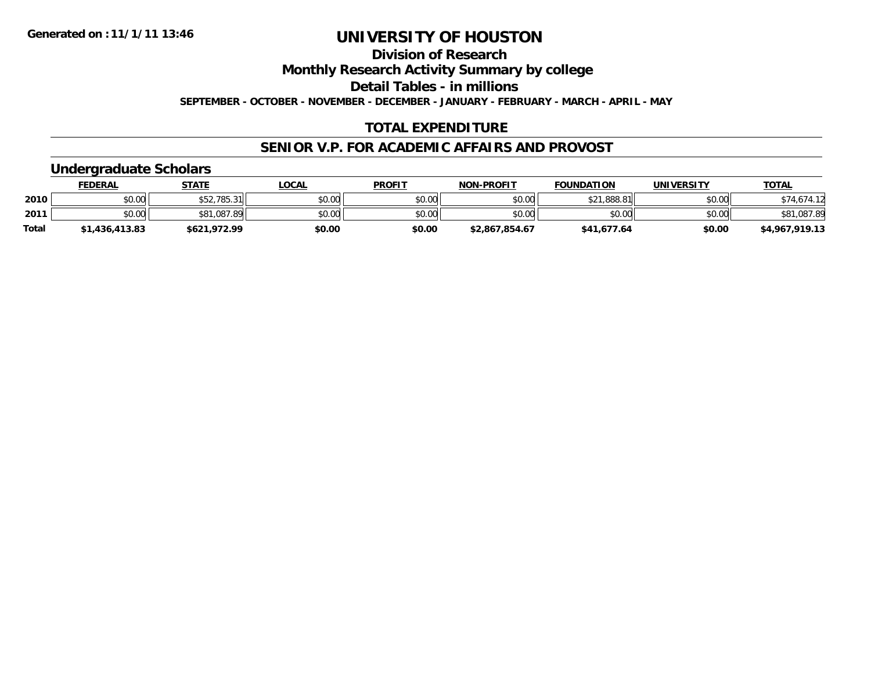### **Division of Research**

**Monthly Research Activity Summary by college**

**Detail Tables - in millions**

**SEPTEMBER - OCTOBER - NOVEMBER - DECEMBER - JANUARY - FEBRUARY - MARCH - APRIL - MAY**

#### **TOTAL EXPENDITURE**

#### **SENIOR V.P. FOR ACADEMIC AFFAIRS AND PROVOST**

#### **Undergraduate Scholars**

|              | FEDERAL        | <b>STATE</b> | <u>LOCAL</u> | <b>PROFIT</b> | <b>NON-PROFIT</b> | <b>FOUNDATION</b> | <b>UNIVERSITY</b> | <b>TOTAL</b>   |
|--------------|----------------|--------------|--------------|---------------|-------------------|-------------------|-------------------|----------------|
| 2010         | \$0.00         | \$52,785.31  | \$0.00       | \$0.00        | \$0.00            | \$21,888.81       | \$0.00            |                |
| 2011         | \$0.00         | \$81,087.89  | \$0.00       | \$0.00        | \$0.00            | \$0.00            | \$0.00            | \$81,087.89    |
| <b>Total</b> | \$1,436,413.83 | \$621,972.99 | \$0.00       | \$0.00        | \$2,867,854.67    | \$41,677.64       | \$0.00            | \$4,967,919.13 |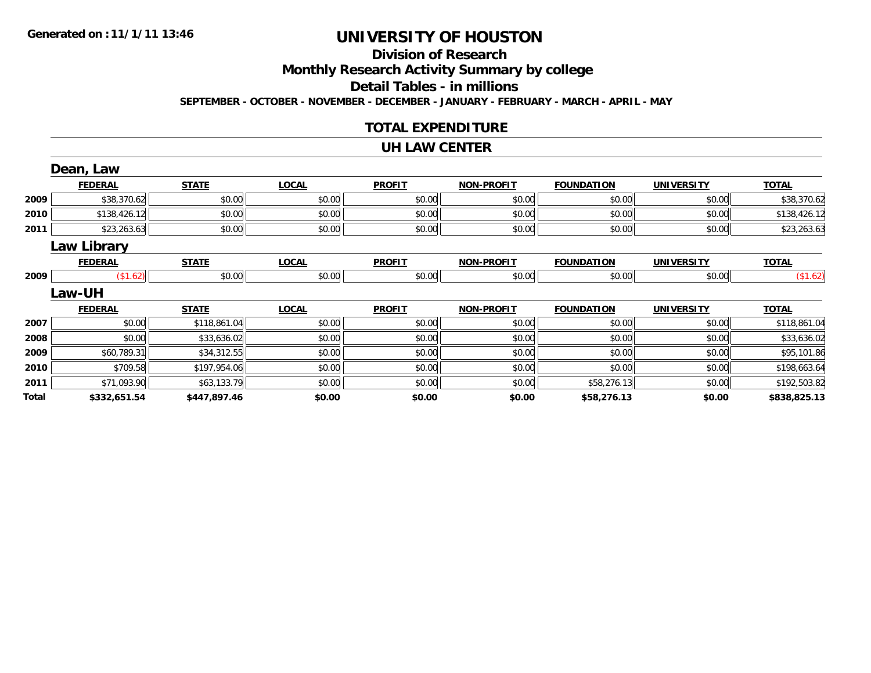#### **Division of ResearchMonthly Research Activity Summary by college Detail Tables - in millions SEPTEMBER - OCTOBER - NOVEMBER - DECEMBER - JANUARY - FEBRUARY - MARCH - APRIL - MAY**

#### **TOTAL EXPENDITURE**

#### **UH LAW CENTER**

|       | Dean, Law          |              |              |               |                   |                   |                   |              |
|-------|--------------------|--------------|--------------|---------------|-------------------|-------------------|-------------------|--------------|
|       | <b>FEDERAL</b>     | <b>STATE</b> | <b>LOCAL</b> | <b>PROFIT</b> | <b>NON-PROFIT</b> | <b>FOUNDATION</b> | <b>UNIVERSITY</b> | <b>TOTAL</b> |
| 2009  | \$38,370.62        | \$0.00       | \$0.00       | \$0.00        | \$0.00            | \$0.00            | \$0.00            | \$38,370.62  |
| 2010  | \$138,426.12       | \$0.00       | \$0.00       | \$0.00        | \$0.00            | \$0.00            | \$0.00            | \$138,426.12 |
| 2011  | \$23,263.63        | \$0.00       | \$0.00       | \$0.00        | \$0.00            | \$0.00            | \$0.00            | \$23,263.63  |
|       | <b>Law Library</b> |              |              |               |                   |                   |                   |              |
|       | <b>FEDERAL</b>     | <b>STATE</b> | <b>LOCAL</b> | <b>PROFIT</b> | <b>NON-PROFIT</b> | <b>FOUNDATION</b> | <b>UNIVERSITY</b> | <b>TOTAL</b> |
| 2009  | (\$1.62)           | \$0.00       | \$0.00       | \$0.00        | \$0.00            | \$0.00            | \$0.00            | (\$1.62)     |
|       | Law-UH             |              |              |               |                   |                   |                   |              |
|       | <b>FEDERAL</b>     | <b>STATE</b> | <b>LOCAL</b> | <b>PROFIT</b> | <b>NON-PROFIT</b> | <b>FOUNDATION</b> | <b>UNIVERSITY</b> | <b>TOTAL</b> |
| 2007  | \$0.00             | \$118,861.04 | \$0.00       | \$0.00        | \$0.00            | \$0.00            | \$0.00            | \$118,861.04 |
| 2008  | \$0.00             | \$33,636.02  | \$0.00       | \$0.00        | \$0.00            | \$0.00            | \$0.00            | \$33,636.02  |
| 2009  | \$60,789.31        | \$34,312.55  | \$0.00       | \$0.00        | \$0.00            | \$0.00            | \$0.00            | \$95,101.86  |
| 2010  | \$709.58           | \$197,954.06 | \$0.00       | \$0.00        | \$0.00            | \$0.00            | \$0.00            | \$198,663.64 |
| 2011  | \$71,093.90        | \$63,133.79  | \$0.00       | \$0.00        | \$0.00            | \$58,276.13       | \$0.00            | \$192,503.82 |
| Total | \$332,651.54       | \$447,897.46 | \$0.00       | \$0.00        | \$0.00            | \$58,276.13       | \$0.00            | \$838,825.13 |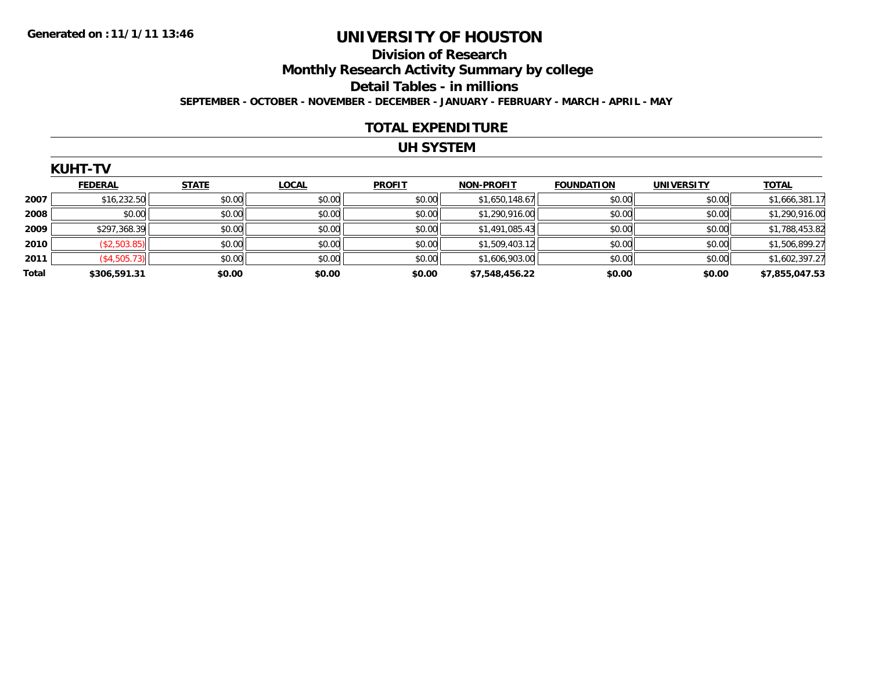### **Division of ResearchMonthly Research Activity Summary by college Detail Tables - in millions SEPTEMBER - OCTOBER - NOVEMBER - DECEMBER - JANUARY - FEBRUARY - MARCH - APRIL - MAY**

#### **TOTAL EXPENDITURE**

#### **UH SYSTEM**

|  | KUHT |  |  |
|--|------|--|--|

|       | <b>FEDERAL</b> | <b>STATE</b> | <b>LOCAL</b> | <b>PROFIT</b> | <b>NON-PROFIT</b> | <b>FOUNDATION</b> | <b>UNIVERSITY</b> | <b>TOTAL</b>   |
|-------|----------------|--------------|--------------|---------------|-------------------|-------------------|-------------------|----------------|
| 2007  | \$16,232.50    | \$0.00       | \$0.00       | \$0.00        | \$1,650,148.67    | \$0.00            | \$0.00            | \$1,666,381.17 |
| 2008  | \$0.00         | \$0.00       | \$0.00       | \$0.00        | \$1,290,916.00    | \$0.00            | \$0.00            | \$1,290,916.00 |
| 2009  | \$297,368.39   | \$0.00       | \$0.00       | \$0.00        | \$1,491,085.43    | \$0.00            | \$0.00            | \$1,788,453.82 |
| 2010  | (\$2,503.85)   | \$0.00       | \$0.00       | \$0.00        | \$1,509,403.12    | \$0.00            | \$0.00            | \$1,506,899.27 |
| 2011  | (\$4,505.73)   | \$0.00       | \$0.00       | \$0.00        | \$1,606,903.00    | \$0.00            | \$0.00            | \$1,602,397.27 |
| Total | \$306,591.31   | \$0.00       | \$0.00       | \$0.00        | \$7,548,456.22    | \$0.00            | \$0.00            | \$7,855,047.53 |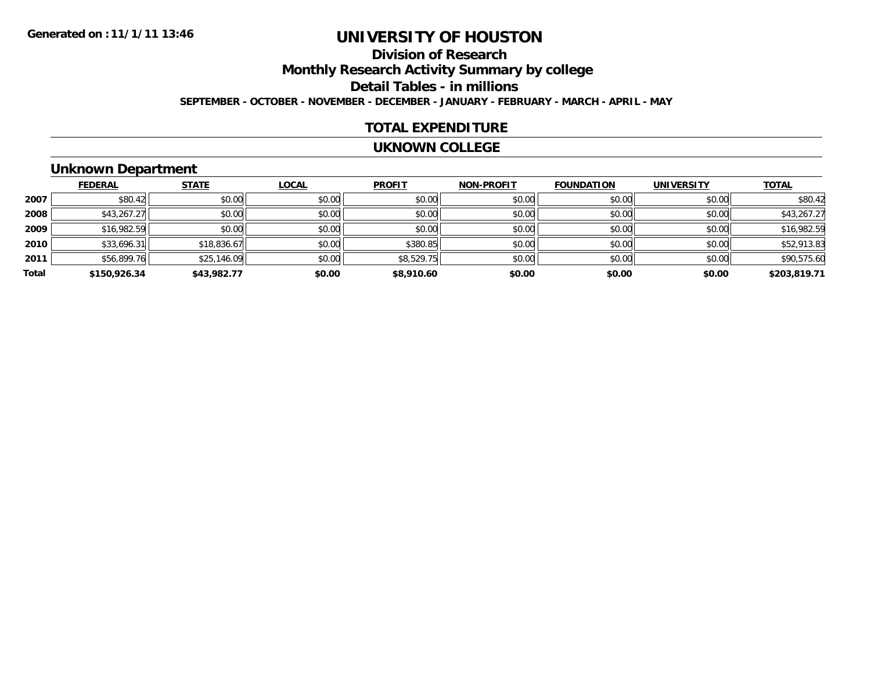### **Division of ResearchMonthly Research Activity Summary by college Detail Tables - in millions SEPTEMBER - OCTOBER - NOVEMBER - DECEMBER - JANUARY - FEBRUARY - MARCH - APRIL - MAY**

#### **TOTAL EXPENDITURE**

#### **UKNOWN COLLEGE**

### **Unknown Department**

|       | <b>FEDERAL</b> | <b>STATE</b> | <b>LOCAL</b> | <b>PROFIT</b> | <b>NON-PROFIT</b> | <b>FOUNDATION</b> | <b>UNIVERSITY</b> | <b>TOTAL</b> |
|-------|----------------|--------------|--------------|---------------|-------------------|-------------------|-------------------|--------------|
| 2007  | \$80.42        | \$0.00       | \$0.00       | \$0.00        | \$0.00            | \$0.00            | \$0.00            | \$80.42      |
| 2008  | \$43,267.27    | \$0.00       | \$0.00       | \$0.00        | \$0.00            | \$0.00            | \$0.00            | \$43,267.27  |
| 2009  | \$16,982.59    | \$0.00       | \$0.00       | \$0.00        | \$0.00            | \$0.00            | \$0.00            | \$16,982.59  |
| 2010  | \$33,696.31    | \$18,836.67  | \$0.00       | \$380.85      | \$0.00            | \$0.00            | \$0.00            | \$52,913.83  |
| 2011  | \$56,899.76    | \$25,146.09  | \$0.00       | \$8,529.75    | \$0.00            | \$0.00            | \$0.00            | \$90,575.60  |
| Total | \$150,926.34   | \$43,982.77  | \$0.00       | \$8,910.60    | \$0.00            | \$0.00            | \$0.00            | \$203,819.71 |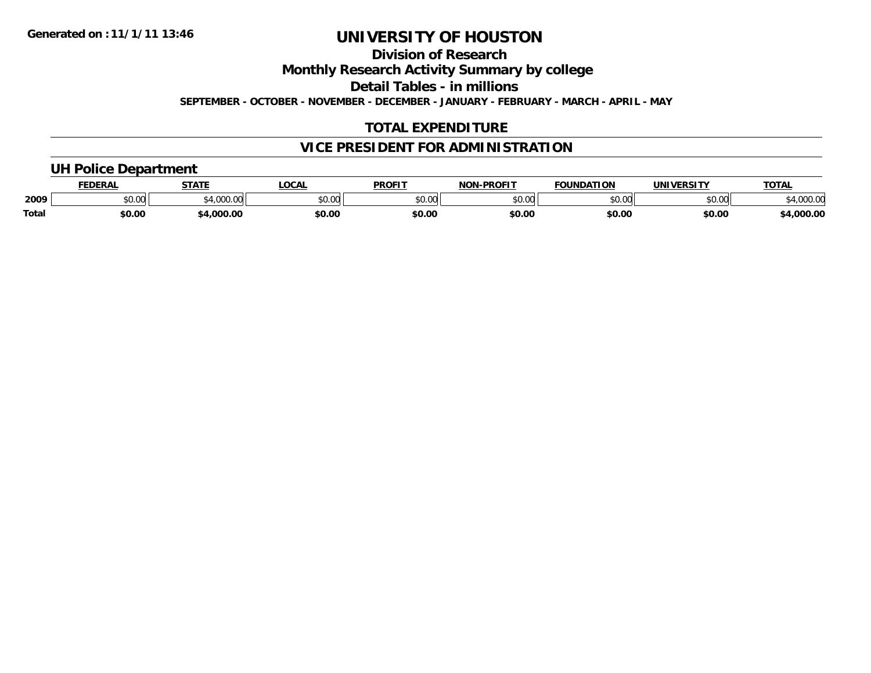### **Division of Research**

**Monthly Research Activity Summary by college**

**Detail Tables - in millions**

**SEPTEMBER - OCTOBER - NOVEMBER - DECEMBER - JANUARY - FEBRUARY - MARCH - APRIL - MAY**

### **TOTAL EXPENDITURE**

#### **VICE PRESIDENT FOR ADMINISTRATION**

# **UH Police Department**

|              | <b>FEDERAL</b> | <b>STATE</b> | <b>LOCAL</b>  | <b>PROFIT</b>  | <b>LDDOETT</b><br><b>NON</b> | <b>FOUNDATION</b> | <b>UNIVERSITY</b> | <b>TOTAL</b>       |
|--------------|----------------|--------------|---------------|----------------|------------------------------|-------------------|-------------------|--------------------|
| 2009         | JU.UU          | $\sim$       | 0000<br>PU.UU | 60.00<br>טט.טע | 0000<br>,u.uu                | \$0.00            | ልስ ባህ<br>√∪.∪⊌    | 200.00<br>4.UUU.UL |
| <b>Total</b> | \$0.00         | :4.000.00    | \$0.00        | \$0.00         | \$0.00                       | \$0.00            | \$0.00            | 4,000.00           |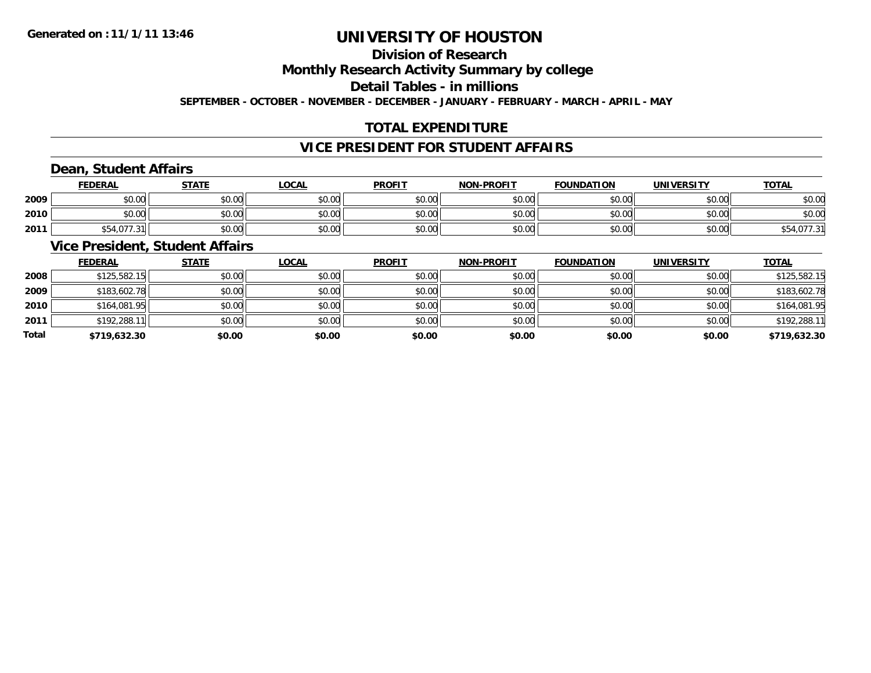#### **Division of ResearchMonthly Research Activity Summary by college Detail Tables - in millionsSEPTEMBER - OCTOBER - NOVEMBER - DECEMBER - JANUARY - FEBRUARY - MARCH - APRIL - MAY**

#### **TOTAL EXPENDITURE**

### **VICE PRESIDENT FOR STUDENT AFFAIRS**

### **Dean, Student Affairs**

|      | <b>FEDERAL</b>       | <b>STATE</b> | <u>LOCAL</u> | <b>PROFIT</b> | <b>NON-PROFIT</b> | <b>FOUNDATION</b> | <b>UNIVERSITY</b> | <b>TOTAL</b>  |
|------|----------------------|--------------|--------------|---------------|-------------------|-------------------|-------------------|---------------|
| 2009 | \$0.00               | \$0.00       | \$0.00       | \$0.00        | \$0.00            | \$0.00            | \$0.00            | \$0.00        |
| 2010 | \$0.00               | \$0.00       | \$0.00       | \$0.00        | \$0.00            | \$0.00            | \$0.00            | \$0.00        |
| 2011 | $Q = 10772$<br>∶ 24د | \$0.00       | \$0.00       | \$0.00        | \$0.00            | \$0.00            | \$0.00            | $\sim$<br>. ب |

### **Vice President, Student Affairs**

|       | <b>FEDERAL</b> | <b>STATE</b> | <b>LOCAL</b> | <b>PROFIT</b> | <b>NON-PROFIT</b> | <b>FOUNDATION</b> | <b>UNIVERSITY</b> | <b>TOTAL</b> |
|-------|----------------|--------------|--------------|---------------|-------------------|-------------------|-------------------|--------------|
| 2008  | \$125,582.15   | \$0.00       | \$0.00       | \$0.00        | \$0.00            | \$0.00            | \$0.00            | \$125,582.15 |
| 2009  | \$183,602.78   | \$0.00       | \$0.00       | \$0.00        | \$0.00            | \$0.00            | \$0.00            | \$183,602.78 |
| 2010  | \$164,081.95   | \$0.00       | \$0.00       | \$0.00        | \$0.00            | \$0.00            | \$0.00            | \$164,081.95 |
| 2011  | \$192,288.11   | \$0.00       | \$0.00       | \$0.00        | \$0.00            | \$0.00            | \$0.00            | \$192,288.11 |
| Total | \$719,632.30   | \$0.00       | \$0.00       | \$0.00        | \$0.00            | \$0.00            | \$0.00            | \$719,632.30 |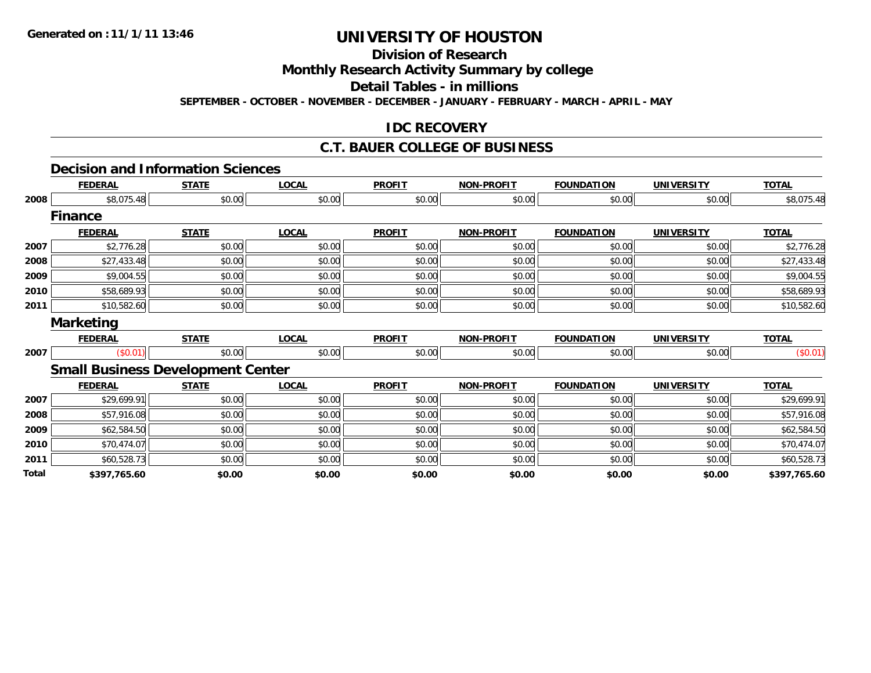### **Division of Research**

**Monthly Research Activity Summary by college**

**Detail Tables - in millions**

**SEPTEMBER - OCTOBER - NOVEMBER - DECEMBER - JANUARY - FEBRUARY - MARCH - APRIL - MAY**

#### **IDC RECOVERY**

### **C.T. BAUER COLLEGE OF BUSINESS**

#### **Decision and Information Sciences**

|              | <b>FEDERAL</b>                           | <b>STATE</b> | <b>LOCAL</b> | <b>PROFIT</b> | <b>NON-PROFIT</b> | <b>FOUNDATION</b> | <b>UNIVERSITY</b> | <b>TOTAL</b> |
|--------------|------------------------------------------|--------------|--------------|---------------|-------------------|-------------------|-------------------|--------------|
| 2008         | \$8,075.48                               | \$0.00       | \$0.00       | \$0.00        | \$0.00            | \$0.00            | \$0.00            | \$8,075.48   |
|              | <b>Finance</b>                           |              |              |               |                   |                   |                   |              |
|              | <b>FEDERAL</b>                           | <b>STATE</b> | <b>LOCAL</b> | <b>PROFIT</b> | <b>NON-PROFIT</b> | <b>FOUNDATION</b> | <b>UNIVERSITY</b> | <b>TOTAL</b> |
| 2007         | \$2,776.28                               | \$0.00       | \$0.00       | \$0.00        | \$0.00            | \$0.00            | \$0.00            | \$2,776.28   |
| 2008         | \$27,433.48                              | \$0.00       | \$0.00       | \$0.00        | \$0.00            | \$0.00            | \$0.00            | \$27,433.48  |
| 2009         | \$9,004.55                               | \$0.00       | \$0.00       | \$0.00        | \$0.00            | \$0.00            | \$0.00            | \$9,004.55   |
| 2010         | \$58,689.93                              | \$0.00       | \$0.00       | \$0.00        | \$0.00            | \$0.00            | \$0.00            | \$58,689.93  |
| 2011         | \$10,582.60                              | \$0.00       | \$0.00       | \$0.00        | \$0.00            | \$0.00            | \$0.00            | \$10,582.60  |
|              | <b>Marketing</b>                         |              |              |               |                   |                   |                   |              |
|              | <b>FEDERAL</b>                           | <b>STATE</b> | <b>LOCAL</b> | <b>PROFIT</b> | <b>NON-PROFIT</b> | <b>FOUNDATION</b> | <b>UNIVERSITY</b> | <b>TOTAL</b> |
| 2007         | (\$0.01)                                 | \$0.00       | \$0.00       | \$0.00        | \$0.00            | \$0.00            | \$0.00            | (\$0.01)     |
|              | <b>Small Business Development Center</b> |              |              |               |                   |                   |                   |              |
|              | <b>FEDERAL</b>                           | <b>STATE</b> | <b>LOCAL</b> | <b>PROFIT</b> | <b>NON-PROFIT</b> | <b>FOUNDATION</b> | <b>UNIVERSITY</b> | <b>TOTAL</b> |
| 2007         | \$29,699.91                              | \$0.00       | \$0.00       | \$0.00        | \$0.00            | \$0.00            | \$0.00            | \$29,699.91  |
| 2008         | \$57,916.08                              | \$0.00       | \$0.00       | \$0.00        | \$0.00            | \$0.00            | \$0.00            | \$57,916.08  |
| 2009         | \$62,584.50                              | \$0.00       | \$0.00       | \$0.00        | \$0.00            | \$0.00            | \$0.00            | \$62,584.50  |
| 2010         | \$70,474.07                              | \$0.00       | \$0.00       | \$0.00        | \$0.00            | \$0.00            | \$0.00            | \$70,474.07  |
| 2011         | \$60,528.73                              | \$0.00       | \$0.00       | \$0.00        | \$0.00            | \$0.00            | \$0.00            | \$60,528.73  |
| <b>Total</b> | \$397,765.60                             | \$0.00       | \$0.00       | \$0.00        | \$0.00            | \$0.00            | \$0.00            | \$397,765.60 |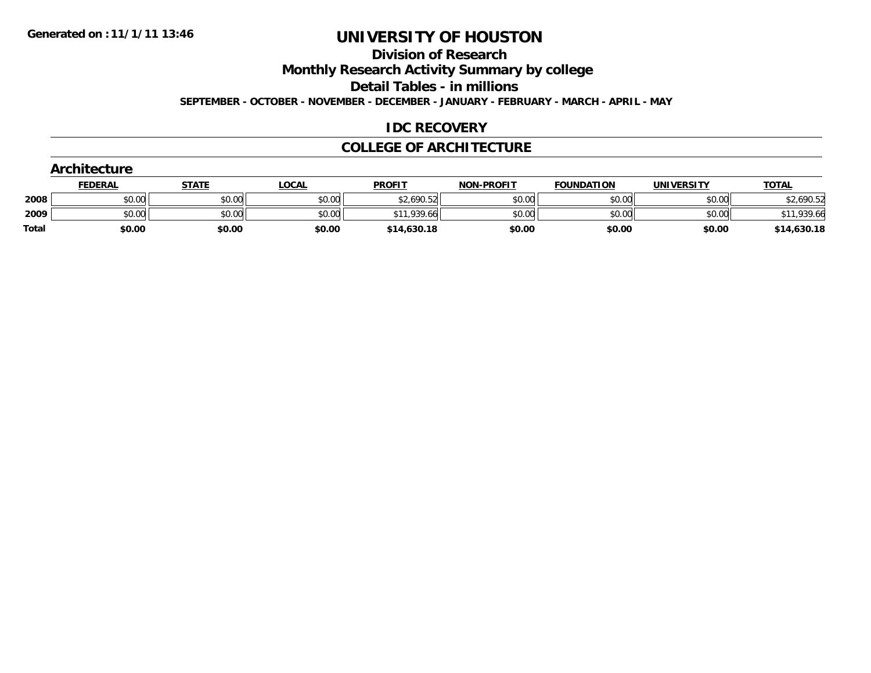### **Division of Research**

**Monthly Research Activity Summary by college**

**Detail Tables - in millions**

**SEPTEMBER - OCTOBER - NOVEMBER - DECEMBER - JANUARY - FEBRUARY - MARCH - APRIL - MAY**

#### **IDC RECOVERY**

#### **COLLEGE OF ARCHITECTURE**

|              | <b>Architecture</b> |              |              |               |                   |                   |                   |              |
|--------------|---------------------|--------------|--------------|---------------|-------------------|-------------------|-------------------|--------------|
|              | <b>FEDERAL</b>      | <b>STATE</b> | <b>LOCAL</b> | <b>PROFIT</b> | <b>NON-PROFIT</b> | <b>FOUNDATION</b> | <b>UNIVERSITY</b> | <b>TOTAL</b> |
| 2008         | \$0.00              | \$0.00       | \$0.00       | \$2,690.52    | \$0.00            | \$0.00            | \$0.00            | \$2,690.52   |
| 2009         | \$0.00              | \$0.00       | \$0.00       | \$11,939.66   | \$0.00            | \$0.00            | \$0.00            | \$11,939.66  |
| <b>Total</b> | \$0.00              | \$0.00       | \$0.00       | \$14,630.18   | \$0.00            | \$0.00            | \$0.00            | \$14,630.18  |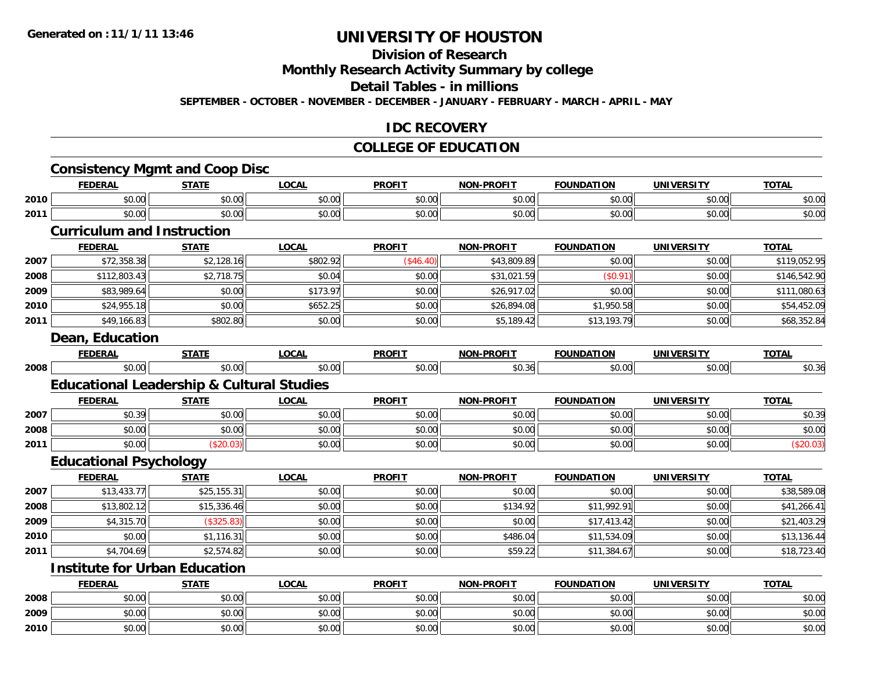# **Division of Research**

**Monthly Research Activity Summary by college**

#### **Detail Tables - in millions**

**SEPTEMBER - OCTOBER - NOVEMBER - DECEMBER - JANUARY - FEBRUARY - MARCH - APRIL - MAY**

#### **IDC RECOVERY**

#### **COLLEGE OF EDUCATION**

#### **Consistency Mgmt and Coop Disc FEDERAL STATE LOCAL PROFIT NON-PROFIT FOUNDATION UNIVERSITY TOTAL 2010** \$0.00 \$0.00 \$0.00 \$0.00 \$0.00 \$0.00 \$0.00 \$0.00 **2011** $\textbf{1} \hspace{.2cm} \text{$60.00cm$} \hspace{1.8cm} \text{$60.00cm$} \hspace{1.8cm} \text{$60.00cm$} \hspace{1.8cm} \text{$60.00cm$} \hspace{1.8cm} \text{$60.00cm$} \hspace{1.8cm} \text{$60.00cm$} \hspace{1.8cm} \text{$60.00cm$} \hspace{1.8cm} \text{$60.00cm$} \hspace{1.8cm} \text{$60.00cm$} \hspace{1.8cm} \text{$60.00cm$} \hspace{1$ **Curriculum and InstructionFEDERAL STATE LOCAL PROFIT NON-PROFIT FOUNDATION UNIVERSITY TOTAL 2007**7 | \$72,358.38|| \$2,128.16|| \$802.92|| (\$46.40)|| \$43,809.89|| \$0.00|| \$0.00|| \$119,052.95 **2008** \$112,803.43 \$2,718.75 \$0.04 \$0.00 \$31,021.59 (\$0.91) \$0.00 \$146,542.90 **2009** \$83,989.64 \$0.00 \$173.97 \$0.00 \$26,917.02 \$0.00 \$0.00 \$111,080.63 **2010**

#### **Dean, Education**

**2011**

|      | -----<br>м. | ---- | $\mathbf{A}$ | <b>PROFT1</b><br>7 IN L. | <b>LDROFT</b><br>NON |        | ---            |
|------|-------------|------|--------------|--------------------------|----------------------|--------|----------------|
| 2008 | $\sim$      | . .  |              |                          | $\sim$ $\sim$        | ,,,,,, | $\sim$<br>ט.טי |

 $\textsf{0} \parallel \textsf{0} \parallel \textsf{0} \parallel \textsf{0} \parallel \textsf{0} \parallel \textsf{0} \parallel \textsf{0} \parallel \textsf{0} \parallel \textsf{0} \parallel \textsf{0} \parallel \textsf{0} \parallel \textsf{0} \parallel \textsf{0} \parallel \textsf{0} \parallel \textsf{0} \parallel \textsf{0} \parallel \textsf{0} \parallel \textsf{0} \parallel \textsf{0} \parallel \textsf{0} \parallel \textsf{0} \parallel \textsf{0} \parallel \textsf{0} \parallel \textsf{0} \parallel \textsf{0} \parallel \textsf{0} \parallel \textsf{0} \parallel \textsf{$ 

 $\textbf{1} \hspace{14mm} \text{\textcolor{red}{\textbf{8}}}, 5,189.42$   $\text{\textcolor{red}{\textbf{8}}}, 60.00$   $\text{\textcolor{red}{\textbf{8}}}, 68,352.84$ 

#### **Educational Leadership & Cultural Studies**

|      | <b>FEDERAL</b>                                            | <b>STATE</b> | <u>LOCAL</u>                            | <b>PROFIT</b> | <b>NON-PROFIT</b> | <b>FOUNDATION</b> | <b>UNIVERSITY</b> | <u>TOTAL</u> |
|------|-----------------------------------------------------------|--------------|-----------------------------------------|---------------|-------------------|-------------------|-------------------|--------------|
| 2007 | $\uparrow$ $\uparrow$ $\uparrow$ $\uparrow$<br>9 U . J 71 | \$0.00       | $\theta$ $\theta$ $\theta$<br>JU.UU     | \$0.00        | \$0.00            | \$0.00            | \$0.00            | \$0.39       |
| 2008 | $\sim$ 00<br>DU.UU                                        | \$0.00       | \$0.00                                  | \$0.00        | \$0.00            | \$0.00            | \$0.00            | \$0.00       |
| 2011 | pu.uu                                                     | ט.ט.זי       | $\circ$ $\circ$ $\circ$<br><b>DU.UG</b> | \$0.00        | \$0.00            | \$0.00            | \$0.00            |              |

#### **Educational Psychology**

|      | <b>FEDERAL</b> | <b>STATE</b> | <b>LOCAL</b> | <b>PROFIT</b> | <b>NON-PROFIT</b> | <b>FOUNDATION</b> | <b>UNIVERSITY</b> | <b>TOTAL</b> |
|------|----------------|--------------|--------------|---------------|-------------------|-------------------|-------------------|--------------|
| 2007 | \$13,433.77    | \$25,155.31  | \$0.00       | \$0.00        | \$0.00            | \$0.00            | \$0.00            | \$38,589.08  |
| 2008 | \$13,802.12    | \$15,336.46  | \$0.00       | \$0.00        | \$134.92          | \$11,992.91       | \$0.00            | \$41,266.41  |
| 2009 | \$4,315.70     | (\$325.83)   | \$0.00       | \$0.00        | \$0.00            | \$17,413.42       | \$0.00            | \$21,403.29  |
| 2010 | \$0.00         | \$1,116.31   | \$0.00       | \$0.00        | \$486.04          | \$11,534.09       | \$0.00            | \$13,136.44  |
| 2011 | \$4,704.69     | \$2,574.82   | \$0.00       | \$0.00        | \$59.22           | \$11,384.67       | \$0.00            | \$18,723.40  |

#### **Institute for Urban Education**

|      | <b>FEDERAL</b> | <b>STATE</b>   | <u>LOCAL</u>   | <b>PROFIT</b> | <b>NON-PROFIT</b> | <b>FOUNDATION</b> | <b>UNIVERSITY</b> | <b>TOTAL</b> |
|------|----------------|----------------|----------------|---------------|-------------------|-------------------|-------------------|--------------|
| 2008 | \$0.00         | σΩ.<br>JU.UL   | ልስ ስስ<br>PU.UU | \$0.00        | JU.UU             | \$0.00            | \$0.00            | \$0.00       |
| 2009 | \$0.00         | ≮∩ ∩∩<br>JU.UU | 0000<br>\$U.UU | \$0.00        | \$0.00            | \$0.00            | \$0.00            | \$0.00       |
| 2010 | \$0.00         | \$0.00         | \$0.00         | \$0.00        | \$0.00            | \$0.00            | \$0.00            | \$0.00       |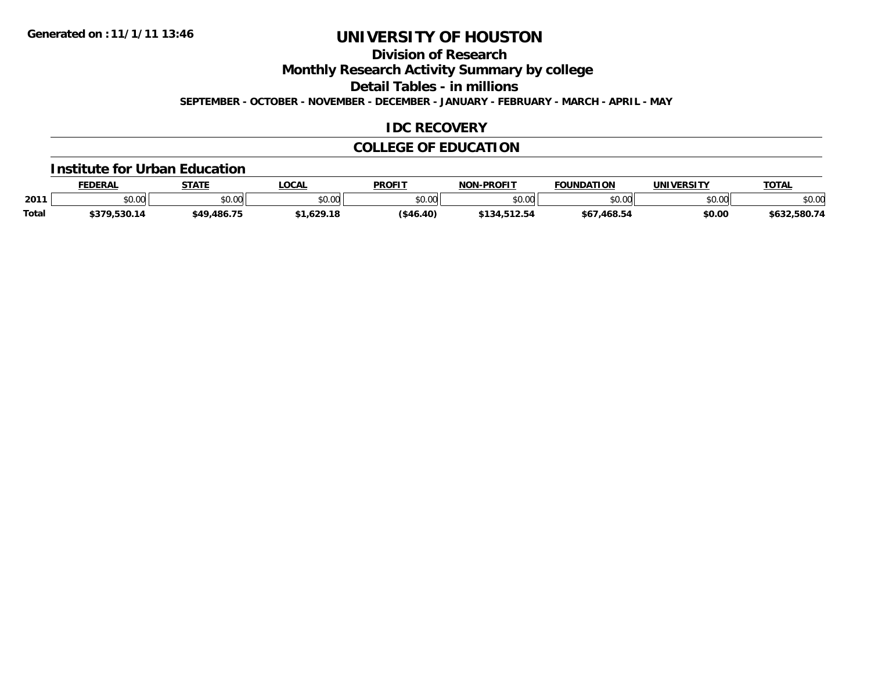### **Division of Research**

**Monthly Research Activity Summary by college**

**Detail Tables - in millions**

**SEPTEMBER - OCTOBER - NOVEMBER - DECEMBER - JANUARY - FEBRUARY - MARCH - APRIL - MAY**

### **IDC RECOVERY**

#### **COLLEGE OF EDUCATION**

#### **Institute for Urban Education**

|              | <b>FEDERAL</b>                   | <b>STATE</b> | <b>LOCAL</b>   | <b>PROFIT</b> | <b>NON-PROFIT</b>                                           | <b>FOUNDATION</b> | <b>UNIVERSITY</b> | <b>TOTAL</b> |
|--------------|----------------------------------|--------------|----------------|---------------|-------------------------------------------------------------|-------------------|-------------------|--------------|
| 2011         | $\circ$ $\circ$ $\circ$<br>,u.uu | \$0.00       | ≮n nn<br>vu.vu | \$0.00        | $\mathfrak{g} \cap \mathfrak{g} \cap \mathfrak{g}$<br>,u.uu | \$0.00            | \$0.00            | \$0.00       |
| <b>Total</b> | \$379,530.14                     | \$49,486.75  | .1.629.18      | ( \$46.40)    | \$134,512.54                                                | \$67,468.54       | \$0.00            | \$632,580.74 |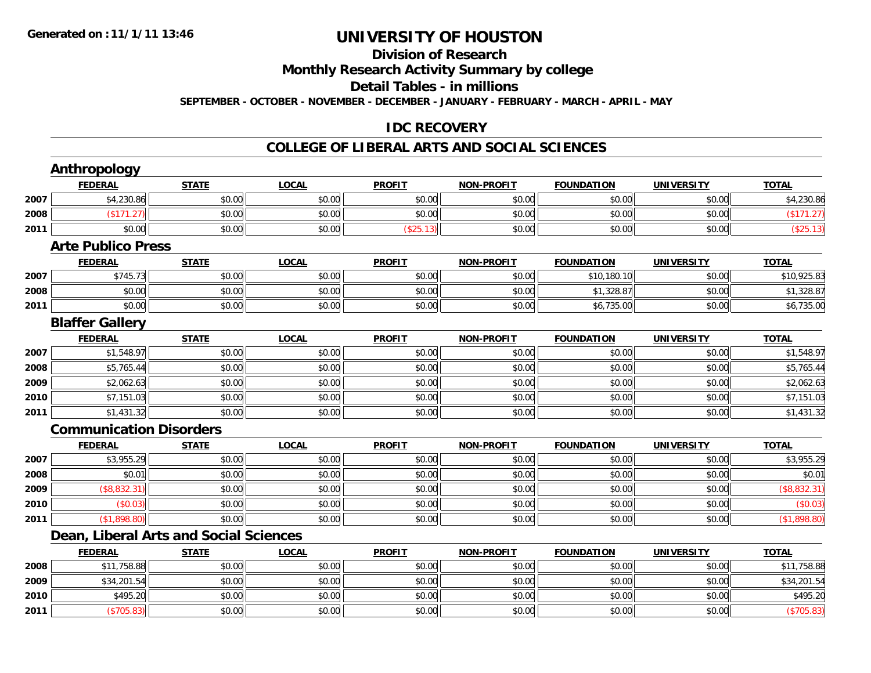#### **Division of ResearchMonthly Research Activity Summary by college Detail Tables - in millions SEPTEMBER - OCTOBER - NOVEMBER - DECEMBER - JANUARY - FEBRUARY - MARCH - APRIL - MAY**

#### **IDC RECOVERY**

#### **COLLEGE OF LIBERAL ARTS AND SOCIAL SCIENCES**

|      | <b>Anthropology</b>            |                                               |              |               |                   |                   |                   |              |
|------|--------------------------------|-----------------------------------------------|--------------|---------------|-------------------|-------------------|-------------------|--------------|
|      | <b>FEDERAL</b>                 | <b>STATE</b>                                  | <b>LOCAL</b> | <b>PROFIT</b> | <b>NON-PROFIT</b> | <b>FOUNDATION</b> | <b>UNIVERSITY</b> | <b>TOTAL</b> |
| 2007 | \$4,230.86                     | \$0.00                                        | \$0.00       | \$0.00        | \$0.00            | \$0.00            | \$0.00            | \$4,230.86   |
| 2008 | (\$171.27)                     | \$0.00                                        | \$0.00       | \$0.00        | \$0.00            | \$0.00            | \$0.00            | (\$171.27)   |
| 2011 | \$0.00                         | \$0.00                                        | \$0.00       | (\$25.13)     | \$0.00            | \$0.00            | \$0.00            | (\$25.13)    |
|      | <b>Arte Publico Press</b>      |                                               |              |               |                   |                   |                   |              |
|      | <b>FEDERAL</b>                 | <b>STATE</b>                                  | <b>LOCAL</b> | <b>PROFIT</b> | <b>NON-PROFIT</b> | <b>FOUNDATION</b> | <b>UNIVERSITY</b> | <b>TOTAL</b> |
| 2007 | \$745.73                       | \$0.00                                        | \$0.00       | \$0.00        | \$0.00            | \$10,180.10       | \$0.00            | \$10,925.83  |
| 2008 | \$0.00                         | \$0.00                                        | \$0.00       | \$0.00        | \$0.00            | \$1,328.87        | \$0.00            | \$1,328.87   |
| 2011 | \$0.00                         | \$0.00                                        | \$0.00       | \$0.00        | \$0.00            | \$6,735.00        | \$0.00            | \$6,735.00   |
|      | <b>Blaffer Gallery</b>         |                                               |              |               |                   |                   |                   |              |
|      | <b>FEDERAL</b>                 | <b>STATE</b>                                  | <b>LOCAL</b> | <b>PROFIT</b> | <b>NON-PROFIT</b> | <b>FOUNDATION</b> | <b>UNIVERSITY</b> | <b>TOTAL</b> |
| 2007 | \$1,548.97                     | \$0.00                                        | \$0.00       | \$0.00        | \$0.00            | \$0.00            | \$0.00            | \$1,548.97   |
| 2008 | \$5,765.44                     | \$0.00                                        | \$0.00       | \$0.00        | \$0.00            | \$0.00            | \$0.00            | \$5,765.44   |
| 2009 | \$2,062.63                     | \$0.00                                        | \$0.00       | \$0.00        | \$0.00            | \$0.00            | \$0.00            | \$2,062.63   |
| 2010 | \$7,151.03                     | \$0.00                                        | \$0.00       | \$0.00        | \$0.00            | \$0.00            | \$0.00            | \$7,151.03   |
| 2011 | \$1,431.32                     | \$0.00                                        | \$0.00       | \$0.00        | \$0.00            | \$0.00            | \$0.00            | \$1,431.32   |
|      | <b>Communication Disorders</b> |                                               |              |               |                   |                   |                   |              |
|      | <b>FEDERAL</b>                 | <b>STATE</b>                                  | <b>LOCAL</b> | <b>PROFIT</b> | <b>NON-PROFIT</b> | <b>FOUNDATION</b> | <b>UNIVERSITY</b> | <b>TOTAL</b> |
| 2007 | \$3,955.29                     | \$0.00                                        | \$0.00       | \$0.00        | \$0.00            | \$0.00            | \$0.00            | \$3,955.29   |
| 2008 | \$0.01                         | \$0.00                                        | \$0.00       | \$0.00        | \$0.00            | \$0.00            | \$0.00            | \$0.01       |
| 2009 | (\$8,832.31)                   | \$0.00                                        | \$0.00       | \$0.00        | \$0.00            | \$0.00            | \$0.00            | (\$8,832.31) |
| 2010 | (\$0.03)                       | \$0.00                                        | \$0.00       | \$0.00        | \$0.00            | \$0.00            | \$0.00            | (\$0.03)     |
| 2011 | (\$1,898.80)                   | \$0.00                                        | \$0.00       | \$0.00        | \$0.00            | \$0.00            | \$0.00            | (\$1,898.80) |
|      |                                | <b>Dean, Liberal Arts and Social Sciences</b> |              |               |                   |                   |                   |              |
|      | <b>FEDERAL</b>                 | <b>STATE</b>                                  | <b>LOCAL</b> | <b>PROFIT</b> | <b>NON-PROFIT</b> | <b>FOUNDATION</b> | <b>UNIVERSITY</b> | <b>TOTAL</b> |
| 2008 | \$11,758.88                    | \$0.00                                        | \$0.00       | \$0.00        | \$0.00            | \$0.00            | \$0.00            | \$11,758.88  |
| 2009 | \$34,201.54                    | \$0.00                                        | \$0.00       | \$0.00        | \$0.00            | \$0.00            | \$0.00            | \$34,201.54  |
| 2010 | \$495.20                       | \$0.00                                        | \$0.00       | \$0.00        | \$0.00            | \$0.00            | \$0.00            | \$495.20     |
| 2011 | (\$705.83)                     | \$0.00                                        | \$0.00       | \$0.00        | \$0.00            | \$0.00            | \$0.00            | (\$705.83)   |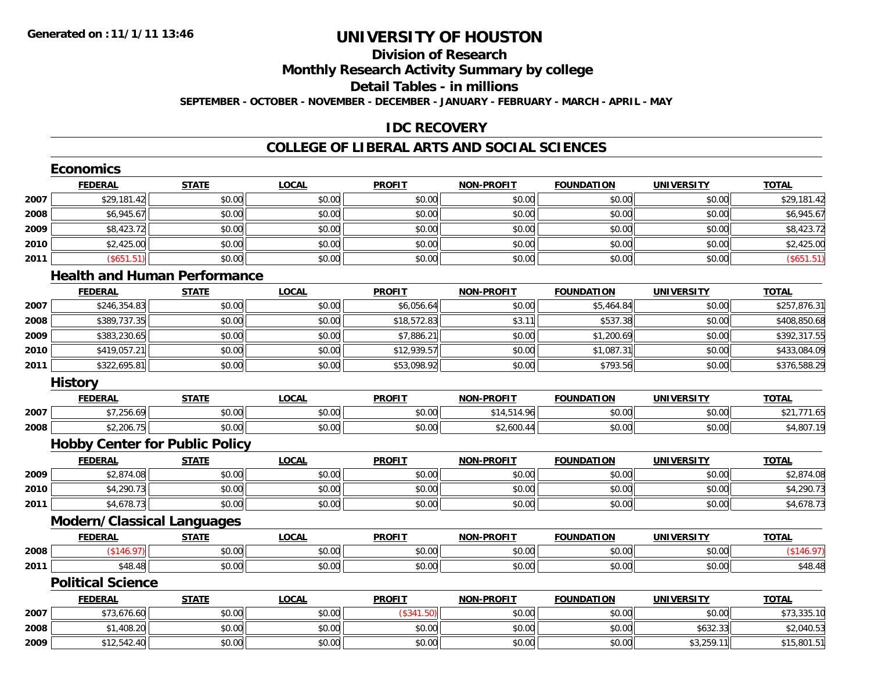### **Division of ResearchMonthly Research Activity Summary by college Detail Tables - in millions SEPTEMBER - OCTOBER - NOVEMBER - DECEMBER - JANUARY - FEBRUARY - MARCH - APRIL - MAY**

#### **IDC RECOVERY**

#### **COLLEGE OF LIBERAL ARTS AND SOCIAL SCIENCES**

|      | <b>Economics</b>                      |              |              |               |                   |                   |                   |              |
|------|---------------------------------------|--------------|--------------|---------------|-------------------|-------------------|-------------------|--------------|
|      | <b>FEDERAL</b>                        | <b>STATE</b> | <b>LOCAL</b> | <b>PROFIT</b> | <b>NON-PROFIT</b> | <b>FOUNDATION</b> | <b>UNIVERSITY</b> | <b>TOTAL</b> |
| 2007 | \$29,181.42                           | \$0.00       | \$0.00       | \$0.00        | \$0.00            | \$0.00            | \$0.00            | \$29,181.42  |
| 2008 | \$6,945.67                            | \$0.00       | \$0.00       | \$0.00        | \$0.00            | \$0.00            | \$0.00            | \$6,945.67   |
| 2009 | \$8,423.72                            | \$0.00       | \$0.00       | \$0.00        | \$0.00            | \$0.00            | \$0.00            | \$8,423.72   |
| 2010 | \$2,425.00                            | \$0.00       | \$0.00       | \$0.00        | \$0.00            | \$0.00            | \$0.00            | \$2,425.00   |
| 2011 | (\$651.51)                            | \$0.00       | \$0.00       | \$0.00        | \$0.00            | \$0.00            | \$0.00            | (\$651.51)   |
|      | <b>Health and Human Performance</b>   |              |              |               |                   |                   |                   |              |
|      | <b>FEDERAL</b>                        | <b>STATE</b> | <b>LOCAL</b> | <b>PROFIT</b> | <b>NON-PROFIT</b> | <b>FOUNDATION</b> | <b>UNIVERSITY</b> | <b>TOTAL</b> |
| 2007 | \$246,354.83                          | \$0.00       | \$0.00       | \$6,056.64    | \$0.00            | \$5,464.84        | \$0.00            | \$257,876.31 |
| 2008 | \$389,737.35                          | \$0.00       | \$0.00       | \$18,572.83   | \$3.11            | \$537.38          | \$0.00            | \$408,850.68 |
| 2009 | \$383,230.65                          | \$0.00       | \$0.00       | \$7,886.21    | \$0.00            | \$1,200.69        | \$0.00            | \$392,317.55 |
| 2010 | \$419,057.21                          | \$0.00       | \$0.00       | \$12,939.57   | \$0.00            | \$1,087.31        | \$0.00            | \$433,084.09 |
| 2011 | \$322,695.81                          | \$0.00       | \$0.00       | \$53,098.92   | \$0.00            | \$793.56          | \$0.00            | \$376,588.29 |
|      | <b>History</b>                        |              |              |               |                   |                   |                   |              |
|      | <b>FEDERAL</b>                        | <b>STATE</b> | <b>LOCAL</b> | <b>PROFIT</b> | <b>NON-PROFIT</b> | <b>FOUNDATION</b> | <b>UNIVERSITY</b> | <b>TOTAL</b> |
| 2007 | \$7,256.69                            | \$0.00       | \$0.00       | \$0.00        | \$14,514.96       | \$0.00            | \$0.00            | \$21,771.65  |
| 2008 | \$2,206.75                            | \$0.00       | \$0.00       | \$0.00        | \$2,600.44        | \$0.00            | \$0.00            | \$4,807.19   |
|      | <b>Hobby Center for Public Policy</b> |              |              |               |                   |                   |                   |              |
|      | <b>FEDERAL</b>                        | <b>STATE</b> | <b>LOCAL</b> | <b>PROFIT</b> | <b>NON-PROFIT</b> | <b>FOUNDATION</b> | <b>UNIVERSITY</b> | <b>TOTAL</b> |
| 2009 | \$2,874.08                            | \$0.00       | \$0.00       | \$0.00        | \$0.00            | \$0.00            | \$0.00            | \$2,874.08   |
| 2010 | \$4,290.73                            | \$0.00       | \$0.00       | \$0.00        | \$0.00            | \$0.00            | \$0.00            | \$4,290.73   |
| 2011 | \$4,678.73                            | \$0.00       | \$0.00       | \$0.00        | \$0.00            | \$0.00            | \$0.00            | \$4,678.73   |
|      | <b>Modern/Classical Languages</b>     |              |              |               |                   |                   |                   |              |
|      | <b>FEDERAL</b>                        | <b>STATE</b> | <b>LOCAL</b> | <b>PROFIT</b> | <b>NON-PROFIT</b> | <b>FOUNDATION</b> | <b>UNIVERSITY</b> | <b>TOTAL</b> |
| 2008 | (\$146.97)                            | \$0.00       | \$0.00       | \$0.00        | \$0.00            | \$0.00            | \$0.00            | (\$146.97)   |
| 2011 | \$48.48                               | \$0.00       | \$0.00       | \$0.00        | \$0.00            | \$0.00            | \$0.00            | \$48.48      |
|      | <b>Political Science</b>              |              |              |               |                   |                   |                   |              |
|      | <b>FEDERAL</b>                        | <b>STATE</b> | <b>LOCAL</b> | <b>PROFIT</b> | <b>NON-PROFIT</b> | <b>FOUNDATION</b> | <b>UNIVERSITY</b> | <b>TOTAL</b> |
| 2007 | \$73,676.60                           | \$0.00       | \$0.00       | (\$341.50)    | \$0.00            | \$0.00            | \$0.00            | \$73,335.10  |
| 2008 | \$1,408.20                            | \$0.00       | \$0.00       | \$0.00        | \$0.00            | \$0.00            | \$632.33          | \$2,040.53   |
| 2009 | \$12,542.40                           | \$0.00       | \$0.00       | \$0.00        | \$0.00            | \$0.00            | \$3,259.11        | \$15,801.51  |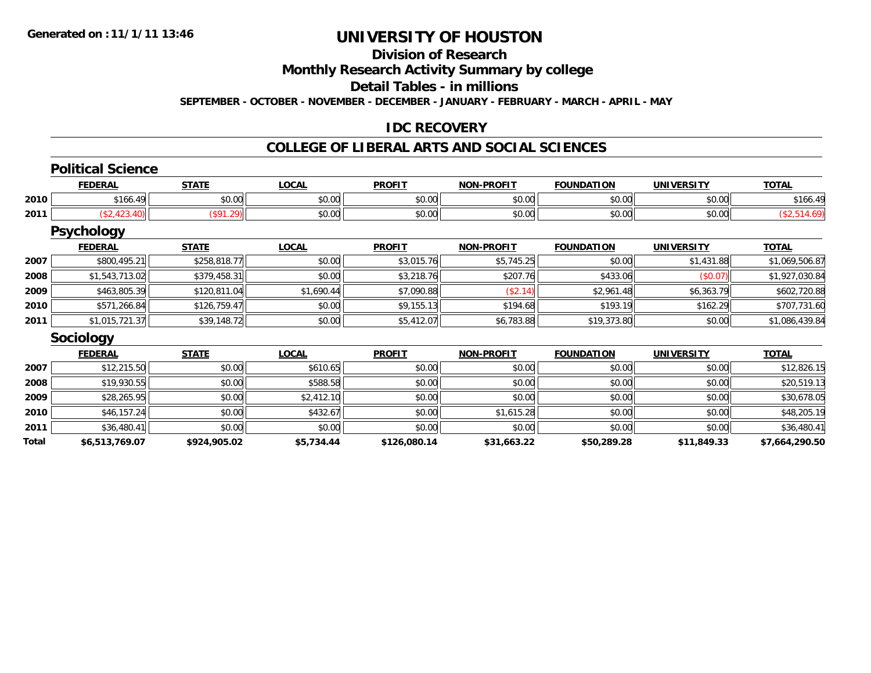#### **Division of ResearchMonthly Research Activity Summary by college Detail Tables - in millionsSEPTEMBER - OCTOBER - NOVEMBER - DECEMBER - JANUARY - FEBRUARY - MARCH - APRIL - MAY**

#### **IDC RECOVERY**

### **COLLEGE OF LIBERAL ARTS AND SOCIAL SCIENCES**

#### **Political Science**

|      | <b>FEDERAL</b> | <b>ATATI</b>      | 0.001<br>LULA.                          | <b>PROFIT</b>          | <b>NON-PROFIT</b> | <b>FOUNDATION</b> | <b>IINTVERSITY</b> | $-0$ |
|------|----------------|-------------------|-----------------------------------------|------------------------|-------------------|-------------------|--------------------|------|
| 2010 | AA<br>$\sim$   | $\sim$ 00<br>vv.v | $\sim$ $\sim$<br>vu.vu                  | $\sim$ $\sim$<br>vv.vv | 0000<br>vv.vv     | 0000<br>vu.uu     | $\sim$ 00<br>vv.vv | 100  |
| 2011 |                |                   | $\uparrow$ $\wedge$ $\uparrow$<br>vu.vu | JU.                    | 0000<br>vv.vv     | $\sim$ 00         | $\sim$ 00<br>PU.UU |      |

#### **Psychology**

|      | <b>FEDERAL</b> | <b>STATE</b> | <b>LOCAL</b> | <b>PROFIT</b> | <b>NON-PROFIT</b> | <b>FOUNDATION</b> | <b>UNIVERSITY</b> | <u>TOTAL</u>   |
|------|----------------|--------------|--------------|---------------|-------------------|-------------------|-------------------|----------------|
| 2007 | \$800,495.21   | \$258,818.77 | \$0.00       | \$3,015.76    | \$5.745.25        | \$0.00            | \$1,431.88        | \$1,069,506.87 |
| 2008 | \$1,543,713.02 | \$379,458.31 | \$0.00       | \$3,218.76    | \$207.76          | \$433.06          | (S0.07)           | \$1,927,030.84 |
| 2009 | \$463,805.39   | \$120,811.04 | \$1,690.44   | \$7,090.88    | (\$2.14)          | \$2,961.48        | \$6,363.79        | \$602,720.88   |
| 2010 | \$571,266.84   | \$126.759.47 | \$0.00       | \$9,155.13    | \$194.68          | \$193.19          | \$162.29          | \$707,731.60   |
| 2011 | \$1,015,721.37 | \$39,148.72  | \$0.00       | \$5,412.07    | \$6,783.88        | \$19,373.80       | \$0.00            | \$1,086,439.84 |

#### **Sociology**

|       | <b>FEDERAL</b> | <b>STATE</b> | <b>LOCAL</b> | <b>PROFIT</b> | <b>NON-PROFIT</b> | <b>FOUNDATION</b> | <b>UNIVERSITY</b> | <b>TOTAL</b>   |
|-------|----------------|--------------|--------------|---------------|-------------------|-------------------|-------------------|----------------|
| 2007  | \$12,215.50    | \$0.00       | \$610.65     | \$0.00        | \$0.00            | \$0.00            | \$0.00            | \$12,826.15    |
| 2008  | \$19,930.55    | \$0.00       | \$588.58     | \$0.00        | \$0.00            | \$0.00            | \$0.00            | \$20,519.13    |
| 2009  | \$28,265.95    | \$0.00       | \$2,412.10   | \$0.00        | \$0.00            | \$0.00            | \$0.00            | \$30,678.05    |
| 2010  | \$46,157.24    | \$0.00       | \$432.67     | \$0.00        | \$1,615.28        | \$0.00            | \$0.00            | \$48,205.19    |
| 2011  | \$36,480.41    | \$0.00       | \$0.00       | \$0.00        | \$0.00            | \$0.00            | \$0.00            | \$36,480.41    |
| Total | \$6,513,769.07 | \$924,905.02 | \$5,734.44   | \$126,080.14  | \$31,663.22       | \$50,289.28       | \$11,849.33       | \$7,664,290.50 |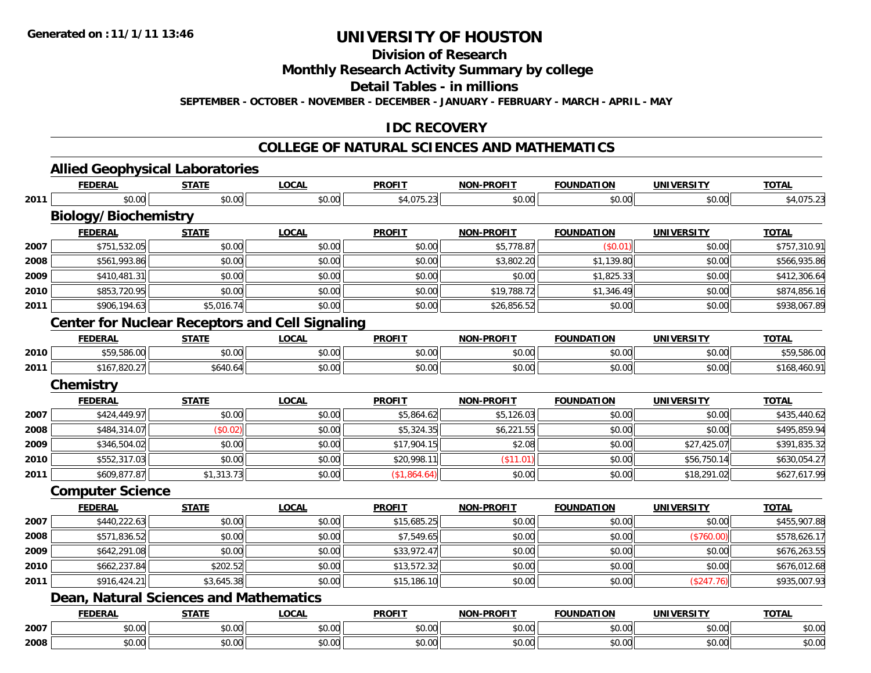# **Division of Research**

**Monthly Research Activity Summary by college**

**Detail Tables - in millions**

**SEPTEMBER - OCTOBER - NOVEMBER - DECEMBER - JANUARY - FEBRUARY - MARCH - APRIL - MAY**

### **IDC RECOVERY**

### **COLLEGE OF NATURAL SCIENCES AND MATHEMATICS**

|      | <b>FEDERAL</b>                                | <b>STATE</b> | <b>LOCAL</b>                                           | <b>PROFIT</b> | <b>NON-PROFIT</b> | <b>FOUNDATION</b> | <b>UNIVERSITY</b> | <b>TOTAL</b> |  |  |  |  |  |
|------|-----------------------------------------------|--------------|--------------------------------------------------------|---------------|-------------------|-------------------|-------------------|--------------|--|--|--|--|--|
| 2011 | \$0.00                                        | \$0.00       | \$0.00                                                 | \$4,075.23    | \$0.00            | \$0.00            | \$0.00            | \$4,075.23   |  |  |  |  |  |
|      | <b>Biology/Biochemistry</b>                   |              |                                                        |               |                   |                   |                   |              |  |  |  |  |  |
|      | <b>FEDERAL</b>                                | <b>STATE</b> | <b>LOCAL</b>                                           | <b>PROFIT</b> | <b>NON-PROFIT</b> | <b>FOUNDATION</b> | <b>UNIVERSITY</b> | <b>TOTAL</b> |  |  |  |  |  |
| 2007 | \$751,532.05                                  | \$0.00       | \$0.00                                                 | \$0.00        | \$5,778.87        | (S0.01)           | \$0.00            | \$757,310.91 |  |  |  |  |  |
| 2008 | \$561,993.86                                  | \$0.00       | \$0.00                                                 | \$0.00        | \$3,802.20        | \$1,139.80        | \$0.00            | \$566,935.86 |  |  |  |  |  |
| 2009 | \$410,481.31                                  | \$0.00       | \$0.00                                                 | \$0.00        | \$0.00            | \$1,825.33        | \$0.00            | \$412,306.64 |  |  |  |  |  |
| 2010 | \$853,720.95                                  | \$0.00       | \$0.00                                                 | \$0.00        | \$19,788.72       | \$1,346.49        | \$0.00            | \$874,856.16 |  |  |  |  |  |
| 2011 | \$906,194.63                                  | \$5,016.74   | \$0.00                                                 | \$0.00        | \$26,856.52       | \$0.00            | \$0.00            | \$938,067.89 |  |  |  |  |  |
|      |                                               |              | <b>Center for Nuclear Receptors and Cell Signaling</b> |               |                   |                   |                   |              |  |  |  |  |  |
|      | <b>FEDERAL</b>                                | <b>STATE</b> | <b>LOCAL</b>                                           | <b>PROFIT</b> | <b>NON-PROFIT</b> | <b>FOUNDATION</b> | <b>UNIVERSITY</b> | <b>TOTAL</b> |  |  |  |  |  |
| 2010 | \$59,586.00                                   | \$0.00       | \$0.00                                                 | \$0.00        | \$0.00            | \$0.00            | \$0.00            | \$59,586.00  |  |  |  |  |  |
| 2011 | \$167,820.27                                  | \$640.64     | \$0.00                                                 | \$0.00        | \$0.00            | \$0.00            | \$0.00            | \$168,460.91 |  |  |  |  |  |
|      | <b>Chemistry</b>                              |              |                                                        |               |                   |                   |                   |              |  |  |  |  |  |
|      | <b>FEDERAL</b>                                | <b>STATE</b> | <b>LOCAL</b>                                           | <b>PROFIT</b> | <b>NON-PROFIT</b> | <b>FOUNDATION</b> | <b>UNIVERSITY</b> | <b>TOTAL</b> |  |  |  |  |  |
| 2007 | \$424,449.97                                  | \$0.00       | \$0.00                                                 | \$5,864.62    | \$5,126.03        | \$0.00            | \$0.00            | \$435,440.62 |  |  |  |  |  |
| 2008 | \$484,314.07                                  | (\$0.02)     | \$0.00                                                 | \$5,324.35    | \$6,221.55        | \$0.00            | \$0.00            | \$495,859.94 |  |  |  |  |  |
| 2009 | \$346,504.02                                  | \$0.00       | \$0.00                                                 | \$17,904.15   | \$2.08            | \$0.00            | \$27,425.07       | \$391,835.32 |  |  |  |  |  |
| 2010 | \$552,317.03                                  | \$0.00       | \$0.00                                                 | \$20,998.11   | (\$11.01)         | \$0.00            | \$56,750.14       | \$630,054.27 |  |  |  |  |  |
| 2011 | \$609,877.87                                  | \$1,313.73   | \$0.00                                                 | (\$1,864.64)  | \$0.00            | \$0.00            | \$18,291.02       | \$627,617.99 |  |  |  |  |  |
|      | <b>Computer Science</b>                       |              |                                                        |               |                   |                   |                   |              |  |  |  |  |  |
|      | <b>FEDERAL</b>                                | <b>STATE</b> | <b>LOCAL</b>                                           | <b>PROFIT</b> | <b>NON-PROFIT</b> | <b>FOUNDATION</b> | <b>UNIVERSITY</b> | <b>TOTAL</b> |  |  |  |  |  |
| 2007 | \$440,222.63                                  | \$0.00       | \$0.00                                                 | \$15,685.25   | \$0.00            | \$0.00            | \$0.00            | \$455,907.88 |  |  |  |  |  |
| 2008 | \$571,836.52                                  | \$0.00       | \$0.00                                                 | \$7,549.65    | \$0.00            | \$0.00            | (\$760.00)        | \$578,626.17 |  |  |  |  |  |
| 2009 | \$642,291.08                                  | \$0.00       | \$0.00                                                 | \$33,972.47   | \$0.00            | \$0.00            | \$0.00            | \$676,263.55 |  |  |  |  |  |
| 2010 | \$662,237.84                                  | \$202.52     | \$0.00                                                 | \$13,572.32   | \$0.00            | \$0.00            | \$0.00            | \$676,012.68 |  |  |  |  |  |
| 2011 | \$916,424.21                                  | \$3,645.38   | \$0.00                                                 | \$15,186.10   | \$0.00            | \$0.00            | (\$247.76)        | \$935,007.93 |  |  |  |  |  |
|      | <b>Dean, Natural Sciences and Mathematics</b> |              |                                                        |               |                   |                   |                   |              |  |  |  |  |  |
|      | <b>FEDERAL</b>                                | <b>STATE</b> | <b>LOCAL</b>                                           | <b>PROFIT</b> | <b>NON-PROFIT</b> | <b>FOUNDATION</b> | <b>UNIVERSITY</b> | <b>TOTAL</b> |  |  |  |  |  |
| 2007 | \$0.00                                        | \$0.00       | \$0.00                                                 | \$0.00        | \$0.00            | \$0.00            | \$0.00            | \$0.00       |  |  |  |  |  |
| 2008 | \$0.00                                        | \$0.00       | \$0.00                                                 | \$0.00        | \$0.00            | \$0.00            | \$0.00            | \$0.00       |  |  |  |  |  |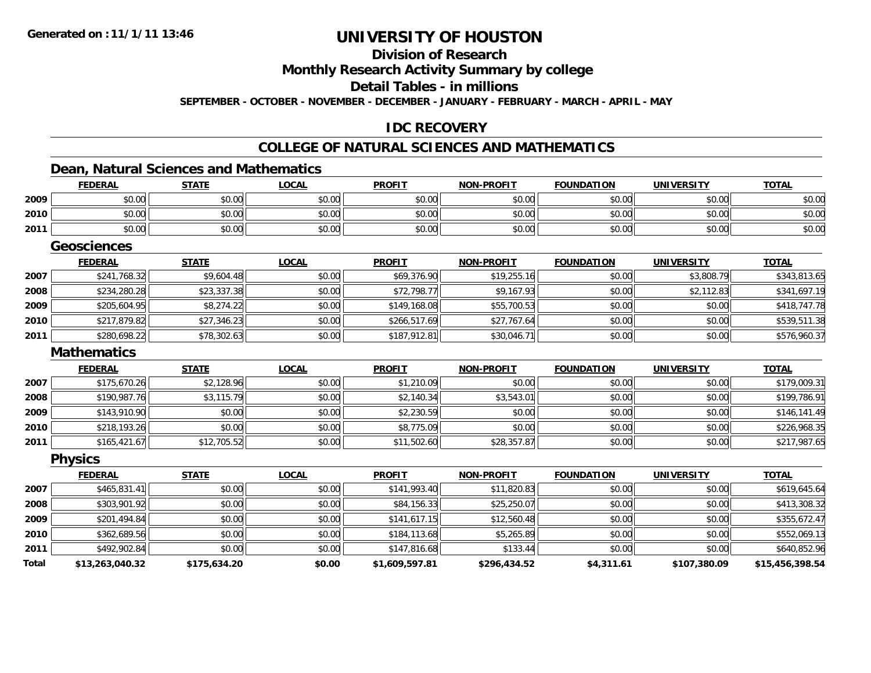**FEDERAL**

**Total**

# **UNIVERSITY OF HOUSTON**

#### **Division of ResearchMonthly Research Activity Summary by college Detail Tables - in millionsSEPTEMBER - OCTOBER - NOVEMBER - DECEMBER - JANUARY - FEBRUARY - MARCH - APRIL - MAY**

#### **IDC RECOVERY**

### **COLLEGE OF NATURAL SCIENCES AND MATHEMATICS**

#### **Dean, Natural Sciences and Mathematics**

|      | <u>FEDERAL</u>     | <b>STATE</b> | <u>LOCAL</u> | <b>PROFIT</b> | <u>NON-PROFIT</u> | <b>FOUNDATION</b> | <u>UNIVERSITY</u> | <u>TOTAL</u> |
|------|--------------------|--------------|--------------|---------------|-------------------|-------------------|-------------------|--------------|
| 2009 | \$0.00             | \$0.00       | \$0.00       | \$0.00        | \$0.00            | \$0.00            | \$0.00            | \$0.00       |
| 2010 | \$0.00             | \$0.00       | \$0.00       | \$0.00        | \$0.00            | \$0.00            | \$0.00            | \$0.00       |
| 2011 | \$0.00             | \$0.00       | \$0.00       | \$0.00        | \$0.00            | \$0.00            | \$0.00            | \$0.00       |
|      | <b>Geosciences</b> |              |              |               |                   |                   |                   |              |
|      | <b>FEDERAL</b>     | <b>STATE</b> | <b>LOCAL</b> | <b>PROFIT</b> | <b>NON-PROFIT</b> | <b>FOUNDATION</b> | <b>UNIVERSITY</b> | <b>TOTAL</b> |
| 2007 | \$241,768.32       | \$9,604.48   | \$0.00       | \$69,376.90   | \$19,255.16       | \$0.00            | \$3,808.79        | \$343,813.65 |
| 2008 | \$234,280.28       | \$23,337.38  | \$0.00       | \$72,798.77   | \$9,167.93        | \$0.00            | \$2,112.83        | \$341,697.19 |
| 2009 | \$205,604.95       | \$8,274.22   | \$0.00       | \$149,168.08  | \$55,700.53       | \$0.00            | \$0.00            | \$418,747.78 |
| 2010 | \$217,879.82       | \$27,346.23  | \$0.00       | \$266,517.69  | \$27,767.64       | \$0.00            | \$0.00            | \$539,511.38 |
| 2011 | \$280,698.22       | \$78,302.63  | \$0.00       | \$187,912.81  | \$30,046.71       | \$0.00            | \$0.00            | \$576,960.37 |
|      | <b>Mathematics</b> |              |              |               |                   |                   |                   |              |
|      | <b>FEDERAL</b>     | <b>STATE</b> | <b>LOCAL</b> | <b>PROFIT</b> | <b>NON-PROFIT</b> | <b>FOUNDATION</b> | <b>UNIVERSITY</b> | <b>TOTAL</b> |
| 2007 | \$175,670.26       | \$2,128.96   | \$0.00       | \$1,210.09    | \$0.00            | \$0.00            | \$0.00            | \$179,009.31 |
| 2008 | \$190,987.76       | \$3,115.79   | \$0.00       | \$2,140.34    | \$3,543.01        | \$0.00            | \$0.00            | \$199,786.91 |
| 2009 | \$143,910.90       | \$0.00       | \$0.00       | \$2,230.59    | \$0.00            | \$0.00            | \$0.00            | \$146,141.49 |
| 2010 | \$218,193.26       | \$0.00       | \$0.00       | \$8,775.09    | \$0.00            | \$0.00            | \$0.00            | \$226,968.35 |
| 2011 | \$165,421.67       | \$12,705.52  | \$0.00       | \$11,502.60   | \$28,357.87       | \$0.00            | \$0.00            | \$217,987.65 |
|      | <b>Physics</b>     |              |              |               |                   |                   |                   |              |
|      | <b>FEDERAL</b>     | <b>STATE</b> | <b>LOCAL</b> | <b>PROFIT</b> | <b>NON-PROFIT</b> | <b>FOUNDATION</b> | <b>UNIVERSITY</b> | <b>TOTAL</b> |
| 2007 | \$465,831.41       | \$0.00       | \$0.00       | \$141,993.40  | \$11,820.83       | \$0.00            | \$0.00            | \$619,645.64 |
| 2008 | \$303,901.92       | \$0.00       | \$0.00       | \$84,156.33   | \$25,250.07       | \$0.00            | \$0.00            | \$413,308.32 |
| 2009 | \$201,494.84       | \$0.00       | \$0.00       | \$141,617.15  | \$12,560.48       | \$0.00            | \$0.00            | \$355,672.47 |
| 2010 | \$362,689.56       | \$0.00       | \$0.00       | \$184,113.68  | \$5,265.89        | \$0.00            | \$0.00            | \$552,069.13 |
| 2011 | \$492,902.84       | \$0.00       | \$0.00       | \$147,816.68  | \$133.44          | \$0.00            | \$0.00            | \$640,852.96 |

**\$13,263,040.32 \$175,634.20 \$0.00 \$1,609,597.81 \$296,434.52 \$4,311.61 \$107,380.09 \$15,456,398.54**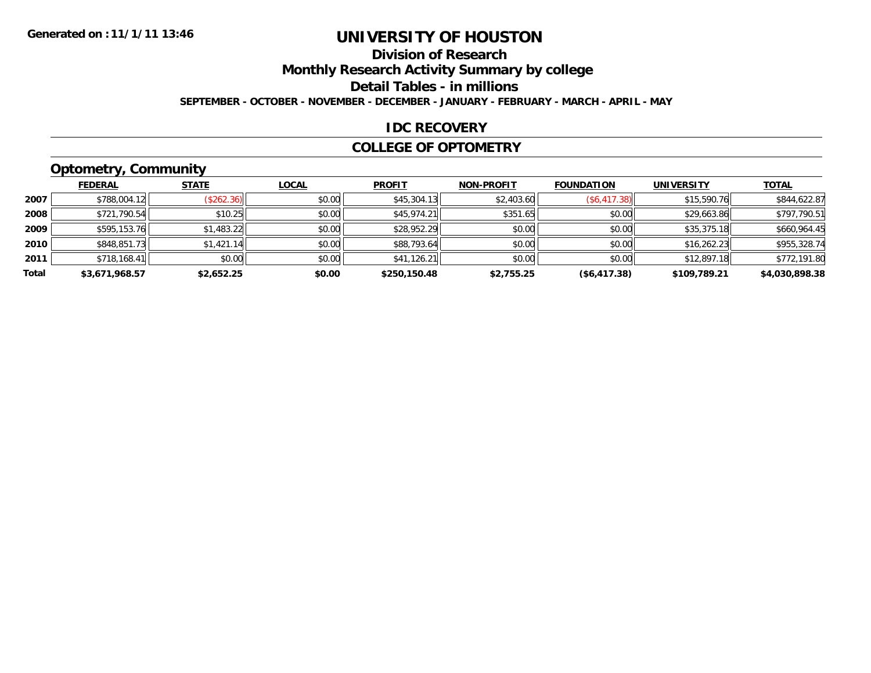#### **Division of ResearchMonthly Research Activity Summary by college Detail Tables - in millions SEPTEMBER - OCTOBER - NOVEMBER - DECEMBER - JANUARY - FEBRUARY - MARCH - APRIL - MAY**

#### **IDC RECOVERY**

#### **COLLEGE OF OPTOMETRY**

### **Optometry, Community**

|       | ---            |              |              |               |                   |                   |                   |                |
|-------|----------------|--------------|--------------|---------------|-------------------|-------------------|-------------------|----------------|
|       | <b>FEDERAL</b> | <b>STATE</b> | <b>LOCAL</b> | <b>PROFIT</b> | <b>NON-PROFIT</b> | <b>FOUNDATION</b> | <b>UNIVERSITY</b> | <b>TOTAL</b>   |
| 2007  | \$788,004.12   | (\$262.36)   | \$0.00       | \$45,304.13   | \$2,403.60        | (\$6,417.38)      | \$15,590.76       | \$844,622.87   |
| 2008  | \$721,790.54   | \$10.25      | \$0.00       | \$45,974.21   | \$351.65          | \$0.00            | \$29,663.86       | \$797,790.51   |
| 2009  | \$595,153.76   | \$1,483.22   | \$0.00       | \$28,952.29   | \$0.00            | \$0.00            | \$35,375.18       | \$660,964.45   |
| 2010  | \$848,851.73   | \$1,421.14   | \$0.00       | \$88,793.64   | \$0.00            | \$0.00            | \$16,262.23       | \$955,328.74   |
| 2011  | \$718,168.41   | \$0.00       | \$0.00       | \$41,126.21   | \$0.00            | \$0.00            | \$12,897.18       | \$772,191.80   |
| Total | \$3,671,968.57 | \$2,652.25   | \$0.00       | \$250,150.48  | \$2,755.25        | ( \$6,417.38)     | \$109,789.21      | \$4,030,898.38 |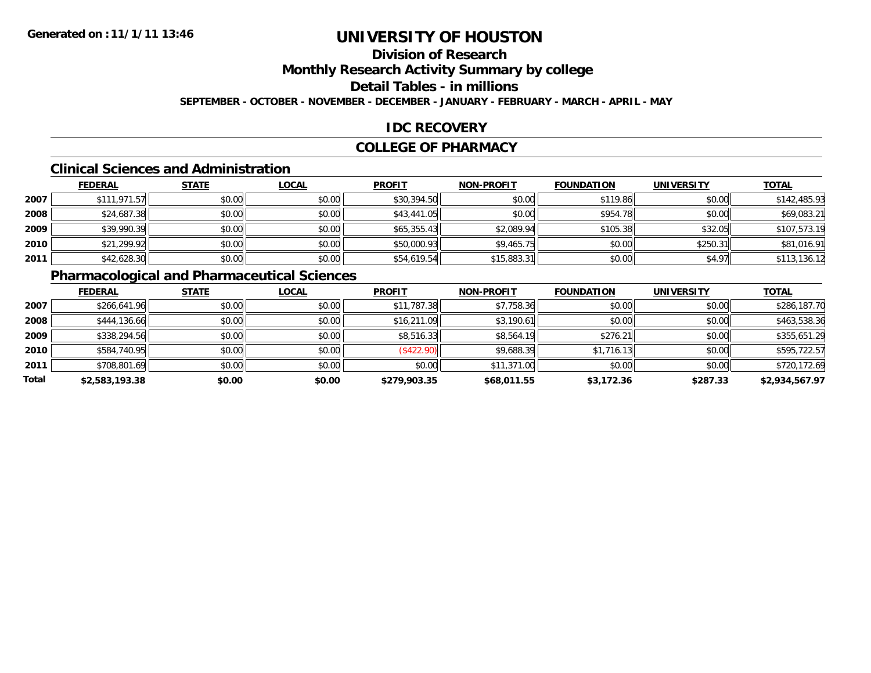#### **Division of ResearchMonthly Research Activity Summary by college Detail Tables - in millionsSEPTEMBER - OCTOBER - NOVEMBER - DECEMBER - JANUARY - FEBRUARY - MARCH - APRIL - MAY**

### **IDC RECOVERY**

#### **COLLEGE OF PHARMACY**

### **Clinical Sciences and Administration**

|      | <b>FEDERAL</b> | <b>STATE</b> | <b>LOCAL</b> | <b>PROFIT</b> | <b>NON-PROFIT</b> | <b>FOUNDATION</b> | <b>UNIVERSITY</b> | <b>TOTAL</b> |
|------|----------------|--------------|--------------|---------------|-------------------|-------------------|-------------------|--------------|
| 2007 | \$111,971.57   | \$0.00       | \$0.00       | \$30,394.50   | \$0.00            | \$119.86          | \$0.00            | \$142,485.93 |
| 2008 | \$24,687.38    | \$0.00       | \$0.00       | \$43,441.05   | \$0.00            | \$954.78          | \$0.00            | \$69,083.21  |
| 2009 | \$39,990.39    | \$0.00       | \$0.00       | \$65,355.43   | \$2,089.94        | \$105.38          | \$32.05           | \$107,573.19 |
| 2010 | \$21,299.92    | \$0.00       | \$0.00       | \$50,000.93   | \$9,465.75        | \$0.00            | \$250.31          | \$81,016.91  |
| 2011 | \$42,628.30    | \$0.00       | \$0.00       | \$54,619.54   | \$15,883.31       | \$0.00            | \$4.97            | \$113,136.12 |

### **Pharmacological and Pharmaceutical Sciences**

|       | <b>FEDERAL</b> | <b>STATE</b> | <b>LOCAL</b> | <b>PROFIT</b> | <b>NON-PROFIT</b> | <b>FOUNDATION</b> | <b>UNIVERSITY</b> | <b>TOTAL</b>   |
|-------|----------------|--------------|--------------|---------------|-------------------|-------------------|-------------------|----------------|
| 2007  | \$266,641.96   | \$0.00       | \$0.00       | \$11,787.38   | \$7,758.36        | \$0.00            | \$0.00            | \$286,187.70   |
| 2008  | \$444,136.66   | \$0.00       | \$0.00       | \$16,211.09   | \$3,190.61        | \$0.00            | \$0.00            | \$463,538.36   |
| 2009  | \$338,294.56   | \$0.00       | \$0.00       | \$8,516.33    | \$8,564.19        | \$276.21          | \$0.00            | \$355,651.29   |
| 2010  | \$584,740.95   | \$0.00       | \$0.00       | (\$422.90)    | \$9,688.39        | \$1,716.13        | \$0.00            | \$595,722.57   |
| 2011  | \$708,801.69   | \$0.00       | \$0.00       | \$0.00        | \$11,371.00       | \$0.00            | \$0.00            | \$720,172.69   |
| Total | \$2,583,193.38 | \$0.00       | \$0.00       | \$279,903.35  | \$68,011.55       | \$3,172.36        | \$287.33          | \$2,934,567.97 |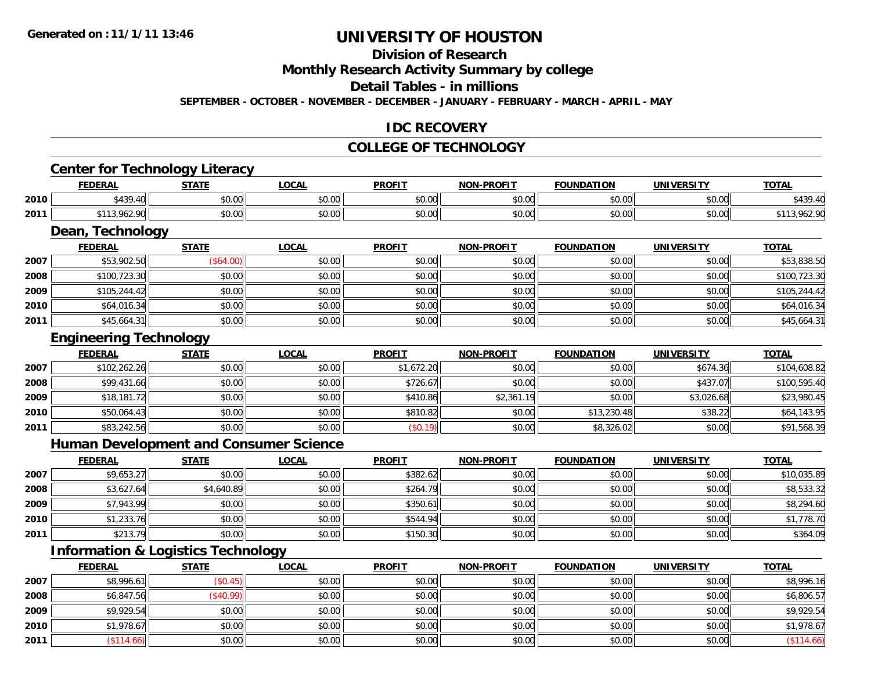# **Division of Research**

**Monthly Research Activity Summary by college**

#### **Detail Tables - in millions**

**SEPTEMBER - OCTOBER - NOVEMBER - DECEMBER - JANUARY - FEBRUARY - MARCH - APRIL - MAY**

### **IDC RECOVERY**

#### **COLLEGE OF TECHNOLOGY**

# **Center for Technology Literacy**

|      | <b>FEDERAL</b>   | <b>CTATE</b><br>-91AL | LOCAI              | <b>PROFIT</b> | <b>NON-PROFIT</b> | <b>FOUNDATION</b>       | <b>UNIVERSITY</b> | TOTA.                                        |
|------|------------------|-----------------------|--------------------|---------------|-------------------|-------------------------|-------------------|----------------------------------------------|
| 2010 | $\ddotsc$<br>.40 | <b>↑∩</b><br>JU.UU    | $\sim$ 00<br>vv.vv | 0.00<br>JU.UU | \$0.00            | \$0.00                  | 0.00<br>DU.UU     | <b>4730</b><br>$\overline{\phantom{a}}$<br>ு |
| 2011 | .                | $\sim$ 00<br>JU.UU    | 0.00<br>JU.UU      | 0.00<br>JU.UU | 0000<br>PO.OO     | $n \cap \Omega$<br>v.vv | \$0.00            |                                              |

<u> 1989 - Andrea Station Barbara, amerikan bahasa perang perang perang perang perang perang perang perang perang</u>

### **Dean, Technology**

|      | <b>FEDERAL</b> | <b>STATE</b> | <b>LOCAL</b> | <b>PROFIT</b> | <b>NON-PROFIT</b> | <b>FOUNDATION</b> | <b>UNIVERSITY</b> | <b>TOTAL</b> |
|------|----------------|--------------|--------------|---------------|-------------------|-------------------|-------------------|--------------|
| 2007 | \$53,902.50    | $(\$64.00)$  | \$0.00       | \$0.00        | \$0.00            | \$0.00            | \$0.00            | \$53,838.50  |
| 2008 | \$100,723.30   | \$0.00       | \$0.00       | \$0.00        | \$0.00            | \$0.00            | \$0.00            | \$100,723.30 |
| 2009 | \$105,244.42   | \$0.00       | \$0.00       | \$0.00        | \$0.00            | \$0.00            | \$0.00            | \$105,244.42 |
| 2010 | \$64,016.34    | \$0.00       | \$0.00       | \$0.00        | \$0.00            | \$0.00            | \$0.00            | \$64,016.34  |
| 2011 | \$45,664.31    | \$0.00       | \$0.00       | \$0.00        | \$0.00            | \$0.00            | \$0.00            | \$45,664.31  |

# **Engineering Technology**

|      | <b>FEDERAL</b> | <b>STATE</b> | <b>LOCAL</b> | <b>PROFIT</b> | <b>NON-PROFIT</b> | <b>FOUNDATION</b> | <b>UNIVERSITY</b> | <b>TOTAL</b> |
|------|----------------|--------------|--------------|---------------|-------------------|-------------------|-------------------|--------------|
| 2007 | \$102,262.26   | \$0.00       | \$0.00       | \$1,672.20    | \$0.00            | \$0.00            | \$674.36          | \$104,608.82 |
| 2008 | \$99,431.66    | \$0.00       | \$0.00       | \$726.67      | \$0.00            | \$0.00            | \$437.07          | \$100,595.40 |
| 2009 | \$18,181.72    | \$0.00       | \$0.00       | \$410.86      | \$2,361.19        | \$0.00            | \$3,026.68        | \$23,980.45  |
| 2010 | \$50,064.43    | \$0.00       | \$0.00       | \$810.82      | \$0.00            | \$13,230.48       | \$38.22           | \$64,143.95  |
| 2011 | \$83,242.56    | \$0.00       | \$0.00       | (\$0.19)      | \$0.00            | \$8,326.02        | \$0.00            | \$91,568.39  |

#### **Human Development and Consumer Science**

|      | <b>FEDERAL</b> | <b>STATE</b> | <b>LOCAL</b> | <b>PROFIT</b> | <b>NON-PROFIT</b> | <b>FOUNDATION</b> | <b>UNIVERSITY</b> | <b>TOTAL</b> |
|------|----------------|--------------|--------------|---------------|-------------------|-------------------|-------------------|--------------|
| 2007 | \$9,653.27     | \$0.00       | \$0.00       | \$382.62      | \$0.00            | \$0.00            | \$0.00            | \$10,035.89  |
| 2008 | \$3,627.64     | \$4,640.89   | \$0.00       | \$264.79      | \$0.00            | \$0.00            | \$0.00            | \$8,533.32   |
| 2009 | \$7,943.99     | \$0.00       | \$0.00       | \$350.61      | \$0.00            | \$0.00            | \$0.00            | \$8,294.60   |
| 2010 | \$1,233.76     | \$0.00       | \$0.00       | \$544.94      | \$0.00            | \$0.00            | \$0.00            | \$1,778.70   |
| 2011 | \$213.79       | \$0.00       | \$0.00       | \$150.30      | \$0.00            | \$0.00            | \$0.00            | \$364.09     |

### **Information & Logistics Technology**

|      | <b>FEDERAL</b> | <b>STATE</b> | <u>LOCAL</u> | <b>PROFIT</b> | <b>NON-PROFIT</b> | <b>FOUNDATION</b> | <b>UNIVERSITY</b> | <b>TOTAL</b> |
|------|----------------|--------------|--------------|---------------|-------------------|-------------------|-------------------|--------------|
| 2007 | \$8,996.61     | \$0.45)      | \$0.00       | \$0.00        | \$0.00            | \$0.00            | \$0.00            | \$8,996.16   |
| 2008 | \$6,847.56     | \$40.99      | \$0.00       | \$0.00        | \$0.00            | \$0.00            | \$0.00            | \$6,806.57   |
| 2009 | \$9,929.54     | \$0.00       | \$0.00       | \$0.00        | \$0.00            | \$0.00            | \$0.00            | \$9,929.54   |
| 2010 | \$1,978.67     | \$0.00       | \$0.00       | \$0.00        | \$0.00            | \$0.00            | \$0.00            | \$1,978.67   |
| 2011 | \$114.66       | \$0.00       | \$0.00       | \$0.00        | \$0.00            | \$0.00            | \$0.00            | \$114.66     |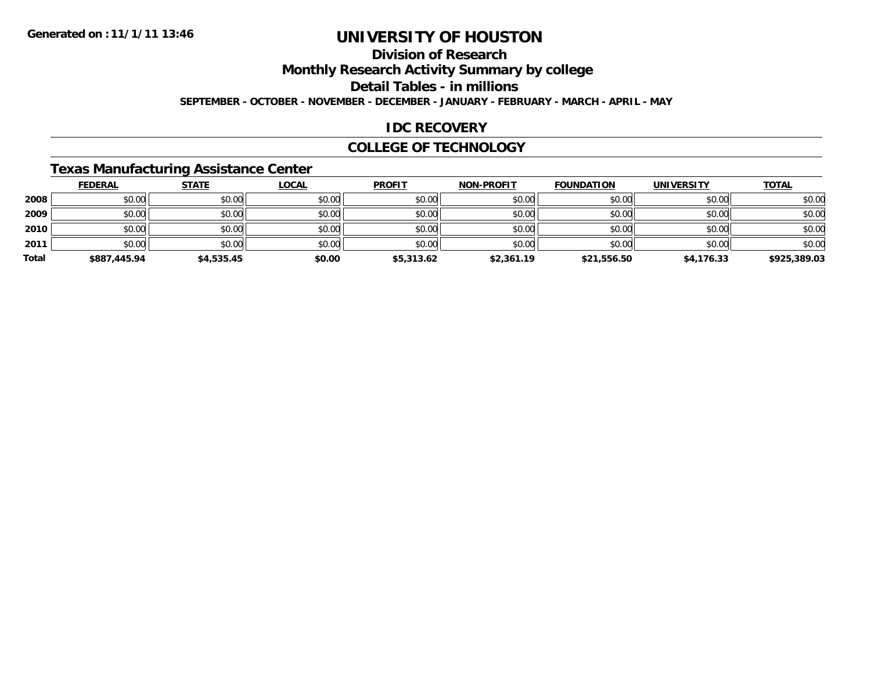### **Division of ResearchMonthly Research Activity Summary by college Detail Tables - in millionsSEPTEMBER - OCTOBER - NOVEMBER - DECEMBER - JANUARY - FEBRUARY - MARCH - APRIL - MAY**

#### **IDC RECOVERY**

#### **COLLEGE OF TECHNOLOGY**

### **Texas Manufacturing Assistance Center**

|       | <b>FEDERAL</b> | <b>STATE</b> | <b>LOCAL</b> | <b>PROFIT</b> | <b>NON-PROFIT</b> | <b>FOUNDATION</b> | <b>UNIVERSITY</b> | <b>TOTAL</b> |
|-------|----------------|--------------|--------------|---------------|-------------------|-------------------|-------------------|--------------|
| 2008  | \$0.00         | \$0.00       | \$0.00       | \$0.00        | \$0.00            | \$0.00            | \$0.00            | \$0.00       |
| 2009  | \$0.00         | \$0.00       | \$0.00       | \$0.00        | \$0.00            | \$0.00            | \$0.00            | \$0.00       |
| 2010  | \$0.00         | \$0.00       | \$0.00       | \$0.00        | \$0.00            | \$0.00            | \$0.00            | \$0.00       |
| 2011  | \$0.00         | \$0.00       | \$0.00       | \$0.00        | \$0.00            | \$0.00            | \$0.00            | \$0.00       |
| Total | \$887,445.94   | \$4,535.45   | \$0.00       | \$5,313.62    | \$2,361.19        | \$21,556.50       | \$4,176.33        | \$925,389.03 |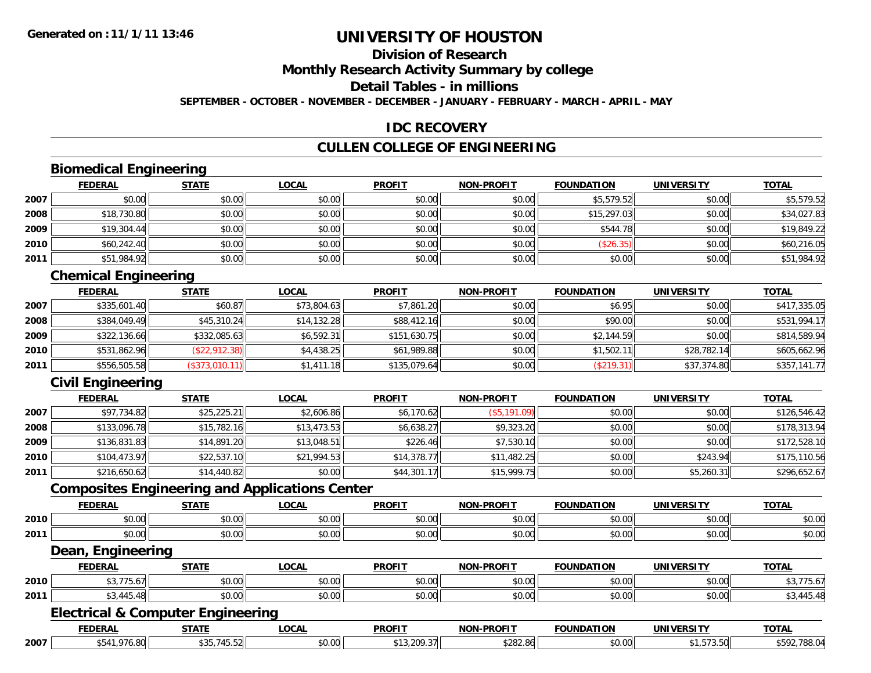#### **Division of ResearchMonthly Research Activity Summary by college Detail Tables - in millionsSEPTEMBER - OCTOBER - NOVEMBER - DECEMBER - JANUARY - FEBRUARY - MARCH - APRIL - MAY**

#### **IDC RECOVERY**

#### **CULLEN COLLEGE OF ENGINEERING**

### **Biomedical Engineering**

|      | <b>FEDERAL</b> | <b>STATE</b> | <b>LOCAL</b> | <b>PROFIT</b> | <b>NON-PROFIT</b> | <b>FOUNDATION</b> | <b>UNIVERSITY</b> | <b>TOTAL</b> |
|------|----------------|--------------|--------------|---------------|-------------------|-------------------|-------------------|--------------|
| 2007 | \$0.00         | \$0.00       | \$0.00       | \$0.00        | \$0.00            | \$5,579.52        | \$0.00            | \$5,579.52   |
| 2008 | \$18,730.80    | \$0.00       | \$0.00       | \$0.00        | \$0.00            | \$15,297.03       | \$0.00            | \$34,027.83  |
| 2009 | \$19,304.44    | \$0.00       | \$0.00       | \$0.00        | \$0.00            | \$544.78          | \$0.00            | \$19,849.22  |
| 2010 | \$60,242.40    | \$0.00       | \$0.00       | \$0.00        | \$0.00            | (\$26.35)         | \$0.00            | \$60,216.05  |
| 2011 | \$51,984.92    | \$0.00       | \$0.00       | \$0.00        | \$0.00            | \$0.00            | \$0.00            | \$51,984.92  |

### **Chemical Engineering**

|      | <b>FEDERAL</b> | <b>STATE</b>   | <b>LOCAL</b> | <b>PROFIT</b> | <b>NON-PROFIT</b> | <b>FOUNDATION</b> | <b>UNIVERSITY</b> | <b>TOTAL</b> |
|------|----------------|----------------|--------------|---------------|-------------------|-------------------|-------------------|--------------|
| 2007 | \$335,601.40   | \$60.87        | \$73,804.63  | \$7,861.20    | \$0.00            | \$6.95            | \$0.00            | \$417,335.05 |
| 2008 | \$384,049.49   | \$45,310.24    | \$14,132.28  | \$88,412.16   | \$0.00            | \$90.00           | \$0.00            | \$531,994.17 |
| 2009 | \$322,136.66   | \$332,085.63   | \$6.592.31   | \$151.630.75  | \$0.00            | \$2,144.59        | \$0.00            | \$814,589.94 |
| 2010 | \$531,862.96   | (\$22,912.38)  | \$4,438.25   | \$61,989.88   | \$0.00            | \$1,502.11        | \$28,782.14       | \$605,662.96 |
| 2011 | \$556,505.58   | (\$373,010.11) | \$1,411.18   | \$135,079.64  | \$0.00            | (\$219.31)        | \$37,374.80       | \$357,141.77 |

### **Civil Engineering**

|      | <u>FEDERAL</u> | <b>STATE</b> | <b>LOCAL</b> | <b>PROFIT</b> | <b>NON-PROFIT</b> | <b>FOUNDATION</b> | <b>UNIVERSITY</b> | <b>TOTAL</b> |
|------|----------------|--------------|--------------|---------------|-------------------|-------------------|-------------------|--------------|
| 2007 | \$97,734.82    | \$25,225.21  | \$2,606.86   | \$6,170.62    | $($ \$5,191.09)   | \$0.00            | \$0.00            | \$126,546.42 |
| 2008 | \$133,096.78   | \$15,782.16  | \$13,473.53  | \$6,638.27    | \$9,323.20        | \$0.00            | \$0.00            | \$178,313.94 |
| 2009 | \$136,831.83   | \$14,891.20  | \$13,048.51  | \$226.46      | \$7,530.10        | \$0.00            | \$0.00            | \$172,528.10 |
| 2010 | \$104,473.97   | \$22,537.10  | \$21,994.53  | \$14,378.77   | \$11,482.25       | \$0.00            | \$243.94          | \$175,110.56 |
| 2011 | \$216,650.62   | \$14,440.82  | \$0.00       | \$44,301.17   | \$15.999.75       | \$0.00            | \$5,260.31        | \$296,652.67 |

#### **Composites Engineering and Applications Center**

|      | <b>DEDA</b><br>771 IV.A. | <b>STATI</b> | LOCAI                  | <b>PROFIT</b>            | -PROFI <sup>-</sup> | <b>TABL</b><br>א חו     | UNI                | <b>TOTA</b>    |
|------|--------------------------|--------------|------------------------|--------------------------|---------------------|-------------------------|--------------------|----------------|
| 2010 | $\sim$ $\sim$<br>,,,,,,  | 0000<br>JU.U | $\sim$ $\sim$<br>vv.vv | 0.00<br><b>JU.UU</b>     | \$0.00              | 0 <sup>n</sup><br>JU.UU | nn nn<br>pu.uu     | ልስ ስስ<br>DU.UU |
| 2011 | 0.00<br>ט.טי             | 0000<br>ΨU.  | $\sim$ $\sim$<br>vv.vv | $n \cap \Omega$<br>JU.UU | \$0.00              | 0000<br>JU.UU           | $\sim$ 00<br>pu.uu | 0000<br>DU.UU  |

#### **Dean, Engineering**

|      | <b>FEBERAL</b><br>- W- | ----                   | $\sim$                 | <b>PROFTT</b><br>. .                          | <b>DDOETT</b><br><b>NION</b><br>-DF                                                    | $\sim$                | UNT          | <b>TOTA</b><br>,,,, |
|------|------------------------|------------------------|------------------------|-----------------------------------------------|----------------------------------------------------------------------------------------|-----------------------|--------------|---------------------|
| 2010 | --                     | ↑ດ ດ≀<br>,,,,          | $\sim$ $\sim$<br>וטיטי | $\triangle$ $\triangle$ $\triangle$<br>.90.00 | $\begin{array}{c} \hline \text{A} & \text{A} & \text{B} \\ \hline \end{array}$<br>יש.ש | $\cdots$<br>. U       | 0000<br>ט.טע |                     |
| 2011 |                        | $\mathbb{R}^n$<br>10.U | $\sim$ 00<br>, טע      | 0.00<br>JU.UU.                                | $\mathbf{A} \cap \mathbf{A} \cap \mathbf{A}$<br>vv.vv                                  | $\sim$ $\sim$<br>∪.∪∪ | \$0.00       |                     |

#### **Electrical & Computer Engineering**

|      | <b>FEDERAL</b>           | -----                             | <b>OCAI</b>   | <b>PROFIT</b>                | -PROFI <sup>-</sup><br><b>NON</b> | <b>FAULURATION</b> | ,,,, <del>,</del> ,,,,,,,,, | <b>TOTA</b>           |
|------|--------------------------|-----------------------------------|---------------|------------------------------|-----------------------------------|--------------------|-----------------------------|-----------------------|
| 2007 | $\Omega$<br>∡ה.<br>lo.ot | $-1$<br>$A \cap F$<br>.<br>− ∪.∪∠ | 0000<br>vv.vu | .209.3<br>$\sim$ $\sim$<br>. | <b>COCOC</b><br>õΘ<br>.           | \$0.00             | $- - - - -$<br>.            | n n<br>. הי<br>/ 00.U |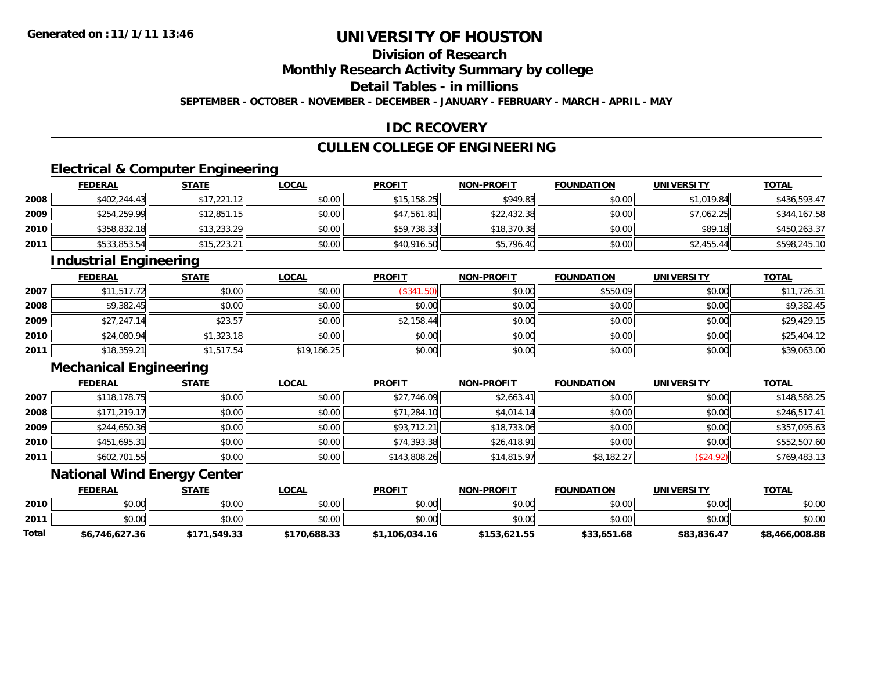# **Division of ResearchMonthly Research Activity Summary by college**

# **Detail Tables - in millions**

**SEPTEMBER - OCTOBER - NOVEMBER - DECEMBER - JANUARY - FEBRUARY - MARCH - APRIL - MAY**

#### **IDC RECOVERY**

#### **CULLEN COLLEGE OF ENGINEERING**

# **Electrical & Computer Engineering**

|      | <b>FEDERAL</b> | <b>STATE</b> | <b>LOCAL</b> | <b>PROFIT</b> | <b>NON-PROFIT</b> | <b>FOUNDATION</b> | <b>UNIVERSITY</b> | <b>TOTAL</b> |
|------|----------------|--------------|--------------|---------------|-------------------|-------------------|-------------------|--------------|
| 2008 | \$402,244.43   | \$17,221.12  | \$0.00       | \$15,158.25   | \$949.83          | \$0.00            | \$1,019.84        | \$436,593.47 |
| 2009 | \$254,259.99   | \$12,851.15  | \$0.00       | \$47,561.81   | \$22,432.38       | \$0.00            | \$7,062.25        | \$344,167.58 |
| 2010 | \$358,832.18   | \$13,233.29  | \$0.00       | \$59,738.33   | \$18,370.38       | \$0.00            | \$89.18           | \$450,263.37 |
| 2011 | \$533,853.54   | \$15,223.21  | \$0.00       | \$40,916.50   | \$5,796.40        | \$0.00            | \$2,455.44        | \$598,245.10 |

#### **Industrial Engineering**

|      | <b>FEDERAL</b> | <b>STATE</b> | <u>LOCAL</u> | <b>PROFIT</b>  | <b>NON-PROFIT</b> | <b>FOUNDATION</b> | <b>UNIVERSITY</b> | <u>TOTAL</u> |
|------|----------------|--------------|--------------|----------------|-------------------|-------------------|-------------------|--------------|
| 2007 | \$11,517.72    | \$0.00       | \$0.00       | \$341.<br>.50) | \$0.00            | \$550.09          | \$0.00            | \$11,726.31  |
| 2008 | \$9,382.45     | \$0.00       | \$0.00       | \$0.00         | \$0.00            | \$0.00            | \$0.00            | \$9,382.45   |
| 2009 | \$27,247.14    | \$23.57      | \$0.00       | \$2,158.44     | \$0.00            | \$0.00            | \$0.00            | \$29,429.15  |
| 2010 | \$24,080.94    | \$1,323.18   | \$0.00       | \$0.00         | \$0.00            | \$0.00            | \$0.00            | \$25,404.12  |
| 2011 | \$18,359.21    | \$1,517.54   | \$19,186.25  | \$0.00         | \$0.00            | \$0.00            | \$0.00            | \$39,063.00  |

### **Mechanical Engineering**

|      | <b>FEDERAL</b> | <b>STATE</b> | <b>LOCAL</b> | <b>PROFIT</b> | <b>NON-PROFIT</b> | <b>FOUNDATION</b> | <b>UNIVERSITY</b> | <u>TOTAL</u> |
|------|----------------|--------------|--------------|---------------|-------------------|-------------------|-------------------|--------------|
| 2007 | \$118,178.75   | \$0.00       | \$0.00       | \$27,746.09   | \$2,663.41        | \$0.00            | \$0.00            | \$148,588.25 |
| 2008 | \$171,219.17   | \$0.00       | \$0.00       | \$71,284.10   | \$4,014.14        | \$0.00            | \$0.00            | \$246,517.41 |
| 2009 | \$244,650.36   | \$0.00       | \$0.00       | \$93,712.21   | \$18,733.06       | \$0.00            | \$0.00            | \$357,095.63 |
| 2010 | \$451,695.31   | \$0.00       | \$0.00       | \$74,393.38   | \$26,418.91       | \$0.00            | \$0.00            | \$552,507.60 |
| 2011 | \$602,701.55   | \$0.00       | \$0.00       | \$143,808.26  | \$14,815.97       | \$8,182.27        | \$24.92           | \$769,483.13 |

#### **National Wind Energy Center**

|       | <b>FEDERAL</b> | STATE        | <u>LOCAL</u> | <b>PROFIT</b>  | <b>NON-PROFIT</b> | <b>FOUNDATION</b> | <b>UNIVERSITY</b> | <b>TOTAL</b>   |
|-------|----------------|--------------|--------------|----------------|-------------------|-------------------|-------------------|----------------|
| 2010  | \$0.00         | \$0.00       | \$0.00       | \$0.00         | \$0.00            | \$0.00            | \$0.00            | \$0.00         |
| 2011  | \$0.00         | \$0.00       | \$0.00       | \$0.00         | \$0.00            | \$0.00            | \$0.00            | \$0.00         |
| Total | \$6,746,627.36 | \$171,549.33 | \$170,688.33 | \$1,106,034.16 | \$153,621.55      | \$33,651.68       | \$83,836.47       | \$8,466,008.88 |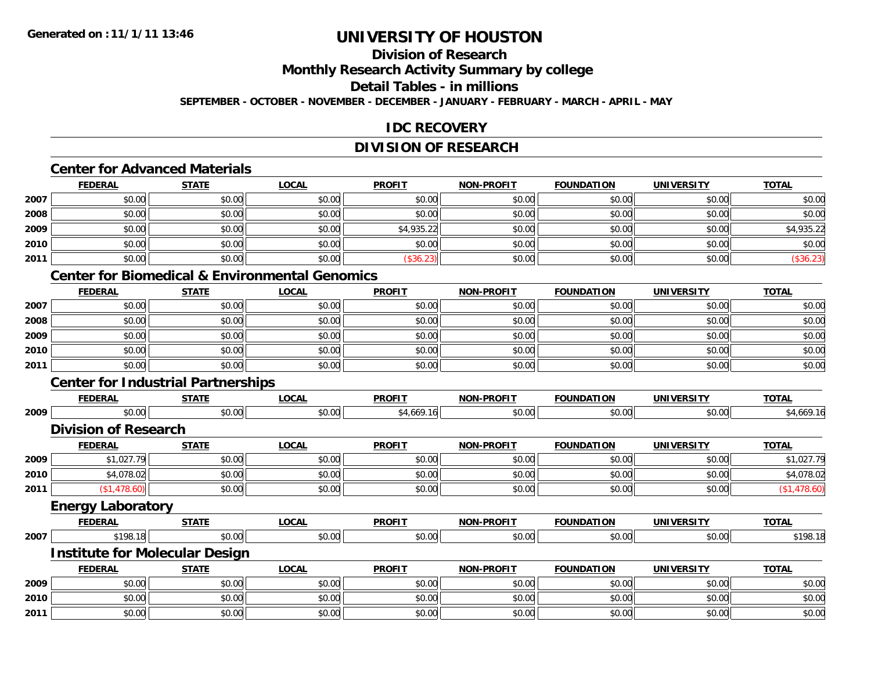#### **Division of ResearchMonthly Research Activity Summary by college Detail Tables - in millionsSEPTEMBER - OCTOBER - NOVEMBER - DECEMBER - JANUARY - FEBRUARY - MARCH - APRIL - MAY**

#### **IDC RECOVERY**

#### **DIVISION OF RESEARCH**

#### **Center for Advanced Materials**

|      | <b>FEDERAL</b> | <b>STATE</b> | <b>LOCAL</b> | <b>PROFIT</b> | <b>NON-PROFIT</b> | <b>FOUNDATION</b> | <b>UNIVERSITY</b> | <b>TOTAL</b> |
|------|----------------|--------------|--------------|---------------|-------------------|-------------------|-------------------|--------------|
| 2007 | \$0.00         | \$0.00       | \$0.00       | \$0.00        | \$0.00            | \$0.00            | \$0.00            | \$0.00       |
| 2008 | \$0.00         | \$0.00       | \$0.00       | \$0.00        | \$0.00            | \$0.00            | \$0.00            | \$0.00       |
| 2009 | \$0.00         | \$0.00       | \$0.00       | \$4,935.22    | \$0.00            | \$0.00            | \$0.00            | \$4,935.22   |
| 2010 | \$0.00         | \$0.00       | \$0.00       | \$0.00        | \$0.00            | \$0.00            | \$0.00            | \$0.00       |
| 2011 | \$0.00         | \$0.00       | \$0.00       | \$36.23       | \$0.00            | \$0.00            | \$0.00            | (\$36.23)    |

### **Center for Biomedical & Environmental Genomics**

|      | <u>FEDERAL</u> | <b>STATE</b> | <b>LOCAL</b> | <b>PROFIT</b> | <b>NON-PROFIT</b> | <b>FOUNDATION</b> | <b>UNIVERSITY</b> | <b>TOTAL</b> |
|------|----------------|--------------|--------------|---------------|-------------------|-------------------|-------------------|--------------|
| 2007 | \$0.00         | \$0.00       | \$0.00       | \$0.00        | \$0.00            | \$0.00            | \$0.00            | \$0.00       |
| 2008 | \$0.00         | \$0.00       | \$0.00       | \$0.00        | \$0.00            | \$0.00            | \$0.00            | \$0.00       |
| 2009 | \$0.00         | \$0.00       | \$0.00       | \$0.00        | \$0.00            | \$0.00            | \$0.00            | \$0.00       |
| 2010 | \$0.00         | \$0.00       | \$0.00       | \$0.00        | \$0.00            | \$0.00            | \$0.00            | \$0.00       |
| 2011 | \$0.00         | \$0.00       | \$0.00       | \$0.00        | \$0.00            | \$0.00            | \$0.00            | \$0.00       |

### **Center for Industrial Partnerships**

|      | <b>FEDERAL</b>                        | <b>STATE</b> | <b>LOCAL</b> | <b>PROFIT</b> | <b>NON-PROFIT</b> | <b>FOUNDATION</b> | <b>UNIVERSITY</b> | <b>TOTAL</b> |
|------|---------------------------------------|--------------|--------------|---------------|-------------------|-------------------|-------------------|--------------|
| 2009 | \$0.00                                | \$0.00       | \$0.00       | \$4,669.16    | \$0.00            | \$0.00            | \$0.00            | \$4,669.16   |
|      | <b>Division of Research</b>           |              |              |               |                   |                   |                   |              |
|      | <b>FEDERAL</b>                        | <b>STATE</b> | <b>LOCAL</b> | <b>PROFIT</b> | <b>NON-PROFIT</b> | <b>FOUNDATION</b> | <b>UNIVERSITY</b> | <b>TOTAL</b> |
| 2009 | \$1,027.79                            | \$0.00       | \$0.00       | \$0.00        | \$0.00            | \$0.00            | \$0.00            | \$1,027.79   |
| 2010 | \$4,078.02                            | \$0.00       | \$0.00       | \$0.00        | \$0.00            | \$0.00            | \$0.00            | \$4,078.02   |
| 2011 | (\$1,478.60)                          | \$0.00       | \$0.00       | \$0.00        | \$0.00            | \$0.00            | \$0.00            | (\$1,478.60) |
|      | <b>Energy Laboratory</b>              |              |              |               |                   |                   |                   |              |
|      | <b>FEDERAL</b>                        | <b>STATE</b> | <b>LOCAL</b> | <b>PROFIT</b> | <b>NON-PROFIT</b> | <b>FOUNDATION</b> | <b>UNIVERSITY</b> | <b>TOTAL</b> |
| 2007 | \$198.18                              | \$0.00       | \$0.00       | \$0.00        | \$0.00            | \$0.00            | \$0.00            | \$198.18     |
|      | <b>Institute for Molecular Design</b> |              |              |               |                   |                   |                   |              |
|      | <b>FEDERAL</b>                        | <b>STATE</b> | <b>LOCAL</b> | <b>PROFIT</b> | <b>NON-PROFIT</b> | <b>FOUNDATION</b> | <b>UNIVERSITY</b> | <b>TOTAL</b> |
| 2009 | \$0.00                                | \$0.00       | \$0.00       | \$0.00        | \$0.00            | \$0.00            | \$0.00            | \$0.00       |
| 2010 | \$0.00                                | \$0.00       | \$0.00       | \$0.00        | \$0.00            | \$0.00            | \$0.00            | \$0.00       |
| 2011 | \$0.00                                | \$0.00       | \$0.00       | \$0.00        | \$0.00            | \$0.00            | \$0.00            | \$0.00       |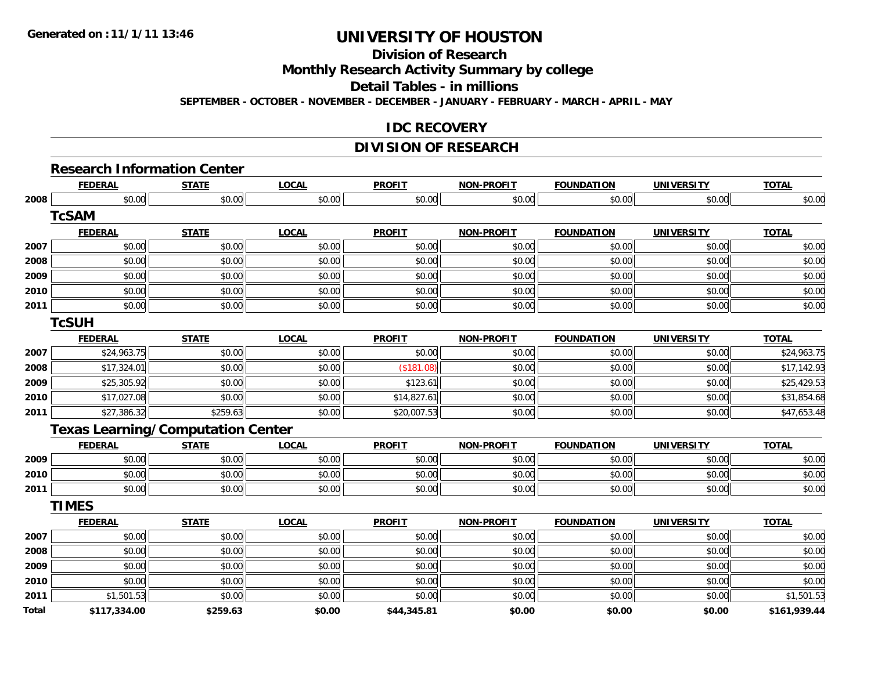### **Division of Research**

**Monthly Research Activity Summary by college**

**Detail Tables - in millions**

**SEPTEMBER - OCTOBER - NOVEMBER - DECEMBER - JANUARY - FEBRUARY - MARCH - APRIL - MAY**

#### **IDC RECOVERY**

#### **DIVISION OF RESEARCH**

# **Research Information Center**

|       | <b>FEDERAL</b> | <b>STATE</b>                             | <b>LOCAL</b> | <b>PROFIT</b> | <b>NON-PROFIT</b> | <b>FOUNDATION</b> | <b>UNIVERSITY</b> | <b>TOTAL</b> |
|-------|----------------|------------------------------------------|--------------|---------------|-------------------|-------------------|-------------------|--------------|
| 2008  | \$0.00         | \$0.00                                   | \$0.00       | \$0.00        | \$0.00            | \$0.00            | \$0.00            | \$0.00       |
|       | <b>TcSAM</b>   |                                          |              |               |                   |                   |                   |              |
|       | <b>FEDERAL</b> | <b>STATE</b>                             | <b>LOCAL</b> | <b>PROFIT</b> | <b>NON-PROFIT</b> | <b>FOUNDATION</b> | <b>UNIVERSITY</b> | <b>TOTAL</b> |
| 2007  | \$0.00         | \$0.00                                   | \$0.00       | \$0.00        | \$0.00            | \$0.00            | \$0.00            | \$0.00       |
| 2008  | \$0.00         | \$0.00                                   | \$0.00       | \$0.00        | \$0.00            | \$0.00            | \$0.00            | \$0.00       |
| 2009  | \$0.00         | \$0.00                                   | \$0.00       | \$0.00        | \$0.00            | \$0.00            | \$0.00            | \$0.00       |
| 2010  | \$0.00         | \$0.00                                   | \$0.00       | \$0.00        | \$0.00            | \$0.00            | \$0.00            | \$0.00       |
| 2011  | \$0.00         | \$0.00                                   | \$0.00       | \$0.00        | \$0.00            | \$0.00            | \$0.00            | \$0.00       |
|       | <b>TcSUH</b>   |                                          |              |               |                   |                   |                   |              |
|       | <b>FEDERAL</b> | <b>STATE</b>                             | <b>LOCAL</b> | <b>PROFIT</b> | <b>NON-PROFIT</b> | <b>FOUNDATION</b> | <b>UNIVERSITY</b> | <b>TOTAL</b> |
| 2007  | \$24,963.75    | \$0.00                                   | \$0.00       | \$0.00        | \$0.00            | \$0.00            | \$0.00            | \$24,963.75  |
| 2008  | \$17,324.01    | \$0.00                                   | \$0.00       | (\$181.08)    | \$0.00            | \$0.00            | \$0.00            | \$17,142.93  |
| 2009  | \$25,305.92    | \$0.00                                   | \$0.00       | \$123.61      | \$0.00            | \$0.00            | \$0.00            | \$25,429.53  |
| 2010  | \$17,027.08    | \$0.00                                   | \$0.00       | \$14,827.61   | \$0.00            | \$0.00            | \$0.00            | \$31,854.68  |
| 2011  | \$27,386.32    | \$259.63                                 | \$0.00       | \$20,007.53   | \$0.00            | \$0.00            | \$0.00            | \$47,653.48  |
|       |                | <b>Texas Learning/Computation Center</b> |              |               |                   |                   |                   |              |
|       | <b>FEDERAL</b> | <b>STATE</b>                             | <b>LOCAL</b> | <b>PROFIT</b> | <b>NON-PROFIT</b> | <b>FOUNDATION</b> | <b>UNIVERSITY</b> | <b>TOTAL</b> |
| 2009  | \$0.00         | \$0.00                                   | \$0.00       | \$0.00        | \$0.00            | \$0.00            | \$0.00            | \$0.00       |
| 2010  | \$0.00         | \$0.00                                   | \$0.00       | \$0.00        | \$0.00            | \$0.00            | \$0.00            | \$0.00       |
| 2011  | \$0.00         | \$0.00                                   | \$0.00       | \$0.00        | \$0.00            | \$0.00            | \$0.00            | \$0.00       |
|       | <b>TIMES</b>   |                                          |              |               |                   |                   |                   |              |
|       | <b>FEDERAL</b> | <b>STATE</b>                             | <b>LOCAL</b> | <b>PROFIT</b> | <b>NON-PROFIT</b> | <b>FOUNDATION</b> | <b>UNIVERSITY</b> | <b>TOTAL</b> |
| 2007  | \$0.00         | \$0.00                                   | \$0.00       | \$0.00        | \$0.00            | \$0.00            | \$0.00            | \$0.00       |
| 2008  | \$0.00         | \$0.00                                   | \$0.00       | \$0.00        | \$0.00            | \$0.00            | \$0.00            | \$0.00       |
| 2009  | \$0.00         | \$0.00                                   | \$0.00       | \$0.00        | \$0.00            | \$0.00            | \$0.00            | \$0.00       |
| 2010  | \$0.00         | \$0.00                                   | \$0.00       | \$0.00        | \$0.00            | \$0.00            | \$0.00            | \$0.00       |
| 2011  | \$1,501.53     | \$0.00                                   | \$0.00       | \$0.00        | \$0.00            | \$0.00            | \$0.00            | \$1,501.53   |
| Total | \$117,334.00   | \$259.63                                 | \$0.00       | \$44,345.81   | \$0.00            | \$0.00            | \$0.00            | \$161,939.44 |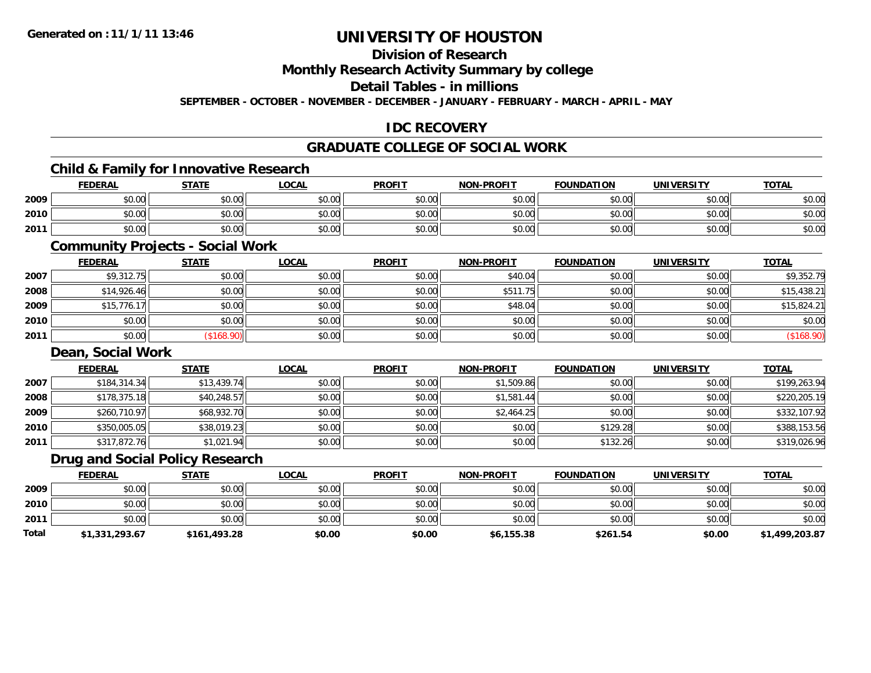# **Division of Research**

### **Monthly Research Activity Summary by college**

#### **Detail Tables - in millions**

**SEPTEMBER - OCTOBER - NOVEMBER - DECEMBER - JANUARY - FEBRUARY - MARCH - APRIL - MAY**

### **IDC RECOVERY**

### **GRADUATE COLLEGE OF SOCIAL WORK**

# **Child & Family for Innovative Research**

|      | <b>FEDERAL</b> | <b>STATE</b>   | <u>LOCAL</u> | <b>PROFIT</b> | <b>NON-PROFIT</b> | <b>FOUNDATION</b> | <b>UNIVERSITY</b> | <b>TOTAL</b> |
|------|----------------|----------------|--------------|---------------|-------------------|-------------------|-------------------|--------------|
| 2009 | \$0.00         | ≮∩ ∩∩<br>vv.vv | \$0.00       | \$0.00        | \$0.00            | \$0.00            | \$0.00            | \$0.00       |
| 2010 | \$0.00         | \$0.00         | \$0.00       | \$0.00        | \$0.00            | \$0.00            | \$0.00            | \$0.00       |
| 2011 | \$0.00         | \$0.00         | \$0.00       | \$0.00        | \$0.00            | \$0.00            | \$0.00            | \$0.00       |

### **Community Projects - Social Work**

|      | <b>FEDERAL</b> | <b>STATE</b> | <b>LOCAL</b> | <b>PROFIT</b> | <b>NON-PROFIT</b> | <b>FOUNDATION</b> | <b>UNIVERSITY</b> | <b>TOTAL</b> |
|------|----------------|--------------|--------------|---------------|-------------------|-------------------|-------------------|--------------|
| 2007 | \$9,312.75     | \$0.00       | \$0.00       | \$0.00        | \$40.04           | \$0.00            | \$0.00            | \$9,352.79   |
| 2008 | \$14,926.46    | \$0.00       | \$0.00       | \$0.00        | \$511.75          | \$0.00            | \$0.00            | \$15,438.21  |
| 2009 | \$15,776.17    | \$0.00       | \$0.00       | \$0.00        | \$48.04           | \$0.00            | \$0.00            | \$15,824.21  |
| 2010 | \$0.00         | \$0.00       | \$0.00       | \$0.00        | \$0.00            | \$0.00            | \$0.00            | \$0.00       |
| 2011 | \$0.00         | \$168.90     | \$0.00       | \$0.00        | \$0.00            | \$0.00            | \$0.00            | (\$168.90)   |

#### **Dean, Social Work**

|      | <b>FEDERAL</b> | <b>STATE</b> | <b>LOCAL</b> | <b>PROFIT</b> | <b>NON-PROFIT</b> | <b>FOUNDATION</b> | <b>UNIVERSITY</b> | <b>TOTAL</b> |
|------|----------------|--------------|--------------|---------------|-------------------|-------------------|-------------------|--------------|
| 2007 | \$184,314.34   | \$13,439.74  | \$0.00       | \$0.00        | \$1,509.86        | \$0.00            | \$0.00            | \$199,263.94 |
| 2008 | \$178,375.18   | \$40,248.57  | \$0.00       | \$0.00        | \$1,581.44        | \$0.00            | \$0.00            | \$220,205.19 |
| 2009 | \$260,710.97   | \$68,932.70  | \$0.00       | \$0.00        | \$2,464.25        | \$0.00            | \$0.00            | \$332,107.92 |
| 2010 | \$350,005.05   | \$38,019.23  | \$0.00       | \$0.00        | \$0.00            | \$129.28          | \$0.00            | \$388,153.56 |
| 2011 | \$317,872.76   | \$1,021.94   | \$0.00       | \$0.00        | \$0.00            | \$132.26          | \$0.00            | \$319,026.96 |

#### **Drug and Social Policy Research**

|       | <b>FEDERAL</b> | <b>STATE</b> | <b>LOCAL</b> | <b>PROFIT</b> | <b>NON-PROFIT</b> | <b>FOUNDATION</b> | <b>UNIVERSITY</b> | <b>TOTAL</b>   |
|-------|----------------|--------------|--------------|---------------|-------------------|-------------------|-------------------|----------------|
| 2009  | \$0.00         | \$0.00       | \$0.00       | \$0.00        | \$0.00            | \$0.00            | \$0.00            | \$0.00         |
| 2010  | \$0.00         | \$0.00       | \$0.00       | \$0.00        | \$0.00            | \$0.00            | \$0.00            | \$0.00         |
| 2011  | \$0.00         | \$0.00       | \$0.00       | \$0.00        | \$0.00            | \$0.00            | \$0.00            | \$0.00         |
| Total | \$1,331,293.67 | \$161,493.28 | \$0.00       | \$0.00        | \$6,155.38        | \$261.54          | \$0.00            | \$1,499,203.87 |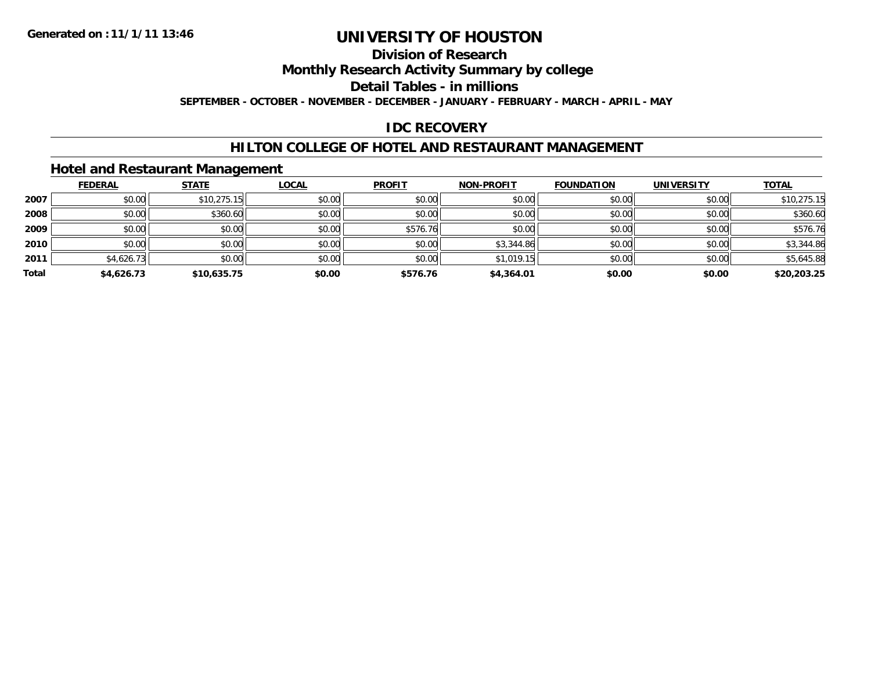## **Division of ResearchMonthly Research Activity Summary by college Detail Tables - in millions SEPTEMBER - OCTOBER - NOVEMBER - DECEMBER - JANUARY - FEBRUARY - MARCH - APRIL - MAY**

# **IDC RECOVERY**

# **HILTON COLLEGE OF HOTEL AND RESTAURANT MANAGEMENT**

# **Hotel and Restaurant Management**

|       | <b>FEDERAL</b> | <b>STATE</b> | <b>LOCAL</b> | <b>PROFIT</b> | <b>NON-PROFIT</b> | <b>FOUNDATION</b> | <b>UNIVERSITY</b> | <b>TOTAL</b> |
|-------|----------------|--------------|--------------|---------------|-------------------|-------------------|-------------------|--------------|
| 2007  | \$0.00         | \$10,275.15  | \$0.00       | \$0.00        | \$0.00            | \$0.00            | \$0.00            | \$10,275.15  |
| 2008  | \$0.00         | \$360.60     | \$0.00       | \$0.00        | \$0.00            | \$0.00            | \$0.00            | \$360.60     |
| 2009  | \$0.00         | \$0.00       | \$0.00       | \$576.76      | \$0.00            | \$0.00            | \$0.00            | \$576.76     |
| 2010  | \$0.00         | \$0.00       | \$0.00       | \$0.00        | \$3,344.86        | \$0.00            | \$0.00            | \$3,344.86   |
| 2011  | \$4,626.73     | \$0.00       | \$0.00       | \$0.00        | \$1,019.15        | \$0.00            | \$0.00            | \$5,645.88   |
| Total | \$4,626.73     | \$10,635.75  | \$0.00       | \$576.76      | \$4,364.01        | \$0.00            | \$0.00            | \$20,203.25  |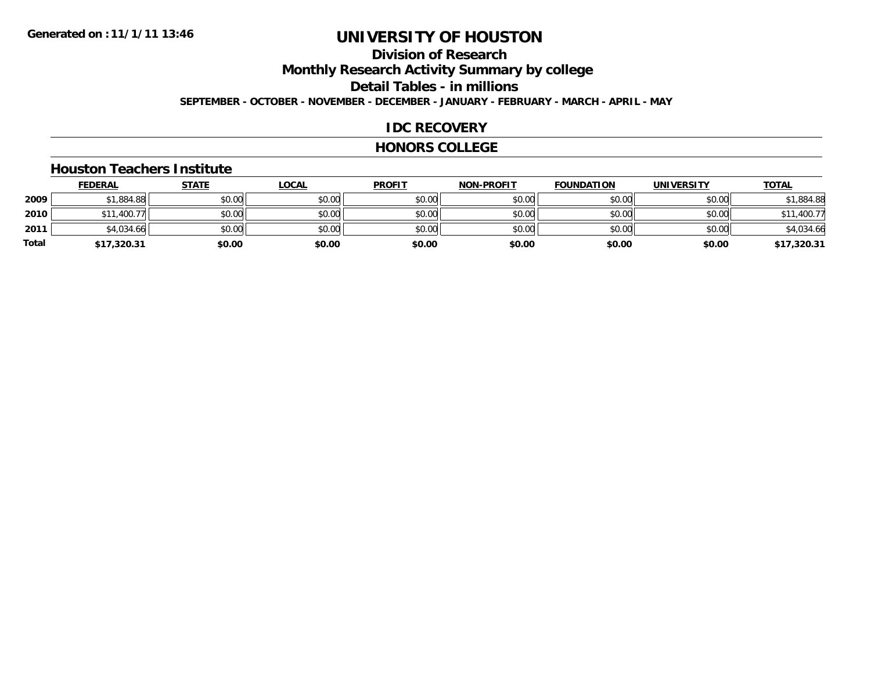## **Division of ResearchMonthly Research Activity Summary by college Detail Tables - in millions SEPTEMBER - OCTOBER - NOVEMBER - DECEMBER - JANUARY - FEBRUARY - MARCH - APRIL - MAY**

### **IDC RECOVERY**

#### **HONORS COLLEGE**

#### **Houston Teachers Institute**

|       | <b>FEDERAL</b> | <b>STATE</b> | <b>LOCAL</b> | <b>PROFIT</b> | <b>NON-PROFIT</b> | <b>FOUNDATION</b> | <b>UNIVERSITY</b> | <b>TOTAL</b> |
|-------|----------------|--------------|--------------|---------------|-------------------|-------------------|-------------------|--------------|
| 2009  | \$1,884.88     | \$0.00       | \$0.00       | \$0.00        | \$0.00            | \$0.00            | \$0.00            | \$1,884.88   |
| 2010  | 1,400.77       | \$0.00       | \$0.00       | \$0.00        | \$0.00            | \$0.00            | \$0.00            | \$11,400.77  |
| 2011  | \$4,034.66     | \$0.00       | \$0.00       | \$0.00        | \$0.00            | \$0.00            | \$0.00            | \$4,034.66   |
| Total | \$17,320.31    | \$0.00       | \$0.00       | \$0.00        | \$0.00            | \$0.00            | \$0.00            | \$17,320.31  |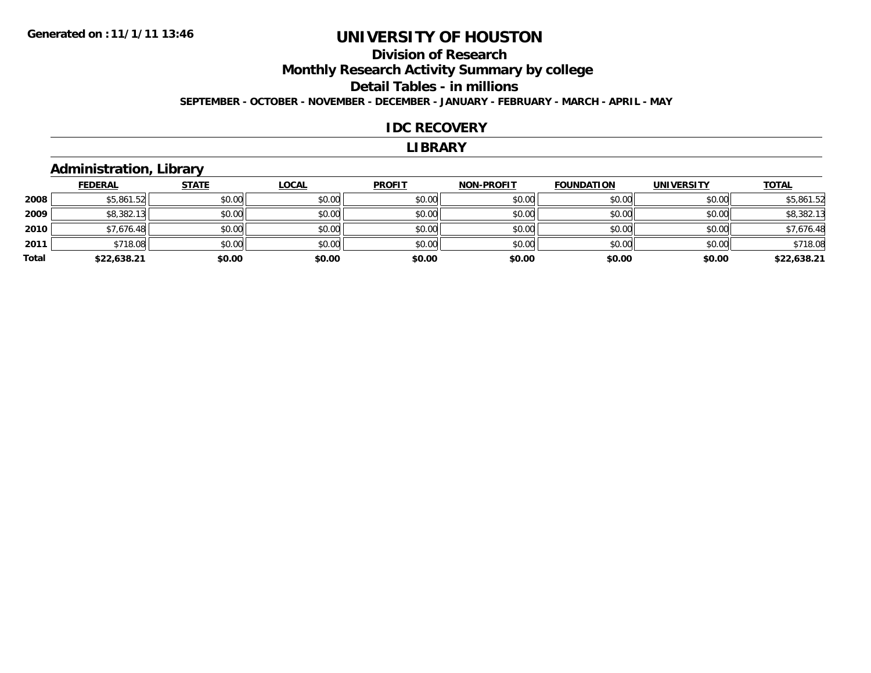# **Division of ResearchMonthly Research Activity Summary by college Detail Tables - in millions SEPTEMBER - OCTOBER - NOVEMBER - DECEMBER - JANUARY - FEBRUARY - MARCH - APRIL - MAY**

#### **IDC RECOVERY**

#### **LIBRARY**

# **Administration, Library**

|       | <b>FEDERAL</b> | <b>STATE</b> | <b>LOCAL</b> | <b>PROFIT</b> | <b>NON-PROFIT</b> | <b>FOUNDATION</b> | <b>UNIVERSITY</b> | <b>TOTAL</b> |
|-------|----------------|--------------|--------------|---------------|-------------------|-------------------|-------------------|--------------|
| 2008  | \$5,861.52     | \$0.00       | \$0.00       | \$0.00        | \$0.00            | \$0.00            | \$0.00            | \$5,861.52   |
| 2009  | \$8,382.13     | \$0.00       | \$0.00       | \$0.00        | \$0.00            | \$0.00            | \$0.00            | \$8,382.13   |
| 2010  | \$7,676.48     | \$0.00       | \$0.00       | \$0.00        | \$0.00            | \$0.00            | \$0.00            | \$7,676.48   |
| 2011  | \$718.08       | \$0.00       | \$0.00       | \$0.00        | \$0.00            | \$0.00            | \$0.00            | \$718.08     |
| Total | \$22,638.21    | \$0.00       | \$0.00       | \$0.00        | \$0.00            | \$0.00            | \$0.00            | \$22,638.21  |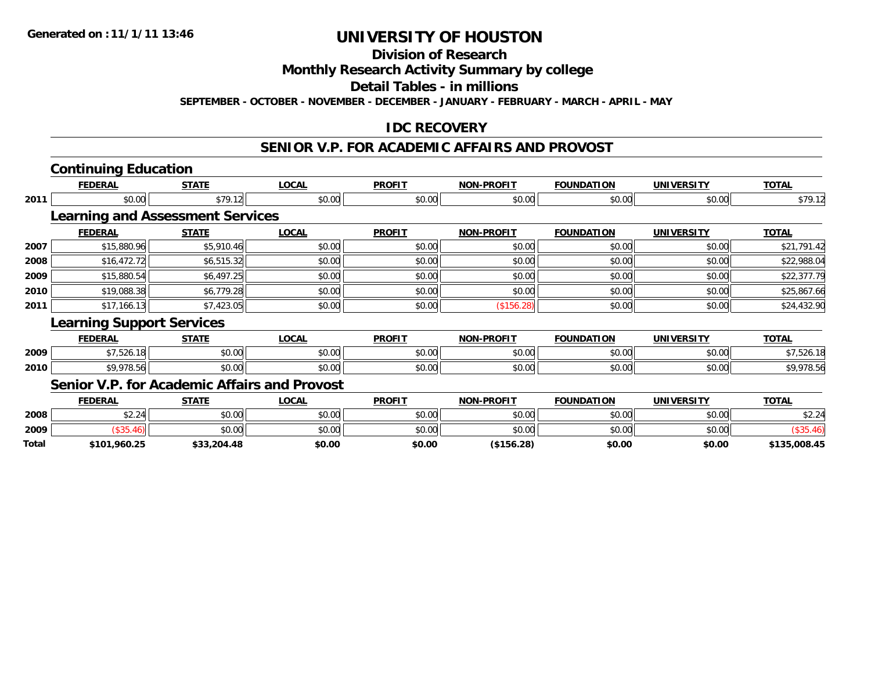# **Division of Research**

## **Monthly Research Activity Summary by college**

## **Detail Tables - in millions**

**SEPTEMBER - OCTOBER - NOVEMBER - DECEMBER - JANUARY - FEBRUARY - MARCH - APRIL - MAY**

# **IDC RECOVERY**

### **SENIOR V.P. FOR ACADEMIC AFFAIRS AND PROVOST**

# **Continuing Education**

|      | <b>FEDERAL</b>                                      | <b>STATE</b> | <b>LOCAL</b> | <b>PROFIT</b> | <b>NON-PROFIT</b> | <b>FOUNDATION</b> | <b>UNIVERSITY</b> | <b>TOTAL</b> |
|------|-----------------------------------------------------|--------------|--------------|---------------|-------------------|-------------------|-------------------|--------------|
| 2011 | \$0.00                                              | \$79.12      | \$0.00       | \$0.00        | \$0.00            | \$0.00            | \$0.00            | \$79.12      |
|      | <b>Learning and Assessment Services</b>             |              |              |               |                   |                   |                   |              |
|      | <b>FEDERAL</b>                                      | <b>STATE</b> | <b>LOCAL</b> | <b>PROFIT</b> | <b>NON-PROFIT</b> | <b>FOUNDATION</b> | <b>UNIVERSITY</b> | <b>TOTAL</b> |
| 2007 | \$15,880.96                                         | \$5,910.46   | \$0.00       | \$0.00        | \$0.00            | \$0.00            | \$0.00            | \$21,791.42  |
| 2008 | \$16,472.72                                         | \$6,515.32   | \$0.00       | \$0.00        | \$0.00            | \$0.00            | \$0.00            | \$22,988.04  |
| 2009 | \$15,880.54                                         | \$6,497.25   | \$0.00       | \$0.00        | \$0.00            | \$0.00            | \$0.00            | \$22,377.79  |
| 2010 | \$19,088.38                                         | \$6,779.28   | \$0.00       | \$0.00        | \$0.00            | \$0.00            | \$0.00            | \$25,867.66  |
| 2011 | \$17,166.13                                         | \$7,423.05   | \$0.00       | \$0.00        | (\$156.28)        | \$0.00            | \$0.00            | \$24,432.90  |
|      | <b>Learning Support Services</b>                    |              |              |               |                   |                   |                   |              |
|      | <b>FEDERAL</b>                                      | <b>STATE</b> | <b>LOCAL</b> | <b>PROFIT</b> | <b>NON-PROFIT</b> | <b>FOUNDATION</b> | <b>UNIVERSITY</b> | <b>TOTAL</b> |
| 2009 | \$7,526.18                                          | \$0.00       | \$0.00       | \$0.00        | \$0.00            | \$0.00            | \$0.00            | \$7,526.18   |
| 2010 | \$9,978.56                                          | \$0.00       | \$0.00       | \$0.00        | \$0.00            | \$0.00            | \$0.00            | \$9,978.56   |
|      | <b>Senior V.P. for Academic Affairs and Provost</b> |              |              |               |                   |                   |                   |              |
|      | <b>FEDERAL</b>                                      | <b>STATE</b> | <b>LOCAL</b> | <b>PROFIT</b> | <b>NON-PROFIT</b> | <b>FOUNDATION</b> | <b>UNIVERSITY</b> | <b>TOTAL</b> |

|       | FEDERAL      | SIAIE       | <u>LULAL</u> | <b>PRUFII</b> | NUN-PRUFII | <b>FUUNDAI LUN</b> | UNIVERSITT | <u>IUIAL</u> |
|-------|--------------|-------------|--------------|---------------|------------|--------------------|------------|--------------|
| 2008  | \$2.24       | \$0.00      | \$0.00       | \$0.00        | \$0.00     | \$0.00             | \$0.00     | \$2.24       |
| 2009  |              | \$0.00      | \$0.00       | \$0.00        | \$0.00     | \$0.00             | \$0.00     |              |
| Total | \$101,960.25 | \$33,204.48 | \$0.00       | \$0.00        | (\$156.28) | \$0.00             | \$0.00     | \$135,008.45 |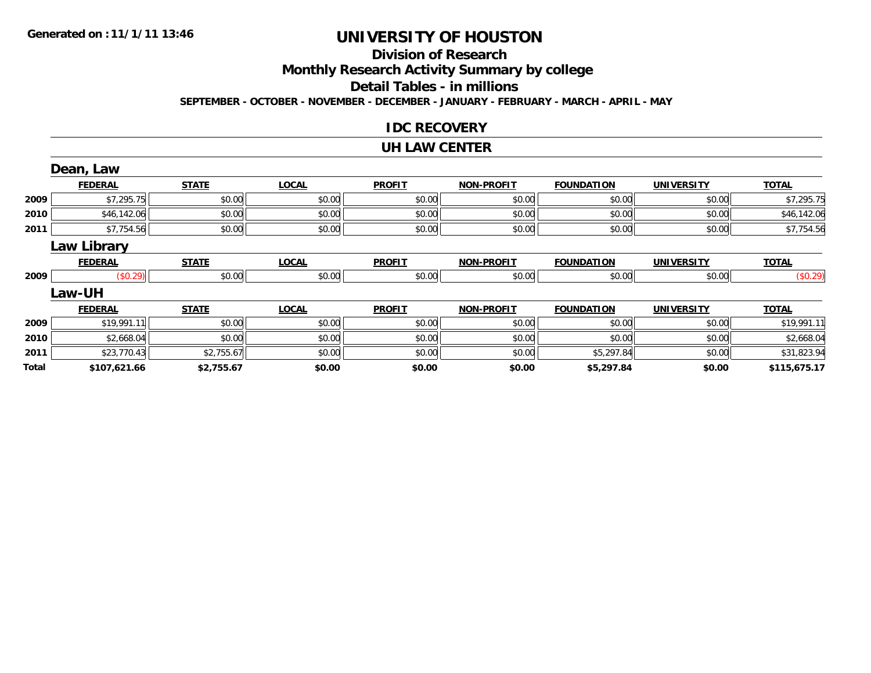## **Division of ResearchMonthly Research Activity Summary by college Detail Tables - in millionsSEPTEMBER - OCTOBER - NOVEMBER - DECEMBER - JANUARY - FEBRUARY - MARCH - APRIL - MAY**

## **IDC RECOVERY**

#### **UH LAW CENTER**

|              | Dean, Law          |              |              |               |                   |                   |                   |              |
|--------------|--------------------|--------------|--------------|---------------|-------------------|-------------------|-------------------|--------------|
|              | <b>FEDERAL</b>     | <b>STATE</b> | <b>LOCAL</b> | <b>PROFIT</b> | <b>NON-PROFIT</b> | <b>FOUNDATION</b> | <b>UNIVERSITY</b> | <b>TOTAL</b> |
| 2009         | \$7,295.75         | \$0.00       | \$0.00       | \$0.00        | \$0.00            | \$0.00            | \$0.00            | \$7,295.75   |
| 2010         | \$46,142.06        | \$0.00       | \$0.00       | \$0.00        | \$0.00            | \$0.00            | \$0.00            | \$46,142.06  |
| 2011         | \$7,754.56         | \$0.00       | \$0.00       | \$0.00        | \$0.00            | \$0.00            | \$0.00            | \$7,754.56   |
|              | <b>Law Library</b> |              |              |               |                   |                   |                   |              |
|              | <b>FEDERAL</b>     | <b>STATE</b> | <b>LOCAL</b> | <b>PROFIT</b> | <b>NON-PROFIT</b> | <b>FOUNDATION</b> | <b>UNIVERSITY</b> | <b>TOTAL</b> |
| 2009         | (\$0.29)           | \$0.00       | \$0.00       | \$0.00        | \$0.00            | \$0.00            | \$0.00            | (\$0.29)     |
|              | Law-UH             |              |              |               |                   |                   |                   |              |
|              | <b>FEDERAL</b>     | <b>STATE</b> | <b>LOCAL</b> | <b>PROFIT</b> | <b>NON-PROFIT</b> | <b>FOUNDATION</b> | <b>UNIVERSITY</b> | <b>TOTAL</b> |
| 2009         | \$19,991.11        | \$0.00       | \$0.00       | \$0.00        | \$0.00            | \$0.00            | \$0.00            | \$19,991.11  |
| 2010         | \$2,668.04         | \$0.00       | \$0.00       | \$0.00        | \$0.00            | \$0.00            | \$0.00            | \$2,668.04   |
| 2011         | \$23,770.43        | \$2,755.67   | \$0.00       | \$0.00        | \$0.00            | \$5,297.84        | \$0.00            | \$31,823.94  |
| <b>Total</b> | \$107,621.66       | \$2,755.67   | \$0.00       | \$0.00        | \$0.00            | \$5,297.84        | \$0.00            | \$115,675.17 |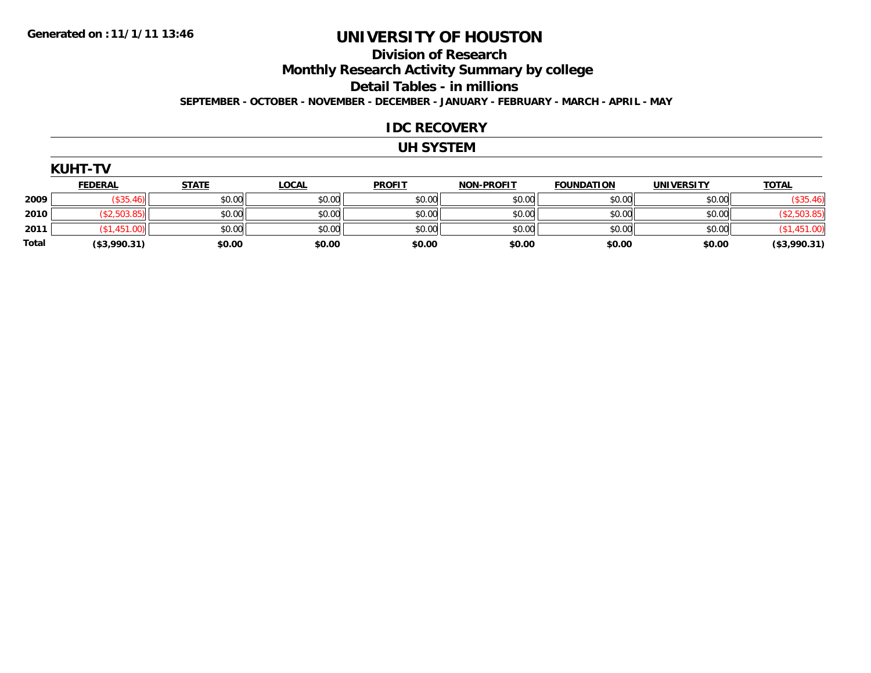## **Division of ResearchMonthly Research Activity Summary by college Detail Tables - in millions SEPTEMBER - OCTOBER - NOVEMBER - DECEMBER - JANUARY - FEBRUARY - MARCH - APRIL - MAY**

#### **IDC RECOVERY**

### **UH SYSTEM**

|              | <b>FEDERAL</b> | <b>STATE</b> | <b>LOCAL</b> | <b>PROFIT</b> | <b>NON-PROFIT</b> | <b>FOUNDATION</b> | <b>UNIVERSITY</b> | <b>TOTAL</b>    |
|--------------|----------------|--------------|--------------|---------------|-------------------|-------------------|-------------------|-----------------|
| 2009         |                | \$0.00       | \$0.00       | \$0.00        | \$0.00            | \$0.00            | \$0.00            | \$35.46         |
| 2010         | 22,503.85      | \$0.00       | \$0.00       | \$0.00        | \$0.00            | \$0.00            | \$0.00            |                 |
| 2011         |                | \$0.00       | \$0.00       | \$0.00        | \$0.00            | \$0.00            | \$0.00            |                 |
| <b>Total</b> | ( \$3,990.31)  | \$0.00       | \$0.00       | \$0.00        | \$0.00            | \$0.00            | \$0.00            | $($ \$3,990.31) |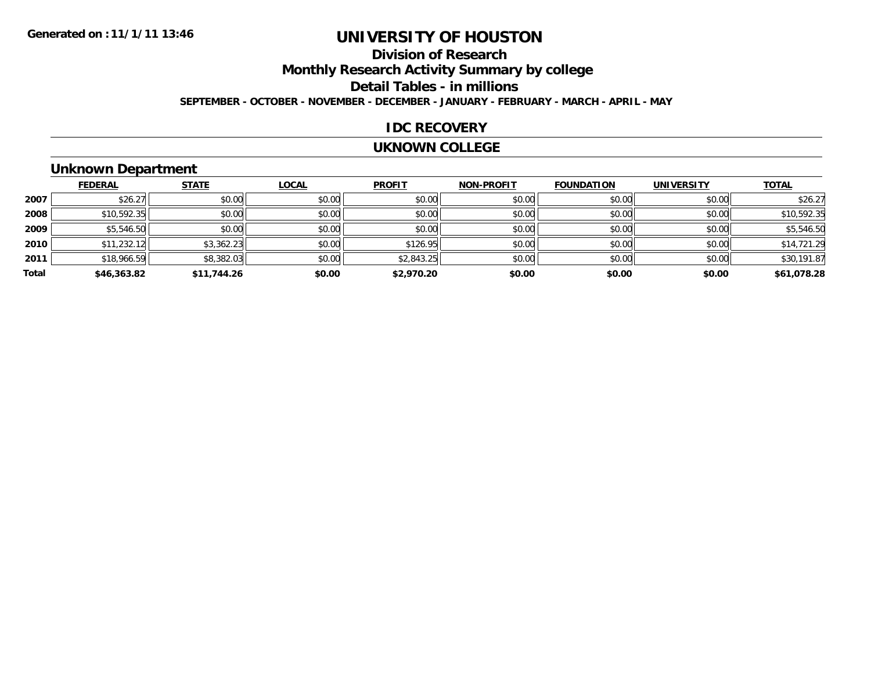## **Division of ResearchMonthly Research Activity Summary by college Detail Tables - in millions SEPTEMBER - OCTOBER - NOVEMBER - DECEMBER - JANUARY - FEBRUARY - MARCH - APRIL - MAY**

### **IDC RECOVERY**

#### **UKNOWN COLLEGE**

# **Unknown Department**

|       | <b>FEDERAL</b> | <b>STATE</b> | <b>LOCAL</b> | <b>PROFIT</b> | <b>NON-PROFIT</b> | <b>FOUNDATION</b> | <b>UNIVERSITY</b> | <b>TOTAL</b> |
|-------|----------------|--------------|--------------|---------------|-------------------|-------------------|-------------------|--------------|
| 2007  | \$26.27        | \$0.00       | \$0.00       | \$0.00        | \$0.00            | \$0.00            | \$0.00            | \$26.27      |
| 2008  | \$10,592.35    | \$0.00       | \$0.00       | \$0.00        | \$0.00            | \$0.00            | \$0.00            | \$10,592.35  |
| 2009  | \$5,546.50     | \$0.00       | \$0.00       | \$0.00        | \$0.00            | \$0.00            | \$0.00            | \$5,546.50   |
| 2010  | \$11,232.12    | \$3,362.23   | \$0.00       | \$126.95      | \$0.00            | \$0.00            | \$0.00            | \$14,721.29  |
| 2011  | \$18,966.59    | \$8,382.03   | \$0.00       | \$2,843.25    | \$0.00            | \$0.00            | \$0.00            | \$30,191.87  |
| Total | \$46,363.82    | \$11,744.26  | \$0.00       | \$2,970.20    | \$0.00            | \$0.00            | \$0.00            | \$61,078.28  |